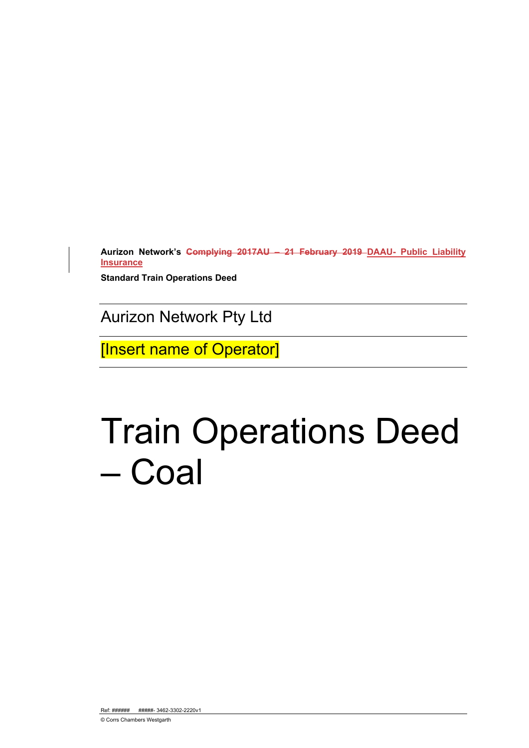**Aurizon Network's Complying 2017AU – 21 February 2019 DAAU- Public Liability Insurance**

**Standard Train Operations Deed** 

Aurizon Network Pty Ltd

[Insert name of Operator]

# Train Operations Deed – Coal

Ref: ###### #####+ 3462-3302-2220v1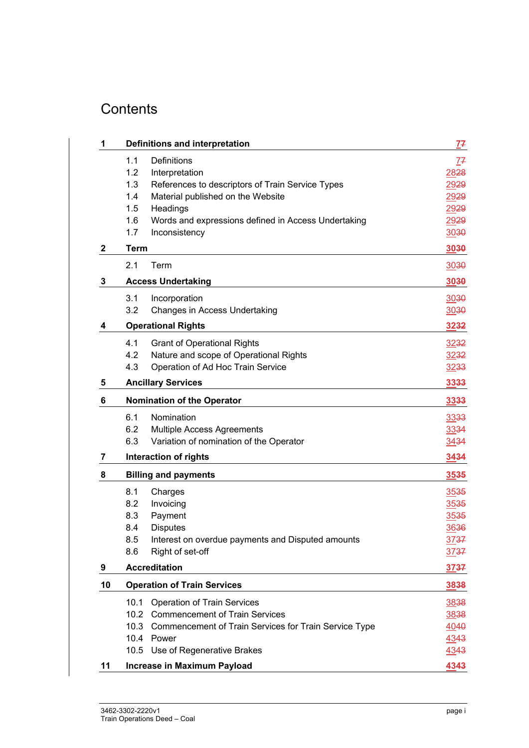# **Contents**

| 1           | <b>Definitions and interpretation</b>                                                                                                                                                                                                                              | <u>7</u> 7                                           |
|-------------|--------------------------------------------------------------------------------------------------------------------------------------------------------------------------------------------------------------------------------------------------------------------|------------------------------------------------------|
|             | 1.1<br><b>Definitions</b><br>1.2<br>Interpretation<br>1.3<br>References to descriptors of Train Service Types<br>1.4<br>Material published on the Website<br>1.5<br>Headings<br>1.6<br>Words and expressions defined in Access Undertaking<br>1.7<br>Inconsistency | 77<br>2828<br>2929<br>2929<br>2929<br>2929<br>3030   |
| $\mathbf 2$ | <b>Term</b>                                                                                                                                                                                                                                                        | 3030                                                 |
|             | 2.1<br>Term                                                                                                                                                                                                                                                        | 3030                                                 |
| 3           | <b>Access Undertaking</b>                                                                                                                                                                                                                                          | 3030                                                 |
|             | 3.1<br>Incorporation<br>Changes in Access Undertaking<br>3.2                                                                                                                                                                                                       | 3030<br>3030                                         |
| 4           | <b>Operational Rights</b>                                                                                                                                                                                                                                          | 3232                                                 |
|             | 4.1<br><b>Grant of Operational Rights</b><br>4.2<br>Nature and scope of Operational Rights<br>4.3<br>Operation of Ad Hoc Train Service                                                                                                                             | 3232<br>3232<br><u>32</u> 33                         |
| 5           | <b>Ancillary Services</b>                                                                                                                                                                                                                                          | 3333                                                 |
| 6           | <b>Nomination of the Operator</b>                                                                                                                                                                                                                                  | 3333                                                 |
|             | 6.1<br>Nomination<br>6.2<br>Multiple Access Agreements<br>6.3<br>Variation of nomination of the Operator                                                                                                                                                           | 3333<br>3334<br>3434                                 |
| 7           | <b>Interaction of rights</b>                                                                                                                                                                                                                                       | 3434                                                 |
| 8           | <b>Billing and payments</b>                                                                                                                                                                                                                                        | 3535                                                 |
|             | 8.1<br>Charges<br>8.2<br>Invoicing<br>Payment<br>8.3<br>8.4<br><b>Disputes</b><br>8.5<br>Interest on overdue payments and Disputed amounts<br>8.6<br>Right of set-off                                                                                              | 3535<br>3535<br>3535<br>3636<br><u>37</u> 37<br>3737 |
| 9           | <b>Accreditation</b>                                                                                                                                                                                                                                               | 3737                                                 |
| 10          | <b>Operation of Train Services</b>                                                                                                                                                                                                                                 | 3838                                                 |
|             | 10.1<br><b>Operation of Train Services</b><br>10.2 Commencement of Train Services<br>10.3<br>Commencement of Train Services for Train Service Type<br>10.4 Power<br>10.5 Use of Regenerative Brakes                                                                | 3838<br>3838<br>4040<br>4343<br>4343                 |
| 11          | <b>Increase in Maximum Payload</b>                                                                                                                                                                                                                                 | 4343                                                 |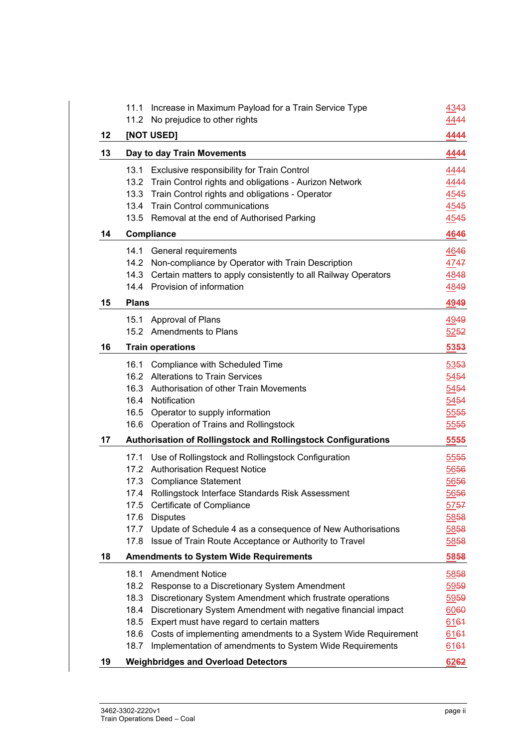|    | 11.1<br>11.2 | Increase in Maximum Payload for a Train Service Type<br>No prejudice to other rights | 4343<br>4444 |
|----|--------------|--------------------------------------------------------------------------------------|--------------|
| 12 |              | [NOT USED]                                                                           | 4444         |
| 13 |              | Day to day Train Movements                                                           | 4444         |
|    | 13.1         | Exclusive responsibility for Train Control                                           | 4444         |
|    |              | 13.2 Train Control rights and obligations - Aurizon Network                          | 4444         |
|    | 13.3         | Train Control rights and obligations - Operator                                      | 4545         |
|    |              | 13.4 Train Control communications                                                    | <u>4545</u>  |
|    |              | 13.5 Removal at the end of Authorised Parking                                        | <u>4545</u>  |
| 14 |              | Compliance                                                                           | 4646         |
|    | 14.1         | General requirements                                                                 | 4646         |
|    | 14.2         | Non-compliance by Operator with Train Description                                    | 4747         |
|    | 14.3         | Certain matters to apply consistently to all Railway Operators                       | 4848         |
|    |              | 14.4 Provision of information                                                        | 4849         |
| 15 | <b>Plans</b> |                                                                                      | 4949         |
|    | 15.1         | Approval of Plans                                                                    | 4949         |
|    |              | 15.2 Amendments to Plans                                                             | 5252         |
| 16 |              | <b>Train operations</b>                                                              | 5353         |
|    | 16.1         | Compliance with Scheduled Time                                                       | 5353         |
|    | 16.2         | <b>Alterations to Train Services</b>                                                 | 5454         |
|    | 16.3         | Authorisation of other Train Movements                                               | 5454         |
|    |              | 16.4 Notification                                                                    | 5454         |
|    | 16.5         | Operator to supply information                                                       | 5555         |
|    | 16.6         | Operation of Trains and Rollingstock                                                 | 5555         |
| 17 |              | <b>Authorisation of Rollingstock and Rollingstock Configurations</b>                 | 5555         |
|    | 17.1         | Use of Rollingstock and Rollingstock Configuration                                   | 5555         |
|    | 17.2         | <b>Authorisation Request Notice</b>                                                  | 5656         |
|    | 17.3         | <b>Compliance Statement</b>                                                          | 5656         |
|    | 17.4         | Rollingstock Interface Standards Risk Assessment                                     | 5656         |
|    | 17.5         | Certificate of Compliance                                                            | 5757         |
|    | 17.6         | <b>Disputes</b>                                                                      | 5858         |
|    | 17.7         | Update of Schedule 4 as a consequence of New Authorisations                          | 5858         |
|    | 17.8         | Issue of Train Route Acceptance or Authority to Travel                               | 5858         |
| 18 |              | <b>Amendments to System Wide Requirements</b>                                        | 5858         |
|    | 18.1         | <b>Amendment Notice</b>                                                              | 5858         |
|    | 18.2         | Response to a Discretionary System Amendment                                         | 5959         |
|    | 18.3         | Discretionary System Amendment which frustrate operations                            | 5959         |
|    | 18.4         | Discretionary System Amendment with negative financial impact                        | 6060         |
|    | 18.5         | Expert must have regard to certain matters                                           | 6164         |
|    | 18.6         | Costs of implementing amendments to a System Wide Requirement                        | 6164         |
|    | 18.7         | Implementation of amendments to System Wide Requirements                             | 6164         |
| 19 |              | <b>Weighbridges and Overload Detectors</b>                                           | 6262         |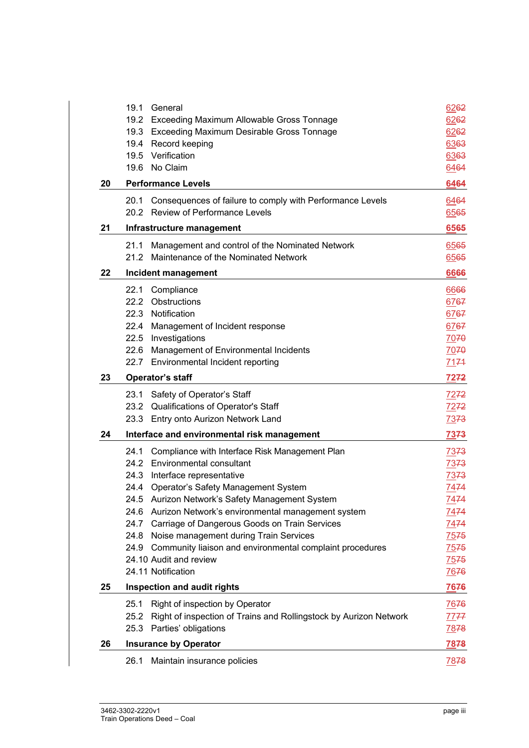|    | 19.1<br>General                                                           | 6262         |
|----|---------------------------------------------------------------------------|--------------|
|    | 19.2 Exceeding Maximum Allowable Gross Tonnage                            | 6262         |
|    | 19.3 Exceeding Maximum Desirable Gross Tonnage                            | 6262         |
|    | 19.4 Record keeping                                                       | 6363         |
|    | 19.5 Verification                                                         | 6363         |
|    | 19.6 No Claim                                                             | 6464         |
| 20 | <b>Performance Levels</b>                                                 | 6464         |
|    | Consequences of failure to comply with Performance Levels<br>20.1         | 6464         |
|    | 20.2 Review of Performance Levels                                         | 6565         |
| 21 | Infrastructure management                                                 | 6565         |
|    | Management and control of the Nominated Network<br>21.1                   | 6565         |
|    | Maintenance of the Nominated Network<br>21.2                              | 6565         |
| 22 | Incident management                                                       | 6666         |
|    | 22.1 Compliance                                                           | 6666         |
|    | 22.2 Obstructions                                                         | 6767         |
|    | 22.3 Notification                                                         | 6767         |
|    | 22.4 Management of Incident response                                      | 6767         |
|    | 22.5 Investigations                                                       | 7070         |
|    | Management of Environmental Incidents<br>22.6                             | 7070         |
|    | 22.7 Environmental Incident reporting                                     | 7174         |
| 23 | <b>Operator's staff</b>                                                   | 7272         |
|    | 23.1 Safety of Operator's Staff                                           | <u>7272</u>  |
|    | 23.2 Qualifications of Operator's Staff                                   | <u>7272 </u> |
|    | 23.3 Entry onto Aurizon Network Land                                      | <u>7373</u>  |
| 24 | Interface and environmental risk management                               | <b>7373</b>  |
|    | Compliance with Interface Risk Management Plan<br>24.1                    | 7373         |
|    | 24.2 Environmental consultant                                             | <u>7373</u>  |
|    | 24.3 Interface representative                                             | <u>7373</u>  |
|    | 24.4 Operator's Safety Management System                                  | 7474         |
|    | 24.5 Aurizon Network's Safety Management System                           | 7474         |
|    | 24.6 Aurizon Network's environmental management system                    | 7474         |
|    | 24.7 Carriage of Dangerous Goods on Train Services                        | 7474         |
|    | 24.8 Noise management during Train Services                               | 7575         |
|    | 24.9 Community liaison and environmental complaint procedures             | 7575         |
|    | 24.10 Audit and review                                                    | 7575         |
|    | 24.11 Notification                                                        | 7676         |
| 25 | Inspection and audit rights                                               | 7676         |
|    | Right of inspection by Operator<br>25.1                                   | 7676         |
|    | Right of inspection of Trains and Rollingstock by Aurizon Network<br>25.2 | 7777         |
|    | 25.3 Parties' obligations                                                 | 7878         |
| 26 | <b>Insurance by Operator</b>                                              | 7878         |
|    | Maintain insurance policies<br>26.1                                       | 7878         |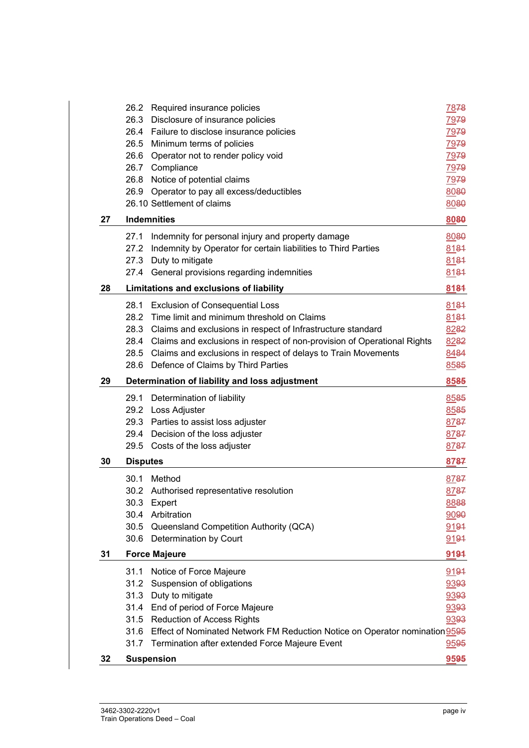|    | 26.2 Required insurance policies                                                 | 7878 |
|----|----------------------------------------------------------------------------------|------|
|    | Disclosure of insurance policies<br>26.3                                         | 7979 |
|    | 26.4 Failure to disclose insurance policies                                      | 7979 |
|    | 26.5 Minimum terms of policies                                                   | 7979 |
|    | 26.6 Operator not to render policy void                                          | 7979 |
|    | 26.7 Compliance                                                                  | 7979 |
|    | 26.8 Notice of potential claims                                                  | 7979 |
|    | 26.9 Operator to pay all excess/deductibles                                      | 8080 |
|    | 26.10 Settlement of claims                                                       | 8080 |
| 27 | <b>Indemnities</b>                                                               | 8080 |
|    | Indemnity for personal injury and property damage<br>27.1                        | 8080 |
|    | 27.2<br>Indemnity by Operator for certain liabilities to Third Parties           | 8181 |
|    | 27.3 Duty to mitigate                                                            | 8181 |
|    | 27.4 General provisions regarding indemnities                                    | 8184 |
| 28 | Limitations and exclusions of liability                                          | 8184 |
|    | <b>Exclusion of Consequential Loss</b><br>28.1                                   | 8184 |
|    | Time limit and minimum threshold on Claims<br>28.2                               | 8181 |
|    | 28.3 Claims and exclusions in respect of Infrastructure standard                 | 8282 |
|    | 28.4 Claims and exclusions in respect of non-provision of Operational Rights     | 8282 |
|    | 28.5 Claims and exclusions in respect of delays to Train Movements               | 8484 |
|    | Defence of Claims by Third Parties<br>28.6                                       | 8585 |
| 29 | Determination of liability and loss adjustment                                   | 8585 |
|    | 29.1<br>Determination of liability                                               | 8585 |
|    | 29.2 Loss Adjuster                                                               | 8585 |
|    | 29.3 Parties to assist loss adjuster                                             | 8787 |
|    | 29.4 Decision of the loss adjuster                                               | 8787 |
|    | 29.5 Costs of the loss adjuster                                                  | 8787 |
| 30 | <b>Disputes</b>                                                                  | 8787 |
|    | 30.1<br>Method                                                                   | 8787 |
|    | 30.2 Authorised representative resolution                                        | 8787 |
|    | 30.3<br>Expert                                                                   | 8888 |
|    | 30.4<br>Arbitration                                                              | 9090 |
|    | 30.5 Queensland Competition Authority (QCA)                                      | 9191 |
|    | 30.6 Determination by Court                                                      | 9194 |
| 31 | <b>Force Majeure</b>                                                             | 9191 |
|    | Notice of Force Majeure<br>31.1                                                  | 9191 |
|    | Suspension of obligations<br>31.2                                                | 9393 |
|    | 31.3 Duty to mitigate                                                            | 9393 |
|    | 31.4 End of period of Force Majeure                                              | 9393 |
|    | 31.5 Reduction of Access Rights                                                  | 9393 |
|    | 31.6 Effect of Nominated Network FM Reduction Notice on Operator nomination 9595 |      |
|    | 31.7<br>Termination after extended Force Majeure Event                           | 9595 |
| 32 | <b>Suspension</b>                                                                | 9595 |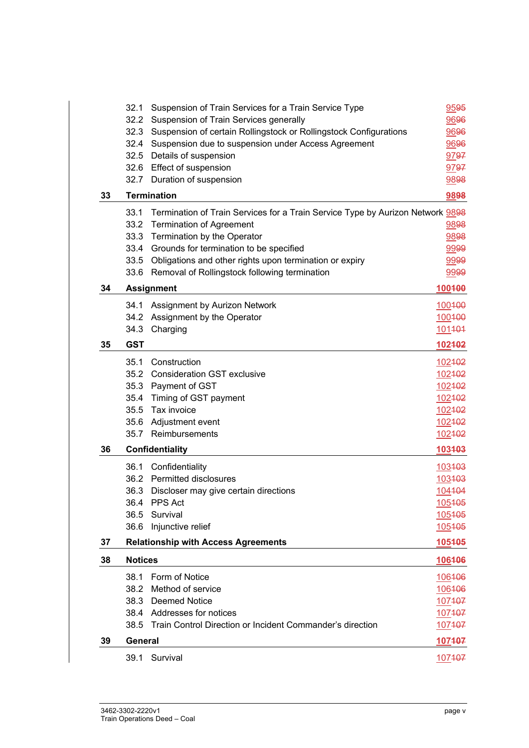|    | 32.1                             | Suspension of Train Services for a Train Service Type                          | 9595   |
|----|----------------------------------|--------------------------------------------------------------------------------|--------|
|    | 32.2                             | Suspension of Train Services generally                                         | 9696   |
|    | 32.3                             | Suspension of certain Rollingstock or Rollingstock Configurations              | 9696   |
|    |                                  | 32.4 Suspension due to suspension under Access Agreement                       | 9696   |
|    |                                  | 32.5 Details of suspension                                                     | 9797   |
|    |                                  | 32.6 Effect of suspension                                                      | 9797   |
|    | 32.7                             | Duration of suspension                                                         | 9898   |
| 33 |                                  | <b>Termination</b>                                                             | 9898   |
|    | 33.1                             | Termination of Train Services for a Train Service Type by Aurizon Network 9898 |        |
|    | 33.2                             | <b>Termination of Agreement</b>                                                | 9898   |
|    | 33.3                             | Termination by the Operator                                                    | 9898   |
|    | 33.4                             | Grounds for termination to be specified                                        | 9999   |
|    |                                  | 33.5 Obligations and other rights upon termination or expiry                   |        |
|    |                                  | 33.6 Removal of Rollingstock following termination                             | 9999   |
| 34 |                                  | <b>Assignment</b>                                                              | 100400 |
|    | 34.1                             | Assignment by Aurizon Network                                                  | 100400 |
|    | 34.2                             | Assignment by the Operator                                                     | 100400 |
|    | 34.3                             | Charging                                                                       | 101404 |
| 35 | <b>GST</b>                       |                                                                                | 102402 |
|    | 35.1                             | Construction                                                                   | 102402 |
|    |                                  | 35.2 Consideration GST exclusive                                               | 102402 |
|    | 35.3                             | Payment of GST                                                                 | 102402 |
|    | 35.4                             | Timing of GST payment                                                          | 102402 |
|    | 35.5                             | Tax invoice                                                                    | 102402 |
|    | 35.6                             | Adjustment event                                                               | 102402 |
|    | 35.7                             | Reimbursements                                                                 | 102402 |
| 36 | 103403<br><b>Confidentiality</b> |                                                                                |        |
|    | 36.1                             | Confidentiality                                                                | 103403 |
|    |                                  | 36.2 Permitted disclosures                                                     | 103403 |
|    |                                  | 36.3 Discloser may give certain directions                                     | 104404 |
|    |                                  | 36.4 PPS Act                                                                   | 105405 |
|    | 36.5                             | Survival                                                                       | 105405 |
|    | 36.6                             | Injunctive relief                                                              | 105405 |
| 37 |                                  | <b>Relationship with Access Agreements</b>                                     | 105405 |
| 38 | <b>Notices</b>                   |                                                                                | 106406 |
|    | 38.1                             | Form of Notice                                                                 | 106406 |
|    | 38.2                             | Method of service                                                              | 106406 |
|    |                                  | 38.3 Deemed Notice                                                             | 107407 |
|    |                                  | 38.4 Addresses for notices                                                     | 107407 |
|    |                                  | 38.5 Train Control Direction or Incident Commander's direction                 | 107407 |
| 39 | General                          |                                                                                | 107407 |
|    | 39.1                             | Survival                                                                       | 107407 |
|    |                                  |                                                                                |        |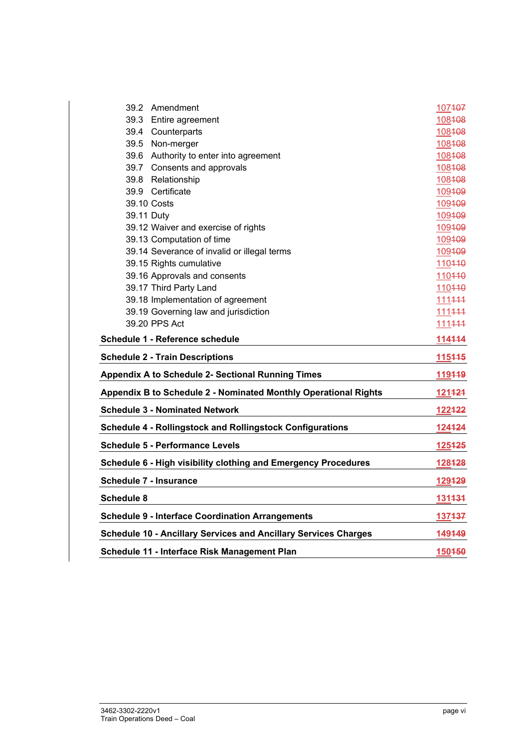| 39.2                          | Amendment                                                              | 107407          |
|-------------------------------|------------------------------------------------------------------------|-----------------|
|                               | 39.3 Entire agreement                                                  | 108408          |
|                               | 39.4 Counterparts                                                      | 108408          |
|                               | 39.5 Non-merger                                                        | 108408          |
|                               | 39.6 Authority to enter into agreement                                 | 108408          |
|                               | 39.7 Consents and approvals                                            | 108408          |
|                               | 39.8 Relationship                                                      | 108408          |
|                               | 39.9 Certificate                                                       | 109409          |
| 39.10 Costs                   |                                                                        | 109409          |
| 39.11 Duty                    |                                                                        | 109409          |
|                               | 39.12 Waiver and exercise of rights                                    | 109409          |
|                               | 39.13 Computation of time                                              | 109409          |
|                               | 39.14 Severance of invalid or illegal terms                            | 109409          |
|                               | 39.15 Rights cumulative                                                | 110440          |
|                               | 39.16 Approvals and consents                                           | 110440          |
|                               | 39.17 Third Party Land                                                 | 110440          |
|                               | 39.18 Implementation of agreement                                      | 111444          |
|                               | 39.19 Governing law and jurisdiction                                   | 111444          |
|                               | 39.20 PPS Act                                                          | 111444          |
|                               | Schedule 1 - Reference schedule                                        | 114444          |
|                               | <b>Schedule 2 - Train Descriptions</b>                                 | 115445          |
|                               | <b>Appendix A to Schedule 2- Sectional Running Times</b>               | 119449          |
|                               |                                                                        |                 |
|                               | Appendix B to Schedule 2 - Nominated Monthly Operational Rights        | 121424          |
|                               | <b>Schedule 3 - Nominated Network</b>                                  | <u> 122422 </u> |
|                               | <b>Schedule 4 - Rollingstock and Rollingstock Configurations</b>       | 124424          |
|                               | <b>Schedule 5 - Performance Levels</b>                                 | 125425          |
|                               | Schedule 6 - High visibility clothing and Emergency Procedures         | 128428          |
| <b>Schedule 7 - Insurance</b> |                                                                        | 129429          |
|                               |                                                                        | 131434          |
| <b>Schedule 8</b>             | <b>Schedule 9 - Interface Coordination Arrangements</b>                | 137437          |
|                               | <b>Schedule 10 - Ancillary Services and Ancillary Services Charges</b> | 149449          |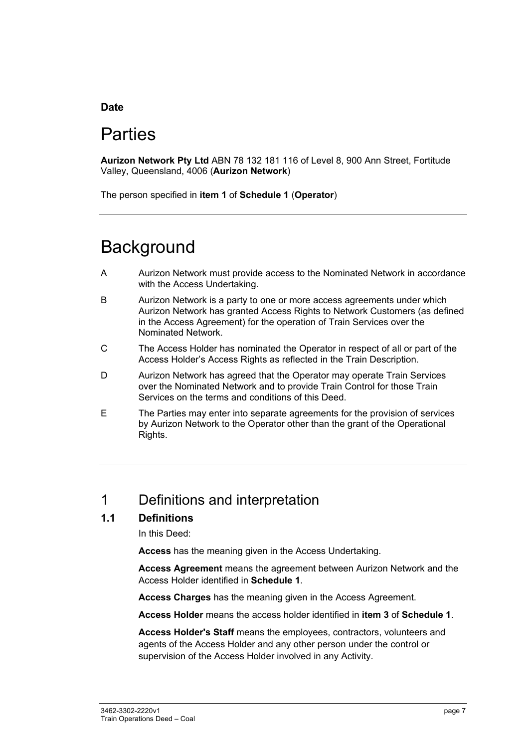## **Date**

# **Parties**

**Aurizon Network Pty Ltd** ABN 78 132 181 116 of Level 8, 900 Ann Street, Fortitude Valley, Queensland, 4006 (**Aurizon Network**)

The person specified in **item 1** of **Schedule 1** (**Operator**)

# **Background**

- A Aurizon Network must provide access to the Nominated Network in accordance with the Access Undertaking.
- B Aurizon Network is a party to one or more access agreements under which Aurizon Network has granted Access Rights to Network Customers (as defined in the Access Agreement) for the operation of Train Services over the Nominated Network.
- C The Access Holder has nominated the Operator in respect of all or part of the Access Holder's Access Rights as reflected in the Train Description.
- D Aurizon Network has agreed that the Operator may operate Train Services over the Nominated Network and to provide Train Control for those Train Services on the terms and conditions of this Deed.
- E The Parties may enter into separate agreements for the provision of services by Aurizon Network to the Operator other than the grant of the Operational Rights.

# 1 Definitions and interpretation

## **1.1 Definitions**

In this Deed:

**Access** has the meaning given in the Access Undertaking.

**Access Agreement** means the agreement between Aurizon Network and the Access Holder identified in **Schedule 1**.

**Access Charges** has the meaning given in the Access Agreement.

**Access Holder** means the access holder identified in **item 3** of **Schedule 1**.

**Access Holder's Staff** means the employees, contractors, volunteers and agents of the Access Holder and any other person under the control or supervision of the Access Holder involved in any Activity.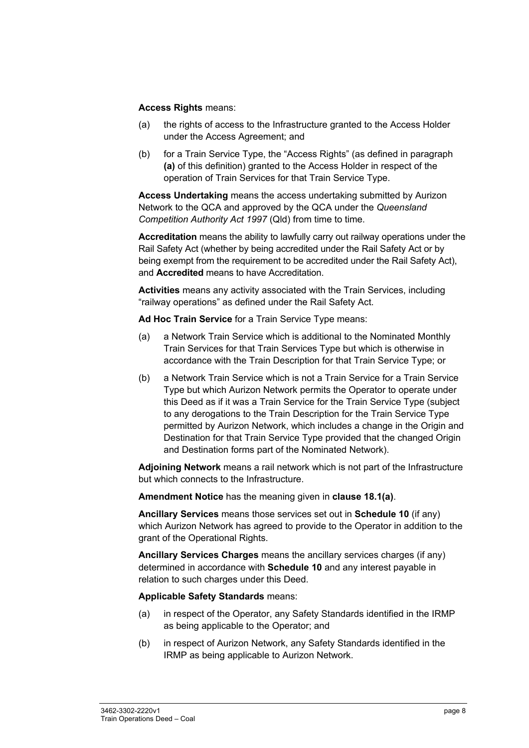#### **Access Rights** means:

- (a) the rights of access to the Infrastructure granted to the Access Holder under the Access Agreement; and
- (b) for a Train Service Type, the "Access Rights" (as defined in paragraph **(a)** of this definition) granted to the Access Holder in respect of the operation of Train Services for that Train Service Type.

**Access Undertaking** means the access undertaking submitted by Aurizon Network to the QCA and approved by the QCA under the *Queensland Competition Authority Act 1997* (Qld) from time to time.

**Accreditation** means the ability to lawfully carry out railway operations under the Rail Safety Act (whether by being accredited under the Rail Safety Act or by being exempt from the requirement to be accredited under the Rail Safety Act), and **Accredited** means to have Accreditation.

**Activities** means any activity associated with the Train Services, including "railway operations" as defined under the Rail Safety Act.

**Ad Hoc Train Service** for a Train Service Type means:

- (a) a Network Train Service which is additional to the Nominated Monthly Train Services for that Train Services Type but which is otherwise in accordance with the Train Description for that Train Service Type; or
- (b) a Network Train Service which is not a Train Service for a Train Service Type but which Aurizon Network permits the Operator to operate under this Deed as if it was a Train Service for the Train Service Type (subject to any derogations to the Train Description for the Train Service Type permitted by Aurizon Network, which includes a change in the Origin and Destination for that Train Service Type provided that the changed Origin and Destination forms part of the Nominated Network).

**Adjoining Network** means a rail network which is not part of the Infrastructure but which connects to the Infrastructure.

**Amendment Notice** has the meaning given in **clause 18.1(a)**.

**Ancillary Services** means those services set out in **Schedule 10** (if any) which Aurizon Network has agreed to provide to the Operator in addition to the grant of the Operational Rights.

**Ancillary Services Charges** means the ancillary services charges (if any) determined in accordance with **Schedule 10** and any interest payable in relation to such charges under this Deed.

**Applicable Safety Standards** means:

- (a) in respect of the Operator, any Safety Standards identified in the IRMP as being applicable to the Operator; and
- (b) in respect of Aurizon Network, any Safety Standards identified in the IRMP as being applicable to Aurizon Network.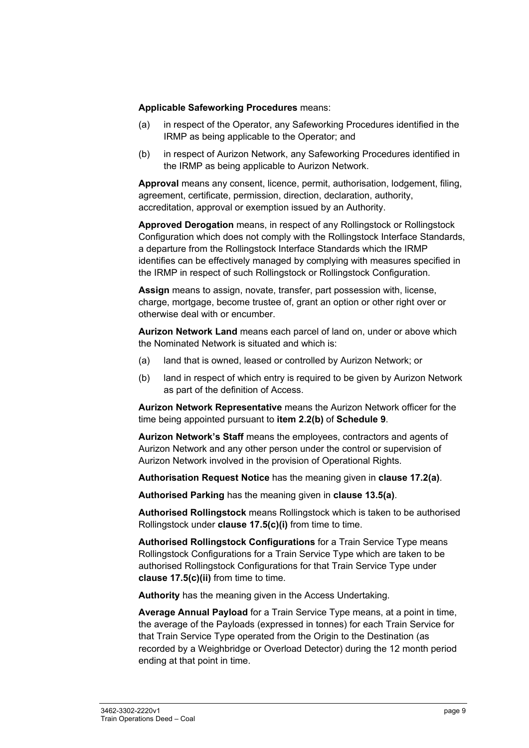#### **Applicable Safeworking Procedures** means:

- (a) in respect of the Operator, any Safeworking Procedures identified in the IRMP as being applicable to the Operator; and
- (b) in respect of Aurizon Network, any Safeworking Procedures identified in the IRMP as being applicable to Aurizon Network.

**Approval** means any consent, licence, permit, authorisation, lodgement, filing, agreement, certificate, permission, direction, declaration, authority, accreditation, approval or exemption issued by an Authority.

**Approved Derogation** means, in respect of any Rollingstock or Rollingstock Configuration which does not comply with the Rollingstock Interface Standards, a departure from the Rollingstock Interface Standards which the IRMP identifies can be effectively managed by complying with measures specified in the IRMP in respect of such Rollingstock or Rollingstock Configuration.

**Assign** means to assign, novate, transfer, part possession with, license, charge, mortgage, become trustee of, grant an option or other right over or otherwise deal with or encumber.

**Aurizon Network Land** means each parcel of land on, under or above which the Nominated Network is situated and which is:

- (a) land that is owned, leased or controlled by Aurizon Network; or
- (b) land in respect of which entry is required to be given by Aurizon Network as part of the definition of Access.

**Aurizon Network Representative** means the Aurizon Network officer for the time being appointed pursuant to **item 2.2(b)** of **Schedule 9**.

**Aurizon Network's Staff** means the employees, contractors and agents of Aurizon Network and any other person under the control or supervision of Aurizon Network involved in the provision of Operational Rights.

**Authorisation Request Notice** has the meaning given in **clause 17.2(a)**.

**Authorised Parking** has the meaning given in **clause 13.5(a)**.

**Authorised Rollingstock** means Rollingstock which is taken to be authorised Rollingstock under **clause 17.5(c)(i)** from time to time.

**Authorised Rollingstock Configurations** for a Train Service Type means Rollingstock Configurations for a Train Service Type which are taken to be authorised Rollingstock Configurations for that Train Service Type under **clause 17.5(c)(ii)** from time to time.

**Authority** has the meaning given in the Access Undertaking.

**Average Annual Payload** for a Train Service Type means, at a point in time, the average of the Payloads (expressed in tonnes) for each Train Service for that Train Service Type operated from the Origin to the Destination (as recorded by a Weighbridge or Overload Detector) during the 12 month period ending at that point in time.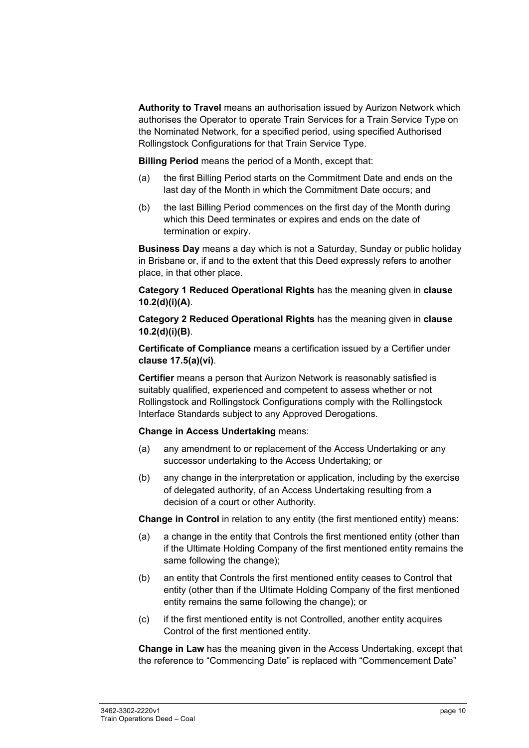**Authority to Travel** means an authorisation issued by Aurizon Network which authorises the Operator to operate Train Services for a Train Service Type on the Nominated Network, for a specified period, using specified Authorised Rollingstock Configurations for that Train Service Type.

**Billing Period** means the period of a Month, except that:

- (a) the first Billing Period starts on the Commitment Date and ends on the last day of the Month in which the Commitment Date occurs; and
- (b) the last Billing Period commences on the first day of the Month during which this Deed terminates or expires and ends on the date of termination or expiry.

**Business Day** means a day which is not a Saturday, Sunday or public holiday in Brisbane or, if and to the extent that this Deed expressly refers to another place, in that other place.

**Category 1 Reduced Operational Rights** has the meaning given in **clause 10.2(d)(i)(A)**.

**Category 2 Reduced Operational Rights** has the meaning given in **clause 10.2(d)(i)(B)**.

**Certificate of Compliance** means a certification issued by a Certifier under **clause 17.5(a)(vi)**.

**Certifier** means a person that Aurizon Network is reasonably satisfied is suitably qualified, experienced and competent to assess whether or not Rollingstock and Rollingstock Configurations comply with the Rollingstock Interface Standards subject to any Approved Derogations.

#### **Change in Access Undertaking** means:

- (a) any amendment to or replacement of the Access Undertaking or any successor undertaking to the Access Undertaking; or
- (b) any change in the interpretation or application, including by the exercise of delegated authority, of an Access Undertaking resulting from a decision of a court or other Authority.

**Change in Control** in relation to any entity (the first mentioned entity) means:

- (a) a change in the entity that Controls the first mentioned entity (other than if the Ultimate Holding Company of the first mentioned entity remains the same following the change);
- (b) an entity that Controls the first mentioned entity ceases to Control that entity (other than if the Ultimate Holding Company of the first mentioned entity remains the same following the change); or
- (c) if the first mentioned entity is not Controlled, another entity acquires Control of the first mentioned entity.

**Change in Law** has the meaning given in the Access Undertaking, except that the reference to "Commencing Date" is replaced with "Commencement Date"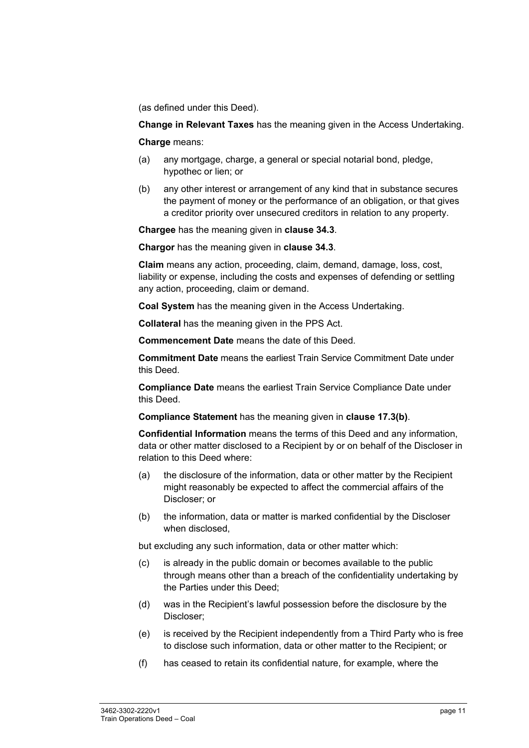(as defined under this Deed).

**Change in Relevant Taxes** has the meaning given in the Access Undertaking.

**Charge** means:

- (a) any mortgage, charge, a general or special notarial bond, pledge, hypothec or lien; or
- (b) any other interest or arrangement of any kind that in substance secures the payment of money or the performance of an obligation, or that gives a creditor priority over unsecured creditors in relation to any property.

**Chargee** has the meaning given in **clause 34.3**.

**Chargor** has the meaning given in **clause 34.3**.

**Claim** means any action, proceeding, claim, demand, damage, loss, cost, liability or expense, including the costs and expenses of defending or settling any action, proceeding, claim or demand.

**Coal System** has the meaning given in the Access Undertaking.

**Collateral** has the meaning given in the PPS Act.

**Commencement Date** means the date of this Deed.

**Commitment Date** means the earliest Train Service Commitment Date under this Deed.

**Compliance Date** means the earliest Train Service Compliance Date under this Deed.

**Compliance Statement** has the meaning given in **clause 17.3(b)**.

**Confidential Information** means the terms of this Deed and any information, data or other matter disclosed to a Recipient by or on behalf of the Discloser in relation to this Deed where:

- (a) the disclosure of the information, data or other matter by the Recipient might reasonably be expected to affect the commercial affairs of the Discloser; or
- (b) the information, data or matter is marked confidential by the Discloser when disclosed,

but excluding any such information, data or other matter which:

- (c) is already in the public domain or becomes available to the public through means other than a breach of the confidentiality undertaking by the Parties under this Deed;
- (d) was in the Recipient's lawful possession before the disclosure by the Discloser;
- (e) is received by the Recipient independently from a Third Party who is free to disclose such information, data or other matter to the Recipient; or
- (f) has ceased to retain its confidential nature, for example, where the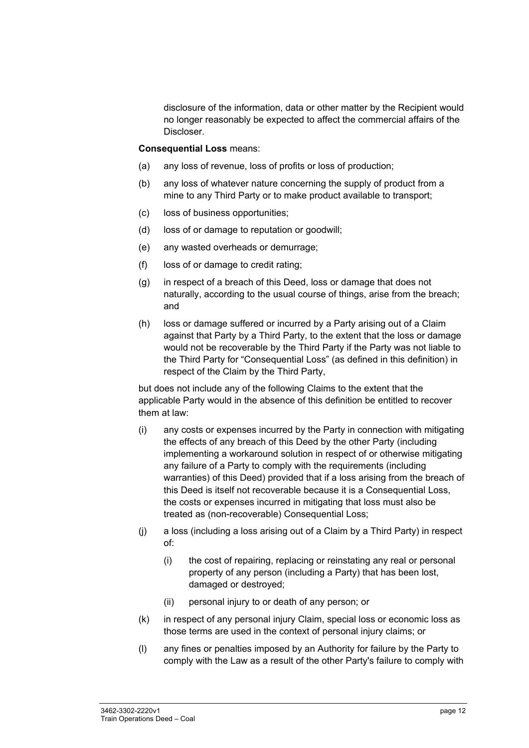disclosure of the information, data or other matter by the Recipient would no longer reasonably be expected to affect the commercial affairs of the Discloser.

#### **Consequential Loss** means:

- (a) any loss of revenue, loss of profits or loss of production;
- (b) any loss of whatever nature concerning the supply of product from a mine to any Third Party or to make product available to transport;
- (c) loss of business opportunities;
- (d) loss of or damage to reputation or goodwill;
- (e) any wasted overheads or demurrage;
- (f) loss of or damage to credit rating;
- (g) in respect of a breach of this Deed, loss or damage that does not naturally, according to the usual course of things, arise from the breach; and
- (h) loss or damage suffered or incurred by a Party arising out of a Claim against that Party by a Third Party, to the extent that the loss or damage would not be recoverable by the Third Party if the Party was not liable to the Third Party for "Consequential Loss" (as defined in this definition) in respect of the Claim by the Third Party,

but does not include any of the following Claims to the extent that the applicable Party would in the absence of this definition be entitled to recover them at law:

- (i) any costs or expenses incurred by the Party in connection with mitigating the effects of any breach of this Deed by the other Party (including implementing a workaround solution in respect of or otherwise mitigating any failure of a Party to comply with the requirements (including warranties) of this Deed) provided that if a loss arising from the breach of this Deed is itself not recoverable because it is a Consequential Loss, the costs or expenses incurred in mitigating that loss must also be treated as (non-recoverable) Consequential Loss;
- (j) a loss (including a loss arising out of a Claim by a Third Party) in respect of:
	- (i) the cost of repairing, replacing or reinstating any real or personal property of any person (including a Party) that has been lost, damaged or destroyed;
	- (ii) personal injury to or death of any person; or
- (k) in respect of any personal injury Claim, special loss or economic loss as those terms are used in the context of personal injury claims; or
- (l) any fines or penalties imposed by an Authority for failure by the Party to comply with the Law as a result of the other Party's failure to comply with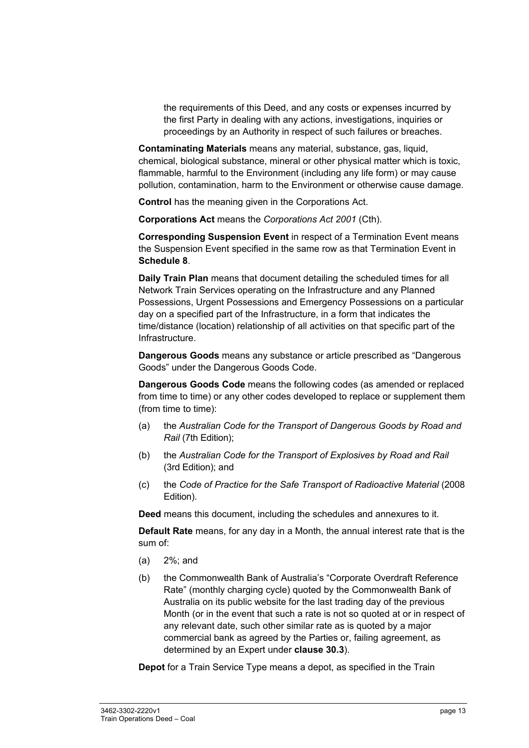the requirements of this Deed, and any costs or expenses incurred by the first Party in dealing with any actions, investigations, inquiries or proceedings by an Authority in respect of such failures or breaches.

**Contaminating Materials** means any material, substance, gas, liquid, chemical, biological substance, mineral or other physical matter which is toxic, flammable, harmful to the Environment (including any life form) or may cause pollution, contamination, harm to the Environment or otherwise cause damage.

**Control** has the meaning given in the Corporations Act.

**Corporations Act** means the *Corporations Act 2001* (Cth).

**Corresponding Suspension Event** in respect of a Termination Event means the Suspension Event specified in the same row as that Termination Event in **Schedule 8**.

**Daily Train Plan** means that document detailing the scheduled times for all Network Train Services operating on the Infrastructure and any Planned Possessions, Urgent Possessions and Emergency Possessions on a particular day on a specified part of the Infrastructure, in a form that indicates the time/distance (location) relationship of all activities on that specific part of the Infrastructure.

**Dangerous Goods** means any substance or article prescribed as "Dangerous Goods" under the Dangerous Goods Code.

**Dangerous Goods Code** means the following codes (as amended or replaced from time to time) or any other codes developed to replace or supplement them (from time to time):

- (a) the *Australian Code for the Transport of Dangerous Goods by Road and Rail* (7th Edition);
- (b) the *Australian Code for the Transport of Explosives by Road and Rail* (3rd Edition); and
- (c) the *Code of Practice for the Safe Transport of Radioactive Material* (2008 Edition).

**Deed** means this document, including the schedules and annexures to it.

**Default Rate** means, for any day in a Month, the annual interest rate that is the sum of:

- (a) 2%; and
- (b) the Commonwealth Bank of Australia's "Corporate Overdraft Reference Rate" (monthly charging cycle) quoted by the Commonwealth Bank of Australia on its public website for the last trading day of the previous Month (or in the event that such a rate is not so quoted at or in respect of any relevant date, such other similar rate as is quoted by a major commercial bank as agreed by the Parties or, failing agreement, as determined by an Expert under **clause 30.3**).

**Depot** for a Train Service Type means a depot, as specified in the Train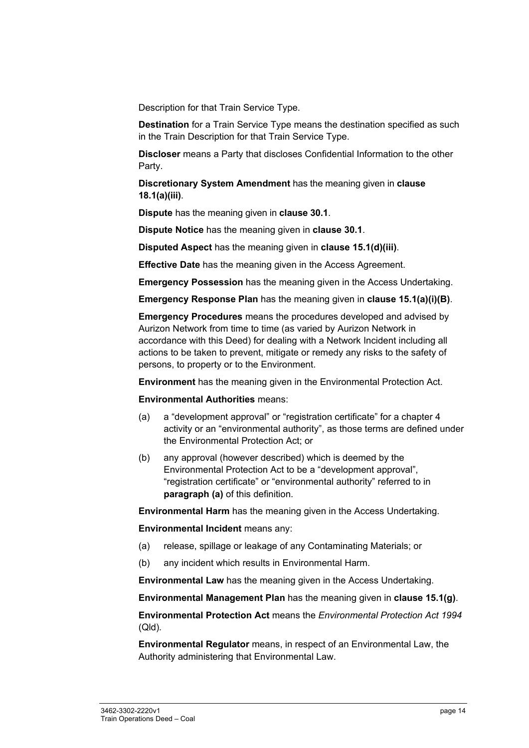Description for that Train Service Type.

**Destination** for a Train Service Type means the destination specified as such in the Train Description for that Train Service Type.

**Discloser** means a Party that discloses Confidential Information to the other Party.

**Discretionary System Amendment** has the meaning given in **clause 18.1(a)(iii)**.

**Dispute** has the meaning given in **clause 30.1**.

**Dispute Notice** has the meaning given in **clause 30.1**.

**Disputed Aspect** has the meaning given in **clause 15.1(d)(iii)**.

**Effective Date** has the meaning given in the Access Agreement.

**Emergency Possession** has the meaning given in the Access Undertaking.

**Emergency Response Plan** has the meaning given in **clause 15.1(a)(i)(B)**.

**Emergency Procedures** means the procedures developed and advised by Aurizon Network from time to time (as varied by Aurizon Network in accordance with this Deed) for dealing with a Network Incident including all actions to be taken to prevent, mitigate or remedy any risks to the safety of persons, to property or to the Environment.

**Environment** has the meaning given in the Environmental Protection Act.

**Environmental Authorities** means:

- (a) a "development approval" or "registration certificate" for a chapter 4 activity or an "environmental authority", as those terms are defined under the Environmental Protection Act; or
- (b) any approval (however described) which is deemed by the Environmental Protection Act to be a "development approval", "registration certificate" or "environmental authority" referred to in **paragraph (a)** of this definition.

**Environmental Harm** has the meaning given in the Access Undertaking.

**Environmental Incident** means any:

- (a) release, spillage or leakage of any Contaminating Materials; or
- (b) any incident which results in Environmental Harm.

**Environmental Law** has the meaning given in the Access Undertaking.

**Environmental Management Plan** has the meaning given in **clause 15.1(g)**.

**Environmental Protection Act** means the *Environmental Protection Act 1994*  (Qld)*.*

**Environmental Regulator** means, in respect of an Environmental Law, the Authority administering that Environmental Law.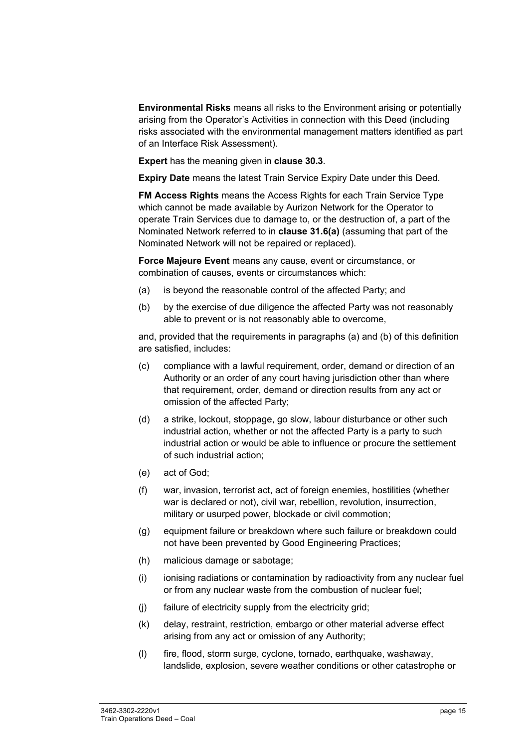**Environmental Risks** means all risks to the Environment arising or potentially arising from the Operator's Activities in connection with this Deed (including risks associated with the environmental management matters identified as part of an Interface Risk Assessment).

**Expert** has the meaning given in **clause 30.3**.

**Expiry Date** means the latest Train Service Expiry Date under this Deed.

**FM Access Rights** means the Access Rights for each Train Service Type which cannot be made available by Aurizon Network for the Operator to operate Train Services due to damage to, or the destruction of, a part of the Nominated Network referred to in **clause 31.6(a)** (assuming that part of the Nominated Network will not be repaired or replaced).

**Force Majeure Event** means any cause, event or circumstance, or combination of causes, events or circumstances which:

- (a) is beyond the reasonable control of the affected Party; and
- (b) by the exercise of due diligence the affected Party was not reasonably able to prevent or is not reasonably able to overcome,

and, provided that the requirements in paragraphs (a) and (b) of this definition are satisfied, includes:

- (c) compliance with a lawful requirement, order, demand or direction of an Authority or an order of any court having jurisdiction other than where that requirement, order, demand or direction results from any act or omission of the affected Party;
- (d) a strike, lockout, stoppage, go slow, labour disturbance or other such industrial action, whether or not the affected Party is a party to such industrial action or would be able to influence or procure the settlement of such industrial action;
- (e) act of God;
- (f) war, invasion, terrorist act, act of foreign enemies, hostilities (whether war is declared or not), civil war, rebellion, revolution, insurrection, military or usurped power, blockade or civil commotion;
- (g) equipment failure or breakdown where such failure or breakdown could not have been prevented by Good Engineering Practices;
- (h) malicious damage or sabotage;
- (i) ionising radiations or contamination by radioactivity from any nuclear fuel or from any nuclear waste from the combustion of nuclear fuel;
- (j) failure of electricity supply from the electricity grid;
- (k) delay, restraint, restriction, embargo or other material adverse effect arising from any act or omission of any Authority;
- (l) fire, flood, storm surge, cyclone, tornado, earthquake, washaway, landslide, explosion, severe weather conditions or other catastrophe or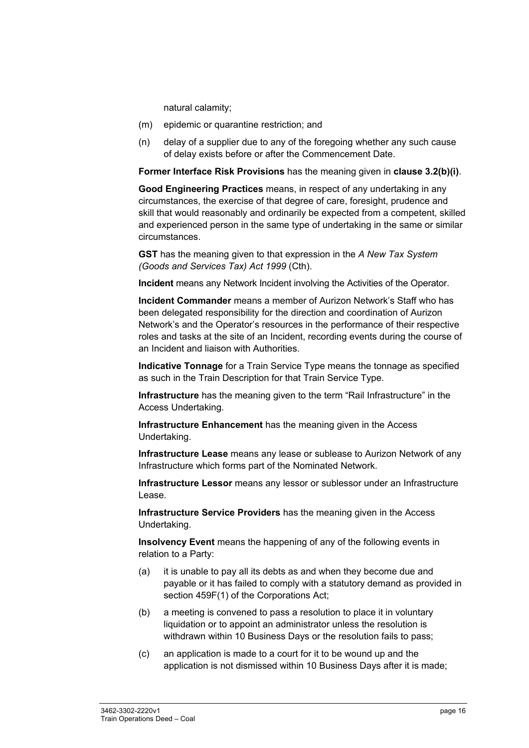natural calamity;

- (m) epidemic or quarantine restriction; and
- (n) delay of a supplier due to any of the foregoing whether any such cause of delay exists before or after the Commencement Date.

**Former Interface Risk Provisions** has the meaning given in **clause 3.2(b)(i)**.

**Good Engineering Practices** means, in respect of any undertaking in any circumstances, the exercise of that degree of care, foresight, prudence and skill that would reasonably and ordinarily be expected from a competent, skilled and experienced person in the same type of undertaking in the same or similar circumstances.

**GST** has the meaning given to that expression in the *A New Tax System (Goods and Services Tax) Act 1999* (Cth).

**Incident** means any Network Incident involving the Activities of the Operator.

**Incident Commander** means a member of Aurizon Network's Staff who has been delegated responsibility for the direction and coordination of Aurizon Network's and the Operator's resources in the performance of their respective roles and tasks at the site of an Incident, recording events during the course of an Incident and liaison with Authorities.

**Indicative Tonnage** for a Train Service Type means the tonnage as specified as such in the Train Description for that Train Service Type.

**Infrastructure** has the meaning given to the term "Rail Infrastructure" in the Access Undertaking.

**Infrastructure Enhancement** has the meaning given in the Access Undertaking.

**Infrastructure Lease** means any lease or sublease to Aurizon Network of any Infrastructure which forms part of the Nominated Network.

**Infrastructure Lessor** means any lessor or sublessor under an Infrastructure Lease.

**Infrastructure Service Providers** has the meaning given in the Access Undertaking.

**Insolvency Event** means the happening of any of the following events in relation to a Party:

- (a) it is unable to pay all its debts as and when they become due and payable or it has failed to comply with a statutory demand as provided in section 459F(1) of the Corporations Act;
- (b) a meeting is convened to pass a resolution to place it in voluntary liquidation or to appoint an administrator unless the resolution is withdrawn within 10 Business Days or the resolution fails to pass;
- (c) an application is made to a court for it to be wound up and the application is not dismissed within 10 Business Days after it is made;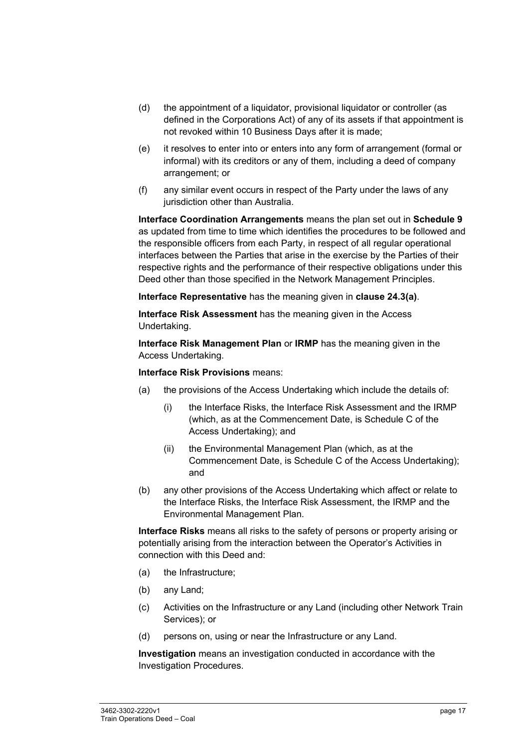- (d) the appointment of a liquidator, provisional liquidator or controller (as defined in the Corporations Act) of any of its assets if that appointment is not revoked within 10 Business Days after it is made;
- (e) it resolves to enter into or enters into any form of arrangement (formal or informal) with its creditors or any of them, including a deed of company arrangement; or
- (f) any similar event occurs in respect of the Party under the laws of any jurisdiction other than Australia.

**Interface Coordination Arrangements** means the plan set out in **Schedule 9** as updated from time to time which identifies the procedures to be followed and the responsible officers from each Party, in respect of all regular operational interfaces between the Parties that arise in the exercise by the Parties of their respective rights and the performance of their respective obligations under this Deed other than those specified in the Network Management Principles.

**Interface Representative** has the meaning given in **clause 24.3(a)**.

**Interface Risk Assessment** has the meaning given in the Access Undertaking.

**Interface Risk Management Plan** or **IRMP** has the meaning given in the Access Undertaking.

#### **Interface Risk Provisions** means:

- (a) the provisions of the Access Undertaking which include the details of:
	- (i) the Interface Risks, the Interface Risk Assessment and the IRMP (which, as at the Commencement Date, is Schedule C of the Access Undertaking); and
	- (ii) the Environmental Management Plan (which, as at the Commencement Date, is Schedule C of the Access Undertaking); and
- (b) any other provisions of the Access Undertaking which affect or relate to the Interface Risks, the Interface Risk Assessment, the IRMP and the Environmental Management Plan.

**Interface Risks** means all risks to the safety of persons or property arising or potentially arising from the interaction between the Operator's Activities in connection with this Deed and:

- (a) the Infrastructure;
- (b) any Land;
- (c) Activities on the Infrastructure or any Land (including other Network Train Services); or
- (d) persons on, using or near the Infrastructure or any Land.

**Investigation** means an investigation conducted in accordance with the Investigation Procedures.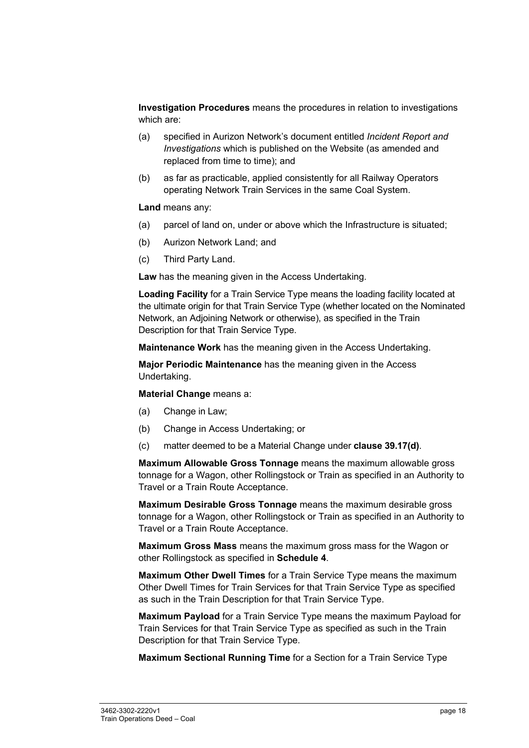**Investigation Procedures** means the procedures in relation to investigations which are:

- (a) specified in Aurizon Network's document entitled *Incident Report and Investigations* which is published on the Website (as amended and replaced from time to time); and
- (b) as far as practicable, applied consistently for all Railway Operators operating Network Train Services in the same Coal System.

**Land** means any:

- (a) parcel of land on, under or above which the Infrastructure is situated;
- (b) Aurizon Network Land; and
- (c) Third Party Land.

**Law** has the meaning given in the Access Undertaking.

**Loading Facility** for a Train Service Type means the loading facility located at the ultimate origin for that Train Service Type (whether located on the Nominated Network, an Adjoining Network or otherwise), as specified in the Train Description for that Train Service Type.

**Maintenance Work** has the meaning given in the Access Undertaking.

**Major Periodic Maintenance** has the meaning given in the Access Undertaking.

**Material Change** means a:

- (a) Change in Law;
- (b) Change in Access Undertaking; or
- (c) matter deemed to be a Material Change under **clause 39.17(d)**.

**Maximum Allowable Gross Tonnage** means the maximum allowable gross tonnage for a Wagon, other Rollingstock or Train as specified in an Authority to Travel or a Train Route Acceptance.

**Maximum Desirable Gross Tonnage** means the maximum desirable gross tonnage for a Wagon, other Rollingstock or Train as specified in an Authority to Travel or a Train Route Acceptance.

**Maximum Gross Mass** means the maximum gross mass for the Wagon or other Rollingstock as specified in **Schedule 4**.

**Maximum Other Dwell Times** for a Train Service Type means the maximum Other Dwell Times for Train Services for that Train Service Type as specified as such in the Train Description for that Train Service Type.

**Maximum Payload** for a Train Service Type means the maximum Payload for Train Services for that Train Service Type as specified as such in the Train Description for that Train Service Type.

**Maximum Sectional Running Time** for a Section for a Train Service Type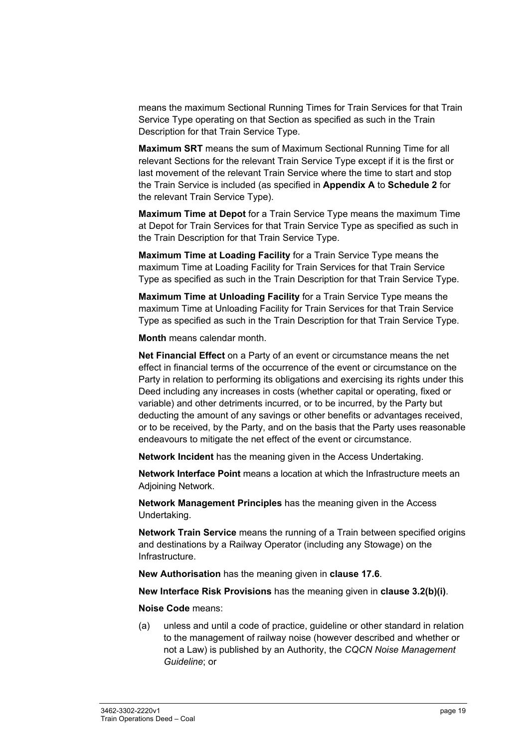means the maximum Sectional Running Times for Train Services for that Train Service Type operating on that Section as specified as such in the Train Description for that Train Service Type.

**Maximum SRT** means the sum of Maximum Sectional Running Time for all relevant Sections for the relevant Train Service Type except if it is the first or last movement of the relevant Train Service where the time to start and stop the Train Service is included (as specified in **Appendix A** to **Schedule 2** for the relevant Train Service Type).

**Maximum Time at Depot** for a Train Service Type means the maximum Time at Depot for Train Services for that Train Service Type as specified as such in the Train Description for that Train Service Type.

**Maximum Time at Loading Facility** for a Train Service Type means the maximum Time at Loading Facility for Train Services for that Train Service Type as specified as such in the Train Description for that Train Service Type.

**Maximum Time at Unloading Facility** for a Train Service Type means the maximum Time at Unloading Facility for Train Services for that Train Service Type as specified as such in the Train Description for that Train Service Type.

**Month** means calendar month.

**Net Financial Effect** on a Party of an event or circumstance means the net effect in financial terms of the occurrence of the event or circumstance on the Party in relation to performing its obligations and exercising its rights under this Deed including any increases in costs (whether capital or operating, fixed or variable) and other detriments incurred, or to be incurred, by the Party but deducting the amount of any savings or other benefits or advantages received, or to be received, by the Party, and on the basis that the Party uses reasonable endeavours to mitigate the net effect of the event or circumstance.

**Network Incident** has the meaning given in the Access Undertaking.

**Network Interface Point** means a location at which the Infrastructure meets an Adjoining Network.

**Network Management Principles** has the meaning given in the Access Undertaking.

**Network Train Service** means the running of a Train between specified origins and destinations by a Railway Operator (including any Stowage) on the Infrastructure.

**New Authorisation** has the meaning given in **clause 17.6**.

**New Interface Risk Provisions** has the meaning given in **clause 3.2(b)(i)**.

**Noise Code** means:

(a) unless and until a code of practice, guideline or other standard in relation to the management of railway noise (however described and whether or not a Law) is published by an Authority, the *CQCN Noise Management Guideline*; or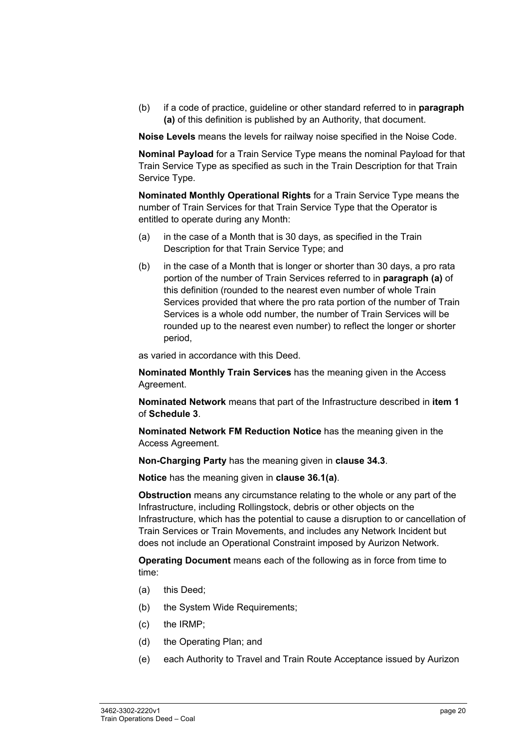(b) if a code of practice, guideline or other standard referred to in **paragraph (a)** of this definition is published by an Authority, that document.

**Noise Levels** means the levels for railway noise specified in the Noise Code.

**Nominal Payload** for a Train Service Type means the nominal Payload for that Train Service Type as specified as such in the Train Description for that Train Service Type.

**Nominated Monthly Operational Rights** for a Train Service Type means the number of Train Services for that Train Service Type that the Operator is entitled to operate during any Month:

- (a) in the case of a Month that is 30 days, as specified in the Train Description for that Train Service Type; and
- (b) in the case of a Month that is longer or shorter than 30 days, a pro rata portion of the number of Train Services referred to in **paragraph (a)** of this definition (rounded to the nearest even number of whole Train Services provided that where the pro rata portion of the number of Train Services is a whole odd number, the number of Train Services will be rounded up to the nearest even number) to reflect the longer or shorter period,

as varied in accordance with this Deed.

**Nominated Monthly Train Services** has the meaning given in the Access Agreement.

**Nominated Network** means that part of the Infrastructure described in **item 1** of **Schedule 3**.

**Nominated Network FM Reduction Notice** has the meaning given in the Access Agreement.

**Non-Charging Party** has the meaning given in **clause 34.3**.

**Notice** has the meaning given in **clause 36.1(a)**.

**Obstruction** means any circumstance relating to the whole or any part of the Infrastructure, including Rollingstock, debris or other objects on the Infrastructure, which has the potential to cause a disruption to or cancellation of Train Services or Train Movements, and includes any Network Incident but does not include an Operational Constraint imposed by Aurizon Network.

**Operating Document** means each of the following as in force from time to time:

- (a) this Deed;
- (b) the System Wide Requirements;
- (c) the IRMP;
- (d) the Operating Plan; and
- (e) each Authority to Travel and Train Route Acceptance issued by Aurizon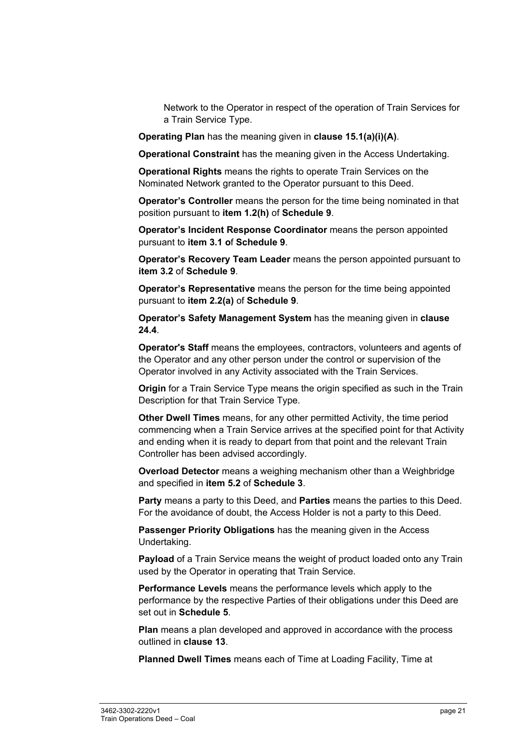Network to the Operator in respect of the operation of Train Services for a Train Service Type.

**Operating Plan** has the meaning given in **clause 15.1(a)(i)(A)**.

**Operational Constraint** has the meaning given in the Access Undertaking.

**Operational Rights** means the rights to operate Train Services on the Nominated Network granted to the Operator pursuant to this Deed.

**Operator's Controller** means the person for the time being nominated in that position pursuant to **item 1.2(h)** of **Schedule 9**.

**Operator's Incident Response Coordinator** means the person appointed pursuant to **item 3.1 o**f **Schedule 9**.

**Operator's Recovery Team Leader** means the person appointed pursuant to **item 3.2** of **Schedule 9**.

**Operator's Representative** means the person for the time being appointed pursuant to **item 2.2(a)** of **Schedule 9**.

**Operator's Safety Management System** has the meaning given in **clause 24.4**.

**Operator's Staff** means the employees, contractors, volunteers and agents of the Operator and any other person under the control or supervision of the Operator involved in any Activity associated with the Train Services.

**Origin** for a Train Service Type means the origin specified as such in the Train Description for that Train Service Type.

**Other Dwell Times** means, for any other permitted Activity, the time period commencing when a Train Service arrives at the specified point for that Activity and ending when it is ready to depart from that point and the relevant Train Controller has been advised accordingly.

**Overload Detector** means a weighing mechanism other than a Weighbridge and specified in **item 5.2** of **Schedule 3**.

**Party** means a party to this Deed, and **Parties** means the parties to this Deed. For the avoidance of doubt, the Access Holder is not a party to this Deed.

**Passenger Priority Obligations** has the meaning given in the Access Undertaking.

**Payload** of a Train Service means the weight of product loaded onto any Train used by the Operator in operating that Train Service.

**Performance Levels** means the performance levels which apply to the performance by the respective Parties of their obligations under this Deed are set out in **Schedule 5**.

**Plan** means a plan developed and approved in accordance with the process outlined in **clause 13**.

**Planned Dwell Times** means each of Time at Loading Facility, Time at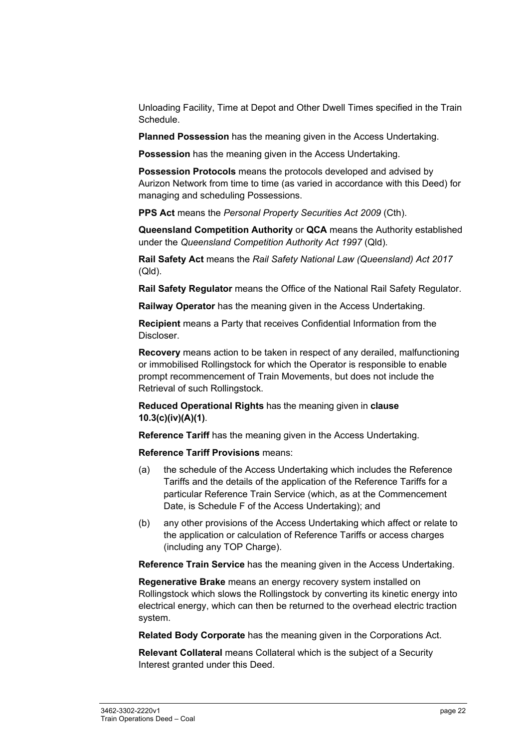Unloading Facility, Time at Depot and Other Dwell Times specified in the Train Schedule.

**Planned Possession** has the meaning given in the Access Undertaking.

**Possession** has the meaning given in the Access Undertaking.

**Possession Protocols** means the protocols developed and advised by Aurizon Network from time to time (as varied in accordance with this Deed) for managing and scheduling Possessions.

**PPS Act** means the *Personal Property Securities Act 2009* (Cth).

**Queensland Competition Authority** or **QCA** means the Authority established under the *Queensland Competition Authority Act 1997* (Qld).

**Rail Safety Act** means the *Rail Safety National Law (Queensland) Act 2017* (Qld).

**Rail Safety Regulator** means the Office of the National Rail Safety Regulator.

**Railway Operator** has the meaning given in the Access Undertaking.

**Recipient** means a Party that receives Confidential Information from the Discloser.

**Recovery** means action to be taken in respect of any derailed, malfunctioning or immobilised Rollingstock for which the Operator is responsible to enable prompt recommencement of Train Movements, but does not include the Retrieval of such Rollingstock.

**Reduced Operational Rights** has the meaning given in **clause 10.3(c)(iv)(A)(1)**.

**Reference Tariff** has the meaning given in the Access Undertaking.

**Reference Tariff Provisions** means:

- (a) the schedule of the Access Undertaking which includes the Reference Tariffs and the details of the application of the Reference Tariffs for a particular Reference Train Service (which, as at the Commencement Date, is Schedule F of the Access Undertaking); and
- (b) any other provisions of the Access Undertaking which affect or relate to the application or calculation of Reference Tariffs or access charges (including any TOP Charge).

**Reference Train Service** has the meaning given in the Access Undertaking.

**Regenerative Brake** means an energy recovery system installed on Rollingstock which slows the Rollingstock by converting its kinetic energy into electrical energy, which can then be returned to the overhead electric traction system.

**Related Body Corporate** has the meaning given in the Corporations Act.

**Relevant Collateral** means Collateral which is the subject of a Security Interest granted under this Deed.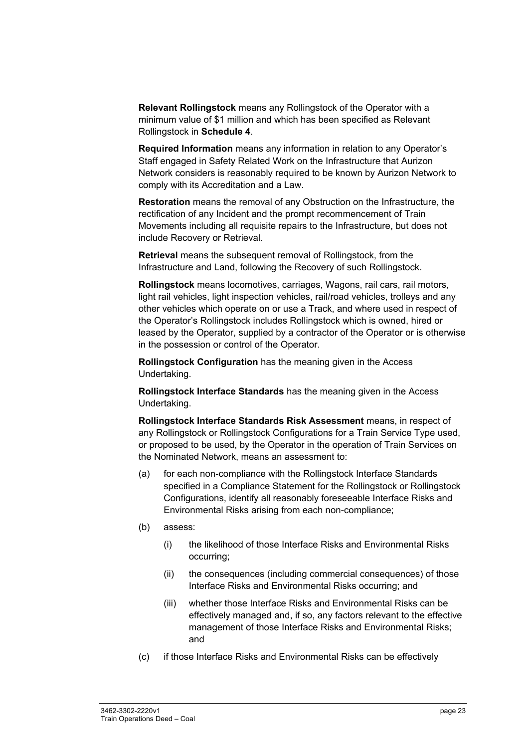**Relevant Rollingstock** means any Rollingstock of the Operator with a minimum value of \$1 million and which has been specified as Relevant Rollingstock in **Schedule 4**.

**Required Information** means any information in relation to any Operator's Staff engaged in Safety Related Work on the Infrastructure that Aurizon Network considers is reasonably required to be known by Aurizon Network to comply with its Accreditation and a Law.

**Restoration** means the removal of any Obstruction on the Infrastructure, the rectification of any Incident and the prompt recommencement of Train Movements including all requisite repairs to the Infrastructure, but does not include Recovery or Retrieval.

**Retrieval** means the subsequent removal of Rollingstock, from the Infrastructure and Land, following the Recovery of such Rollingstock.

**Rollingstock** means locomotives, carriages, Wagons, rail cars, rail motors, light rail vehicles, light inspection vehicles, rail/road vehicles, trolleys and any other vehicles which operate on or use a Track, and where used in respect of the Operator's Rollingstock includes Rollingstock which is owned, hired or leased by the Operator, supplied by a contractor of the Operator or is otherwise in the possession or control of the Operator.

**Rollingstock Configuration** has the meaning given in the Access Undertaking.

**Rollingstock Interface Standards** has the meaning given in the Access Undertaking.

**Rollingstock Interface Standards Risk Assessment** means, in respect of any Rollingstock or Rollingstock Configurations for a Train Service Type used, or proposed to be used, by the Operator in the operation of Train Services on the Nominated Network, means an assessment to:

- (a) for each non-compliance with the Rollingstock Interface Standards specified in a Compliance Statement for the Rollingstock or Rollingstock Configurations, identify all reasonably foreseeable Interface Risks and Environmental Risks arising from each non-compliance;
- (b) assess:
	- (i) the likelihood of those Interface Risks and Environmental Risks occurring;
	- (ii) the consequences (including commercial consequences) of those Interface Risks and Environmental Risks occurring; and
	- (iii) whether those Interface Risks and Environmental Risks can be effectively managed and, if so, any factors relevant to the effective management of those Interface Risks and Environmental Risks; and
- (c) if those Interface Risks and Environmental Risks can be effectively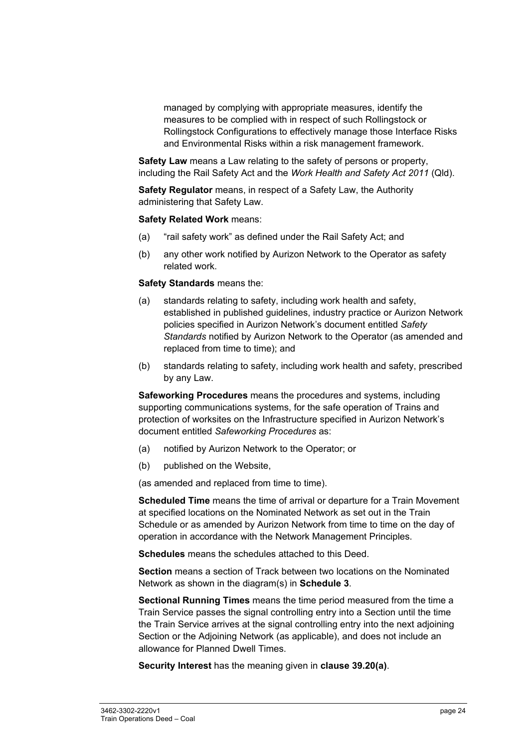managed by complying with appropriate measures, identify the measures to be complied with in respect of such Rollingstock or Rollingstock Configurations to effectively manage those Interface Risks and Environmental Risks within a risk management framework.

**Safety Law** means a Law relating to the safety of persons or property, including the Rail Safety Act and the *Work Health and Safety Act 2011* (Qld).

**Safety Regulator** means, in respect of a Safety Law, the Authority administering that Safety Law.

#### **Safety Related Work** means:

- (a) "rail safety work" as defined under the Rail Safety Act; and
- (b) any other work notified by Aurizon Network to the Operator as safety related work.

#### **Safety Standards** means the:

- (a) standards relating to safety, including work health and safety, established in published guidelines, industry practice or Aurizon Network policies specified in Aurizon Network's document entitled *Safety Standards* notified by Aurizon Network to the Operator (as amended and replaced from time to time); and
- (b) standards relating to safety, including work health and safety, prescribed by any Law.

**Safeworking Procedures** means the procedures and systems, including supporting communications systems, for the safe operation of Trains and protection of worksites on the Infrastructure specified in Aurizon Network's document entitled *Safeworking Procedures* as:

- (a) notified by Aurizon Network to the Operator; or
- (b) published on the Website,

(as amended and replaced from time to time).

**Scheduled Time** means the time of arrival or departure for a Train Movement at specified locations on the Nominated Network as set out in the Train Schedule or as amended by Aurizon Network from time to time on the day of operation in accordance with the Network Management Principles.

**Schedules** means the schedules attached to this Deed.

**Section** means a section of Track between two locations on the Nominated Network as shown in the diagram(s) in **Schedule 3**.

**Sectional Running Times** means the time period measured from the time a Train Service passes the signal controlling entry into a Section until the time the Train Service arrives at the signal controlling entry into the next adjoining Section or the Adjoining Network (as applicable), and does not include an allowance for Planned Dwell Times.

**Security Interest** has the meaning given in **clause 39.20(a)**.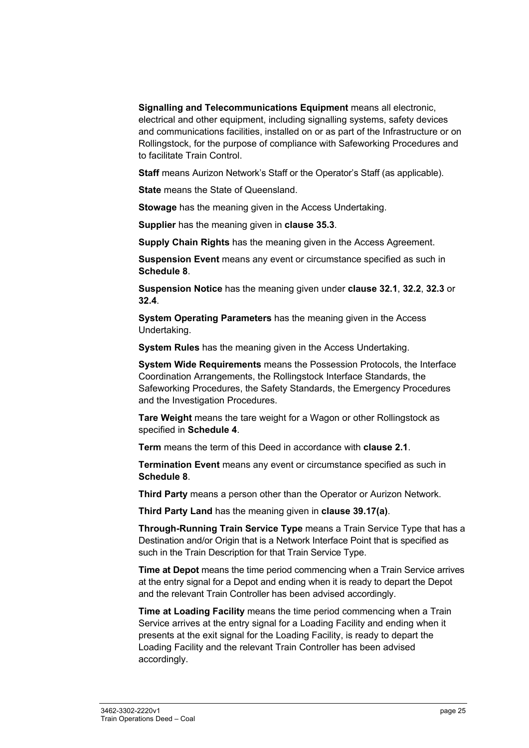**Signalling and Telecommunications Equipment** means all electronic, electrical and other equipment, including signalling systems, safety devices and communications facilities, installed on or as part of the Infrastructure or on Rollingstock, for the purpose of compliance with Safeworking Procedures and to facilitate Train Control.

**Staff** means Aurizon Network's Staff or the Operator's Staff (as applicable).

**State** means the State of Queensland.

**Stowage** has the meaning given in the Access Undertaking.

**Supplier** has the meaning given in **clause 35.3**.

**Supply Chain Rights** has the meaning given in the Access Agreement.

**Suspension Event** means any event or circumstance specified as such in **Schedule 8**.

**Suspension Notice** has the meaning given under **clause 32.1**, **32.2**, **32.3** or **32.4**.

**System Operating Parameters** has the meaning given in the Access Undertaking.

**System Rules** has the meaning given in the Access Undertaking.

**System Wide Requirements** means the Possession Protocols, the Interface Coordination Arrangements, the Rollingstock Interface Standards, the Safeworking Procedures, the Safety Standards, the Emergency Procedures and the Investigation Procedures.

**Tare Weight** means the tare weight for a Wagon or other Rollingstock as specified in **Schedule 4**.

**Term** means the term of this Deed in accordance with **clause 2.1**.

**Termination Event** means any event or circumstance specified as such in **Schedule 8**.

**Third Party** means a person other than the Operator or Aurizon Network.

**Third Party Land** has the meaning given in **clause 39.17(a)**.

**Through-Running Train Service Type** means a Train Service Type that has a Destination and/or Origin that is a Network Interface Point that is specified as such in the Train Description for that Train Service Type.

**Time at Depot** means the time period commencing when a Train Service arrives at the entry signal for a Depot and ending when it is ready to depart the Depot and the relevant Train Controller has been advised accordingly.

**Time at Loading Facility** means the time period commencing when a Train Service arrives at the entry signal for a Loading Facility and ending when it presents at the exit signal for the Loading Facility, is ready to depart the Loading Facility and the relevant Train Controller has been advised accordingly.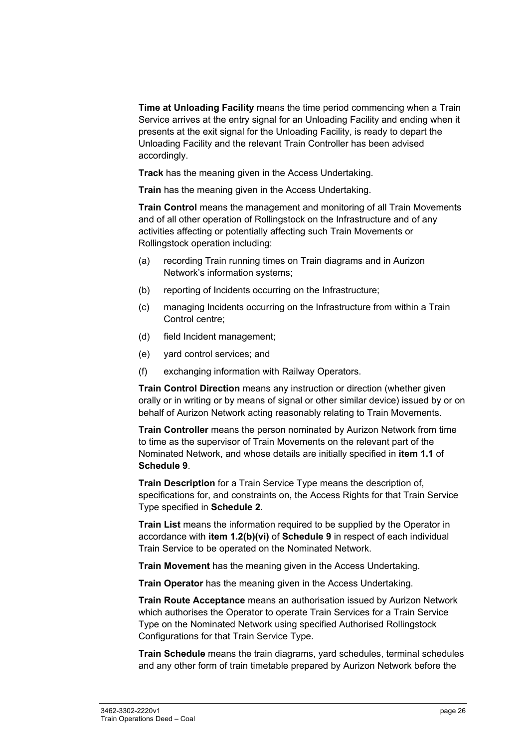**Time at Unloading Facility** means the time period commencing when a Train Service arrives at the entry signal for an Unloading Facility and ending when it presents at the exit signal for the Unloading Facility, is ready to depart the Unloading Facility and the relevant Train Controller has been advised accordingly.

**Track** has the meaning given in the Access Undertaking.

**Train** has the meaning given in the Access Undertaking.

**Train Control** means the management and monitoring of all Train Movements and of all other operation of Rollingstock on the Infrastructure and of any activities affecting or potentially affecting such Train Movements or Rollingstock operation including:

- (a) recording Train running times on Train diagrams and in Aurizon Network's information systems;
- (b) reporting of Incidents occurring on the Infrastructure;
- (c) managing Incidents occurring on the Infrastructure from within a Train Control centre;
- (d) field Incident management;
- (e) yard control services; and
- (f) exchanging information with Railway Operators.

**Train Control Direction** means any instruction or direction (whether given orally or in writing or by means of signal or other similar device) issued by or on behalf of Aurizon Network acting reasonably relating to Train Movements.

**Train Controller** means the person nominated by Aurizon Network from time to time as the supervisor of Train Movements on the relevant part of the Nominated Network, and whose details are initially specified in **item 1.1** of **Schedule 9**.

**Train Description** for a Train Service Type means the description of, specifications for, and constraints on, the Access Rights for that Train Service Type specified in **Schedule 2**.

**Train List** means the information required to be supplied by the Operator in accordance with **item 1.2(b)(vi)** of **Schedule 9** in respect of each individual Train Service to be operated on the Nominated Network.

**Train Movement** has the meaning given in the Access Undertaking.

**Train Operator** has the meaning given in the Access Undertaking.

**Train Route Acceptance** means an authorisation issued by Aurizon Network which authorises the Operator to operate Train Services for a Train Service Type on the Nominated Network using specified Authorised Rollingstock Configurations for that Train Service Type.

**Train Schedule** means the train diagrams, yard schedules, terminal schedules and any other form of train timetable prepared by Aurizon Network before the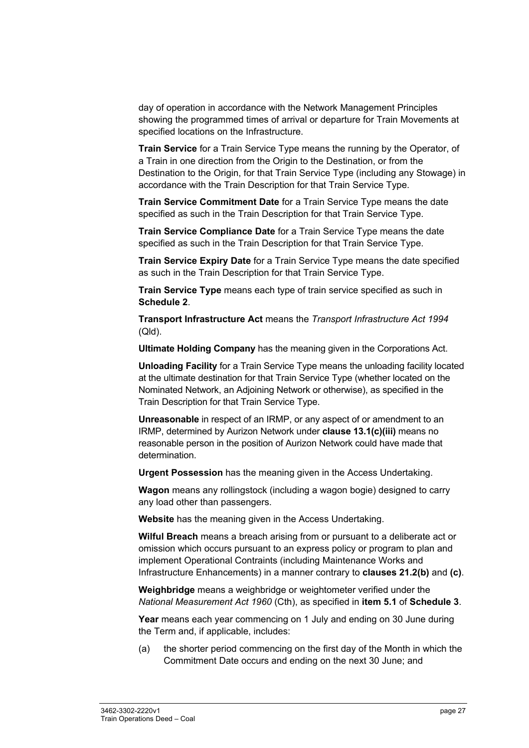day of operation in accordance with the Network Management Principles showing the programmed times of arrival or departure for Train Movements at specified locations on the Infrastructure.

**Train Service** for a Train Service Type means the running by the Operator, of a Train in one direction from the Origin to the Destination, or from the Destination to the Origin, for that Train Service Type (including any Stowage) in accordance with the Train Description for that Train Service Type.

**Train Service Commitment Date** for a Train Service Type means the date specified as such in the Train Description for that Train Service Type.

**Train Service Compliance Date** for a Train Service Type means the date specified as such in the Train Description for that Train Service Type.

**Train Service Expiry Date** for a Train Service Type means the date specified as such in the Train Description for that Train Service Type.

**Train Service Type** means each type of train service specified as such in **Schedule 2**.

**Transport Infrastructure Act** means the *Transport Infrastructure Act 1994* (Qld).

**Ultimate Holding Company** has the meaning given in the Corporations Act.

**Unloading Facility** for a Train Service Type means the unloading facility located at the ultimate destination for that Train Service Type (whether located on the Nominated Network, an Adjoining Network or otherwise), as specified in the Train Description for that Train Service Type.

**Unreasonable** in respect of an IRMP, or any aspect of or amendment to an IRMP, determined by Aurizon Network under **clause 13.1(c)(iii)** means no reasonable person in the position of Aurizon Network could have made that determination.

**Urgent Possession** has the meaning given in the Access Undertaking.

**Wagon** means any rollingstock (including a wagon bogie) designed to carry any load other than passengers.

**Website** has the meaning given in the Access Undertaking.

**Wilful Breach** means a breach arising from or pursuant to a deliberate act or omission which occurs pursuant to an express policy or program to plan and implement Operational Contraints (including Maintenance Works and Infrastructure Enhancements) in a manner contrary to **clauses 21.2(b)** and **(c)**.

**Weighbridge** means a weighbridge or weightometer verified under the *National Measurement Act 1960* (Cth), as specified in **item 5.1** of **Schedule 3**.

**Year** means each year commencing on 1 July and ending on 30 June during the Term and, if applicable, includes:

(a) the shorter period commencing on the first day of the Month in which the Commitment Date occurs and ending on the next 30 June; and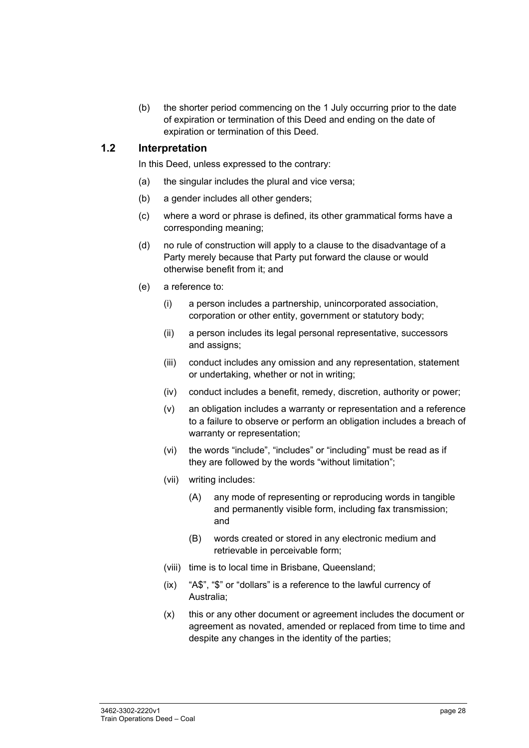(b) the shorter period commencing on the 1 July occurring prior to the date of expiration or termination of this Deed and ending on the date of expiration or termination of this Deed.

#### **1.2 Interpretation**

In this Deed, unless expressed to the contrary:

- (a) the singular includes the plural and vice versa;
- (b) a gender includes all other genders;
- (c) where a word or phrase is defined, its other grammatical forms have a corresponding meaning;
- (d) no rule of construction will apply to a clause to the disadvantage of a Party merely because that Party put forward the clause or would otherwise benefit from it; and
- (e) a reference to:
	- (i) a person includes a partnership, unincorporated association, corporation or other entity, government or statutory body;
	- (ii) a person includes its legal personal representative, successors and assigns;
	- (iii) conduct includes any omission and any representation, statement or undertaking, whether or not in writing;
	- (iv) conduct includes a benefit, remedy, discretion, authority or power;
	- (v) an obligation includes a warranty or representation and a reference to a failure to observe or perform an obligation includes a breach of warranty or representation;
	- (vi) the words "include", "includes" or "including" must be read as if they are followed by the words "without limitation";
	- (vii) writing includes:
		- (A) any mode of representing or reproducing words in tangible and permanently visible form, including fax transmission; and
		- (B) words created or stored in any electronic medium and retrievable in perceivable form;
	- (viii) time is to local time in Brisbane, Queensland;
	- (ix) "A\$", "\$" or "dollars" is a reference to the lawful currency of Australia;
	- (x) this or any other document or agreement includes the document or agreement as novated, amended or replaced from time to time and despite any changes in the identity of the parties;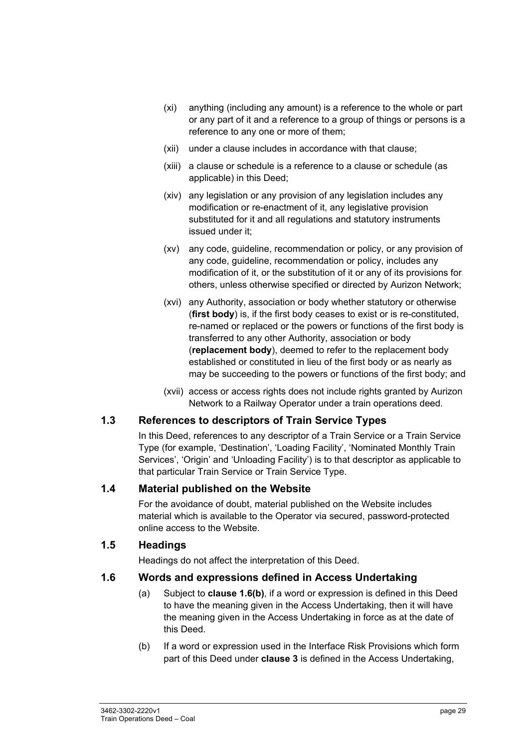- (xi) anything (including any amount) is a reference to the whole or part or any part of it and a reference to a group of things or persons is a reference to any one or more of them;
- (xii) under a clause includes in accordance with that clause;
- (xiii) a clause or schedule is a reference to a clause or schedule (as applicable) in this Deed;
- (xiv) any legislation or any provision of any legislation includes any modification or re-enactment of it, any legislative provision substituted for it and all regulations and statutory instruments issued under it;
- (xv) any code, guideline, recommendation or policy, or any provision of any code, guideline, recommendation or policy, includes any modification of it, or the substitution of it or any of its provisions for others, unless otherwise specified or directed by Aurizon Network;
- (xvi) any Authority, association or body whether statutory or otherwise (**first body**) is, if the first body ceases to exist or is re-constituted, re-named or replaced or the powers or functions of the first body is transferred to any other Authority, association or body (**replacement body**), deemed to refer to the replacement body established or constituted in lieu of the first body or as nearly as may be succeeding to the powers or functions of the first body; and
- (xvii) access or access rights does not include rights granted by Aurizon Network to a Railway Operator under a train operations deed.

#### **1.3 References to descriptors of Train Service Types**

In this Deed, references to any descriptor of a Train Service or a Train Service Type (for example, 'Destination', 'Loading Facility', 'Nominated Monthly Train Services', 'Origin' and 'Unloading Facility') is to that descriptor as applicable to that particular Train Service or Train Service Type.

#### **1.4 Material published on the Website**

For the avoidance of doubt, material published on the Website includes material which is available to the Operator via secured, password-protected online access to the Website.

#### **1.5 Headings**

Headings do not affect the interpretation of this Deed.

#### **1.6 Words and expressions defined in Access Undertaking**

- (a) Subject to **clause 1.6(b)**, if a word or expression is defined in this Deed to have the meaning given in the Access Undertaking, then it will have the meaning given in the Access Undertaking in force as at the date of this Deed.
- (b) If a word or expression used in the Interface Risk Provisions which form part of this Deed under **clause 3** is defined in the Access Undertaking,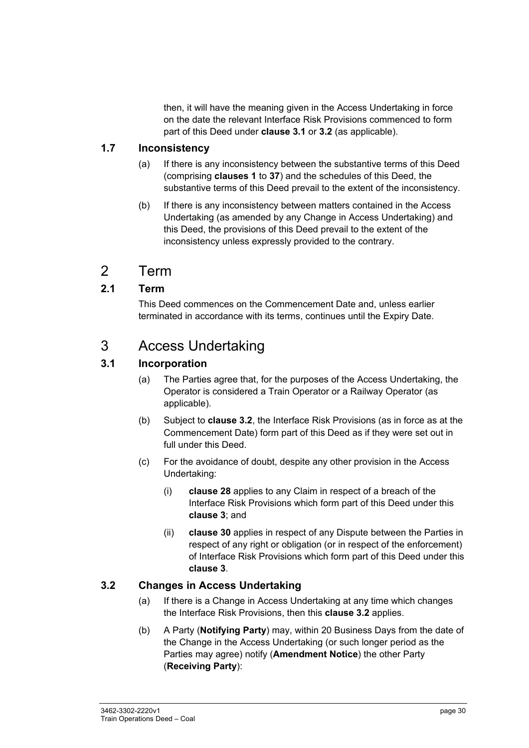then, it will have the meaning given in the Access Undertaking in force on the date the relevant Interface Risk Provisions commenced to form part of this Deed under **clause 3.1** or **3.2** (as applicable).

## **1.7 Inconsistency**

- (a) If there is any inconsistency between the substantive terms of this Deed (comprising **clauses 1** to **37**) and the schedules of this Deed, the substantive terms of this Deed prevail to the extent of the inconsistency.
- (b) If there is any inconsistency between matters contained in the Access Undertaking (as amended by any Change in Access Undertaking) and this Deed, the provisions of this Deed prevail to the extent of the inconsistency unless expressly provided to the contrary.

# 2 Term

# **2.1 Term**

This Deed commences on the Commencement Date and, unless earlier terminated in accordance with its terms, continues until the Expiry Date.

# 3 Access Undertaking

# **3.1 Incorporation**

- (a) The Parties agree that, for the purposes of the Access Undertaking, the Operator is considered a Train Operator or a Railway Operator (as applicable).
- (b) Subject to **clause 3.2**, the Interface Risk Provisions (as in force as at the Commencement Date) form part of this Deed as if they were set out in full under this Deed.
- (c) For the avoidance of doubt, despite any other provision in the Access Undertaking:
	- (i) **clause 28** applies to any Claim in respect of a breach of the Interface Risk Provisions which form part of this Deed under this **clause 3**; and
	- (ii) **clause 30** applies in respect of any Dispute between the Parties in respect of any right or obligation (or in respect of the enforcement) of Interface Risk Provisions which form part of this Deed under this **clause 3**.

## **3.2 Changes in Access Undertaking**

- (a) If there is a Change in Access Undertaking at any time which changes the Interface Risk Provisions, then this **clause 3.2** applies.
- (b) A Party (**Notifying Party**) may, within 20 Business Days from the date of the Change in the Access Undertaking (or such longer period as the Parties may agree) notify (**Amendment Notice**) the other Party (**Receiving Party**):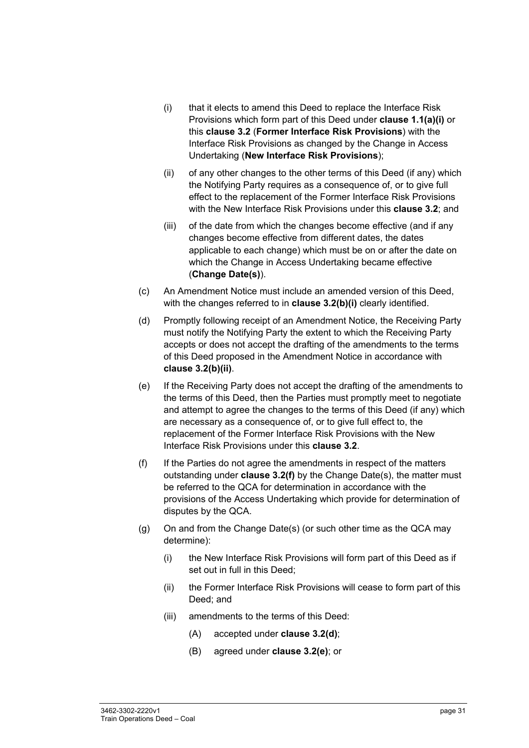- (i) that it elects to amend this Deed to replace the Interface Risk Provisions which form part of this Deed under **clause 1.1(a)(i)** or this **clause 3.2** (**Former Interface Risk Provisions**) with the Interface Risk Provisions as changed by the Change in Access Undertaking (**New Interface Risk Provisions**);
- (ii) of any other changes to the other terms of this Deed (if any) which the Notifying Party requires as a consequence of, or to give full effect to the replacement of the Former Interface Risk Provisions with the New Interface Risk Provisions under this **clause 3.2**; and
- (iii) of the date from which the changes become effective (and if any changes become effective from different dates, the dates applicable to each change) which must be on or after the date on which the Change in Access Undertaking became effective (**Change Date(s)**).
- (c) An Amendment Notice must include an amended version of this Deed, with the changes referred to in **clause 3.2(b)(i)** clearly identified.
- (d) Promptly following receipt of an Amendment Notice, the Receiving Party must notify the Notifying Party the extent to which the Receiving Party accepts or does not accept the drafting of the amendments to the terms of this Deed proposed in the Amendment Notice in accordance with **clause 3.2(b)(ii)**.
- (e) If the Receiving Party does not accept the drafting of the amendments to the terms of this Deed, then the Parties must promptly meet to negotiate and attempt to agree the changes to the terms of this Deed (if any) which are necessary as a consequence of, or to give full effect to, the replacement of the Former Interface Risk Provisions with the New Interface Risk Provisions under this **clause 3.2**.
- (f) If the Parties do not agree the amendments in respect of the matters outstanding under **clause 3.2(f)** by the Change Date(s), the matter must be referred to the QCA for determination in accordance with the provisions of the Access Undertaking which provide for determination of disputes by the QCA.
- (g) On and from the Change Date(s) (or such other time as the QCA may determine):
	- (i) the New Interface Risk Provisions will form part of this Deed as if set out in full in this Deed;
	- (ii) the Former Interface Risk Provisions will cease to form part of this Deed; and
	- (iii) amendments to the terms of this Deed:
		- (A) accepted under **clause 3.2(d)**;
		- (B) agreed under **clause 3.2(e)**; or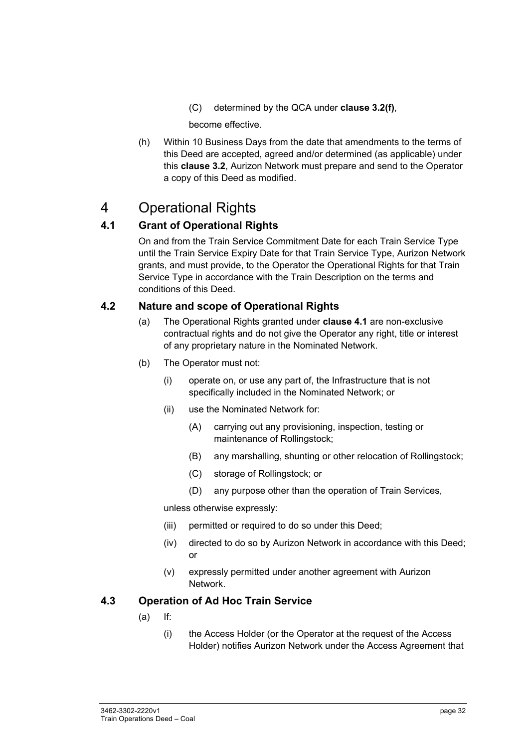(C) determined by the QCA under **clause 3.2(f)**,

become effective.

(h) Within 10 Business Days from the date that amendments to the terms of this Deed are accepted, agreed and/or determined (as applicable) under this **clause 3.2**, Aurizon Network must prepare and send to the Operator a copy of this Deed as modified.

# 4 Operational Rights

# **4.1 Grant of Operational Rights**

On and from the Train Service Commitment Date for each Train Service Type until the Train Service Expiry Date for that Train Service Type, Aurizon Network grants, and must provide, to the Operator the Operational Rights for that Train Service Type in accordance with the Train Description on the terms and conditions of this Deed.

#### **4.2 Nature and scope of Operational Rights**

- (a) The Operational Rights granted under **clause 4.1** are non-exclusive contractual rights and do not give the Operator any right, title or interest of any proprietary nature in the Nominated Network.
- (b) The Operator must not:
	- (i) operate on, or use any part of, the Infrastructure that is not specifically included in the Nominated Network; or
	- (ii) use the Nominated Network for:
		- (A) carrying out any provisioning, inspection, testing or maintenance of Rollingstock;
		- (B) any marshalling, shunting or other relocation of Rollingstock;
		- (C) storage of Rollingstock; or
		- (D) any purpose other than the operation of Train Services,

unless otherwise expressly:

- (iii) permitted or required to do so under this Deed;
- (iv) directed to do so by Aurizon Network in accordance with this Deed; or
- (v) expressly permitted under another agreement with Aurizon Network.

#### **4.3 Operation of Ad Hoc Train Service**

- (a) If:
	- (i) the Access Holder (or the Operator at the request of the Access Holder) notifies Aurizon Network under the Access Agreement that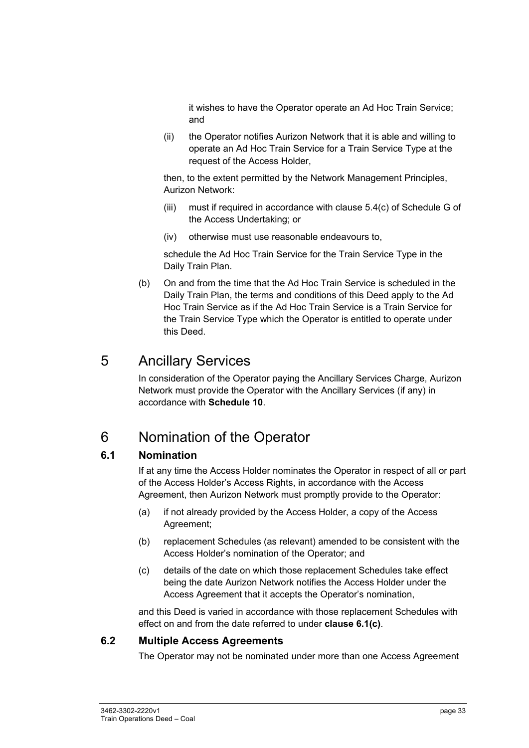it wishes to have the Operator operate an Ad Hoc Train Service; and

(ii) the Operator notifies Aurizon Network that it is able and willing to operate an Ad Hoc Train Service for a Train Service Type at the request of the Access Holder,

then, to the extent permitted by the Network Management Principles, Aurizon Network:

- (iii) must if required in accordance with clause 5.4(c) of Schedule G of the Access Undertaking; or
- (iv) otherwise must use reasonable endeavours to,

schedule the Ad Hoc Train Service for the Train Service Type in the Daily Train Plan.

(b) On and from the time that the Ad Hoc Train Service is scheduled in the Daily Train Plan, the terms and conditions of this Deed apply to the Ad Hoc Train Service as if the Ad Hoc Train Service is a Train Service for the Train Service Type which the Operator is entitled to operate under this Deed.

# 5 Ancillary Services

In consideration of the Operator paying the Ancillary Services Charge, Aurizon Network must provide the Operator with the Ancillary Services (if any) in accordance with **Schedule 10**.

# 6 Nomination of the Operator

## **6.1 Nomination**

If at any time the Access Holder nominates the Operator in respect of all or part of the Access Holder's Access Rights, in accordance with the Access Agreement, then Aurizon Network must promptly provide to the Operator:

- (a) if not already provided by the Access Holder, a copy of the Access Agreement;
- (b) replacement Schedules (as relevant) amended to be consistent with the Access Holder's nomination of the Operator; and
- (c) details of the date on which those replacement Schedules take effect being the date Aurizon Network notifies the Access Holder under the Access Agreement that it accepts the Operator's nomination,

and this Deed is varied in accordance with those replacement Schedules with effect on and from the date referred to under **clause 6.1(c)**.

#### **6.2 Multiple Access Agreements**

The Operator may not be nominated under more than one Access Agreement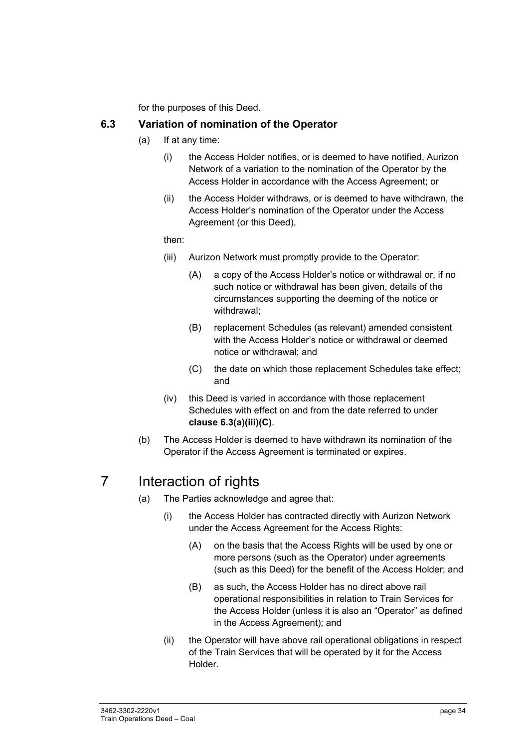for the purposes of this Deed.

#### **6.3 Variation of nomination of the Operator**

- (a) If at any time:
	- (i) the Access Holder notifies, or is deemed to have notified, Aurizon Network of a variation to the nomination of the Operator by the Access Holder in accordance with the Access Agreement; or
	- (ii) the Access Holder withdraws, or is deemed to have withdrawn, the Access Holder's nomination of the Operator under the Access Agreement (or this Deed),

#### then:

- (iii) Aurizon Network must promptly provide to the Operator:
	- (A) a copy of the Access Holder's notice or withdrawal or, if no such notice or withdrawal has been given, details of the circumstances supporting the deeming of the notice or withdrawal;
	- (B) replacement Schedules (as relevant) amended consistent with the Access Holder's notice or withdrawal or deemed notice or withdrawal; and
	- (C) the date on which those replacement Schedules take effect; and
- (iv) this Deed is varied in accordance with those replacement Schedules with effect on and from the date referred to under **clause 6.3(a)(iii)(C)**.
- (b) The Access Holder is deemed to have withdrawn its nomination of the Operator if the Access Agreement is terminated or expires.

# 7 Interaction of rights

- (a) The Parties acknowledge and agree that:
	- (i) the Access Holder has contracted directly with Aurizon Network under the Access Agreement for the Access Rights:
		- (A) on the basis that the Access Rights will be used by one or more persons (such as the Operator) under agreements (such as this Deed) for the benefit of the Access Holder; and
		- (B) as such, the Access Holder has no direct above rail operational responsibilities in relation to Train Services for the Access Holder (unless it is also an "Operator" as defined in the Access Agreement); and
	- (ii) the Operator will have above rail operational obligations in respect of the Train Services that will be operated by it for the Access Holder.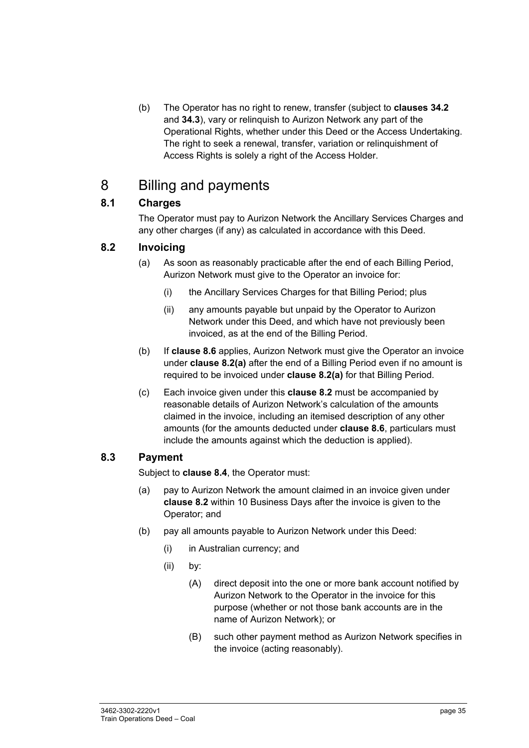(b) The Operator has no right to renew, transfer (subject to **clauses 34.2** and **34.3**), vary or relinquish to Aurizon Network any part of the Operational Rights, whether under this Deed or the Access Undertaking. The right to seek a renewal, transfer, variation or relinquishment of Access Rights is solely a right of the Access Holder.

# 8 Billing and payments

# **8.1 Charges**

The Operator must pay to Aurizon Network the Ancillary Services Charges and any other charges (if any) as calculated in accordance with this Deed.

# **8.2 Invoicing**

- (a) As soon as reasonably practicable after the end of each Billing Period, Aurizon Network must give to the Operator an invoice for:
	- (i) the Ancillary Services Charges for that Billing Period; plus
	- (ii) any amounts payable but unpaid by the Operator to Aurizon Network under this Deed, and which have not previously been invoiced, as at the end of the Billing Period.
- (b) If **clause 8.6** applies, Aurizon Network must give the Operator an invoice under **clause 8.2(a)** after the end of a Billing Period even if no amount is required to be invoiced under **clause 8.2(a)** for that Billing Period.
- (c) Each invoice given under this **clause 8.2** must be accompanied by reasonable details of Aurizon Network's calculation of the amounts claimed in the invoice, including an itemised description of any other amounts (for the amounts deducted under **clause 8.6**, particulars must include the amounts against which the deduction is applied).

## **8.3 Payment**

Subject to **clause 8.4**, the Operator must:

- (a) pay to Aurizon Network the amount claimed in an invoice given under **clause 8.2** within 10 Business Days after the invoice is given to the Operator; and
- (b) pay all amounts payable to Aurizon Network under this Deed:
	- (i) in Australian currency; and
	- (ii) by:
		- (A) direct deposit into the one or more bank account notified by Aurizon Network to the Operator in the invoice for this purpose (whether or not those bank accounts are in the name of Aurizon Network); or
		- (B) such other payment method as Aurizon Network specifies in the invoice (acting reasonably).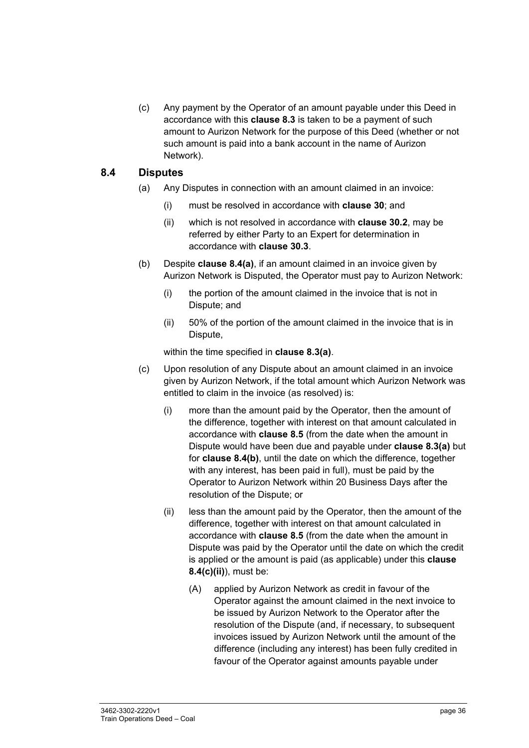(c) Any payment by the Operator of an amount payable under this Deed in accordance with this **clause 8.3** is taken to be a payment of such amount to Aurizon Network for the purpose of this Deed (whether or not such amount is paid into a bank account in the name of Aurizon Network).

#### **8.4 Disputes**

- (a) Any Disputes in connection with an amount claimed in an invoice:
	- (i) must be resolved in accordance with **clause 30**; and
	- (ii) which is not resolved in accordance with **clause 30.2**, may be referred by either Party to an Expert for determination in accordance with **clause 30.3**.
- (b) Despite **clause 8.4(a)**, if an amount claimed in an invoice given by Aurizon Network is Disputed, the Operator must pay to Aurizon Network:
	- (i) the portion of the amount claimed in the invoice that is not in Dispute; and
	- (ii) 50% of the portion of the amount claimed in the invoice that is in Dispute,

within the time specified in **clause 8.3(a)**.

- (c) Upon resolution of any Dispute about an amount claimed in an invoice given by Aurizon Network, if the total amount which Aurizon Network was entitled to claim in the invoice (as resolved) is:
	- (i) more than the amount paid by the Operator, then the amount of the difference, together with interest on that amount calculated in accordance with **clause 8.5** (from the date when the amount in Dispute would have been due and payable under **clause 8.3(a)** but for **clause 8.4(b)**, until the date on which the difference, together with any interest, has been paid in full), must be paid by the Operator to Aurizon Network within 20 Business Days after the resolution of the Dispute; or
	- (ii) less than the amount paid by the Operator, then the amount of the difference, together with interest on that amount calculated in accordance with **clause 8.5** (from the date when the amount in Dispute was paid by the Operator until the date on which the credit is applied or the amount is paid (as applicable) under this **clause 8.4(c)(ii)**), must be:
		- (A) applied by Aurizon Network as credit in favour of the Operator against the amount claimed in the next invoice to be issued by Aurizon Network to the Operator after the resolution of the Dispute (and, if necessary, to subsequent invoices issued by Aurizon Network until the amount of the difference (including any interest) has been fully credited in favour of the Operator against amounts payable under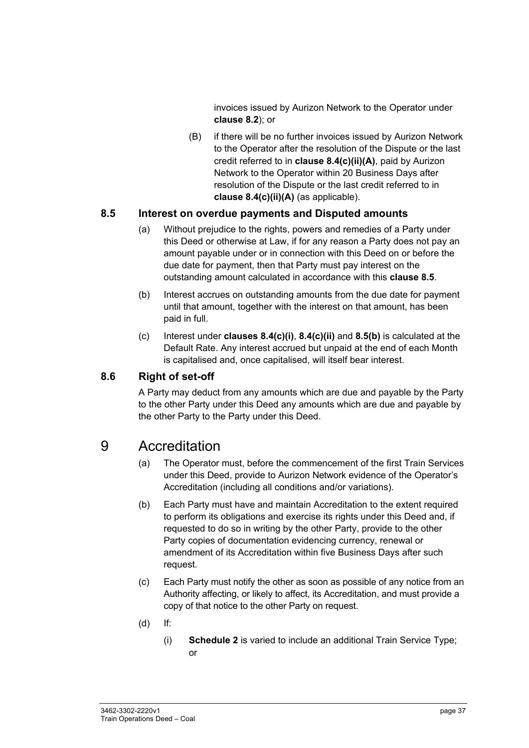invoices issued by Aurizon Network to the Operator under **clause 8.2**); or

(B) if there will be no further invoices issued by Aurizon Network to the Operator after the resolution of the Dispute or the last credit referred to in **clause 8.4(c)(ii)(A)**, paid by Aurizon Network to the Operator within 20 Business Days after resolution of the Dispute or the last credit referred to in **clause 8.4(c)(ii)(A)** (as applicable).

#### **8.5 Interest on overdue payments and Disputed amounts**

- (a) Without prejudice to the rights, powers and remedies of a Party under this Deed or otherwise at Law, if for any reason a Party does not pay an amount payable under or in connection with this Deed on or before the due date for payment, then that Party must pay interest on the outstanding amount calculated in accordance with this **clause 8.5**.
- (b) Interest accrues on outstanding amounts from the due date for payment until that amount, together with the interest on that amount, has been paid in full.
- (c) Interest under **clauses 8.4(c)(i)**, **8.4(c)(ii)** and **8.5(b)** is calculated at the Default Rate. Any interest accrued but unpaid at the end of each Month is capitalised and, once capitalised, will itself bear interest.

#### **8.6 Right of set-off**

A Party may deduct from any amounts which are due and payable by the Party to the other Party under this Deed any amounts which are due and payable by the other Party to the Party under this Deed.

## 9 Accreditation

- (a) The Operator must, before the commencement of the first Train Services under this Deed, provide to Aurizon Network evidence of the Operator's Accreditation (including all conditions and/or variations).
- (b) Each Party must have and maintain Accreditation to the extent required to perform its obligations and exercise its rights under this Deed and, if requested to do so in writing by the other Party, provide to the other Party copies of documentation evidencing currency, renewal or amendment of its Accreditation within five Business Days after such request.
- (c) Each Party must notify the other as soon as possible of any notice from an Authority affecting, or likely to affect, its Accreditation, and must provide a copy of that notice to the other Party on request.
- (d) If:
	- (i) **Schedule 2** is varied to include an additional Train Service Type; or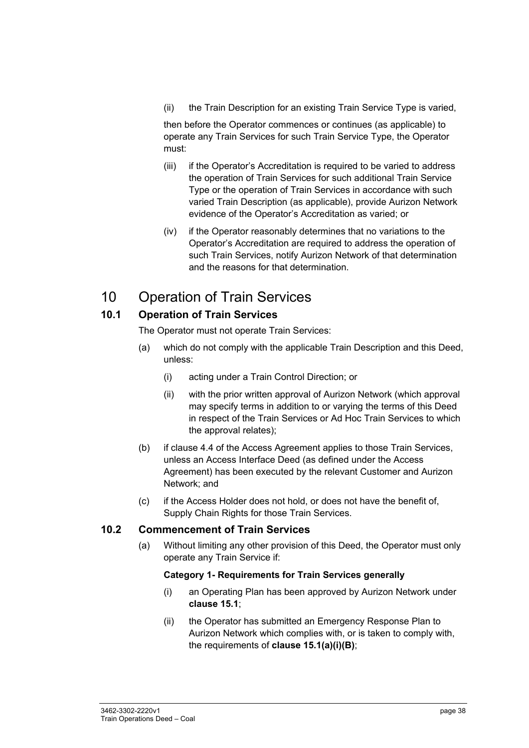(ii) the Train Description for an existing Train Service Type is varied,

then before the Operator commences or continues (as applicable) to operate any Train Services for such Train Service Type, the Operator must:

- (iii) if the Operator's Accreditation is required to be varied to address the operation of Train Services for such additional Train Service Type or the operation of Train Services in accordance with such varied Train Description (as applicable), provide Aurizon Network evidence of the Operator's Accreditation as varied; or
- (iv) if the Operator reasonably determines that no variations to the Operator's Accreditation are required to address the operation of such Train Services, notify Aurizon Network of that determination and the reasons for that determination.

## 10 Operation of Train Services

#### **10.1 Operation of Train Services**

The Operator must not operate Train Services:

- (a) which do not comply with the applicable Train Description and this Deed, unless:
	- (i) acting under a Train Control Direction; or
	- (ii) with the prior written approval of Aurizon Network (which approval may specify terms in addition to or varying the terms of this Deed in respect of the Train Services or Ad Hoc Train Services to which the approval relates);
- (b) if clause 4.4 of the Access Agreement applies to those Train Services, unless an Access Interface Deed (as defined under the Access Agreement) has been executed by the relevant Customer and Aurizon Network; and
- (c) if the Access Holder does not hold, or does not have the benefit of, Supply Chain Rights for those Train Services.

#### **10.2 Commencement of Train Services**

(a) Without limiting any other provision of this Deed, the Operator must only operate any Train Service if:

#### **Category 1- Requirements for Train Services generally**

- (i) an Operating Plan has been approved by Aurizon Network under **clause 15.1**;
- (ii) the Operator has submitted an Emergency Response Plan to Aurizon Network which complies with, or is taken to comply with, the requirements of **clause 15.1(a)(i)(B)**;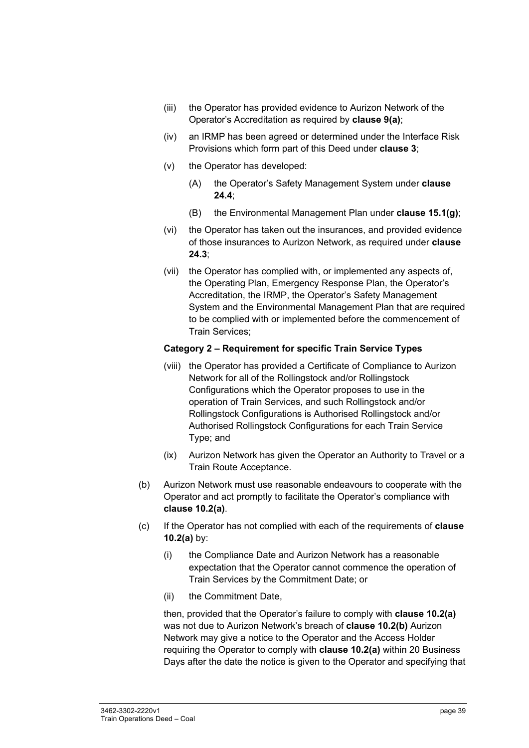- (iii) the Operator has provided evidence to Aurizon Network of the Operator's Accreditation as required by **clause 9(a)**;
- (iv) an IRMP has been agreed or determined under the Interface Risk Provisions which form part of this Deed under **clause 3**;
- (v) the Operator has developed:
	- (A) the Operator's Safety Management System under **clause 24.4**;
	- (B) the Environmental Management Plan under **clause 15.1(g)**;
- (vi) the Operator has taken out the insurances, and provided evidence of those insurances to Aurizon Network, as required under **clause 24.3**;
- (vii) the Operator has complied with, or implemented any aspects of, the Operating Plan, Emergency Response Plan, the Operator's Accreditation, the IRMP, the Operator's Safety Management System and the Environmental Management Plan that are required to be complied with or implemented before the commencement of Train Services;

#### **Category 2 – Requirement for specific Train Service Types**

- (viii) the Operator has provided a Certificate of Compliance to Aurizon Network for all of the Rollingstock and/or Rollingstock Configurations which the Operator proposes to use in the operation of Train Services, and such Rollingstock and/or Rollingstock Configurations is Authorised Rollingstock and/or Authorised Rollingstock Configurations for each Train Service Type; and
- (ix) Aurizon Network has given the Operator an Authority to Travel or a Train Route Acceptance.
- (b) Aurizon Network must use reasonable endeavours to cooperate with the Operator and act promptly to facilitate the Operator's compliance with **clause 10.2(a)**.
- (c) If the Operator has not complied with each of the requirements of **clause 10.2(a)** by:
	- (i) the Compliance Date and Aurizon Network has a reasonable expectation that the Operator cannot commence the operation of Train Services by the Commitment Date; or
	- (ii) the Commitment Date,

then, provided that the Operator's failure to comply with **clause 10.2(a)**  was not due to Aurizon Network's breach of **clause 10.2(b)** Aurizon Network may give a notice to the Operator and the Access Holder requiring the Operator to comply with **clause 10.2(a)** within 20 Business Days after the date the notice is given to the Operator and specifying that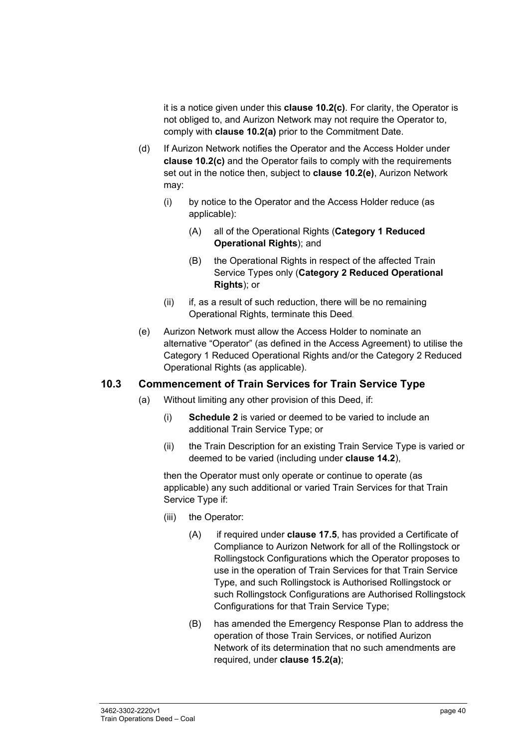it is a notice given under this **clause 10.2(c)**. For clarity, the Operator is not obliged to, and Aurizon Network may not require the Operator to, comply with **clause 10.2(a)** prior to the Commitment Date.

- (d) If Aurizon Network notifies the Operator and the Access Holder under **clause 10.2(c)** and the Operator fails to comply with the requirements set out in the notice then, subject to **clause 10.2(e)**, Aurizon Network may:
	- (i) by notice to the Operator and the Access Holder reduce (as applicable):
		- (A) all of the Operational Rights (**Category 1 Reduced Operational Rights**); and
		- (B) the Operational Rights in respect of the affected Train Service Types only (**Category 2 Reduced Operational Rights**); or
	- (ii) if, as a result of such reduction, there will be no remaining Operational Rights, terminate this Deed.
- (e) Aurizon Network must allow the Access Holder to nominate an alternative "Operator" (as defined in the Access Agreement) to utilise the Category 1 Reduced Operational Rights and/or the Category 2 Reduced Operational Rights (as applicable).

#### **10.3 Commencement of Train Services for Train Service Type**

- (a) Without limiting any other provision of this Deed, if:
	- (i) **Schedule 2** is varied or deemed to be varied to include an additional Train Service Type; or
	- (ii) the Train Description for an existing Train Service Type is varied or deemed to be varied (including under **clause 14.2**),

then the Operator must only operate or continue to operate (as applicable) any such additional or varied Train Services for that Train Service Type if:

- (iii) the Operator:
	- (A) if required under **clause 17.5**, has provided a Certificate of Compliance to Aurizon Network for all of the Rollingstock or Rollingstock Configurations which the Operator proposes to use in the operation of Train Services for that Train Service Type, and such Rollingstock is Authorised Rollingstock or such Rollingstock Configurations are Authorised Rollingstock Configurations for that Train Service Type;
	- (B) has amended the Emergency Response Plan to address the operation of those Train Services, or notified Aurizon Network of its determination that no such amendments are required, under **clause 15.2(a)**;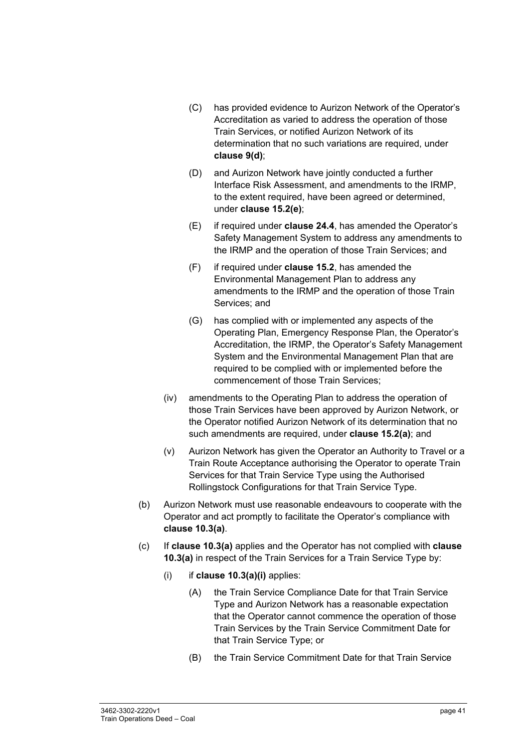- (C) has provided evidence to Aurizon Network of the Operator's Accreditation as varied to address the operation of those Train Services, or notified Aurizon Network of its determination that no such variations are required, under **clause 9(d)**;
- (D) and Aurizon Network have jointly conducted a further Interface Risk Assessment, and amendments to the IRMP, to the extent required, have been agreed or determined, under **clause 15.2(e)**;
- (E) if required under **clause 24.4**, has amended the Operator's Safety Management System to address any amendments to the IRMP and the operation of those Train Services; and
- (F) if required under **clause 15.2**, has amended the Environmental Management Plan to address any amendments to the IRMP and the operation of those Train Services; and
- (G) has complied with or implemented any aspects of the Operating Plan, Emergency Response Plan, the Operator's Accreditation, the IRMP, the Operator's Safety Management System and the Environmental Management Plan that are required to be complied with or implemented before the commencement of those Train Services;
- (iv) amendments to the Operating Plan to address the operation of those Train Services have been approved by Aurizon Network, or the Operator notified Aurizon Network of its determination that no such amendments are required, under **clause 15.2(a)**; and
- (v) Aurizon Network has given the Operator an Authority to Travel or a Train Route Acceptance authorising the Operator to operate Train Services for that Train Service Type using the Authorised Rollingstock Configurations for that Train Service Type.
- (b) Aurizon Network must use reasonable endeavours to cooperate with the Operator and act promptly to facilitate the Operator's compliance with **clause 10.3(a)**.
- (c) If **clause 10.3(a)** applies and the Operator has not complied with **clause 10.3(a)** in respect of the Train Services for a Train Service Type by:
	- (i) if **clause 10.3(a)(i)** applies:
		- (A) the Train Service Compliance Date for that Train Service Type and Aurizon Network has a reasonable expectation that the Operator cannot commence the operation of those Train Services by the Train Service Commitment Date for that Train Service Type; or
		- (B) the Train Service Commitment Date for that Train Service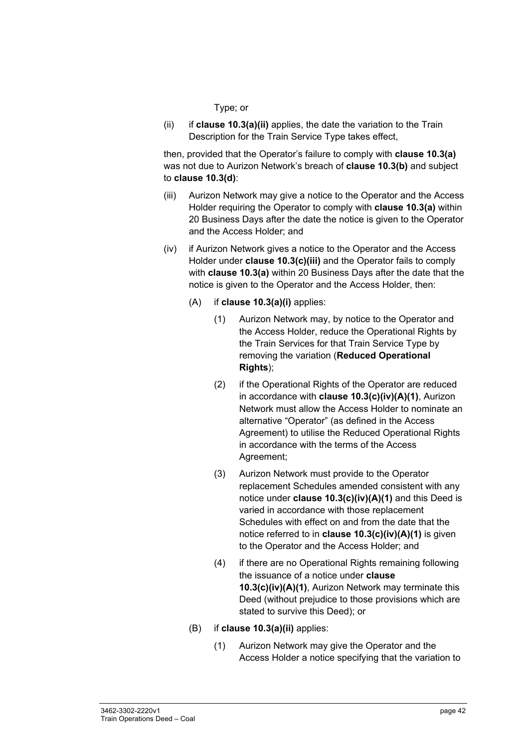#### Type; or

(ii) if **clause 10.3(a)(ii)** applies, the date the variation to the Train Description for the Train Service Type takes effect,

then, provided that the Operator's failure to comply with **clause 10.3(a)** was not due to Aurizon Network's breach of **clause 10.3(b)** and subject to **clause 10.3(d)**:

- (iii) Aurizon Network may give a notice to the Operator and the Access Holder requiring the Operator to comply with **clause 10.3(a)** within 20 Business Days after the date the notice is given to the Operator and the Access Holder; and
- (iv) if Aurizon Network gives a notice to the Operator and the Access Holder under **clause 10.3(c)(iii)** and the Operator fails to comply with **clause 10.3(a)** within 20 Business Days after the date that the notice is given to the Operator and the Access Holder, then:
	- (A) if **clause 10.3(a)(i)** applies:
		- (1) Aurizon Network may, by notice to the Operator and the Access Holder, reduce the Operational Rights by the Train Services for that Train Service Type by removing the variation (**Reduced Operational Rights**);
		- (2) if the Operational Rights of the Operator are reduced in accordance with **clause 10.3(c)(iv)(A)(1)**, Aurizon Network must allow the Access Holder to nominate an alternative "Operator" (as defined in the Access Agreement) to utilise the Reduced Operational Rights in accordance with the terms of the Access Agreement;
		- (3) Aurizon Network must provide to the Operator replacement Schedules amended consistent with any notice under **clause 10.3(c)(iv)(A)(1)** and this Deed is varied in accordance with those replacement Schedules with effect on and from the date that the notice referred to in **clause 10.3(c)(iv)(A)(1)** is given to the Operator and the Access Holder; and
		- (4) if there are no Operational Rights remaining following the issuance of a notice under **clause 10.3(c)(iv)(A)(1)**, Aurizon Network may terminate this Deed (without prejudice to those provisions which are stated to survive this Deed); or
	- (B) if **clause 10.3(a)(ii)** applies:
		- (1) Aurizon Network may give the Operator and the Access Holder a notice specifying that the variation to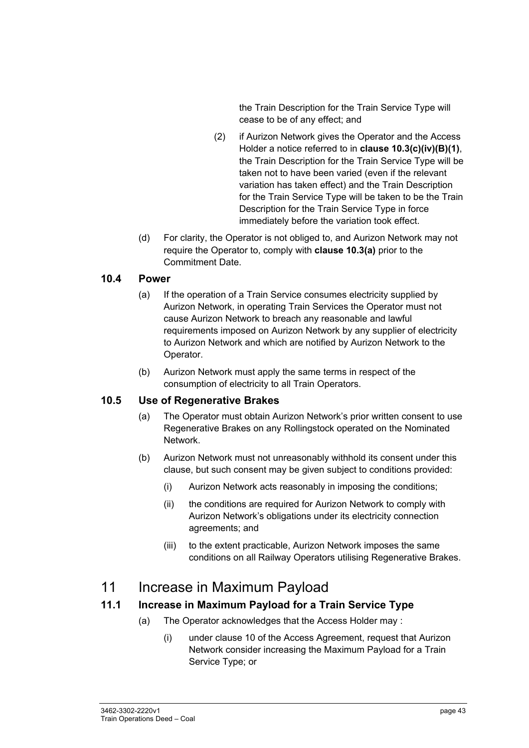the Train Description for the Train Service Type will cease to be of any effect; and

- (2) if Aurizon Network gives the Operator and the Access Holder a notice referred to in **clause 10.3(c)(iv)(B)(1)**, the Train Description for the Train Service Type will be taken not to have been varied (even if the relevant variation has taken effect) and the Train Description for the Train Service Type will be taken to be the Train Description for the Train Service Type in force immediately before the variation took effect.
- (d) For clarity, the Operator is not obliged to, and Aurizon Network may not require the Operator to, comply with **clause 10.3(a)** prior to the Commitment Date.

#### **10.4 Power**

- (a) If the operation of a Train Service consumes electricity supplied by Aurizon Network, in operating Train Services the Operator must not cause Aurizon Network to breach any reasonable and lawful requirements imposed on Aurizon Network by any supplier of electricity to Aurizon Network and which are notified by Aurizon Network to the Operator.
- (b) Aurizon Network must apply the same terms in respect of the consumption of electricity to all Train Operators.

#### **10.5 Use of Regenerative Brakes**

- (a) The Operator must obtain Aurizon Network's prior written consent to use Regenerative Brakes on any Rollingstock operated on the Nominated Network.
- (b) Aurizon Network must not unreasonably withhold its consent under this clause, but such consent may be given subject to conditions provided:
	- (i) Aurizon Network acts reasonably in imposing the conditions;
	- (ii) the conditions are required for Aurizon Network to comply with Aurizon Network's obligations under its electricity connection agreements; and
	- (iii) to the extent practicable, Aurizon Network imposes the same conditions on all Railway Operators utilising Regenerative Brakes.

### 11 Increase in Maximum Payload

#### **11.1 Increase in Maximum Payload for a Train Service Type**

- (a) The Operator acknowledges that the Access Holder may :
	- (i) under clause 10 of the Access Agreement, request that Aurizon Network consider increasing the Maximum Payload for a Train Service Type; or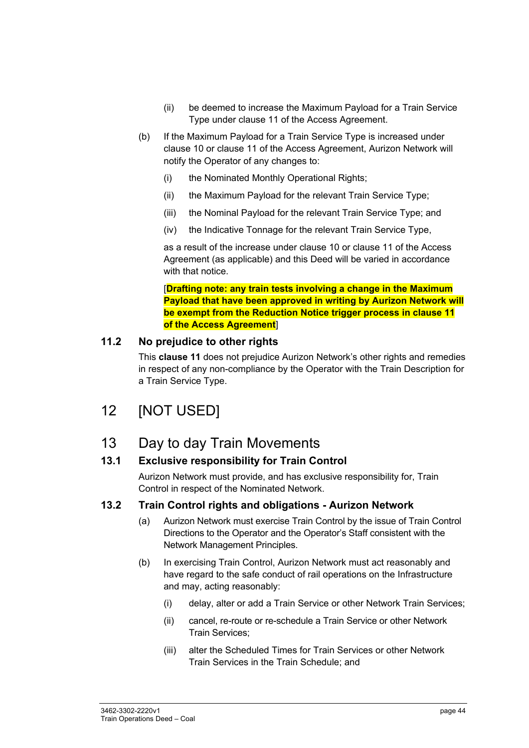- (ii) be deemed to increase the Maximum Payload for a Train Service Type under clause 11 of the Access Agreement.
- (b) If the Maximum Payload for a Train Service Type is increased under clause 10 or clause 11 of the Access Agreement, Aurizon Network will notify the Operator of any changes to:
	- (i) the Nominated Monthly Operational Rights;
	- (ii) the Maximum Payload for the relevant Train Service Type;
	- (iii) the Nominal Payload for the relevant Train Service Type; and
	- (iv) the Indicative Tonnage for the relevant Train Service Type,

as a result of the increase under clause 10 or clause 11 of the Access Agreement (as applicable) and this Deed will be varied in accordance with that notice.

[**Drafting note: any train tests involving a change in the Maximum Payload that have been approved in writing by Aurizon Network will be exempt from the Reduction Notice trigger process in clause 11 of the Access Agreement**]

#### **11.2 No prejudice to other rights**

This **clause 11** does not prejudice Aurizon Network's other rights and remedies in respect of any non-compliance by the Operator with the Train Description for a Train Service Type.

# 12 [NOT USED]

### 13 Day to day Train Movements

#### **13.1 Exclusive responsibility for Train Control**

Aurizon Network must provide, and has exclusive responsibility for, Train Control in respect of the Nominated Network.

#### **13.2 Train Control rights and obligations - Aurizon Network**

- (a) Aurizon Network must exercise Train Control by the issue of Train Control Directions to the Operator and the Operator's Staff consistent with the Network Management Principles.
- (b) In exercising Train Control, Aurizon Network must act reasonably and have regard to the safe conduct of rail operations on the Infrastructure and may, acting reasonably:
	- (i) delay, alter or add a Train Service or other Network Train Services;
	- (ii) cancel, re-route or re-schedule a Train Service or other Network Train Services;
	- (iii) alter the Scheduled Times for Train Services or other Network Train Services in the Train Schedule; and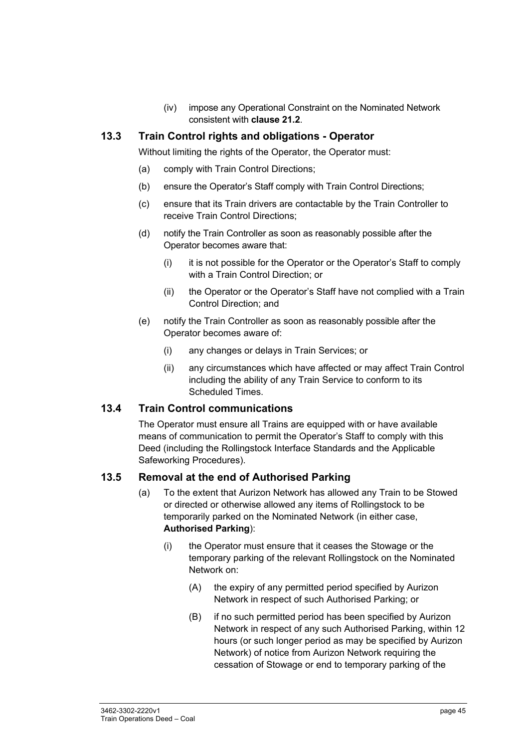(iv) impose any Operational Constraint on the Nominated Network consistent with **clause 21.2**.

#### **13.3 Train Control rights and obligations - Operator**

Without limiting the rights of the Operator, the Operator must:

- (a) comply with Train Control Directions;
- (b) ensure the Operator's Staff comply with Train Control Directions;
- (c) ensure that its Train drivers are contactable by the Train Controller to receive Train Control Directions;
- (d) notify the Train Controller as soon as reasonably possible after the Operator becomes aware that:
	- (i) it is not possible for the Operator or the Operator's Staff to comply with a Train Control Direction; or
	- (ii) the Operator or the Operator's Staff have not complied with a Train Control Direction; and
- (e) notify the Train Controller as soon as reasonably possible after the Operator becomes aware of:
	- (i) any changes or delays in Train Services; or
	- (ii) any circumstances which have affected or may affect Train Control including the ability of any Train Service to conform to its Scheduled Times.

#### **13.4 Train Control communications**

The Operator must ensure all Trains are equipped with or have available means of communication to permit the Operator's Staff to comply with this Deed (including the Rollingstock Interface Standards and the Applicable Safeworking Procedures).

#### **13.5 Removal at the end of Authorised Parking**

- (a) To the extent that Aurizon Network has allowed any Train to be Stowed or directed or otherwise allowed any items of Rollingstock to be temporarily parked on the Nominated Network (in either case, **Authorised Parking**):
	- (i) the Operator must ensure that it ceases the Stowage or the temporary parking of the relevant Rollingstock on the Nominated Network on:
		- (A) the expiry of any permitted period specified by Aurizon Network in respect of such Authorised Parking; or
		- (B) if no such permitted period has been specified by Aurizon Network in respect of any such Authorised Parking, within 12 hours (or such longer period as may be specified by Aurizon Network) of notice from Aurizon Network requiring the cessation of Stowage or end to temporary parking of the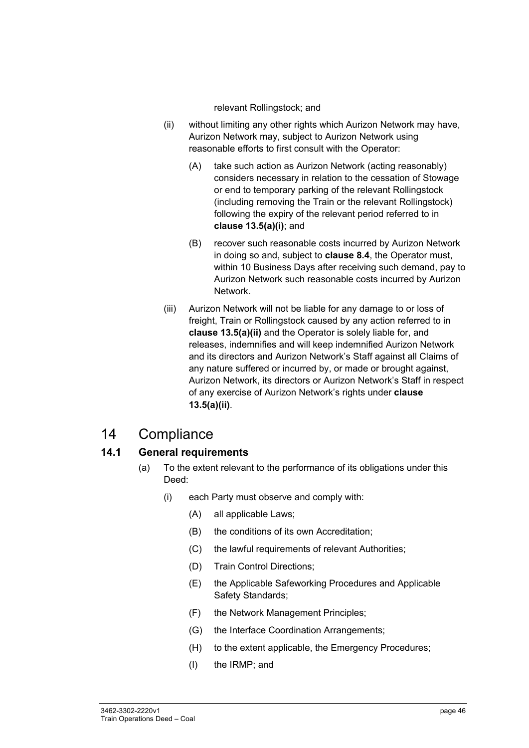relevant Rollingstock; and

- (ii) without limiting any other rights which Aurizon Network may have, Aurizon Network may, subject to Aurizon Network using reasonable efforts to first consult with the Operator:
	- (A) take such action as Aurizon Network (acting reasonably) considers necessary in relation to the cessation of Stowage or end to temporary parking of the relevant Rollingstock (including removing the Train or the relevant Rollingstock) following the expiry of the relevant period referred to in **clause 13.5(a)(i)**; and
	- (B) recover such reasonable costs incurred by Aurizon Network in doing so and, subject to **clause 8.4**, the Operator must, within 10 Business Days after receiving such demand, pay to Aurizon Network such reasonable costs incurred by Aurizon Network.
- (iii) Aurizon Network will not be liable for any damage to or loss of freight, Train or Rollingstock caused by any action referred to in **clause 13.5(a)(ii)** and the Operator is solely liable for, and releases, indemnifies and will keep indemnified Aurizon Network and its directors and Aurizon Network's Staff against all Claims of any nature suffered or incurred by, or made or brought against, Aurizon Network, its directors or Aurizon Network's Staff in respect of any exercise of Aurizon Network's rights under **clause 13.5(a)(ii)**.

### 14 Compliance

### **14.1 General requirements**

- (a) To the extent relevant to the performance of its obligations under this Deed:
	- (i) each Party must observe and comply with:
		- (A) all applicable Laws;
		- (B) the conditions of its own Accreditation;
		- (C) the lawful requirements of relevant Authorities;
		- (D) Train Control Directions;
		- (E) the Applicable Safeworking Procedures and Applicable Safety Standards;
		- (F) the Network Management Principles;
		- (G) the Interface Coordination Arrangements;
		- (H) to the extent applicable, the Emergency Procedures;
		- (I) the IRMP; and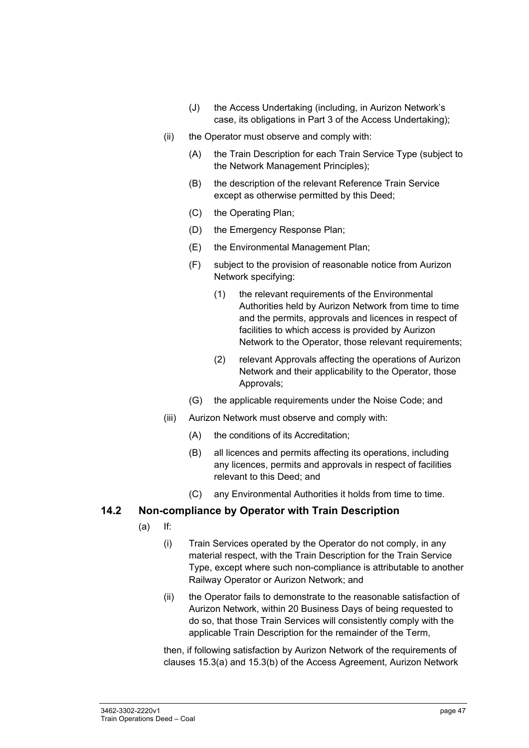- (J) the Access Undertaking (including, in Aurizon Network's case, its obligations in Part 3 of the Access Undertaking);
- (ii) the Operator must observe and comply with:
	- (A) the Train Description for each Train Service Type (subject to the Network Management Principles);
	- (B) the description of the relevant Reference Train Service except as otherwise permitted by this Deed;
	- (C) the Operating Plan;
	- (D) the Emergency Response Plan;
	- (E) the Environmental Management Plan;
	- (F) subject to the provision of reasonable notice from Aurizon Network specifying:
		- (1) the relevant requirements of the Environmental Authorities held by Aurizon Network from time to time and the permits, approvals and licences in respect of facilities to which access is provided by Aurizon Network to the Operator, those relevant requirements;
		- (2) relevant Approvals affecting the operations of Aurizon Network and their applicability to the Operator, those Approvals;
	- (G) the applicable requirements under the Noise Code; and
- (iii) Aurizon Network must observe and comply with:
	- (A) the conditions of its Accreditation;
	- (B) all licences and permits affecting its operations, including any licences, permits and approvals in respect of facilities relevant to this Deed; and
	- (C) any Environmental Authorities it holds from time to time.

#### **14.2 Non-compliance by Operator with Train Description**

- (a) If:
	- (i) Train Services operated by the Operator do not comply, in any material respect, with the Train Description for the Train Service Type, except where such non-compliance is attributable to another Railway Operator or Aurizon Network; and
	- (ii) the Operator fails to demonstrate to the reasonable satisfaction of Aurizon Network, within 20 Business Days of being requested to do so, that those Train Services will consistently comply with the applicable Train Description for the remainder of the Term,

then, if following satisfaction by Aurizon Network of the requirements of clauses 15.3(a) and 15.3(b) of the Access Agreement, Aurizon Network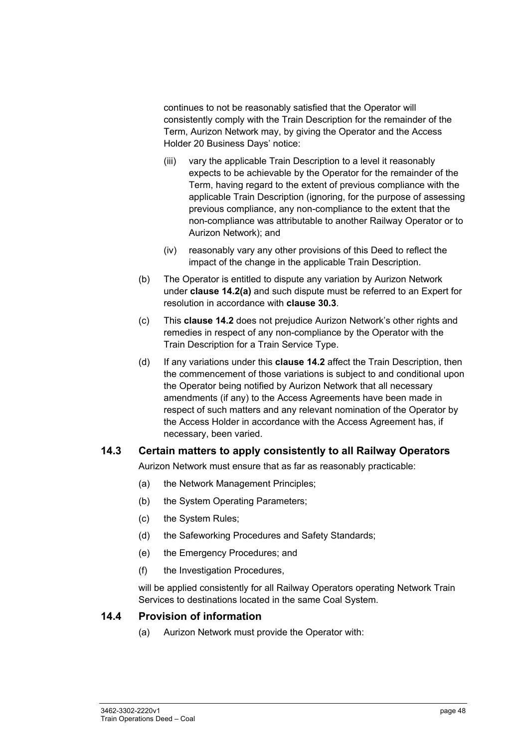continues to not be reasonably satisfied that the Operator will consistently comply with the Train Description for the remainder of the Term, Aurizon Network may, by giving the Operator and the Access Holder 20 Business Days' notice:

- (iii) vary the applicable Train Description to a level it reasonably expects to be achievable by the Operator for the remainder of the Term, having regard to the extent of previous compliance with the applicable Train Description (ignoring, for the purpose of assessing previous compliance, any non-compliance to the extent that the non-compliance was attributable to another Railway Operator or to Aurizon Network); and
- (iv) reasonably vary any other provisions of this Deed to reflect the impact of the change in the applicable Train Description.
- (b) The Operator is entitled to dispute any variation by Aurizon Network under **clause 14.2(a)** and such dispute must be referred to an Expert for resolution in accordance with **clause 30.3**.
- (c) This **clause 14.2** does not prejudice Aurizon Network's other rights and remedies in respect of any non-compliance by the Operator with the Train Description for a Train Service Type.
- (d) If any variations under this **clause 14.2** affect the Train Description, then the commencement of those variations is subject to and conditional upon the Operator being notified by Aurizon Network that all necessary amendments (if any) to the Access Agreements have been made in respect of such matters and any relevant nomination of the Operator by the Access Holder in accordance with the Access Agreement has, if necessary, been varied.

#### **14.3 Certain matters to apply consistently to all Railway Operators**

Aurizon Network must ensure that as far as reasonably practicable:

- (a) the Network Management Principles;
- (b) the System Operating Parameters;
- (c) the System Rules;
- (d) the Safeworking Procedures and Safety Standards;
- (e) the Emergency Procedures; and
- (f) the Investigation Procedures,

will be applied consistently for all Railway Operators operating Network Train Services to destinations located in the same Coal System.

#### **14.4 Provision of information**

(a) Aurizon Network must provide the Operator with: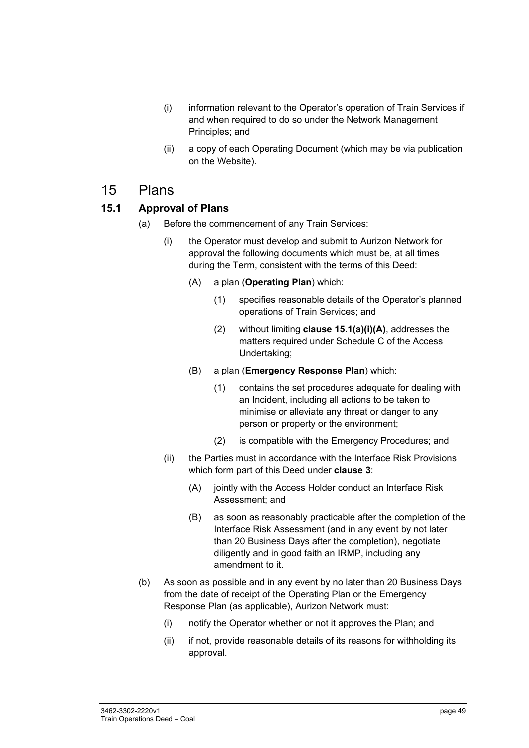- (i) information relevant to the Operator's operation of Train Services if and when required to do so under the Network Management Principles; and
- (ii) a copy of each Operating Document (which may be via publication on the Website).

### 15 Plans

### **15.1 Approval of Plans**

- (a) Before the commencement of any Train Services:
	- (i) the Operator must develop and submit to Aurizon Network for approval the following documents which must be, at all times during the Term, consistent with the terms of this Deed:
		- (A) a plan (**Operating Plan**) which:
			- (1) specifies reasonable details of the Operator's planned operations of Train Services; and
			- (2) without limiting **clause 15.1(a)(i)(A)**, addresses the matters required under Schedule C of the Access Undertaking;
		- (B) a plan (**Emergency Response Plan**) which:
			- (1) contains the set procedures adequate for dealing with an Incident, including all actions to be taken to minimise or alleviate any threat or danger to any person or property or the environment;
			- (2) is compatible with the Emergency Procedures; and
	- (ii) the Parties must in accordance with the Interface Risk Provisions which form part of this Deed under **clause 3**:
		- (A) jointly with the Access Holder conduct an Interface Risk Assessment; and
		- (B) as soon as reasonably practicable after the completion of the Interface Risk Assessment (and in any event by not later than 20 Business Days after the completion), negotiate diligently and in good faith an IRMP, including any amendment to it.
- (b) As soon as possible and in any event by no later than 20 Business Days from the date of receipt of the Operating Plan or the Emergency Response Plan (as applicable), Aurizon Network must:
	- (i) notify the Operator whether or not it approves the Plan; and
	- (ii) if not, provide reasonable details of its reasons for withholding its approval.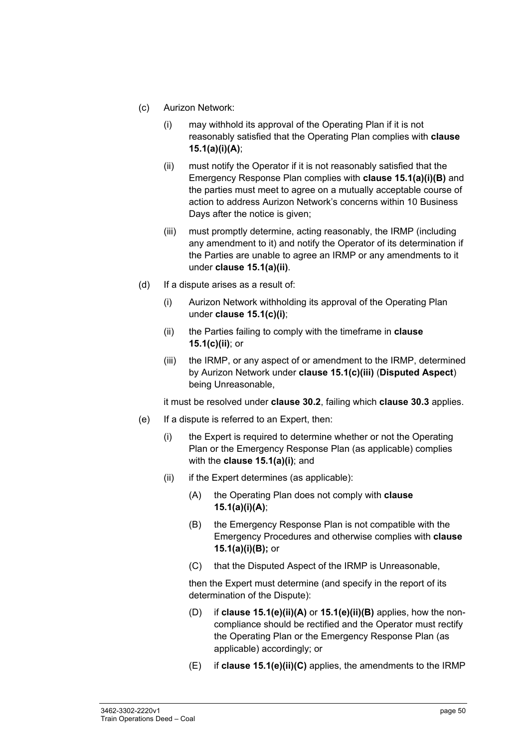- (c) Aurizon Network:
	- (i) may withhold its approval of the Operating Plan if it is not reasonably satisfied that the Operating Plan complies with **clause 15.1(a)(i)(A)**;
	- (ii) must notify the Operator if it is not reasonably satisfied that the Emergency Response Plan complies with **clause 15.1(a)(i)(B)** and the parties must meet to agree on a mutually acceptable course of action to address Aurizon Network's concerns within 10 Business Days after the notice is given:
	- (iii) must promptly determine, acting reasonably, the IRMP (including any amendment to it) and notify the Operator of its determination if the Parties are unable to agree an IRMP or any amendments to it under **clause 15.1(a)(ii)**.
- (d) If a dispute arises as a result of:
	- (i) Aurizon Network withholding its approval of the Operating Plan under **clause 15.1(c)(i)**;
	- (ii) the Parties failing to comply with the timeframe in **clause 15.1(c)(ii)**; or
	- (iii) the IRMP, or any aspect of or amendment to the IRMP, determined by Aurizon Network under **clause 15.1(c)(iii)** (**Disputed Aspect**) being Unreasonable,

it must be resolved under **clause 30.2**, failing which **clause 30.3** applies.

- (e) If a dispute is referred to an Expert, then:
	- (i) the Expert is required to determine whether or not the Operating Plan or the Emergency Response Plan (as applicable) complies with the **clause 15.1(a)(i)**; and
	- (ii) if the Expert determines (as applicable):
		- (A) the Operating Plan does not comply with **clause 15.1(a)(i)(A)**;
		- (B) the Emergency Response Plan is not compatible with the Emergency Procedures and otherwise complies with **clause 15.1(a)(i)(B);** or
		- (C) that the Disputed Aspect of the IRMP is Unreasonable,

then the Expert must determine (and specify in the report of its determination of the Dispute):

- (D) if **clause 15.1(e)(ii)(A)** or **15.1(e)(ii)(B)** applies, how the noncompliance should be rectified and the Operator must rectify the Operating Plan or the Emergency Response Plan (as applicable) accordingly; or
- (E) if **clause 15.1(e)(ii)(C)** applies, the amendments to the IRMP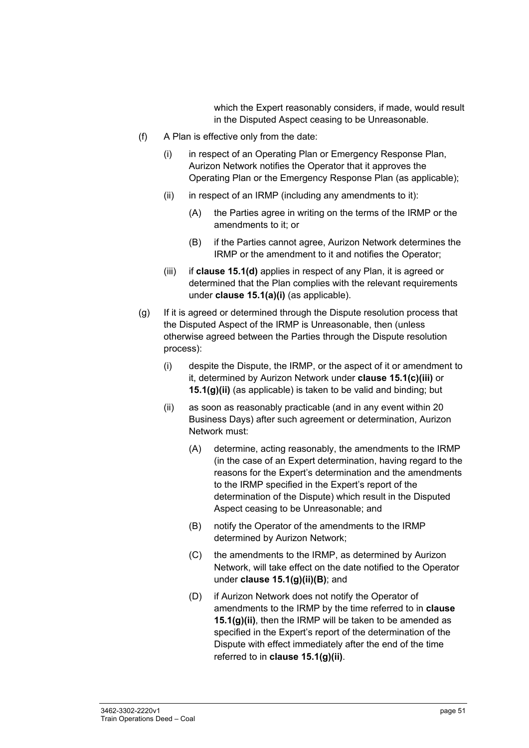which the Expert reasonably considers, if made, would result in the Disputed Aspect ceasing to be Unreasonable.

- (f) A Plan is effective only from the date:
	- (i) in respect of an Operating Plan or Emergency Response Plan, Aurizon Network notifies the Operator that it approves the Operating Plan or the Emergency Response Plan (as applicable);
	- $(ii)$  in respect of an IRMP (including any amendments to it):
		- (A) the Parties agree in writing on the terms of the IRMP or the amendments to it; or
		- (B) if the Parties cannot agree, Aurizon Network determines the IRMP or the amendment to it and notifies the Operator;
	- (iii) if **clause 15.1(d)** applies in respect of any Plan, it is agreed or determined that the Plan complies with the relevant requirements under **clause 15.1(a)(i)** (as applicable).
- (g) If it is agreed or determined through the Dispute resolution process that the Disputed Aspect of the IRMP is Unreasonable, then (unless otherwise agreed between the Parties through the Dispute resolution process):
	- (i) despite the Dispute, the IRMP, or the aspect of it or amendment to it, determined by Aurizon Network under **clause 15.1(c)(iii)** or **15.1(g)(ii)** (as applicable) is taken to be valid and binding; but
	- (ii) as soon as reasonably practicable (and in any event within 20 Business Days) after such agreement or determination, Aurizon Network must:
		- (A) determine, acting reasonably, the amendments to the IRMP (in the case of an Expert determination, having regard to the reasons for the Expert's determination and the amendments to the IRMP specified in the Expert's report of the determination of the Dispute) which result in the Disputed Aspect ceasing to be Unreasonable; and
		- (B) notify the Operator of the amendments to the IRMP determined by Aurizon Network;
		- (C) the amendments to the IRMP, as determined by Aurizon Network, will take effect on the date notified to the Operator under **clause 15.1(g)(ii)(B)**; and
		- (D) if Aurizon Network does not notify the Operator of amendments to the IRMP by the time referred to in **clause 15.1(g)(ii)**, then the IRMP will be taken to be amended as specified in the Expert's report of the determination of the Dispute with effect immediately after the end of the time referred to in **clause 15.1(g)(ii)**.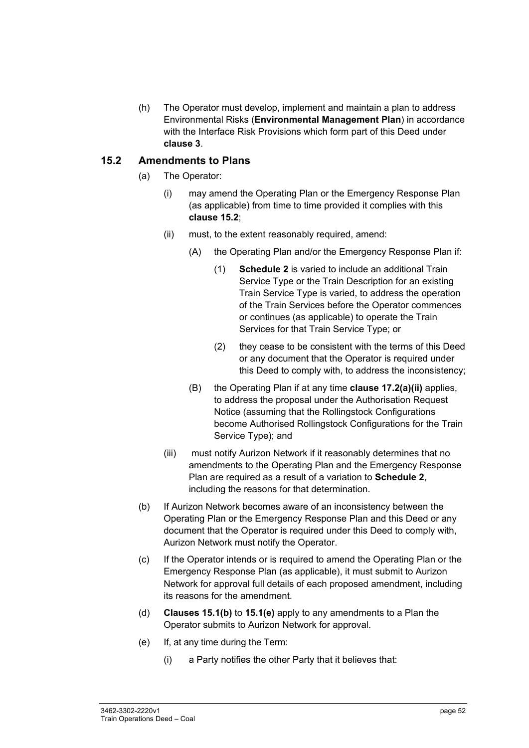(h) The Operator must develop, implement and maintain a plan to address Environmental Risks (**Environmental Management Plan**) in accordance with the Interface Risk Provisions which form part of this Deed under **clause 3**.

#### **15.2 Amendments to Plans**

- (a) The Operator:
	- (i) may amend the Operating Plan or the Emergency Response Plan (as applicable) from time to time provided it complies with this **clause 15.2**;
	- (ii) must, to the extent reasonably required, amend:
		- (A) the Operating Plan and/or the Emergency Response Plan if:
			- (1) **Schedule 2** is varied to include an additional Train Service Type or the Train Description for an existing Train Service Type is varied, to address the operation of the Train Services before the Operator commences or continues (as applicable) to operate the Train Services for that Train Service Type; or
			- (2) they cease to be consistent with the terms of this Deed or any document that the Operator is required under this Deed to comply with, to address the inconsistency;
		- (B) the Operating Plan if at any time **clause 17.2(a)(ii)** applies, to address the proposal under the Authorisation Request Notice (assuming that the Rollingstock Configurations become Authorised Rollingstock Configurations for the Train Service Type); and
	- (iii) must notify Aurizon Network if it reasonably determines that no amendments to the Operating Plan and the Emergency Response Plan are required as a result of a variation to **Schedule 2**, including the reasons for that determination.
- (b) If Aurizon Network becomes aware of an inconsistency between the Operating Plan or the Emergency Response Plan and this Deed or any document that the Operator is required under this Deed to comply with, Aurizon Network must notify the Operator.
- (c) If the Operator intends or is required to amend the Operating Plan or the Emergency Response Plan (as applicable), it must submit to Aurizon Network for approval full details of each proposed amendment, including its reasons for the amendment.
- (d) **Clauses 15.1(b)** to **15.1(e)** apply to any amendments to a Plan the Operator submits to Aurizon Network for approval.
- (e) If, at any time during the Term:
	- (i) a Party notifies the other Party that it believes that: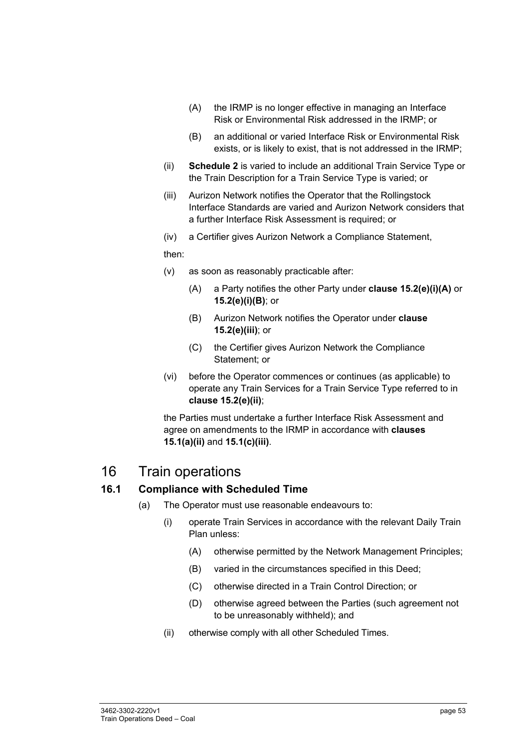- (A) the IRMP is no longer effective in managing an Interface Risk or Environmental Risk addressed in the IRMP; or
- (B) an additional or varied Interface Risk or Environmental Risk exists, or is likely to exist, that is not addressed in the IRMP;
- (ii) **Schedule 2** is varied to include an additional Train Service Type or the Train Description for a Train Service Type is varied; or
- (iii) Aurizon Network notifies the Operator that the Rollingstock Interface Standards are varied and Aurizon Network considers that a further Interface Risk Assessment is required; or
- (iv) a Certifier gives Aurizon Network a Compliance Statement,

then:

- (v) as soon as reasonably practicable after:
	- (A) a Party notifies the other Party under **clause 15.2(e)(i)(A)** or **15.2(e)(i)(B)**; or
	- (B) Aurizon Network notifies the Operator under **clause 15.2(e)(iii)**; or
	- (C) the Certifier gives Aurizon Network the Compliance Statement; or
- (vi) before the Operator commences or continues (as applicable) to operate any Train Services for a Train Service Type referred to in **clause 15.2(e)(ii)**;

the Parties must undertake a further Interface Risk Assessment and agree on amendments to the IRMP in accordance with **clauses 15.1(a)(ii)** and **15.1(c)(iii)**.

### 16 Train operations

#### **16.1 Compliance with Scheduled Time**

- (a) The Operator must use reasonable endeavours to:
	- (i) operate Train Services in accordance with the relevant Daily Train Plan unless:
		- (A) otherwise permitted by the Network Management Principles;
		- (B) varied in the circumstances specified in this Deed;
		- (C) otherwise directed in a Train Control Direction; or
		- (D) otherwise agreed between the Parties (such agreement not to be unreasonably withheld); and
	- (ii) otherwise comply with all other Scheduled Times.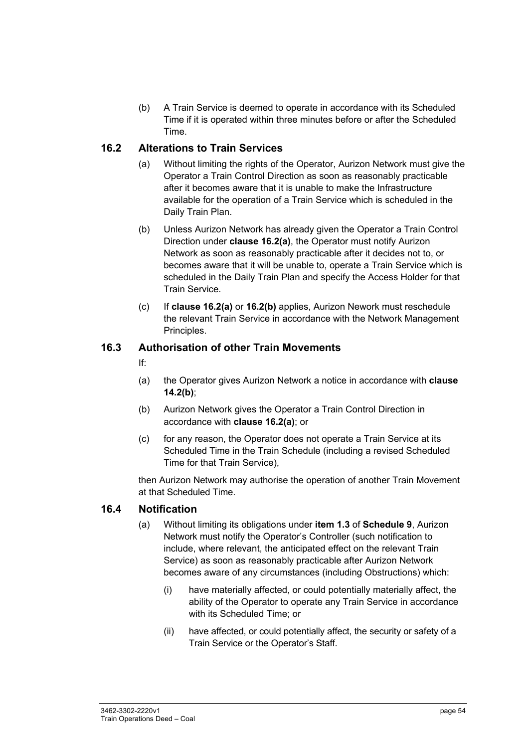(b) A Train Service is deemed to operate in accordance with its Scheduled Time if it is operated within three minutes before or after the Scheduled Time.

#### **16.2 Alterations to Train Services**

- (a) Without limiting the rights of the Operator, Aurizon Network must give the Operator a Train Control Direction as soon as reasonably practicable after it becomes aware that it is unable to make the Infrastructure available for the operation of a Train Service which is scheduled in the Daily Train Plan.
- (b) Unless Aurizon Network has already given the Operator a Train Control Direction under **clause 16.2(a)**, the Operator must notify Aurizon Network as soon as reasonably practicable after it decides not to, or becomes aware that it will be unable to, operate a Train Service which is scheduled in the Daily Train Plan and specify the Access Holder for that Train Service.
- (c) If **clause 16.2(a)** or **16.2(b)** applies, Aurizon Nework must reschedule the relevant Train Service in accordance with the Network Management Principles.

#### **16.3 Authorisation of other Train Movements**

#### If:

- (a) the Operator gives Aurizon Network a notice in accordance with **clause 14.2(b)**;
- (b) Aurizon Network gives the Operator a Train Control Direction in accordance with **clause 16.2(a)**; or
- (c) for any reason, the Operator does not operate a Train Service at its Scheduled Time in the Train Schedule (including a revised Scheduled Time for that Train Service),

then Aurizon Network may authorise the operation of another Train Movement at that Scheduled Time.

#### **16.4 Notification**

- (a) Without limiting its obligations under **item 1.3** of **Schedule 9**, Aurizon Network must notify the Operator's Controller (such notification to include, where relevant, the anticipated effect on the relevant Train Service) as soon as reasonably practicable after Aurizon Network becomes aware of any circumstances (including Obstructions) which:
	- (i) have materially affected, or could potentially materially affect, the ability of the Operator to operate any Train Service in accordance with its Scheduled Time; or
	- (ii) have affected, or could potentially affect, the security or safety of a Train Service or the Operator's Staff.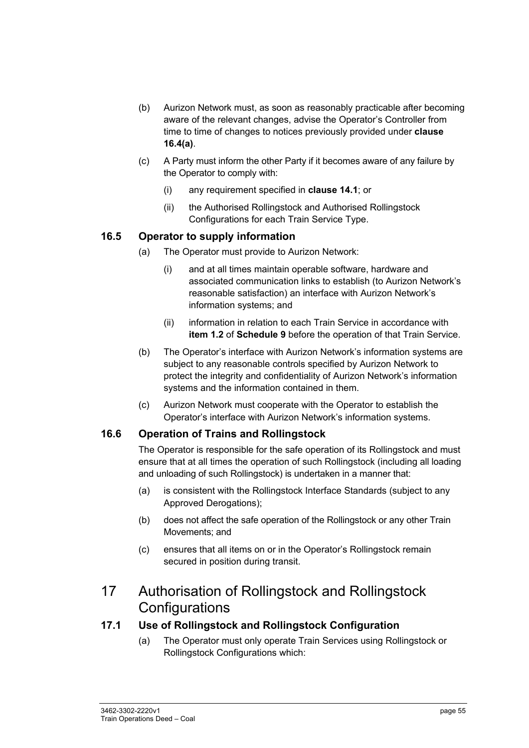- (b) Aurizon Network must, as soon as reasonably practicable after becoming aware of the relevant changes, advise the Operator's Controller from time to time of changes to notices previously provided under **clause 16.4(a)**.
- (c) A Party must inform the other Party if it becomes aware of any failure by the Operator to comply with:
	- (i) any requirement specified in **clause 14.1**; or
	- (ii) the Authorised Rollingstock and Authorised Rollingstock Configurations for each Train Service Type.

#### **16.5 Operator to supply information**

- (a) The Operator must provide to Aurizon Network:
	- (i) and at all times maintain operable software, hardware and associated communication links to establish (to Aurizon Network's reasonable satisfaction) an interface with Aurizon Network's information systems; and
	- (ii) information in relation to each Train Service in accordance with **item 1.2** of **Schedule 9** before the operation of that Train Service.
- (b) The Operator's interface with Aurizon Network's information systems are subject to any reasonable controls specified by Aurizon Network to protect the integrity and confidentiality of Aurizon Network's information systems and the information contained in them.
- (c) Aurizon Network must cooperate with the Operator to establish the Operator's interface with Aurizon Network's information systems.

#### **16.6 Operation of Trains and Rollingstock**

The Operator is responsible for the safe operation of its Rollingstock and must ensure that at all times the operation of such Rollingstock (including all loading and unloading of such Rollingstock) is undertaken in a manner that:

- (a) is consistent with the Rollingstock Interface Standards (subject to any Approved Derogations);
- (b) does not affect the safe operation of the Rollingstock or any other Train Movements; and
- (c) ensures that all items on or in the Operator's Rollingstock remain secured in position during transit.

### 17 Authorisation of Rollingstock and Rollingstock **Configurations**

#### **17.1 Use of Rollingstock and Rollingstock Configuration**

(a) The Operator must only operate Train Services using Rollingstock or Rollingstock Configurations which: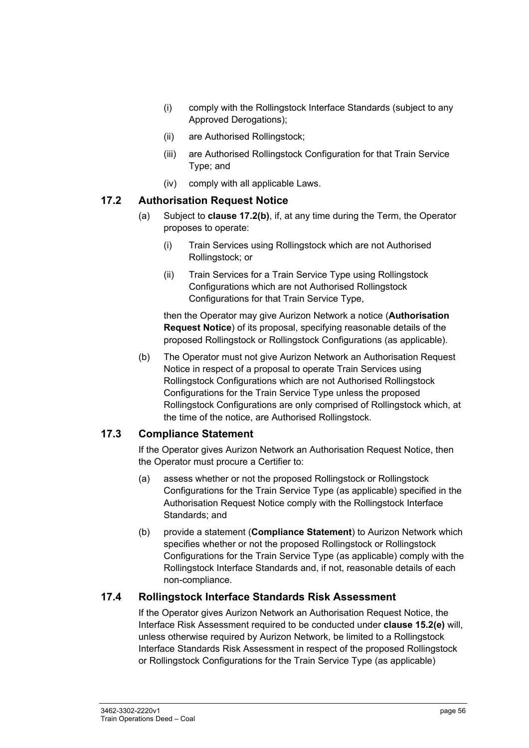- (i) comply with the Rollingstock Interface Standards (subject to any Approved Derogations);
- (ii) are Authorised Rollingstock;
- (iii) are Authorised Rollingstock Configuration for that Train Service Type; and
- (iv) comply with all applicable Laws.

#### **17.2 Authorisation Request Notice**

- (a) Subject to **clause 17.2(b)**, if, at any time during the Term, the Operator proposes to operate:
	- (i) Train Services using Rollingstock which are not Authorised Rollingstock; or
	- (ii) Train Services for a Train Service Type using Rollingstock Configurations which are not Authorised Rollingstock Configurations for that Train Service Type,

then the Operator may give Aurizon Network a notice (**Authorisation Request Notice**) of its proposal, specifying reasonable details of the proposed Rollingstock or Rollingstock Configurations (as applicable).

(b) The Operator must not give Aurizon Network an Authorisation Request Notice in respect of a proposal to operate Train Services using Rollingstock Configurations which are not Authorised Rollingstock Configurations for the Train Service Type unless the proposed Rollingstock Configurations are only comprised of Rollingstock which, at the time of the notice, are Authorised Rollingstock.

#### **17.3 Compliance Statement**

If the Operator gives Aurizon Network an Authorisation Request Notice, then the Operator must procure a Certifier to:

- (a) assess whether or not the proposed Rollingstock or Rollingstock Configurations for the Train Service Type (as applicable) specified in the Authorisation Request Notice comply with the Rollingstock Interface Standards; and
- (b) provide a statement (**Compliance Statement**) to Aurizon Network which specifies whether or not the proposed Rollingstock or Rollingstock Configurations for the Train Service Type (as applicable) comply with the Rollingstock Interface Standards and, if not, reasonable details of each non-compliance.

#### **17.4 Rollingstock Interface Standards Risk Assessment**

If the Operator gives Aurizon Network an Authorisation Request Notice, the Interface Risk Assessment required to be conducted under **clause 15.2(e)** will, unless otherwise required by Aurizon Network, be limited to a Rollingstock Interface Standards Risk Assessment in respect of the proposed Rollingstock or Rollingstock Configurations for the Train Service Type (as applicable)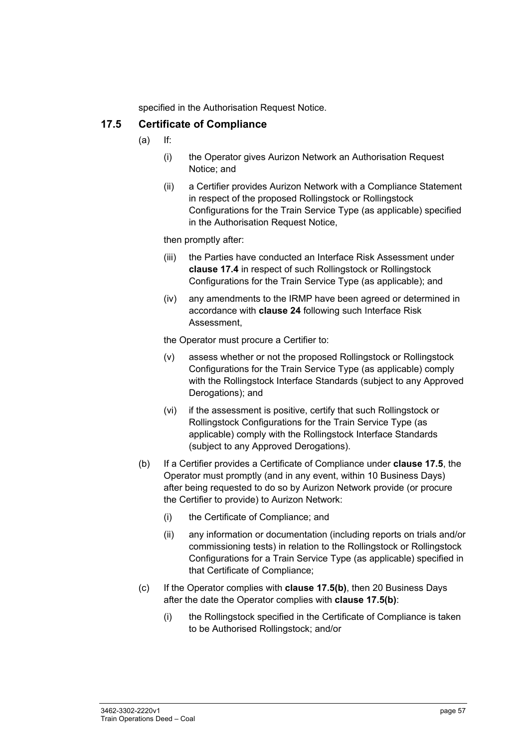specified in the Authorisation Request Notice.

#### **17.5 Certificate of Compliance**

- (a) If:
	- (i) the Operator gives Aurizon Network an Authorisation Request Notice; and
	- (ii) a Certifier provides Aurizon Network with a Compliance Statement in respect of the proposed Rollingstock or Rollingstock Configurations for the Train Service Type (as applicable) specified in the Authorisation Request Notice,

then promptly after:

- (iii) the Parties have conducted an Interface Risk Assessment under **clause 17.4** in respect of such Rollingstock or Rollingstock Configurations for the Train Service Type (as applicable); and
- (iv) any amendments to the IRMP have been agreed or determined in accordance with **clause 24** following such Interface Risk Assessment,

the Operator must procure a Certifier to:

- (v) assess whether or not the proposed Rollingstock or Rollingstock Configurations for the Train Service Type (as applicable) comply with the Rollingstock Interface Standards (subject to any Approved Derogations); and
- (vi) if the assessment is positive, certify that such Rollingstock or Rollingstock Configurations for the Train Service Type (as applicable) comply with the Rollingstock Interface Standards (subject to any Approved Derogations).
- (b) If a Certifier provides a Certificate of Compliance under **clause 17.5**, the Operator must promptly (and in any event, within 10 Business Days) after being requested to do so by Aurizon Network provide (or procure the Certifier to provide) to Aurizon Network:
	- (i) the Certificate of Compliance; and
	- (ii) any information or documentation (including reports on trials and/or commissioning tests) in relation to the Rollingstock or Rollingstock Configurations for a Train Service Type (as applicable) specified in that Certificate of Compliance;
- (c) If the Operator complies with **clause 17.5(b)**, then 20 Business Days after the date the Operator complies with **clause 17.5(b)**:
	- (i) the Rollingstock specified in the Certificate of Compliance is taken to be Authorised Rollingstock; and/or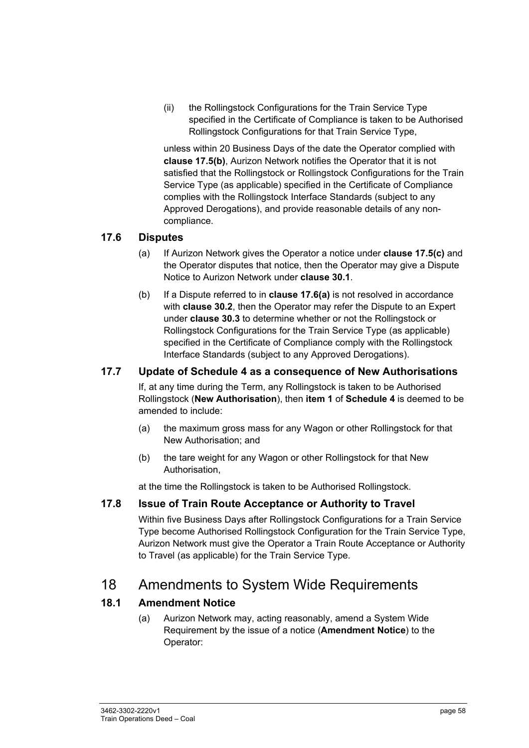(ii) the Rollingstock Configurations for the Train Service Type specified in the Certificate of Compliance is taken to be Authorised Rollingstock Configurations for that Train Service Type,

unless within 20 Business Days of the date the Operator complied with **clause 17.5(b)**, Aurizon Network notifies the Operator that it is not satisfied that the Rollingstock or Rollingstock Configurations for the Train Service Type (as applicable) specified in the Certificate of Compliance complies with the Rollingstock Interface Standards (subject to any Approved Derogations), and provide reasonable details of any noncompliance.

#### **17.6 Disputes**

- (a) If Aurizon Network gives the Operator a notice under **clause 17.5(c)** and the Operator disputes that notice, then the Operator may give a Dispute Notice to Aurizon Network under **clause 30.1**.
- (b) If a Dispute referred to in **clause 17.6(a)** is not resolved in accordance with **clause 30.2**, then the Operator may refer the Dispute to an Expert under **clause 30.3** to determine whether or not the Rollingstock or Rollingstock Configurations for the Train Service Type (as applicable) specified in the Certificate of Compliance comply with the Rollingstock Interface Standards (subject to any Approved Derogations).

#### **17.7 Update of Schedule 4 as a consequence of New Authorisations**

If, at any time during the Term, any Rollingstock is taken to be Authorised Rollingstock (**New Authorisation**), then **item 1** of **Schedule 4** is deemed to be amended to include:

- (a) the maximum gross mass for any Wagon or other Rollingstock for that New Authorisation; and
- (b) the tare weight for any Wagon or other Rollingstock for that New Authorisation,

at the time the Rollingstock is taken to be Authorised Rollingstock.

#### **17.8 Issue of Train Route Acceptance or Authority to Travel**

Within five Business Days after Rollingstock Configurations for a Train Service Type become Authorised Rollingstock Configuration for the Train Service Type, Aurizon Network must give the Operator a Train Route Acceptance or Authority to Travel (as applicable) for the Train Service Type.

### 18 Amendments to System Wide Requirements

#### **18.1 Amendment Notice**

(a) Aurizon Network may, acting reasonably, amend a System Wide Requirement by the issue of a notice (**Amendment Notice**) to the Operator: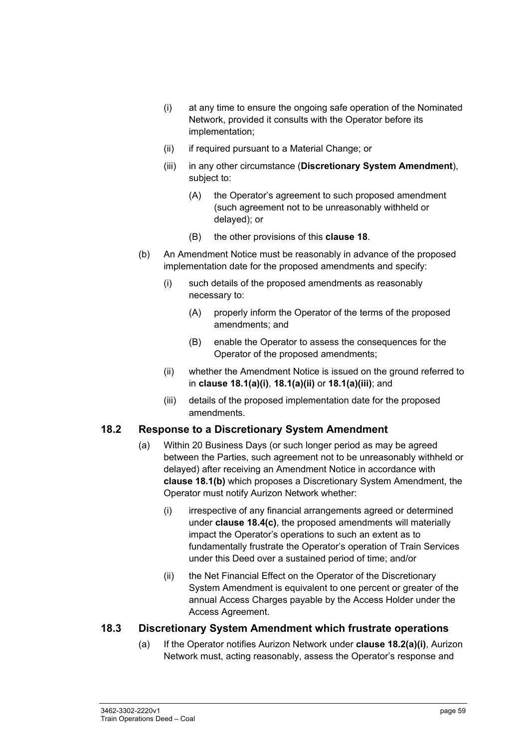- (i) at any time to ensure the ongoing safe operation of the Nominated Network, provided it consults with the Operator before its implementation;
- (ii) if required pursuant to a Material Change; or
- (iii) in any other circumstance (**Discretionary System Amendment**), subject to:
	- (A) the Operator's agreement to such proposed amendment (such agreement not to be unreasonably withheld or delayed); or
	- (B) the other provisions of this **clause 18**.
- (b) An Amendment Notice must be reasonably in advance of the proposed implementation date for the proposed amendments and specify:
	- (i) such details of the proposed amendments as reasonably necessary to:
		- (A) properly inform the Operator of the terms of the proposed amendments; and
		- (B) enable the Operator to assess the consequences for the Operator of the proposed amendments;
	- (ii) whether the Amendment Notice is issued on the ground referred to in **clause 18.1(a)(i)**, **18.1(a)(ii)** or **18.1(a)(iii)**; and
	- (iii) details of the proposed implementation date for the proposed amendments.

#### **18.2 Response to a Discretionary System Amendment**

- (a) Within 20 Business Days (or such longer period as may be agreed between the Parties, such agreement not to be unreasonably withheld or delayed) after receiving an Amendment Notice in accordance with **clause 18.1(b)** which proposes a Discretionary System Amendment, the Operator must notify Aurizon Network whether:
	- (i) irrespective of any financial arrangements agreed or determined under **clause 18.4(c)**, the proposed amendments will materially impact the Operator's operations to such an extent as to fundamentally frustrate the Operator's operation of Train Services under this Deed over a sustained period of time; and/or
	- (ii) the Net Financial Effect on the Operator of the Discretionary System Amendment is equivalent to one percent or greater of the annual Access Charges payable by the Access Holder under the Access Agreement.

#### **18.3 Discretionary System Amendment which frustrate operations**

(a) If the Operator notifies Aurizon Network under **clause 18.2(a)(i)**, Aurizon Network must, acting reasonably, assess the Operator's response and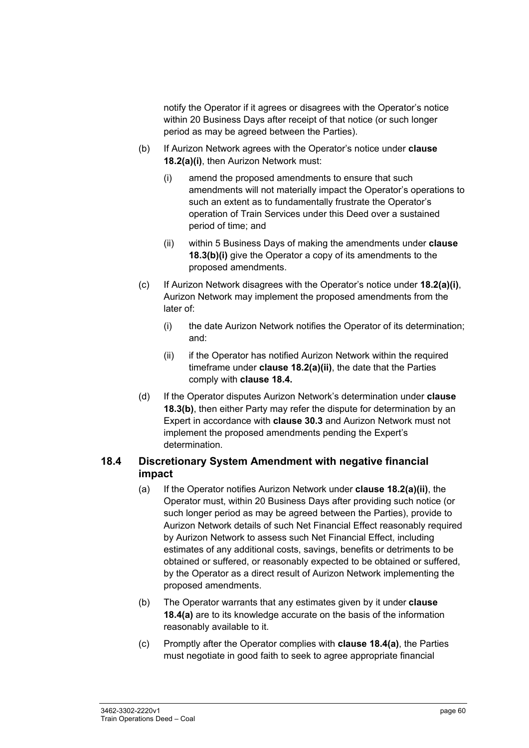notify the Operator if it agrees or disagrees with the Operator's notice within 20 Business Days after receipt of that notice (or such longer period as may be agreed between the Parties).

- (b) If Aurizon Network agrees with the Operator's notice under **clause 18.2(a)(i)**, then Aurizon Network must:
	- (i) amend the proposed amendments to ensure that such amendments will not materially impact the Operator's operations to such an extent as to fundamentally frustrate the Operator's operation of Train Services under this Deed over a sustained period of time; and
	- (ii) within 5 Business Days of making the amendments under **clause 18.3(b)(i)** give the Operator a copy of its amendments to the proposed amendments.
- (c) If Aurizon Network disagrees with the Operator's notice under **18.2(a)(i)**, Aurizon Network may implement the proposed amendments from the later of:
	- (i) the date Aurizon Network notifies the Operator of its determination; and:
	- (ii) if the Operator has notified Aurizon Network within the required timeframe under **clause 18.2(a)(ii)**, the date that the Parties comply with **clause 18.4.**
- (d) If the Operator disputes Aurizon Network's determination under **clause 18.3(b)**, then either Party may refer the dispute for determination by an Expert in accordance with **clause 30.3** and Aurizon Network must not implement the proposed amendments pending the Expert's determination.

#### **18.4 Discretionary System Amendment with negative financial impact**

- (a) If the Operator notifies Aurizon Network under **clause 18.2(a)(ii)**, the Operator must, within 20 Business Days after providing such notice (or such longer period as may be agreed between the Parties), provide to Aurizon Network details of such Net Financial Effect reasonably required by Aurizon Network to assess such Net Financial Effect, including estimates of any additional costs, savings, benefits or detriments to be obtained or suffered, or reasonably expected to be obtained or suffered, by the Operator as a direct result of Aurizon Network implementing the proposed amendments.
- (b) The Operator warrants that any estimates given by it under **clause 18.4(a)** are to its knowledge accurate on the basis of the information reasonably available to it.
- (c) Promptly after the Operator complies with **clause 18.4(a)**, the Parties must negotiate in good faith to seek to agree appropriate financial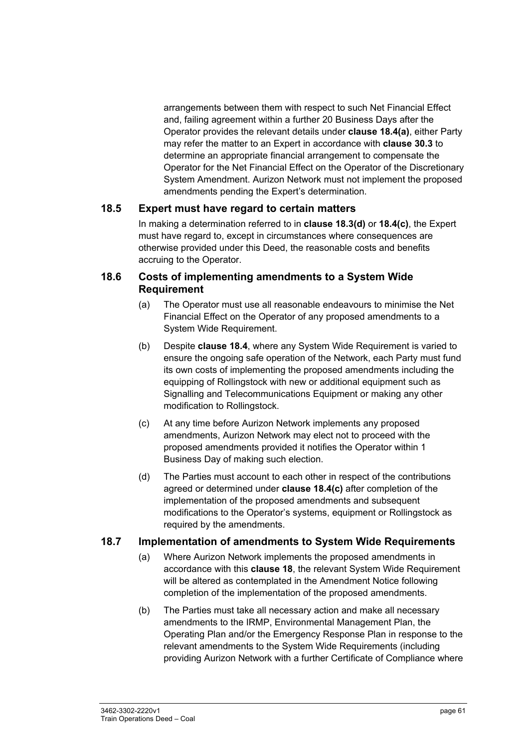arrangements between them with respect to such Net Financial Effect and, failing agreement within a further 20 Business Days after the Operator provides the relevant details under **clause 18.4(a)**, either Party may refer the matter to an Expert in accordance with **clause 30.3** to determine an appropriate financial arrangement to compensate the Operator for the Net Financial Effect on the Operator of the Discretionary System Amendment. Aurizon Network must not implement the proposed amendments pending the Expert's determination.

#### **18.5 Expert must have regard to certain matters**

In making a determination referred to in **clause 18.3(d)** or **18.4(c)**, the Expert must have regard to, except in circumstances where consequences are otherwise provided under this Deed, the reasonable costs and benefits accruing to the Operator.

#### **18.6 Costs of implementing amendments to a System Wide Requirement**

- (a) The Operator must use all reasonable endeavours to minimise the Net Financial Effect on the Operator of any proposed amendments to a System Wide Requirement.
- (b) Despite **clause 18.4**, where any System Wide Requirement is varied to ensure the ongoing safe operation of the Network, each Party must fund its own costs of implementing the proposed amendments including the equipping of Rollingstock with new or additional equipment such as Signalling and Telecommunications Equipment or making any other modification to Rollingstock.
- (c) At any time before Aurizon Network implements any proposed amendments, Aurizon Network may elect not to proceed with the proposed amendments provided it notifies the Operator within 1 Business Day of making such election.
- (d) The Parties must account to each other in respect of the contributions agreed or determined under **clause 18.4(c)** after completion of the implementation of the proposed amendments and subsequent modifications to the Operator's systems, equipment or Rollingstock as required by the amendments.

#### **18.7 Implementation of amendments to System Wide Requirements**

- (a) Where Aurizon Network implements the proposed amendments in accordance with this **clause 18**, the relevant System Wide Requirement will be altered as contemplated in the Amendment Notice following completion of the implementation of the proposed amendments.
- (b) The Parties must take all necessary action and make all necessary amendments to the IRMP, Environmental Management Plan, the Operating Plan and/or the Emergency Response Plan in response to the relevant amendments to the System Wide Requirements (including providing Aurizon Network with a further Certificate of Compliance where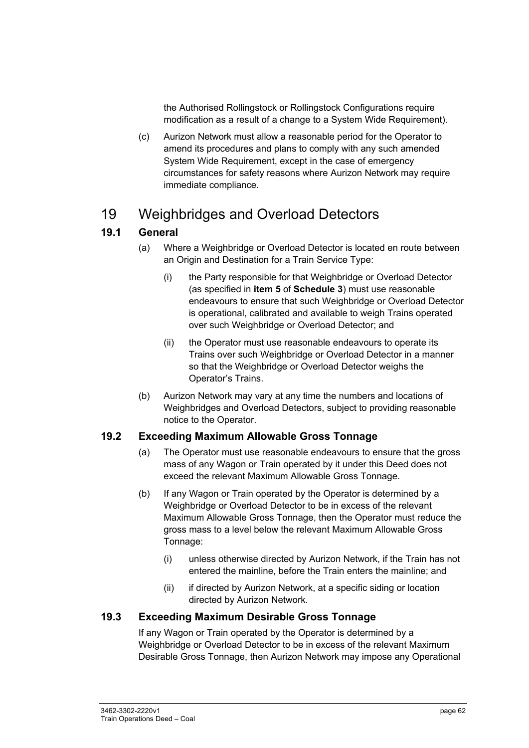the Authorised Rollingstock or Rollingstock Configurations require modification as a result of a change to a System Wide Requirement).

(c) Aurizon Network must allow a reasonable period for the Operator to amend its procedures and plans to comply with any such amended System Wide Requirement, except in the case of emergency circumstances for safety reasons where Aurizon Network may require immediate compliance.

## 19 Weighbridges and Overload Detectors

#### **19.1 General**

- (a) Where a Weighbridge or Overload Detector is located en route between an Origin and Destination for a Train Service Type:
	- (i) the Party responsible for that Weighbridge or Overload Detector (as specified in **item 5** of **Schedule 3**) must use reasonable endeavours to ensure that such Weighbridge or Overload Detector is operational, calibrated and available to weigh Trains operated over such Weighbridge or Overload Detector; and
	- (ii) the Operator must use reasonable endeavours to operate its Trains over such Weighbridge or Overload Detector in a manner so that the Weighbridge or Overload Detector weighs the Operator's Trains.
- (b) Aurizon Network may vary at any time the numbers and locations of Weighbridges and Overload Detectors, subject to providing reasonable notice to the Operator.

#### **19.2 Exceeding Maximum Allowable Gross Tonnage**

- (a) The Operator must use reasonable endeavours to ensure that the gross mass of any Wagon or Train operated by it under this Deed does not exceed the relevant Maximum Allowable Gross Tonnage.
- (b) If any Wagon or Train operated by the Operator is determined by a Weighbridge or Overload Detector to be in excess of the relevant Maximum Allowable Gross Tonnage, then the Operator must reduce the gross mass to a level below the relevant Maximum Allowable Gross Tonnage:
	- (i) unless otherwise directed by Aurizon Network, if the Train has not entered the mainline, before the Train enters the mainline; and
	- (ii) if directed by Aurizon Network, at a specific siding or location directed by Aurizon Network.

#### **19.3 Exceeding Maximum Desirable Gross Tonnage**

If any Wagon or Train operated by the Operator is determined by a Weighbridge or Overload Detector to be in excess of the relevant Maximum Desirable Gross Tonnage, then Aurizon Network may impose any Operational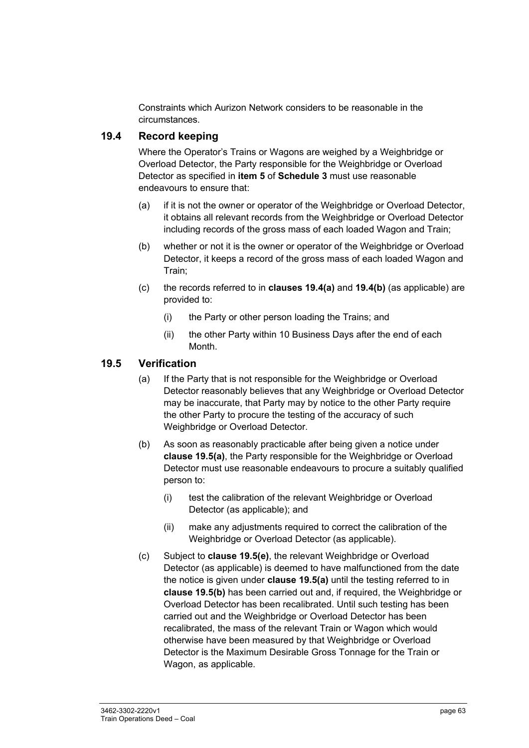Constraints which Aurizon Network considers to be reasonable in the circumstances.

#### **19.4 Record keeping**

Where the Operator's Trains or Wagons are weighed by a Weighbridge or Overload Detector, the Party responsible for the Weighbridge or Overload Detector as specified in **item 5** of **Schedule 3** must use reasonable endeavours to ensure that:

- (a) if it is not the owner or operator of the Weighbridge or Overload Detector, it obtains all relevant records from the Weighbridge or Overload Detector including records of the gross mass of each loaded Wagon and Train;
- (b) whether or not it is the owner or operator of the Weighbridge or Overload Detector, it keeps a record of the gross mass of each loaded Wagon and Train;
- (c) the records referred to in **clauses 19.4(a)** and **19.4(b)** (as applicable) are provided to:
	- (i) the Party or other person loading the Trains; and
	- (ii) the other Party within 10 Business Days after the end of each Month.

#### **19.5 Verification**

- (a) If the Party that is not responsible for the Weighbridge or Overload Detector reasonably believes that any Weighbridge or Overload Detector may be inaccurate, that Party may by notice to the other Party require the other Party to procure the testing of the accuracy of such Weighbridge or Overload Detector.
- (b) As soon as reasonably practicable after being given a notice under **clause 19.5(a)**, the Party responsible for the Weighbridge or Overload Detector must use reasonable endeavours to procure a suitably qualified person to:
	- (i) test the calibration of the relevant Weighbridge or Overload Detector (as applicable); and
	- (ii) make any adjustments required to correct the calibration of the Weighbridge or Overload Detector (as applicable).
- (c) Subject to **clause 19.5(e)**, the relevant Weighbridge or Overload Detector (as applicable) is deemed to have malfunctioned from the date the notice is given under **clause 19.5(a)** until the testing referred to in **clause 19.5(b)** has been carried out and, if required, the Weighbridge or Overload Detector has been recalibrated. Until such testing has been carried out and the Weighbridge or Overload Detector has been recalibrated, the mass of the relevant Train or Wagon which would otherwise have been measured by that Weighbridge or Overload Detector is the Maximum Desirable Gross Tonnage for the Train or Wagon, as applicable.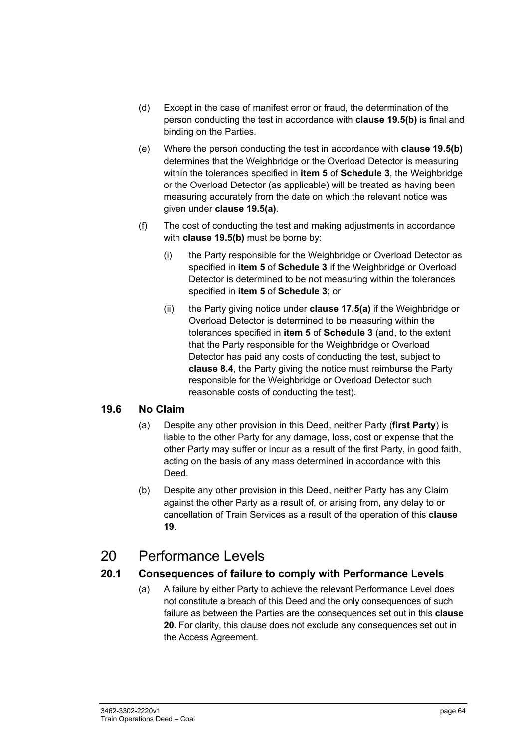- (d) Except in the case of manifest error or fraud, the determination of the person conducting the test in accordance with **clause 19.5(b)** is final and binding on the Parties.
- (e) Where the person conducting the test in accordance with **clause 19.5(b)**  determines that the Weighbridge or the Overload Detector is measuring within the tolerances specified in **item 5** of **Schedule 3**, the Weighbridge or the Overload Detector (as applicable) will be treated as having been measuring accurately from the date on which the relevant notice was given under **clause 19.5(a)**.
- (f) The cost of conducting the test and making adjustments in accordance with **clause 19.5(b)** must be borne by:
	- (i) the Party responsible for the Weighbridge or Overload Detector as specified in **item 5** of **Schedule 3** if the Weighbridge or Overload Detector is determined to be not measuring within the tolerances specified in **item 5** of **Schedule 3**; or
	- (ii) the Party giving notice under **clause 17.5(a)** if the Weighbridge or Overload Detector is determined to be measuring within the tolerances specified in **item 5** of **Schedule 3** (and, to the extent that the Party responsible for the Weighbridge or Overload Detector has paid any costs of conducting the test, subject to **clause 8.4**, the Party giving the notice must reimburse the Party responsible for the Weighbridge or Overload Detector such reasonable costs of conducting the test).

#### **19.6 No Claim**

- (a) Despite any other provision in this Deed, neither Party (**first Party**) is liable to the other Party for any damage, loss, cost or expense that the other Party may suffer or incur as a result of the first Party, in good faith, acting on the basis of any mass determined in accordance with this Deed.
- (b) Despite any other provision in this Deed, neither Party has any Claim against the other Party as a result of, or arising from, any delay to or cancellation of Train Services as a result of the operation of this **clause 19**.

### 20 Performance Levels

#### **20.1 Consequences of failure to comply with Performance Levels**

(a) A failure by either Party to achieve the relevant Performance Level does not constitute a breach of this Deed and the only consequences of such failure as between the Parties are the consequences set out in this **clause 20**. For clarity, this clause does not exclude any consequences set out in the Access Agreement.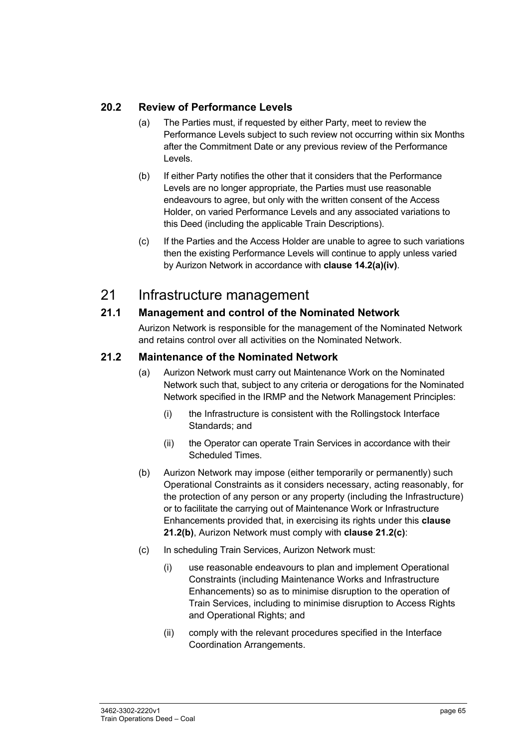#### **20.2 Review of Performance Levels**

- (a) The Parties must, if requested by either Party, meet to review the Performance Levels subject to such review not occurring within six Months after the Commitment Date or any previous review of the Performance Levels.
- (b) If either Party notifies the other that it considers that the Performance Levels are no longer appropriate, the Parties must use reasonable endeavours to agree, but only with the written consent of the Access Holder, on varied Performance Levels and any associated variations to this Deed (including the applicable Train Descriptions).
- (c) If the Parties and the Access Holder are unable to agree to such variations then the existing Performance Levels will continue to apply unless varied by Aurizon Network in accordance with **clause 14.2(a)(iv)**.

### 21 Infrastructure management

#### **21.1 Management and control of the Nominated Network**

Aurizon Network is responsible for the management of the Nominated Network and retains control over all activities on the Nominated Network.

#### **21.2 Maintenance of the Nominated Network**

- (a) Aurizon Network must carry out Maintenance Work on the Nominated Network such that, subject to any criteria or derogations for the Nominated Network specified in the IRMP and the Network Management Principles:
	- (i) the Infrastructure is consistent with the Rollingstock Interface Standards; and
	- (ii) the Operator can operate Train Services in accordance with their Scheduled Times.
- (b) Aurizon Network may impose (either temporarily or permanently) such Operational Constraints as it considers necessary, acting reasonably, for the protection of any person or any property (including the Infrastructure) or to facilitate the carrying out of Maintenance Work or Infrastructure Enhancements provided that, in exercising its rights under this **clause 21.2(b)**, Aurizon Network must comply with **clause 21.2(c)**:
- (c) In scheduling Train Services, Aurizon Network must:
	- (i) use reasonable endeavours to plan and implement Operational Constraints (including Maintenance Works and Infrastructure Enhancements) so as to minimise disruption to the operation of Train Services, including to minimise disruption to Access Rights and Operational Rights; and
	- (ii) comply with the relevant procedures specified in the Interface Coordination Arrangements.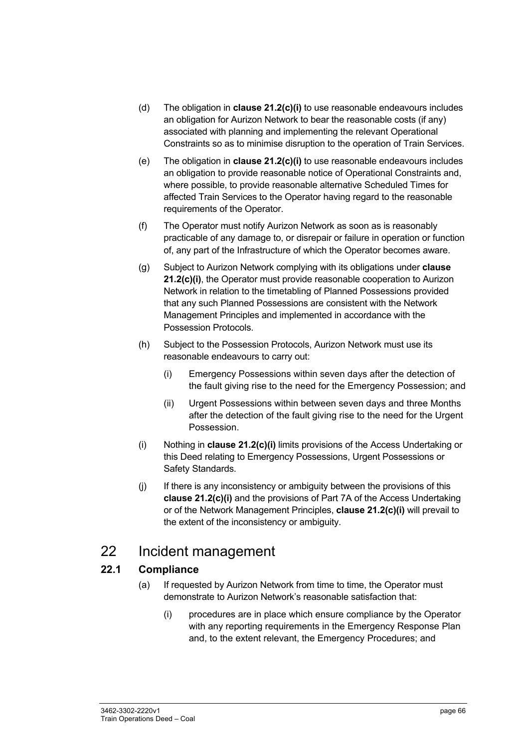- (d) The obligation in **clause 21.2(c)(i)** to use reasonable endeavours includes an obligation for Aurizon Network to bear the reasonable costs (if any) associated with planning and implementing the relevant Operational Constraints so as to minimise disruption to the operation of Train Services.
- (e) The obligation in **clause 21.2(c)(i)** to use reasonable endeavours includes an obligation to provide reasonable notice of Operational Constraints and, where possible, to provide reasonable alternative Scheduled Times for affected Train Services to the Operator having regard to the reasonable requirements of the Operator.
- (f) The Operator must notify Aurizon Network as soon as is reasonably practicable of any damage to, or disrepair or failure in operation or function of, any part of the Infrastructure of which the Operator becomes aware.
- (g) Subject to Aurizon Network complying with its obligations under **clause 21.2(c)(i)**, the Operator must provide reasonable cooperation to Aurizon Network in relation to the timetabling of Planned Possessions provided that any such Planned Possessions are consistent with the Network Management Principles and implemented in accordance with the Possession Protocols.
- (h) Subject to the Possession Protocols, Aurizon Network must use its reasonable endeavours to carry out:
	- (i) Emergency Possessions within seven days after the detection of the fault giving rise to the need for the Emergency Possession; and
	- (ii) Urgent Possessions within between seven days and three Months after the detection of the fault giving rise to the need for the Urgent Possession.
- (i) Nothing in **clause 21.2(c)(i)** limits provisions of the Access Undertaking or this Deed relating to Emergency Possessions, Urgent Possessions or Safety Standards.
- (j) If there is any inconsistency or ambiguity between the provisions of this **clause 21.2(c)(i)** and the provisions of Part 7A of the Access Undertaking or of the Network Management Principles, **clause 21.2(c)(i)** will prevail to the extent of the inconsistency or ambiguity.

### 22 Incident management

#### **22.1 Compliance**

- (a) If requested by Aurizon Network from time to time, the Operator must demonstrate to Aurizon Network's reasonable satisfaction that:
	- (i) procedures are in place which ensure compliance by the Operator with any reporting requirements in the Emergency Response Plan and, to the extent relevant, the Emergency Procedures; and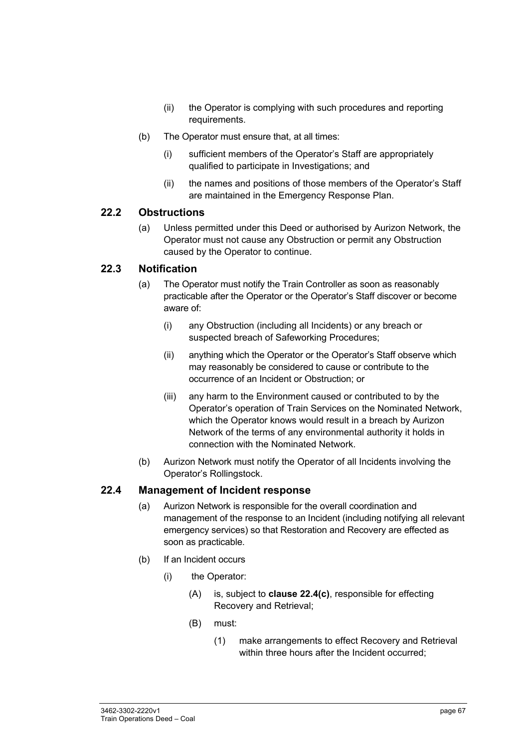- (ii) the Operator is complying with such procedures and reporting requirements.
- (b) The Operator must ensure that, at all times:
	- (i) sufficient members of the Operator's Staff are appropriately qualified to participate in Investigations; and
	- (ii) the names and positions of those members of the Operator's Staff are maintained in the Emergency Response Plan.

#### **22.2 Obstructions**

(a) Unless permitted under this Deed or authorised by Aurizon Network, the Operator must not cause any Obstruction or permit any Obstruction caused by the Operator to continue.

#### **22.3 Notification**

- (a) The Operator must notify the Train Controller as soon as reasonably practicable after the Operator or the Operator's Staff discover or become aware of:
	- (i) any Obstruction (including all Incidents) or any breach or suspected breach of Safeworking Procedures;
	- (ii) anything which the Operator or the Operator's Staff observe which may reasonably be considered to cause or contribute to the occurrence of an Incident or Obstruction; or
	- (iii) any harm to the Environment caused or contributed to by the Operator's operation of Train Services on the Nominated Network, which the Operator knows would result in a breach by Aurizon Network of the terms of any environmental authority it holds in connection with the Nominated Network.
- (b) Aurizon Network must notify the Operator of all Incidents involving the Operator's Rollingstock.

#### **22.4 Management of Incident response**

- (a) Aurizon Network is responsible for the overall coordination and management of the response to an Incident (including notifying all relevant emergency services) so that Restoration and Recovery are effected as soon as practicable.
- (b) If an Incident occurs
	- (i) the Operator:
		- (A) is, subject to **clause 22.4(c)**, responsible for effecting Recovery and Retrieval;
		- (B) must:
			- (1) make arrangements to effect Recovery and Retrieval within three hours after the Incident occurred;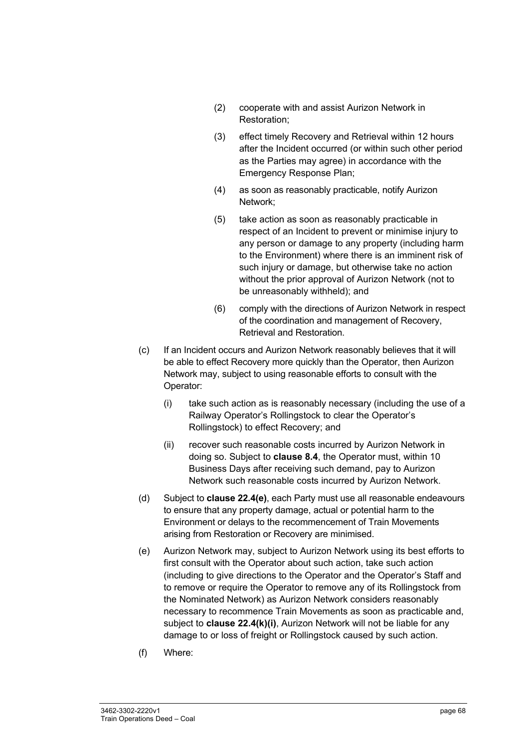- (2) cooperate with and assist Aurizon Network in Restoration;
- (3) effect timely Recovery and Retrieval within 12 hours after the Incident occurred (or within such other period as the Parties may agree) in accordance with the Emergency Response Plan;
- (4) as soon as reasonably practicable, notify Aurizon Network;
- (5) take action as soon as reasonably practicable in respect of an Incident to prevent or minimise injury to any person or damage to any property (including harm to the Environment) where there is an imminent risk of such injury or damage, but otherwise take no action without the prior approval of Aurizon Network (not to be unreasonably withheld); and
- (6) comply with the directions of Aurizon Network in respect of the coordination and management of Recovery, Retrieval and Restoration.
- (c) If an Incident occurs and Aurizon Network reasonably believes that it will be able to effect Recovery more quickly than the Operator, then Aurizon Network may, subject to using reasonable efforts to consult with the Operator:
	- (i) take such action as is reasonably necessary (including the use of a Railway Operator's Rollingstock to clear the Operator's Rollingstock) to effect Recovery; and
	- (ii) recover such reasonable costs incurred by Aurizon Network in doing so. Subject to **clause 8.4**, the Operator must, within 10 Business Days after receiving such demand, pay to Aurizon Network such reasonable costs incurred by Aurizon Network.
- (d) Subject to **clause 22.4(e)**, each Party must use all reasonable endeavours to ensure that any property damage, actual or potential harm to the Environment or delays to the recommencement of Train Movements arising from Restoration or Recovery are minimised.
- (e) Aurizon Network may, subject to Aurizon Network using its best efforts to first consult with the Operator about such action, take such action (including to give directions to the Operator and the Operator's Staff and to remove or require the Operator to remove any of its Rollingstock from the Nominated Network) as Aurizon Network considers reasonably necessary to recommence Train Movements as soon as practicable and, subject to **clause 22.4(k)(i)**, Aurizon Network will not be liable for any damage to or loss of freight or Rollingstock caused by such action.
- (f) Where: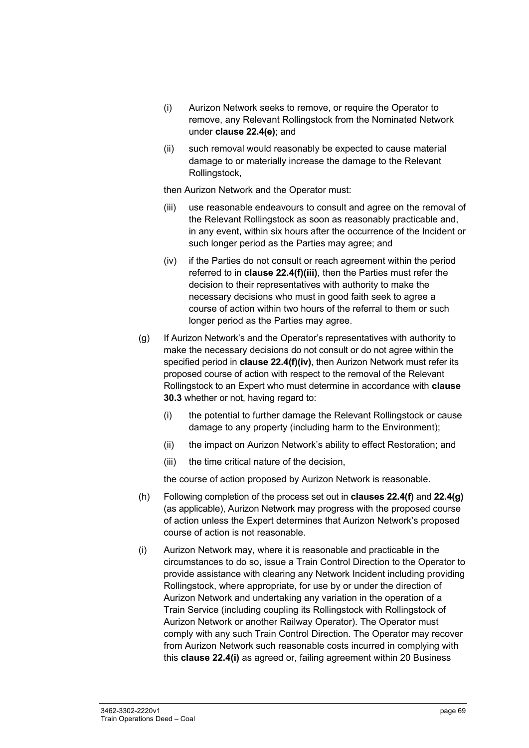- (i) Aurizon Network seeks to remove, or require the Operator to remove, any Relevant Rollingstock from the Nominated Network under **clause 22.4(e)**; and
- (ii) such removal would reasonably be expected to cause material damage to or materially increase the damage to the Relevant Rollingstock,

then Aurizon Network and the Operator must:

- (iii) use reasonable endeavours to consult and agree on the removal of the Relevant Rollingstock as soon as reasonably practicable and, in any event, within six hours after the occurrence of the Incident or such longer period as the Parties may agree; and
- (iv) if the Parties do not consult or reach agreement within the period referred to in **clause 22.4(f)(iii)**, then the Parties must refer the decision to their representatives with authority to make the necessary decisions who must in good faith seek to agree a course of action within two hours of the referral to them or such longer period as the Parties may agree.
- (g) If Aurizon Network's and the Operator's representatives with authority to make the necessary decisions do not consult or do not agree within the specified period in **clause 22.4(f)(iv)**, then Aurizon Network must refer its proposed course of action with respect to the removal of the Relevant Rollingstock to an Expert who must determine in accordance with **clause 30.3** whether or not, having regard to:
	- (i) the potential to further damage the Relevant Rollingstock or cause damage to any property (including harm to the Environment);
	- (ii) the impact on Aurizon Network's ability to effect Restoration; and
	- (iii) the time critical nature of the decision,

the course of action proposed by Aurizon Network is reasonable.

- (h) Following completion of the process set out in **clauses 22.4(f)** and **22.4(g)**  (as applicable), Aurizon Network may progress with the proposed course of action unless the Expert determines that Aurizon Network's proposed course of action is not reasonable.
- (i) Aurizon Network may, where it is reasonable and practicable in the circumstances to do so, issue a Train Control Direction to the Operator to provide assistance with clearing any Network Incident including providing Rollingstock, where appropriate, for use by or under the direction of Aurizon Network and undertaking any variation in the operation of a Train Service (including coupling its Rollingstock with Rollingstock of Aurizon Network or another Railway Operator). The Operator must comply with any such Train Control Direction. The Operator may recover from Aurizon Network such reasonable costs incurred in complying with this **clause 22.4(i)** as agreed or, failing agreement within 20 Business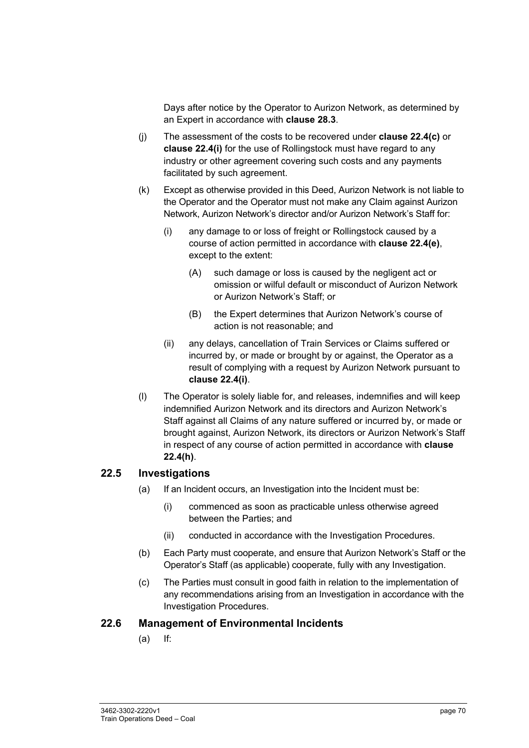Days after notice by the Operator to Aurizon Network, as determined by an Expert in accordance with **clause 28.3**.

- (j) The assessment of the costs to be recovered under **clause 22.4(c)** or **clause 22.4(i)** for the use of Rollingstock must have regard to any industry or other agreement covering such costs and any payments facilitated by such agreement.
- (k) Except as otherwise provided in this Deed, Aurizon Network is not liable to the Operator and the Operator must not make any Claim against Aurizon Network, Aurizon Network's director and/or Aurizon Network's Staff for:
	- (i) any damage to or loss of freight or Rollingstock caused by a course of action permitted in accordance with **clause 22.4(e)**, except to the extent:
		- (A) such damage or loss is caused by the negligent act or omission or wilful default or misconduct of Aurizon Network or Aurizon Network's Staff; or
		- (B) the Expert determines that Aurizon Network's course of action is not reasonable; and
	- (ii) any delays, cancellation of Train Services or Claims suffered or incurred by, or made or brought by or against, the Operator as a result of complying with a request by Aurizon Network pursuant to **clause 22.4(i)**.
- (l) The Operator is solely liable for, and releases, indemnifies and will keep indemnified Aurizon Network and its directors and Aurizon Network's Staff against all Claims of any nature suffered or incurred by, or made or brought against, Aurizon Network, its directors or Aurizon Network's Staff in respect of any course of action permitted in accordance with **clause 22.4(h)**.

#### **22.5 Investigations**

- (a) If an Incident occurs, an Investigation into the Incident must be:
	- (i) commenced as soon as practicable unless otherwise agreed between the Parties; and
	- (ii) conducted in accordance with the Investigation Procedures.
- (b) Each Party must cooperate, and ensure that Aurizon Network's Staff or the Operator's Staff (as applicable) cooperate, fully with any Investigation.
- (c) The Parties must consult in good faith in relation to the implementation of any recommendations arising from an Investigation in accordance with the Investigation Procedures.

#### **22.6 Management of Environmental Incidents**

(a) If: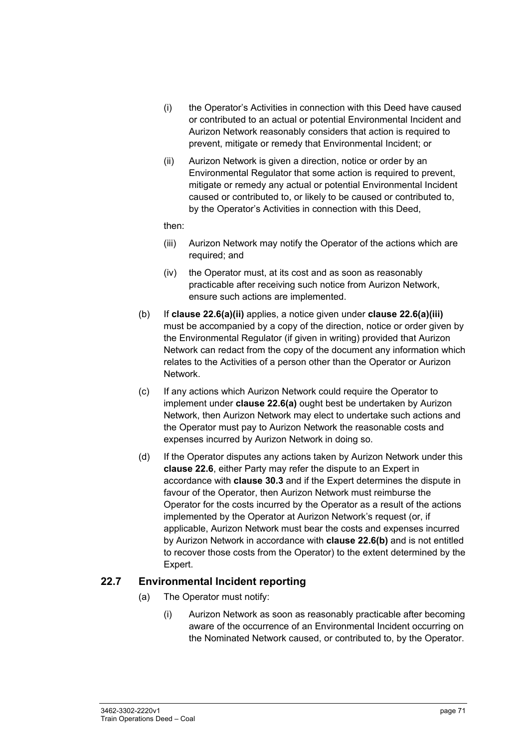- (i) the Operator's Activities in connection with this Deed have caused or contributed to an actual or potential Environmental Incident and Aurizon Network reasonably considers that action is required to prevent, mitigate or remedy that Environmental Incident; or
- (ii) Aurizon Network is given a direction, notice or order by an Environmental Regulator that some action is required to prevent, mitigate or remedy any actual or potential Environmental Incident caused or contributed to, or likely to be caused or contributed to, by the Operator's Activities in connection with this Deed,

then:

- (iii) Aurizon Network may notify the Operator of the actions which are required; and
- (iv) the Operator must, at its cost and as soon as reasonably practicable after receiving such notice from Aurizon Network, ensure such actions are implemented.
- (b) If **clause 22.6(a)(ii)** applies, a notice given under **clause 22.6(a)(iii)** must be accompanied by a copy of the direction, notice or order given by the Environmental Regulator (if given in writing) provided that Aurizon Network can redact from the copy of the document any information which relates to the Activities of a person other than the Operator or Aurizon Network.
- (c) If any actions which Aurizon Network could require the Operator to implement under **clause 22.6(a)** ought best be undertaken by Aurizon Network, then Aurizon Network may elect to undertake such actions and the Operator must pay to Aurizon Network the reasonable costs and expenses incurred by Aurizon Network in doing so.
- (d) If the Operator disputes any actions taken by Aurizon Network under this **clause 22.6**, either Party may refer the dispute to an Expert in accordance with **clause 30.3** and if the Expert determines the dispute in favour of the Operator, then Aurizon Network must reimburse the Operator for the costs incurred by the Operator as a result of the actions implemented by the Operator at Aurizon Network's request (or, if applicable, Aurizon Network must bear the costs and expenses incurred by Aurizon Network in accordance with **clause 22.6(b)** and is not entitled to recover those costs from the Operator) to the extent determined by the Expert.

#### **22.7 Environmental Incident reporting**

- (a) The Operator must notify:
	- (i) Aurizon Network as soon as reasonably practicable after becoming aware of the occurrence of an Environmental Incident occurring on the Nominated Network caused, or contributed to, by the Operator.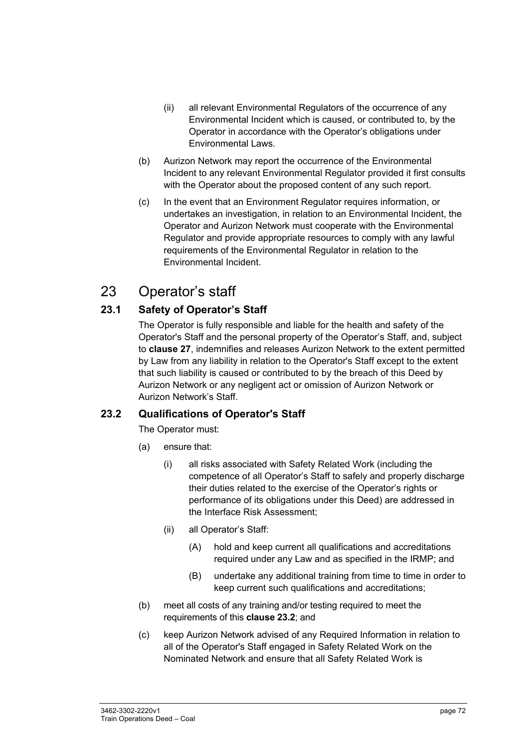- (ii) all relevant Environmental Regulators of the occurrence of any Environmental Incident which is caused, or contributed to, by the Operator in accordance with the Operator's obligations under Environmental Laws.
- (b) Aurizon Network may report the occurrence of the Environmental Incident to any relevant Environmental Regulator provided it first consults with the Operator about the proposed content of any such report.
- (c) In the event that an Environment Regulator requires information, or undertakes an investigation, in relation to an Environmental Incident, the Operator and Aurizon Network must cooperate with the Environmental Regulator and provide appropriate resources to comply with any lawful requirements of the Environmental Regulator in relation to the Environmental Incident.

# 23 Operator's staff

# **23.1 Safety of Operator's Staff**

The Operator is fully responsible and liable for the health and safety of the Operator's Staff and the personal property of the Operator's Staff, and, subject to **clause 27**, indemnifies and releases Aurizon Network to the extent permitted by Law from any liability in relation to the Operator's Staff except to the extent that such liability is caused or contributed to by the breach of this Deed by Aurizon Network or any negligent act or omission of Aurizon Network or Aurizon Network's Staff.

# **23.2 Qualifications of Operator's Staff**

The Operator must:

- (a) ensure that:
	- (i) all risks associated with Safety Related Work (including the competence of all Operator's Staff to safely and properly discharge their duties related to the exercise of the Operator's rights or performance of its obligations under this Deed) are addressed in the Interface Risk Assessment;
	- (ii) all Operator's Staff:
		- (A) hold and keep current all qualifications and accreditations required under any Law and as specified in the IRMP; and
		- (B) undertake any additional training from time to time in order to keep current such qualifications and accreditations;
- (b) meet all costs of any training and/or testing required to meet the requirements of this **clause 23.2**; and
- (c) keep Aurizon Network advised of any Required Information in relation to all of the Operator's Staff engaged in Safety Related Work on the Nominated Network and ensure that all Safety Related Work is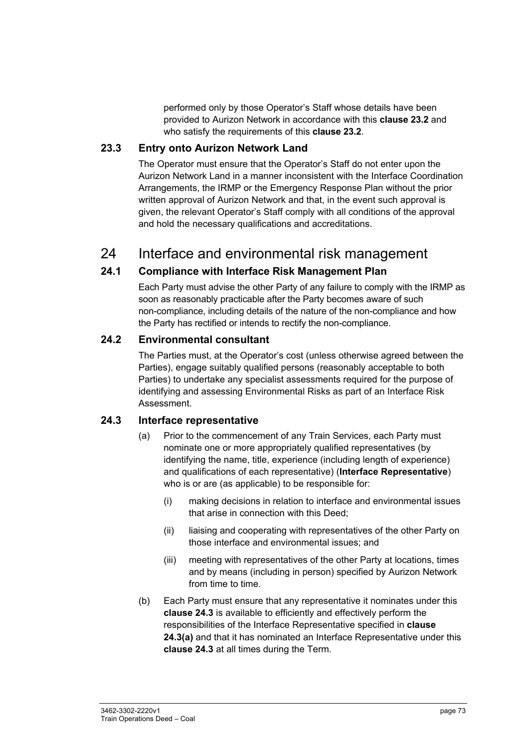performed only by those Operator's Staff whose details have been provided to Aurizon Network in accordance with this **clause 23.2** and who satisfy the requirements of this **clause 23.2**.

### **23.3 Entry onto Aurizon Network Land**

The Operator must ensure that the Operator's Staff do not enter upon the Aurizon Network Land in a manner inconsistent with the Interface Coordination Arrangements, the IRMP or the Emergency Response Plan without the prior written approval of Aurizon Network and that, in the event such approval is given, the relevant Operator's Staff comply with all conditions of the approval and hold the necessary qualifications and accreditations.

# 24 Interface and environmental risk management

# **24.1 Compliance with Interface Risk Management Plan**

Each Party must advise the other Party of any failure to comply with the IRMP as soon as reasonably practicable after the Party becomes aware of such non-compliance, including details of the nature of the non-compliance and how the Party has rectified or intends to rectify the non-compliance.

# **24.2 Environmental consultant**

The Parties must, at the Operator's cost (unless otherwise agreed between the Parties), engage suitably qualified persons (reasonably acceptable to both Parties) to undertake any specialist assessments required for the purpose of identifying and assessing Environmental Risks as part of an Interface Risk Assessment.

# **24.3 Interface representative**

- (a) Prior to the commencement of any Train Services, each Party must nominate one or more appropriately qualified representatives (by identifying the name, title, experience (including length of experience) and qualifications of each representative) (**Interface Representative**) who is or are (as applicable) to be responsible for:
	- (i) making decisions in relation to interface and environmental issues that arise in connection with this Deed;
	- (ii) liaising and cooperating with representatives of the other Party on those interface and environmental issues; and
	- (iii) meeting with representatives of the other Party at locations, times and by means (including in person) specified by Aurizon Network from time to time.
- (b) Each Party must ensure that any representative it nominates under this **clause 24.3** is available to efficiently and effectively perform the responsibilities of the Interface Representative specified in **clause 24.3(a)** and that it has nominated an Interface Representative under this **clause 24.3** at all times during the Term.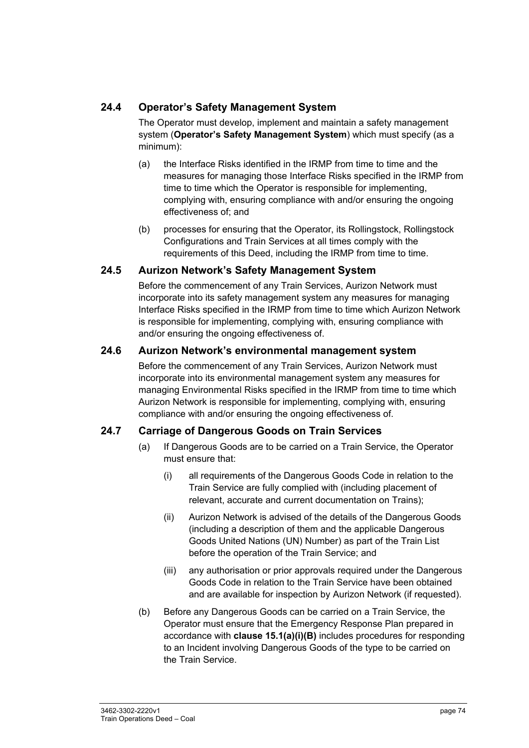# **24.4 Operator's Safety Management System**

The Operator must develop, implement and maintain a safety management system (**Operator's Safety Management System**) which must specify (as a minimum):

- (a) the Interface Risks identified in the IRMP from time to time and the measures for managing those Interface Risks specified in the IRMP from time to time which the Operator is responsible for implementing, complying with, ensuring compliance with and/or ensuring the ongoing effectiveness of; and
- (b) processes for ensuring that the Operator, its Rollingstock, Rollingstock Configurations and Train Services at all times comply with the requirements of this Deed, including the IRMP from time to time.

### **24.5 Aurizon Network's Safety Management System**

Before the commencement of any Train Services, Aurizon Network must incorporate into its safety management system any measures for managing Interface Risks specified in the IRMP from time to time which Aurizon Network is responsible for implementing, complying with, ensuring compliance with and/or ensuring the ongoing effectiveness of.

### **24.6 Aurizon Network's environmental management system**

Before the commencement of any Train Services, Aurizon Network must incorporate into its environmental management system any measures for managing Environmental Risks specified in the IRMP from time to time which Aurizon Network is responsible for implementing, complying with, ensuring compliance with and/or ensuring the ongoing effectiveness of.

# **24.7 Carriage of Dangerous Goods on Train Services**

- (a) If Dangerous Goods are to be carried on a Train Service, the Operator must ensure that:
	- (i) all requirements of the Dangerous Goods Code in relation to the Train Service are fully complied with (including placement of relevant, accurate and current documentation on Trains);
	- (ii) Aurizon Network is advised of the details of the Dangerous Goods (including a description of them and the applicable Dangerous Goods United Nations (UN) Number) as part of the Train List before the operation of the Train Service; and
	- (iii) any authorisation or prior approvals required under the Dangerous Goods Code in relation to the Train Service have been obtained and are available for inspection by Aurizon Network (if requested).
- (b) Before any Dangerous Goods can be carried on a Train Service, the Operator must ensure that the Emergency Response Plan prepared in accordance with **clause 15.1(a)(i)(B)** includes procedures for responding to an Incident involving Dangerous Goods of the type to be carried on the Train Service.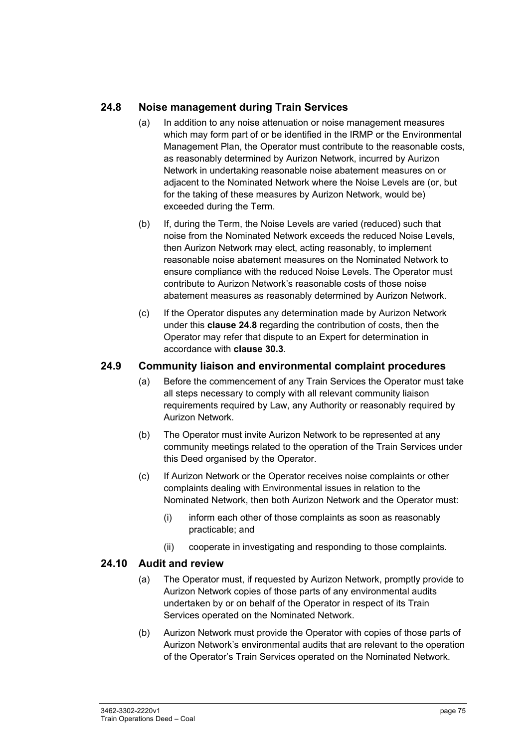# **24.8 Noise management during Train Services**

- (a) In addition to any noise attenuation or noise management measures which may form part of or be identified in the IRMP or the Environmental Management Plan, the Operator must contribute to the reasonable costs, as reasonably determined by Aurizon Network, incurred by Aurizon Network in undertaking reasonable noise abatement measures on or adjacent to the Nominated Network where the Noise Levels are (or, but for the taking of these measures by Aurizon Network, would be) exceeded during the Term.
- (b) If, during the Term, the Noise Levels are varied (reduced) such that noise from the Nominated Network exceeds the reduced Noise Levels, then Aurizon Network may elect, acting reasonably, to implement reasonable noise abatement measures on the Nominated Network to ensure compliance with the reduced Noise Levels. The Operator must contribute to Aurizon Network's reasonable costs of those noise abatement measures as reasonably determined by Aurizon Network.
- (c) If the Operator disputes any determination made by Aurizon Network under this **clause 24.8** regarding the contribution of costs, then the Operator may refer that dispute to an Expert for determination in accordance with **clause 30.3**.

### **24.9 Community liaison and environmental complaint procedures**

- (a) Before the commencement of any Train Services the Operator must take all steps necessary to comply with all relevant community liaison requirements required by Law, any Authority or reasonably required by Aurizon Network.
- (b) The Operator must invite Aurizon Network to be represented at any community meetings related to the operation of the Train Services under this Deed organised by the Operator.
- (c) If Aurizon Network or the Operator receives noise complaints or other complaints dealing with Environmental issues in relation to the Nominated Network, then both Aurizon Network and the Operator must:
	- (i) inform each other of those complaints as soon as reasonably practicable; and
	- (ii) cooperate in investigating and responding to those complaints.

#### **24.10 Audit and review**

- (a) The Operator must, if requested by Aurizon Network, promptly provide to Aurizon Network copies of those parts of any environmental audits undertaken by or on behalf of the Operator in respect of its Train Services operated on the Nominated Network.
- (b) Aurizon Network must provide the Operator with copies of those parts of Aurizon Network's environmental audits that are relevant to the operation of the Operator's Train Services operated on the Nominated Network.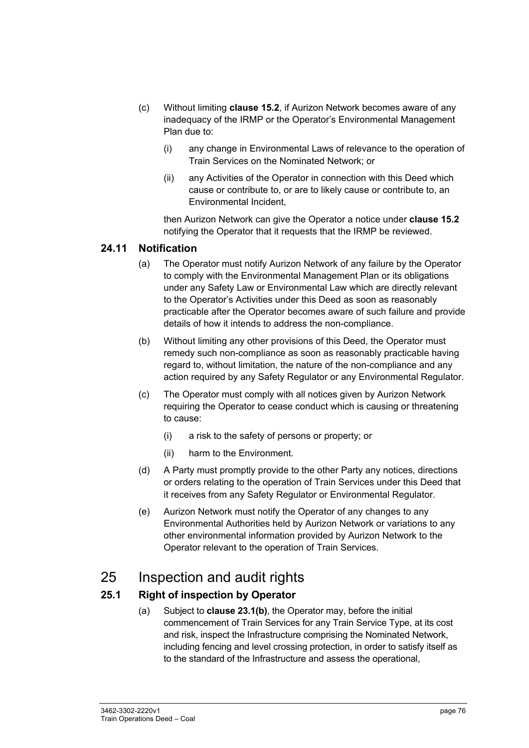- (c) Without limiting **clause 15.2**, if Aurizon Network becomes aware of any inadequacy of the IRMP or the Operator's Environmental Management Plan due to:
	- (i) any change in Environmental Laws of relevance to the operation of Train Services on the Nominated Network; or
	- (ii) any Activities of the Operator in connection with this Deed which cause or contribute to, or are to likely cause or contribute to, an Environmental Incident,

then Aurizon Network can give the Operator a notice under **clause 15.2**  notifying the Operator that it requests that the IRMP be reviewed.

### **24.11 Notification**

- (a) The Operator must notify Aurizon Network of any failure by the Operator to comply with the Environmental Management Plan or its obligations under any Safety Law or Environmental Law which are directly relevant to the Operator's Activities under this Deed as soon as reasonably practicable after the Operator becomes aware of such failure and provide details of how it intends to address the non-compliance.
- (b) Without limiting any other provisions of this Deed, the Operator must remedy such non-compliance as soon as reasonably practicable having regard to, without limitation, the nature of the non-compliance and any action required by any Safety Regulator or any Environmental Regulator.
- (c) The Operator must comply with all notices given by Aurizon Network requiring the Operator to cease conduct which is causing or threatening to cause:
	- (i) a risk to the safety of persons or property; or
	- (ii) harm to the Environment.
- (d) A Party must promptly provide to the other Party any notices, directions or orders relating to the operation of Train Services under this Deed that it receives from any Safety Regulator or Environmental Regulator.
- (e) Aurizon Network must notify the Operator of any changes to any Environmental Authorities held by Aurizon Network or variations to any other environmental information provided by Aurizon Network to the Operator relevant to the operation of Train Services.

# 25 Inspection and audit rights

# **25.1 Right of inspection by Operator**

(a) Subject to **clause 23.1(b)**, the Operator may, before the initial commencement of Train Services for any Train Service Type, at its cost and risk, inspect the Infrastructure comprising the Nominated Network, including fencing and level crossing protection, in order to satisfy itself as to the standard of the Infrastructure and assess the operational,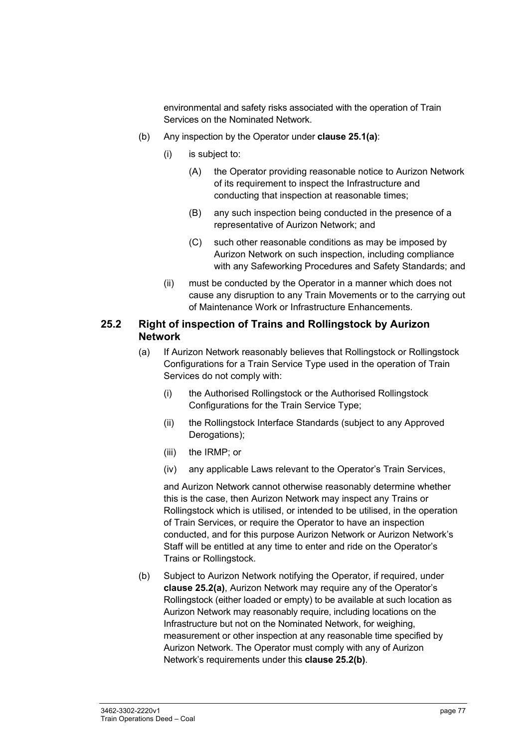environmental and safety risks associated with the operation of Train Services on the Nominated Network.

- (b) Any inspection by the Operator under **clause 25.1(a)**:
	- (i) is subject to:
		- (A) the Operator providing reasonable notice to Aurizon Network of its requirement to inspect the Infrastructure and conducting that inspection at reasonable times;
		- (B) any such inspection being conducted in the presence of a representative of Aurizon Network; and
		- (C) such other reasonable conditions as may be imposed by Aurizon Network on such inspection, including compliance with any Safeworking Procedures and Safety Standards; and
	- (ii) must be conducted by the Operator in a manner which does not cause any disruption to any Train Movements or to the carrying out of Maintenance Work or Infrastructure Enhancements.

#### **25.2 Right of inspection of Trains and Rollingstock by Aurizon Network**

- (a) If Aurizon Network reasonably believes that Rollingstock or Rollingstock Configurations for a Train Service Type used in the operation of Train Services do not comply with:
	- (i) the Authorised Rollingstock or the Authorised Rollingstock Configurations for the Train Service Type;
	- (ii) the Rollingstock Interface Standards (subject to any Approved Derogations);
	- (iii) the IRMP; or
	- (iv) any applicable Laws relevant to the Operator's Train Services,

and Aurizon Network cannot otherwise reasonably determine whether this is the case, then Aurizon Network may inspect any Trains or Rollingstock which is utilised, or intended to be utilised, in the operation of Train Services, or require the Operator to have an inspection conducted, and for this purpose Aurizon Network or Aurizon Network's Staff will be entitled at any time to enter and ride on the Operator's Trains or Rollingstock.

(b) Subject to Aurizon Network notifying the Operator, if required, under **clause 25.2(a)**, Aurizon Network may require any of the Operator's Rollingstock (either loaded or empty) to be available at such location as Aurizon Network may reasonably require, including locations on the Infrastructure but not on the Nominated Network, for weighing, measurement or other inspection at any reasonable time specified by Aurizon Network. The Operator must comply with any of Aurizon Network's requirements under this **clause 25.2(b)**.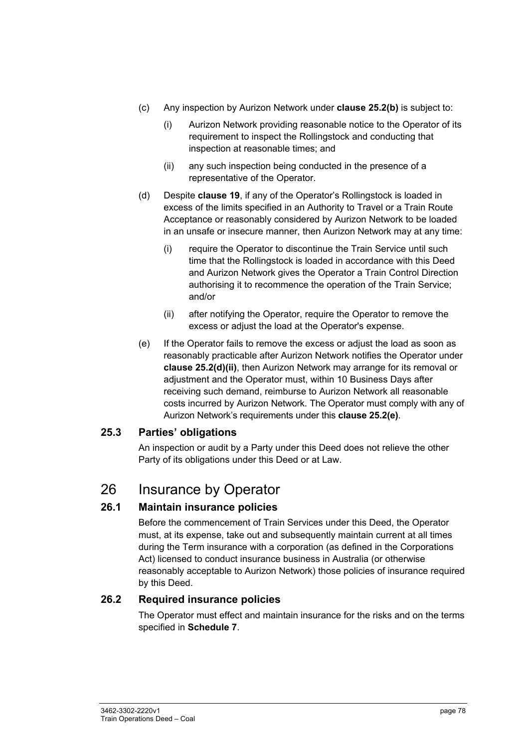- (c) Any inspection by Aurizon Network under **clause 25.2(b)** is subject to:
	- (i) Aurizon Network providing reasonable notice to the Operator of its requirement to inspect the Rollingstock and conducting that inspection at reasonable times; and
	- (ii) any such inspection being conducted in the presence of a representative of the Operator.
- (d) Despite **clause 19**, if any of the Operator's Rollingstock is loaded in excess of the limits specified in an Authority to Travel or a Train Route Acceptance or reasonably considered by Aurizon Network to be loaded in an unsafe or insecure manner, then Aurizon Network may at any time:
	- (i) require the Operator to discontinue the Train Service until such time that the Rollingstock is loaded in accordance with this Deed and Aurizon Network gives the Operator a Train Control Direction authorising it to recommence the operation of the Train Service; and/or
	- (ii) after notifying the Operator, require the Operator to remove the excess or adjust the load at the Operator's expense.
- (e) If the Operator fails to remove the excess or adjust the load as soon as reasonably practicable after Aurizon Network notifies the Operator under **clause 25.2(d)(ii)**, then Aurizon Network may arrange for its removal or adjustment and the Operator must, within 10 Business Days after receiving such demand, reimburse to Aurizon Network all reasonable costs incurred by Aurizon Network. The Operator must comply with any of Aurizon Network's requirements under this **clause 25.2(e)**.

# **25.3 Parties' obligations**

An inspection or audit by a Party under this Deed does not relieve the other Party of its obligations under this Deed or at Law.

# 26 Insurance by Operator

# **26.1 Maintain insurance policies**

Before the commencement of Train Services under this Deed, the Operator must, at its expense, take out and subsequently maintain current at all times during the Term insurance with a corporation (as defined in the Corporations Act) licensed to conduct insurance business in Australia (or otherwise reasonably acceptable to Aurizon Network) those policies of insurance required by this Deed.

# **26.2 Required insurance policies**

The Operator must effect and maintain insurance for the risks and on the terms specified in **Schedule 7**.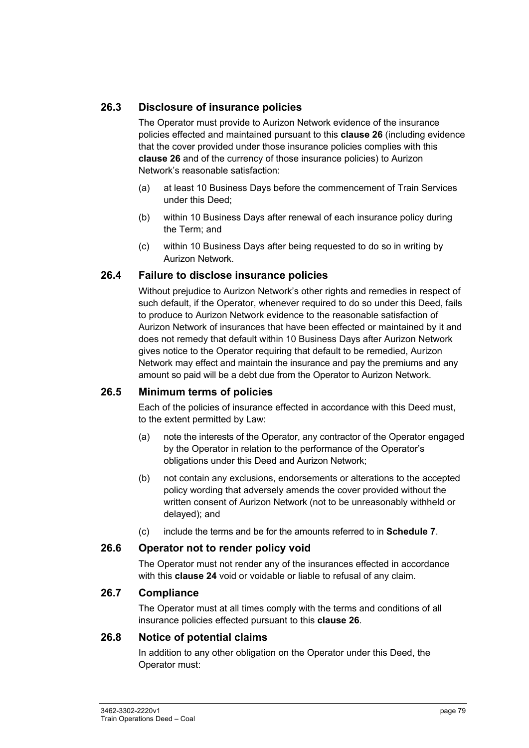# **26.3 Disclosure of insurance policies**

The Operator must provide to Aurizon Network evidence of the insurance policies effected and maintained pursuant to this **clause 26** (including evidence that the cover provided under those insurance policies complies with this **clause 26** and of the currency of those insurance policies) to Aurizon Network's reasonable satisfaction:

- (a) at least 10 Business Days before the commencement of Train Services under this Deed;
- (b) within 10 Business Days after renewal of each insurance policy during the Term; and
- (c) within 10 Business Days after being requested to do so in writing by Aurizon Network.

#### **26.4 Failure to disclose insurance policies**

Without prejudice to Aurizon Network's other rights and remedies in respect of such default, if the Operator, whenever required to do so under this Deed, fails to produce to Aurizon Network evidence to the reasonable satisfaction of Aurizon Network of insurances that have been effected or maintained by it and does not remedy that default within 10 Business Days after Aurizon Network gives notice to the Operator requiring that default to be remedied, Aurizon Network may effect and maintain the insurance and pay the premiums and any amount so paid will be a debt due from the Operator to Aurizon Network.

#### **26.5 Minimum terms of policies**

Each of the policies of insurance effected in accordance with this Deed must, to the extent permitted by Law:

- (a) note the interests of the Operator, any contractor of the Operator engaged by the Operator in relation to the performance of the Operator's obligations under this Deed and Aurizon Network;
- (b) not contain any exclusions, endorsements or alterations to the accepted policy wording that adversely amends the cover provided without the written consent of Aurizon Network (not to be unreasonably withheld or delayed); and
- (c) include the terms and be for the amounts referred to in **Schedule 7**.

#### **26.6 Operator not to render policy void**

The Operator must not render any of the insurances effected in accordance with this **clause 24** void or voidable or liable to refusal of any claim.

#### **26.7 Compliance**

The Operator must at all times comply with the terms and conditions of all insurance policies effected pursuant to this **clause 26**.

#### **26.8 Notice of potential claims**

In addition to any other obligation on the Operator under this Deed, the Operator must: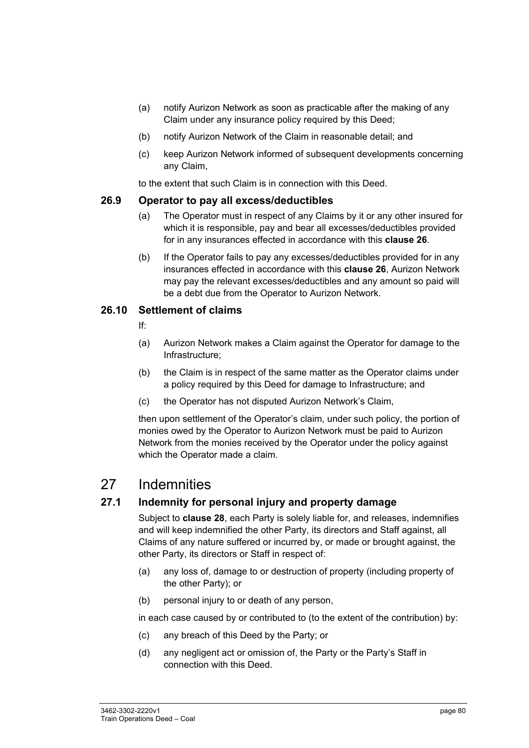- (a) notify Aurizon Network as soon as practicable after the making of any Claim under any insurance policy required by this Deed;
- (b) notify Aurizon Network of the Claim in reasonable detail; and
- (c) keep Aurizon Network informed of subsequent developments concerning any Claim,

to the extent that such Claim is in connection with this Deed.

#### **26.9 Operator to pay all excess/deductibles**

- (a) The Operator must in respect of any Claims by it or any other insured for which it is responsible, pay and bear all excesses/deductibles provided for in any insurances effected in accordance with this **clause 26**.
- (b) If the Operator fails to pay any excesses/deductibles provided for in any insurances effected in accordance with this **clause 26**, Aurizon Network may pay the relevant excesses/deductibles and any amount so paid will be a debt due from the Operator to Aurizon Network.

#### **26.10 Settlement of claims**

- If:
- (a) Aurizon Network makes a Claim against the Operator for damage to the Infrastructure;
- (b) the Claim is in respect of the same matter as the Operator claims under a policy required by this Deed for damage to Infrastructure; and
- (c) the Operator has not disputed Aurizon Network's Claim,

then upon settlement of the Operator's claim, under such policy, the portion of monies owed by the Operator to Aurizon Network must be paid to Aurizon Network from the monies received by the Operator under the policy against which the Operator made a claim.

# 27 Indemnities

# **27.1 Indemnity for personal injury and property damage**

Subject to **clause 28**, each Party is solely liable for, and releases, indemnifies and will keep indemnified the other Party, its directors and Staff against, all Claims of any nature suffered or incurred by, or made or brought against, the other Party, its directors or Staff in respect of:

- (a) any loss of, damage to or destruction of property (including property of the other Party); or
- (b) personal injury to or death of any person,

in each case caused by or contributed to (to the extent of the contribution) by:

- (c) any breach of this Deed by the Party; or
- (d) any negligent act or omission of, the Party or the Party's Staff in connection with this Deed.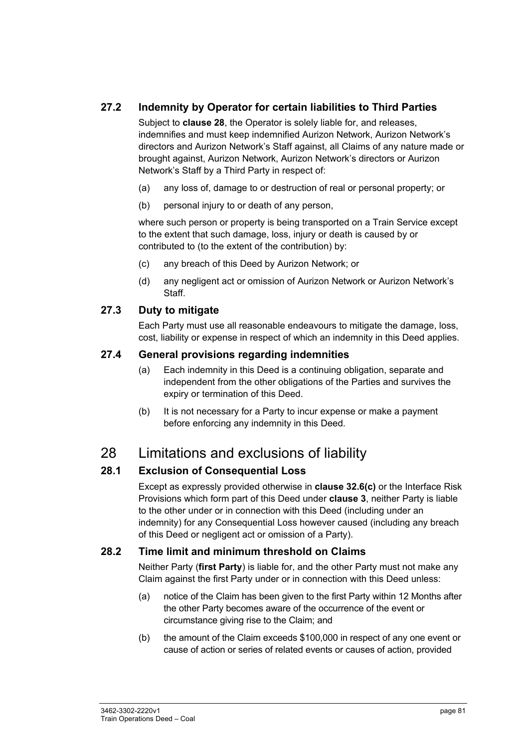# **27.2 Indemnity by Operator for certain liabilities to Third Parties**

Subject to **clause 28**, the Operator is solely liable for, and releases, indemnifies and must keep indemnified Aurizon Network, Aurizon Network's directors and Aurizon Network's Staff against, all Claims of any nature made or brought against, Aurizon Network, Aurizon Network's directors or Aurizon Network's Staff by a Third Party in respect of:

- (a) any loss of, damage to or destruction of real or personal property; or
- (b) personal injury to or death of any person,

where such person or property is being transported on a Train Service except to the extent that such damage, loss, injury or death is caused by or contributed to (to the extent of the contribution) by:

- (c) any breach of this Deed by Aurizon Network; or
- (d) any negligent act or omission of Aurizon Network or Aurizon Network's Staff.

#### **27.3 Duty to mitigate**

Each Party must use all reasonable endeavours to mitigate the damage, loss, cost, liability or expense in respect of which an indemnity in this Deed applies.

### **27.4 General provisions regarding indemnities**

- (a) Each indemnity in this Deed is a continuing obligation, separate and independent from the other obligations of the Parties and survives the expiry or termination of this Deed.
- (b) It is not necessary for a Party to incur expense or make a payment before enforcing any indemnity in this Deed.

# 28 Limitations and exclusions of liability

# **28.1 Exclusion of Consequential Loss**

Except as expressly provided otherwise in **clause 32.6(c)** or the Interface Risk Provisions which form part of this Deed under **clause 3**, neither Party is liable to the other under or in connection with this Deed (including under an indemnity) for any Consequential Loss however caused (including any breach of this Deed or negligent act or omission of a Party).

# **28.2 Time limit and minimum threshold on Claims**

Neither Party (**first Party**) is liable for, and the other Party must not make any Claim against the first Party under or in connection with this Deed unless:

- (a) notice of the Claim has been given to the first Party within 12 Months after the other Party becomes aware of the occurrence of the event or circumstance giving rise to the Claim; and
- (b) the amount of the Claim exceeds \$100,000 in respect of any one event or cause of action or series of related events or causes of action, provided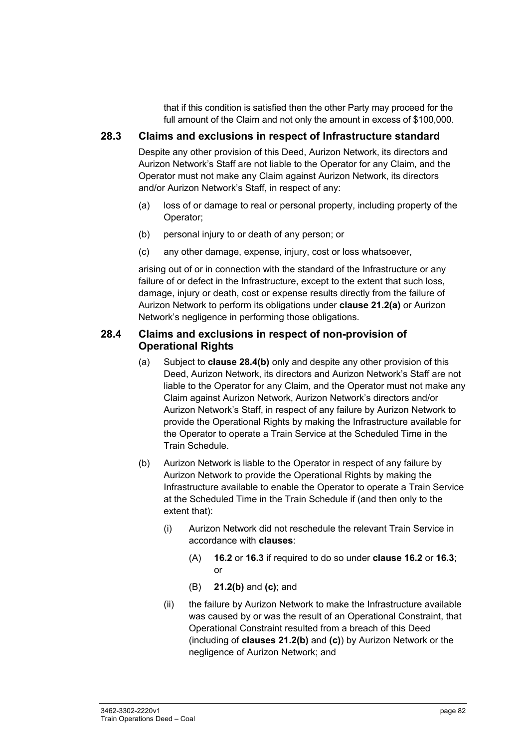that if this condition is satisfied then the other Party may proceed for the full amount of the Claim and not only the amount in excess of \$100,000.

# **28.3 Claims and exclusions in respect of Infrastructure standard**

Despite any other provision of this Deed, Aurizon Network, its directors and Aurizon Network's Staff are not liable to the Operator for any Claim, and the Operator must not make any Claim against Aurizon Network, its directors and/or Aurizon Network's Staff, in respect of any:

- (a) loss of or damage to real or personal property, including property of the Operator;
- (b) personal injury to or death of any person; or
- (c) any other damage, expense, injury, cost or loss whatsoever,

arising out of or in connection with the standard of the Infrastructure or any failure of or defect in the Infrastructure, except to the extent that such loss, damage, injury or death, cost or expense results directly from the failure of Aurizon Network to perform its obligations under **clause 21.2(a)** or Aurizon Network's negligence in performing those obligations.

### **28.4 Claims and exclusions in respect of non-provision of Operational Rights**

- (a) Subject to **clause 28.4(b)** only and despite any other provision of this Deed, Aurizon Network, its directors and Aurizon Network's Staff are not liable to the Operator for any Claim, and the Operator must not make any Claim against Aurizon Network, Aurizon Network's directors and/or Aurizon Network's Staff, in respect of any failure by Aurizon Network to provide the Operational Rights by making the Infrastructure available for the Operator to operate a Train Service at the Scheduled Time in the Train Schedule.
- (b) Aurizon Network is liable to the Operator in respect of any failure by Aurizon Network to provide the Operational Rights by making the Infrastructure available to enable the Operator to operate a Train Service at the Scheduled Time in the Train Schedule if (and then only to the extent that):
	- (i) Aurizon Network did not reschedule the relevant Train Service in accordance with **clauses**:
		- (A) **16.2** or **16.3** if required to do so under **clause 16.2** or **16.3**; or
		- (B) **21.2(b)** and **(c)**; and
	- (ii) the failure by Aurizon Network to make the Infrastructure available was caused by or was the result of an Operational Constraint, that Operational Constraint resulted from a breach of this Deed (including of **clauses 21.2(b)** and **(c)**) by Aurizon Network or the negligence of Aurizon Network; and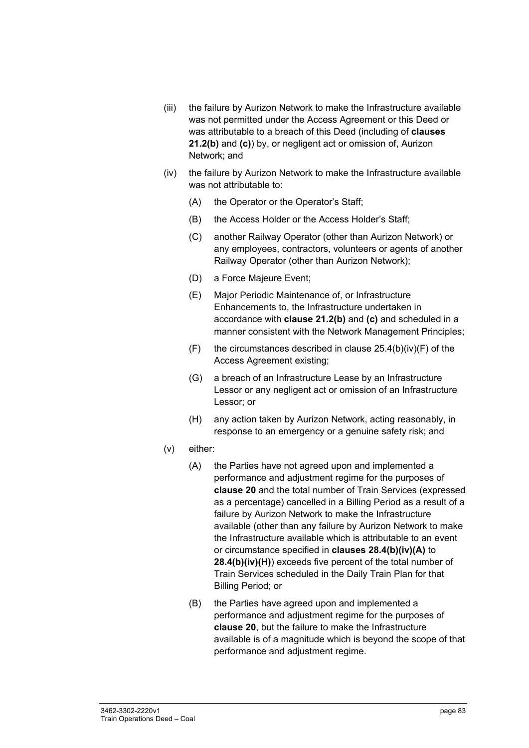- (iii) the failure by Aurizon Network to make the Infrastructure available was not permitted under the Access Agreement or this Deed or was attributable to a breach of this Deed (including of **clauses 21.2(b)** and **(c)**) by, or negligent act or omission of, Aurizon Network; and
- (iv) the failure by Aurizon Network to make the Infrastructure available was not attributable to:
	- (A) the Operator or the Operator's Staff;
	- (B) the Access Holder or the Access Holder's Staff;
	- (C) another Railway Operator (other than Aurizon Network) or any employees, contractors, volunteers or agents of another Railway Operator (other than Aurizon Network);
	- (D) a Force Majeure Event;
	- (E) Major Periodic Maintenance of, or Infrastructure Enhancements to, the Infrastructure undertaken in accordance with **clause 21.2(b)** and **(c)** and scheduled in a manner consistent with the Network Management Principles;
	- $(F)$  the circumstances described in clause 25.4(b)(iv)(F) of the Access Agreement existing;
	- (G) a breach of an Infrastructure Lease by an Infrastructure Lessor or any negligent act or omission of an Infrastructure Lessor; or
	- (H) any action taken by Aurizon Network, acting reasonably, in response to an emergency or a genuine safety risk; and
- (v) either:
	- (A) the Parties have not agreed upon and implemented a performance and adjustment regime for the purposes of **clause 20** and the total number of Train Services (expressed as a percentage) cancelled in a Billing Period as a result of a failure by Aurizon Network to make the Infrastructure available (other than any failure by Aurizon Network to make the Infrastructure available which is attributable to an event or circumstance specified in **clauses 28.4(b)(iv)(A)** to **28.4(b)(iv)(H)**) exceeds five percent of the total number of Train Services scheduled in the Daily Train Plan for that Billing Period; or
	- (B) the Parties have agreed upon and implemented a performance and adjustment regime for the purposes of **clause 20**, but the failure to make the Infrastructure available is of a magnitude which is beyond the scope of that performance and adjustment regime.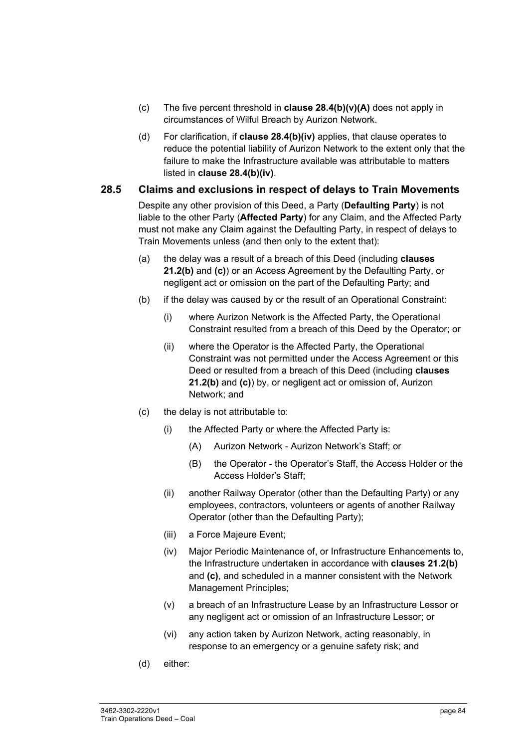- (c) The five percent threshold in **clause 28.4(b)(v)(A)** does not apply in circumstances of Wilful Breach by Aurizon Network.
- (d) For clarification, if **clause 28.4(b)(iv)** applies, that clause operates to reduce the potential liability of Aurizon Network to the extent only that the failure to make the Infrastructure available was attributable to matters listed in **clause 28.4(b)(iv)**.

#### **28.5 Claims and exclusions in respect of delays to Train Movements**

Despite any other provision of this Deed, a Party (**Defaulting Party**) is not liable to the other Party (**Affected Party**) for any Claim, and the Affected Party must not make any Claim against the Defaulting Party, in respect of delays to Train Movements unless (and then only to the extent that):

- (a) the delay was a result of a breach of this Deed (including **clauses 21.2(b)** and **(c)**) or an Access Agreement by the Defaulting Party, or negligent act or omission on the part of the Defaulting Party; and
- (b) if the delay was caused by or the result of an Operational Constraint:
	- (i) where Aurizon Network is the Affected Party, the Operational Constraint resulted from a breach of this Deed by the Operator; or
	- (ii) where the Operator is the Affected Party, the Operational Constraint was not permitted under the Access Agreement or this Deed or resulted from a breach of this Deed (including **clauses 21.2(b)** and **(c)**) by, or negligent act or omission of, Aurizon Network; and
- (c) the delay is not attributable to:
	- (i) the Affected Party or where the Affected Party is:
		- (A) Aurizon Network Aurizon Network's Staff; or
		- (B) the Operator the Operator's Staff, the Access Holder or the Access Holder's Staff;
	- (ii) another Railway Operator (other than the Defaulting Party) or any employees, contractors, volunteers or agents of another Railway Operator (other than the Defaulting Party);
	- (iii) a Force Majeure Event;
	- (iv) Major Periodic Maintenance of, or Infrastructure Enhancements to, the Infrastructure undertaken in accordance with **clauses 21.2(b)**  and **(c)**, and scheduled in a manner consistent with the Network Management Principles;
	- (v) a breach of an Infrastructure Lease by an Infrastructure Lessor or any negligent act or omission of an Infrastructure Lessor; or
	- (vi) any action taken by Aurizon Network, acting reasonably, in response to an emergency or a genuine safety risk; and
- (d) either: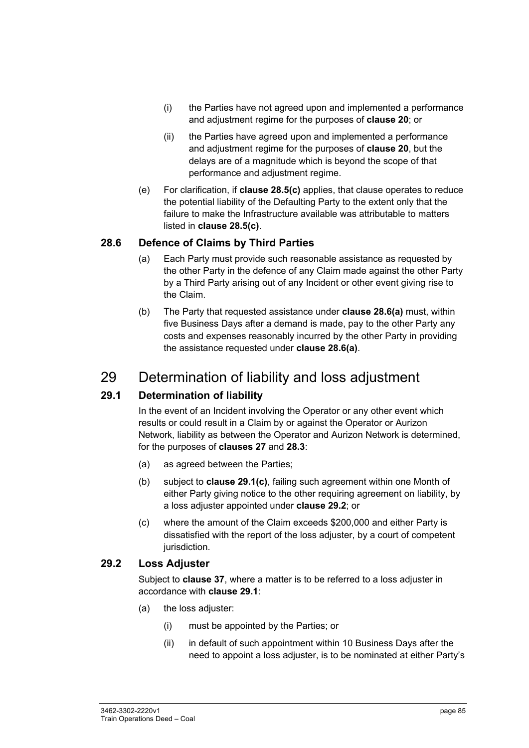- (i) the Parties have not agreed upon and implemented a performance and adjustment regime for the purposes of **clause 20**; or
- (ii) the Parties have agreed upon and implemented a performance and adjustment regime for the purposes of **clause 20**, but the delays are of a magnitude which is beyond the scope of that performance and adjustment regime.
- (e) For clarification, if **clause 28.5(c)** applies, that clause operates to reduce the potential liability of the Defaulting Party to the extent only that the failure to make the Infrastructure available was attributable to matters listed in **clause 28.5(c)**.

### **28.6 Defence of Claims by Third Parties**

- (a) Each Party must provide such reasonable assistance as requested by the other Party in the defence of any Claim made against the other Party by a Third Party arising out of any Incident or other event giving rise to the Claim.
- (b) The Party that requested assistance under **clause 28.6(a)** must, within five Business Days after a demand is made, pay to the other Party any costs and expenses reasonably incurred by the other Party in providing the assistance requested under **clause 28.6(a)**.

# 29 Determination of liability and loss adjustment

# **29.1 Determination of liability**

In the event of an Incident involving the Operator or any other event which results or could result in a Claim by or against the Operator or Aurizon Network, liability as between the Operator and Aurizon Network is determined, for the purposes of **clauses 27** and **28.3**:

- (a) as agreed between the Parties;
- (b) subject to **clause 29.1(c)**, failing such agreement within one Month of either Party giving notice to the other requiring agreement on liability, by a loss adjuster appointed under **clause 29.2**; or
- (c) where the amount of the Claim exceeds \$200,000 and either Party is dissatisfied with the report of the loss adjuster, by a court of competent jurisdiction.

#### **29.2 Loss Adjuster**

Subject to **clause 37**, where a matter is to be referred to a loss adjuster in accordance with **clause 29.1**:

- (a) the loss adjuster:
	- (i) must be appointed by the Parties; or
	- (ii) in default of such appointment within 10 Business Days after the need to appoint a loss adjuster, is to be nominated at either Party's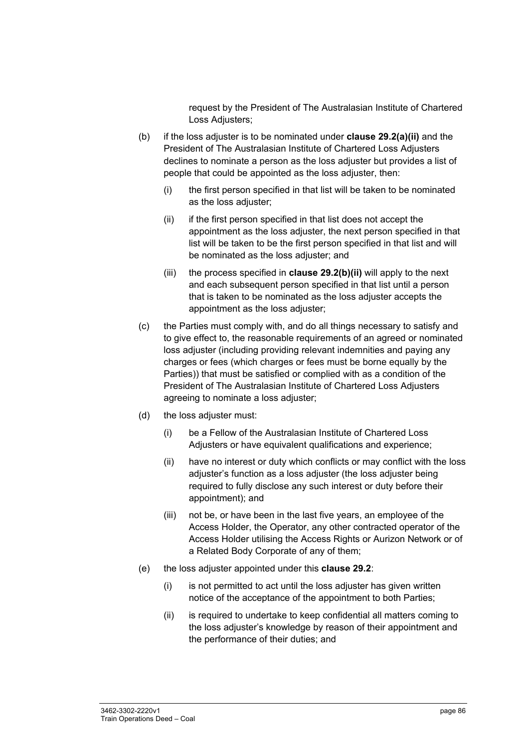request by the President of The Australasian Institute of Chartered Loss Adiusters:

- (b) if the loss adjuster is to be nominated under **clause 29.2(a)(ii)** and the President of The Australasian Institute of Chartered Loss Adjusters declines to nominate a person as the loss adjuster but provides a list of people that could be appointed as the loss adjuster, then:
	- (i) the first person specified in that list will be taken to be nominated as the loss adjuster;
	- (ii) if the first person specified in that list does not accept the appointment as the loss adjuster, the next person specified in that list will be taken to be the first person specified in that list and will be nominated as the loss adjuster; and
	- (iii) the process specified in **clause 29.2(b)(ii)** will apply to the next and each subsequent person specified in that list until a person that is taken to be nominated as the loss adjuster accepts the appointment as the loss adjuster;
- (c) the Parties must comply with, and do all things necessary to satisfy and to give effect to, the reasonable requirements of an agreed or nominated loss adjuster (including providing relevant indemnities and paying any charges or fees (which charges or fees must be borne equally by the Parties)) that must be satisfied or complied with as a condition of the President of The Australasian Institute of Chartered Loss Adjusters agreeing to nominate a loss adjuster;
- (d) the loss adjuster must:
	- (i) be a Fellow of the Australasian Institute of Chartered Loss Adjusters or have equivalent qualifications and experience:
	- (ii) have no interest or duty which conflicts or may conflict with the loss adjuster's function as a loss adjuster (the loss adjuster being required to fully disclose any such interest or duty before their appointment); and
	- (iii) not be, or have been in the last five years, an employee of the Access Holder, the Operator, any other contracted operator of the Access Holder utilising the Access Rights or Aurizon Network or of a Related Body Corporate of any of them;
- (e) the loss adjuster appointed under this **clause 29.2**:
	- (i) is not permitted to act until the loss adjuster has given written notice of the acceptance of the appointment to both Parties;
	- (ii) is required to undertake to keep confidential all matters coming to the loss adjuster's knowledge by reason of their appointment and the performance of their duties; and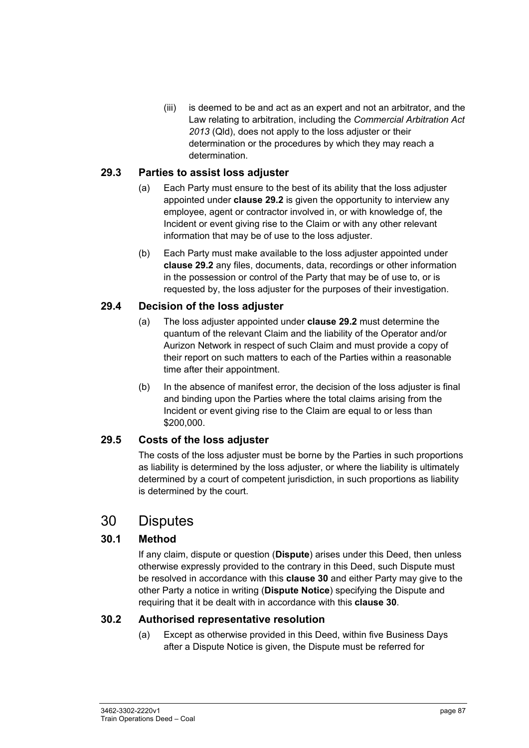(iii) is deemed to be and act as an expert and not an arbitrator, and the Law relating to arbitration, including the *Commercial Arbitration Act 2013* (Qld), does not apply to the loss adjuster or their determination or the procedures by which they may reach a determination.

### **29.3 Parties to assist loss adjuster**

- (a) Each Party must ensure to the best of its ability that the loss adjuster appointed under **clause 29.2** is given the opportunity to interview any employee, agent or contractor involved in, or with knowledge of, the Incident or event giving rise to the Claim or with any other relevant information that may be of use to the loss adjuster.
- (b) Each Party must make available to the loss adjuster appointed under **clause 29.2** any files, documents, data, recordings or other information in the possession or control of the Party that may be of use to, or is requested by, the loss adjuster for the purposes of their investigation.

### **29.4 Decision of the loss adjuster**

- (a) The loss adjuster appointed under **clause 29.2** must determine the quantum of the relevant Claim and the liability of the Operator and/or Aurizon Network in respect of such Claim and must provide a copy of their report on such matters to each of the Parties within a reasonable time after their appointment.
- (b) In the absence of manifest error, the decision of the loss adjuster is final and binding upon the Parties where the total claims arising from the Incident or event giving rise to the Claim are equal to or less than \$200,000.

# **29.5 Costs of the loss adjuster**

The costs of the loss adjuster must be borne by the Parties in such proportions as liability is determined by the loss adjuster, or where the liability is ultimately determined by a court of competent jurisdiction, in such proportions as liability is determined by the court.

# 30 Disputes

# **30.1 Method**

If any claim, dispute or question (**Dispute**) arises under this Deed, then unless otherwise expressly provided to the contrary in this Deed, such Dispute must be resolved in accordance with this **clause 30** and either Party may give to the other Party a notice in writing (**Dispute Notice**) specifying the Dispute and requiring that it be dealt with in accordance with this **clause 30**.

#### **30.2 Authorised representative resolution**

(a) Except as otherwise provided in this Deed, within five Business Days after a Dispute Notice is given, the Dispute must be referred for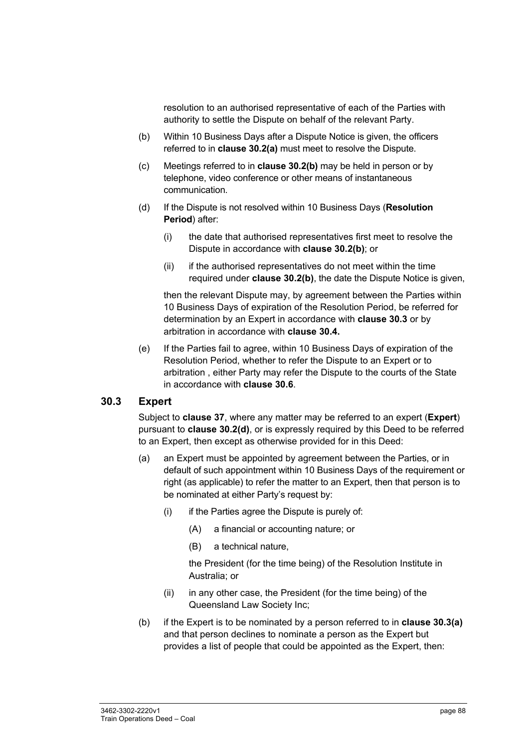resolution to an authorised representative of each of the Parties with authority to settle the Dispute on behalf of the relevant Party.

- (b) Within 10 Business Days after a Dispute Notice is given, the officers referred to in **clause 30.2(a)** must meet to resolve the Dispute.
- (c) Meetings referred to in **clause 30.2(b)** may be held in person or by telephone, video conference or other means of instantaneous communication.
- (d) If the Dispute is not resolved within 10 Business Days (**Resolution Period**) after:
	- (i) the date that authorised representatives first meet to resolve the Dispute in accordance with **clause 30.2(b)**; or
	- (ii) if the authorised representatives do not meet within the time required under **clause 30.2(b)**, the date the Dispute Notice is given,

then the relevant Dispute may, by agreement between the Parties within 10 Business Days of expiration of the Resolution Period, be referred for determination by an Expert in accordance with **clause 30.3** or by arbitration in accordance with **clause 30.4.** 

(e) If the Parties fail to agree, within 10 Business Days of expiration of the Resolution Period, whether to refer the Dispute to an Expert or to arbitration , either Party may refer the Dispute to the courts of the State in accordance with **clause 30.6**.

#### **30.3 Expert**

Subject to **clause 37**, where any matter may be referred to an expert (**Expert**) pursuant to **clause 30.2(d)**, or is expressly required by this Deed to be referred to an Expert, then except as otherwise provided for in this Deed:

- (a) an Expert must be appointed by agreement between the Parties, or in default of such appointment within 10 Business Days of the requirement or right (as applicable) to refer the matter to an Expert, then that person is to be nominated at either Party's request by:
	- $(i)$  if the Parties agree the Dispute is purely of:
		- (A) a financial or accounting nature; or
		- (B) a technical nature,

the President (for the time being) of the Resolution Institute in Australia; or

- (ii) in any other case, the President (for the time being) of the Queensland Law Society Inc;
- (b) if the Expert is to be nominated by a person referred to in **clause 30.3(a)** and that person declines to nominate a person as the Expert but provides a list of people that could be appointed as the Expert, then: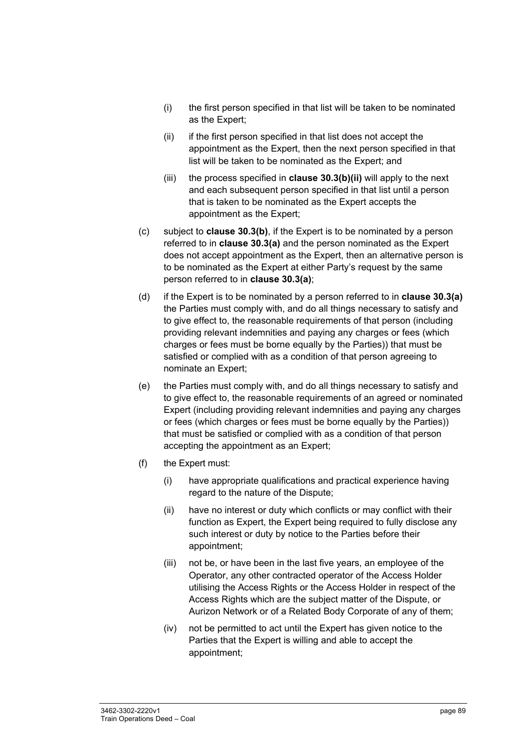- (i) the first person specified in that list will be taken to be nominated as the Expert;
- (ii) if the first person specified in that list does not accept the appointment as the Expert, then the next person specified in that list will be taken to be nominated as the Expert; and
- (iii) the process specified in **clause 30.3(b)(ii)** will apply to the next and each subsequent person specified in that list until a person that is taken to be nominated as the Expert accepts the appointment as the Expert;
- (c) subject to **clause 30.3(b)**, if the Expert is to be nominated by a person referred to in **clause 30.3(a)** and the person nominated as the Expert does not accept appointment as the Expert, then an alternative person is to be nominated as the Expert at either Party's request by the same person referred to in **clause 30.3(a)**;
- (d) if the Expert is to be nominated by a person referred to in **clause 30.3(a)** the Parties must comply with, and do all things necessary to satisfy and to give effect to, the reasonable requirements of that person (including providing relevant indemnities and paying any charges or fees (which charges or fees must be borne equally by the Parties)) that must be satisfied or complied with as a condition of that person agreeing to nominate an Expert;
- (e) the Parties must comply with, and do all things necessary to satisfy and to give effect to, the reasonable requirements of an agreed or nominated Expert (including providing relevant indemnities and paying any charges or fees (which charges or fees must be borne equally by the Parties)) that must be satisfied or complied with as a condition of that person accepting the appointment as an Expert;
- (f) the Expert must:
	- (i) have appropriate qualifications and practical experience having regard to the nature of the Dispute;
	- (ii) have no interest or duty which conflicts or may conflict with their function as Expert, the Expert being required to fully disclose any such interest or duty by notice to the Parties before their appointment;
	- (iii) not be, or have been in the last five years, an employee of the Operator, any other contracted operator of the Access Holder utilising the Access Rights or the Access Holder in respect of the Access Rights which are the subject matter of the Dispute, or Aurizon Network or of a Related Body Corporate of any of them;
	- (iv) not be permitted to act until the Expert has given notice to the Parties that the Expert is willing and able to accept the appointment;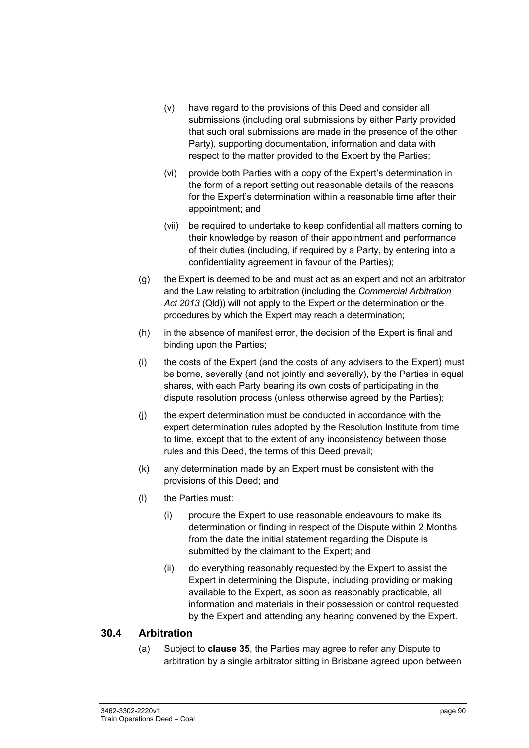- (v) have regard to the provisions of this Deed and consider all submissions (including oral submissions by either Party provided that such oral submissions are made in the presence of the other Party), supporting documentation, information and data with respect to the matter provided to the Expert by the Parties;
- (vi) provide both Parties with a copy of the Expert's determination in the form of a report setting out reasonable details of the reasons for the Expert's determination within a reasonable time after their appointment; and
- (vii) be required to undertake to keep confidential all matters coming to their knowledge by reason of their appointment and performance of their duties (including, if required by a Party, by entering into a confidentiality agreement in favour of the Parties);
- (g) the Expert is deemed to be and must act as an expert and not an arbitrator and the Law relating to arbitration (including the *Commercial Arbitration Act 2013* (Qld)) will not apply to the Expert or the determination or the procedures by which the Expert may reach a determination;
- (h) in the absence of manifest error, the decision of the Expert is final and binding upon the Parties;
- (i) the costs of the Expert (and the costs of any advisers to the Expert) must be borne, severally (and not jointly and severally), by the Parties in equal shares, with each Party bearing its own costs of participating in the dispute resolution process (unless otherwise agreed by the Parties);
- (j) the expert determination must be conducted in accordance with the expert determination rules adopted by the Resolution Institute from time to time, except that to the extent of any inconsistency between those rules and this Deed, the terms of this Deed prevail;
- (k) any determination made by an Expert must be consistent with the provisions of this Deed; and
- (l) the Parties must:
	- (i) procure the Expert to use reasonable endeavours to make its determination or finding in respect of the Dispute within 2 Months from the date the initial statement regarding the Dispute is submitted by the claimant to the Expert; and
	- (ii) do everything reasonably requested by the Expert to assist the Expert in determining the Dispute, including providing or making available to the Expert, as soon as reasonably practicable, all information and materials in their possession or control requested by the Expert and attending any hearing convened by the Expert.

#### **30.4 Arbitration**

(a) Subject to **clause 35**, the Parties may agree to refer any Dispute to arbitration by a single arbitrator sitting in Brisbane agreed upon between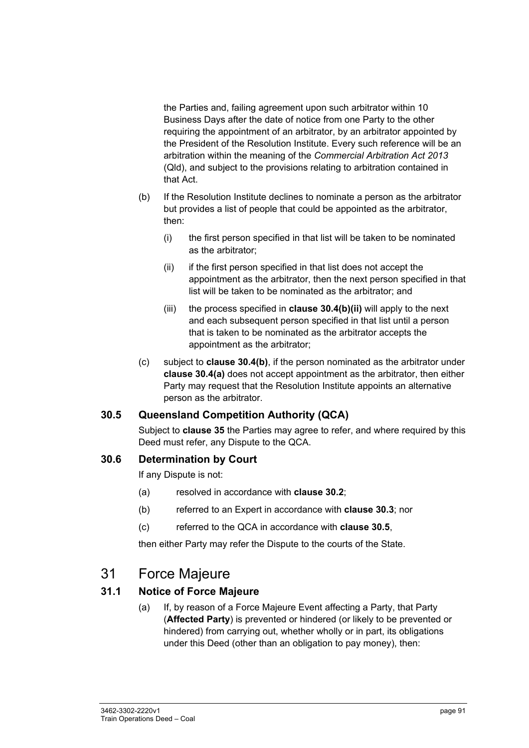the Parties and, failing agreement upon such arbitrator within 10 Business Days after the date of notice from one Party to the other requiring the appointment of an arbitrator, by an arbitrator appointed by the President of the Resolution Institute. Every such reference will be an arbitration within the meaning of the *Commercial Arbitration Act 2013* (Qld), and subject to the provisions relating to arbitration contained in that Act.

- (b) If the Resolution Institute declines to nominate a person as the arbitrator but provides a list of people that could be appointed as the arbitrator, then:
	- (i) the first person specified in that list will be taken to be nominated as the arbitrator;
	- (ii) if the first person specified in that list does not accept the appointment as the arbitrator, then the next person specified in that list will be taken to be nominated as the arbitrator; and
	- (iii) the process specified in **clause 30.4(b)(ii)** will apply to the next and each subsequent person specified in that list until a person that is taken to be nominated as the arbitrator accepts the appointment as the arbitrator;
- (c) subject to **clause 30.4(b)**, if the person nominated as the arbitrator under **clause 30.4(a)** does not accept appointment as the arbitrator, then either Party may request that the Resolution Institute appoints an alternative person as the arbitrator.

#### **30.5 Queensland Competition Authority (QCA)**

Subject to **clause 35** the Parties may agree to refer, and where required by this Deed must refer, any Dispute to the QCA.

#### **30.6 Determination by Court**

If any Dispute is not:

- (a) resolved in accordance with **clause 30.2**;
- (b) referred to an Expert in accordance with **clause 30.3**; nor
- (c) referred to the QCA in accordance with **clause 30.5**,

then either Party may refer the Dispute to the courts of the State.

# 31 Force Majeure

# **31.1 Notice of Force Majeure**

(a) If, by reason of a Force Majeure Event affecting a Party, that Party (**Affected Party**) is prevented or hindered (or likely to be prevented or hindered) from carrying out, whether wholly or in part, its obligations under this Deed (other than an obligation to pay money), then: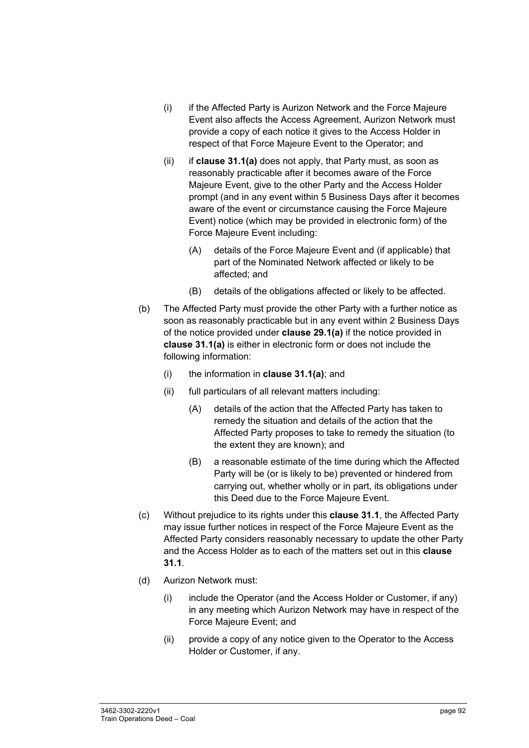- (i) if the Affected Party is Aurizon Network and the Force Majeure Event also affects the Access Agreement, Aurizon Network must provide a copy of each notice it gives to the Access Holder in respect of that Force Majeure Event to the Operator; and
- (ii) if **clause 31.1(a)** does not apply, that Party must, as soon as reasonably practicable after it becomes aware of the Force Majeure Event, give to the other Party and the Access Holder prompt (and in any event within 5 Business Days after it becomes aware of the event or circumstance causing the Force Majeure Event) notice (which may be provided in electronic form) of the Force Majeure Event including:
	- (A) details of the Force Majeure Event and (if applicable) that part of the Nominated Network affected or likely to be affected; and
	- (B) details of the obligations affected or likely to be affected.
- (b) The Affected Party must provide the other Party with a further notice as soon as reasonably practicable but in any event within 2 Business Days of the notice provided under **clause 29.1(a)** if the notice provided in **clause 31.1(a)** is either in electronic form or does not include the following information:
	- (i) the information in **clause 31.1(a)**; and
	- (ii) full particulars of all relevant matters including:
		- (A) details of the action that the Affected Party has taken to remedy the situation and details of the action that the Affected Party proposes to take to remedy the situation (to the extent they are known); and
		- (B) a reasonable estimate of the time during which the Affected Party will be (or is likely to be) prevented or hindered from carrying out, whether wholly or in part, its obligations under this Deed due to the Force Majeure Event.
- (c) Without prejudice to its rights under this **clause 31.1**, the Affected Party may issue further notices in respect of the Force Majeure Event as the Affected Party considers reasonably necessary to update the other Party and the Access Holder as to each of the matters set out in this **clause 31.1**.
- (d) Aurizon Network must:
	- (i) include the Operator (and the Access Holder or Customer, if any) in any meeting which Aurizon Network may have in respect of the Force Majeure Event; and
	- (ii) provide a copy of any notice given to the Operator to the Access Holder or Customer, if any.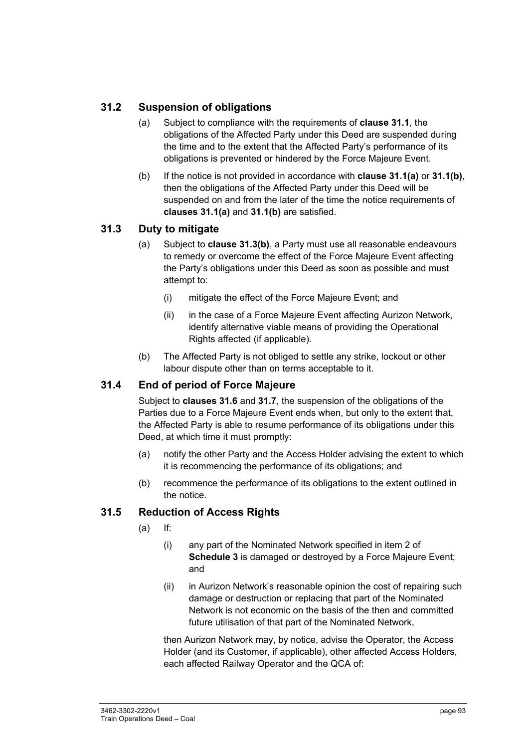# **31.2 Suspension of obligations**

- (a) Subject to compliance with the requirements of **clause 31.1**, the obligations of the Affected Party under this Deed are suspended during the time and to the extent that the Affected Party's performance of its obligations is prevented or hindered by the Force Majeure Event.
- (b) If the notice is not provided in accordance with **clause 31.1(a)** or **31.1(b)**, then the obligations of the Affected Party under this Deed will be suspended on and from the later of the time the notice requirements of **clauses 31.1(a)** and **31.1(b)** are satisfied.

# **31.3 Duty to mitigate**

- (a) Subject to **clause 31.3(b)**, a Party must use all reasonable endeavours to remedy or overcome the effect of the Force Majeure Event affecting the Party's obligations under this Deed as soon as possible and must attempt to:
	- (i) mitigate the effect of the Force Majeure Event; and
	- (ii) in the case of a Force Majeure Event affecting Aurizon Network, identify alternative viable means of providing the Operational Rights affected (if applicable).
- (b) The Affected Party is not obliged to settle any strike, lockout or other labour dispute other than on terms acceptable to it.

# **31.4 End of period of Force Majeure**

Subject to **clauses 31.6** and **31.7**, the suspension of the obligations of the Parties due to a Force Majeure Event ends when, but only to the extent that, the Affected Party is able to resume performance of its obligations under this Deed, at which time it must promptly:

- (a) notify the other Party and the Access Holder advising the extent to which it is recommencing the performance of its obligations; and
- (b) recommence the performance of its obligations to the extent outlined in the notice.

# **31.5 Reduction of Access Rights**

- (a) If:
	- (i) any part of the Nominated Network specified in item 2 of **Schedule 3** is damaged or destroyed by a Force Majeure Event; and
	- (ii) in Aurizon Network's reasonable opinion the cost of repairing such damage or destruction or replacing that part of the Nominated Network is not economic on the basis of the then and committed future utilisation of that part of the Nominated Network,

then Aurizon Network may, by notice, advise the Operator, the Access Holder (and its Customer, if applicable), other affected Access Holders, each affected Railway Operator and the QCA of: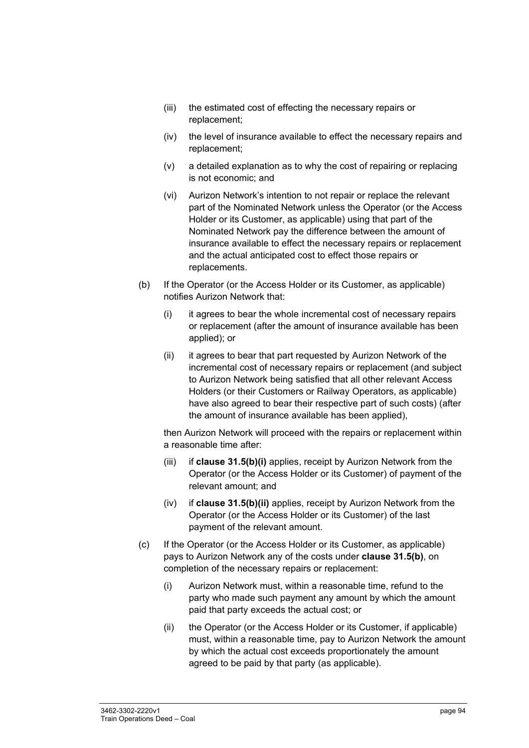- (iii) the estimated cost of effecting the necessary repairs or replacement;
- (iv) the level of insurance available to effect the necessary repairs and replacement;
- (v) a detailed explanation as to why the cost of repairing or replacing is not economic; and
- (vi) Aurizon Network's intention to not repair or replace the relevant part of the Nominated Network unless the Operator (or the Access Holder or its Customer, as applicable) using that part of the Nominated Network pay the difference between the amount of insurance available to effect the necessary repairs or replacement and the actual anticipated cost to effect those repairs or replacements.
- (b) If the Operator (or the Access Holder or its Customer, as applicable) notifies Aurizon Network that:
	- (i) it agrees to bear the whole incremental cost of necessary repairs or replacement (after the amount of insurance available has been applied); or
	- (ii) it agrees to bear that part requested by Aurizon Network of the incremental cost of necessary repairs or replacement (and subject to Aurizon Network being satisfied that all other relevant Access Holders (or their Customers or Railway Operators, as applicable) have also agreed to bear their respective part of such costs) (after the amount of insurance available has been applied),

then Aurizon Network will proceed with the repairs or replacement within a reasonable time after:

- (iii) if **clause 31.5(b)(i)** applies, receipt by Aurizon Network from the Operator (or the Access Holder or its Customer) of payment of the relevant amount; and
- (iv) if **clause 31.5(b)(ii)** applies, receipt by Aurizon Network from the Operator (or the Access Holder or its Customer) of the last payment of the relevant amount.
- (c) If the Operator (or the Access Holder or its Customer, as applicable) pays to Aurizon Network any of the costs under **clause 31.5(b)**, on completion of the necessary repairs or replacement:
	- (i) Aurizon Network must, within a reasonable time, refund to the party who made such payment any amount by which the amount paid that party exceeds the actual cost; or
	- (ii) the Operator (or the Access Holder or its Customer, if applicable) must, within a reasonable time, pay to Aurizon Network the amount by which the actual cost exceeds proportionately the amount agreed to be paid by that party (as applicable).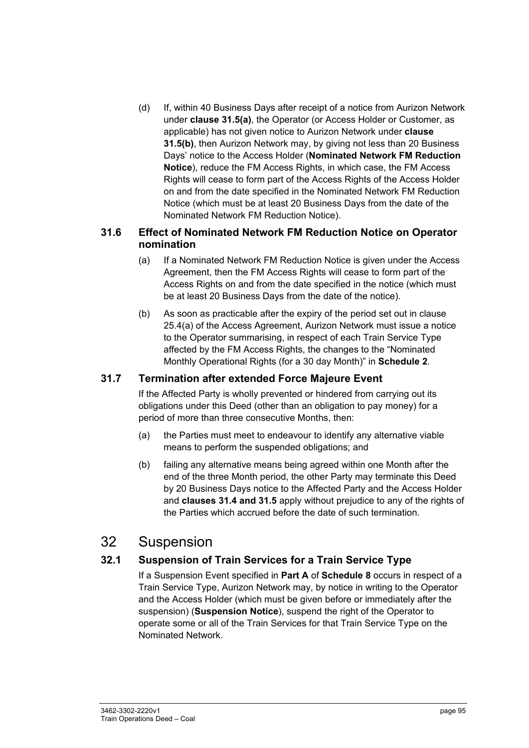(d) If, within 40 Business Days after receipt of a notice from Aurizon Network under **clause 31.5(a)**, the Operator (or Access Holder or Customer, as applicable) has not given notice to Aurizon Network under **clause 31.5(b)**, then Aurizon Network may, by giving not less than 20 Business Days' notice to the Access Holder (**Nominated Network FM Reduction Notice**), reduce the FM Access Rights, in which case, the FM Access Rights will cease to form part of the Access Rights of the Access Holder on and from the date specified in the Nominated Network FM Reduction Notice (which must be at least 20 Business Days from the date of the Nominated Network FM Reduction Notice).

### **31.6 Effect of Nominated Network FM Reduction Notice on Operator nomination**

- (a) If a Nominated Network FM Reduction Notice is given under the Access Agreement, then the FM Access Rights will cease to form part of the Access Rights on and from the date specified in the notice (which must be at least 20 Business Days from the date of the notice).
- (b) As soon as practicable after the expiry of the period set out in clause 25.4(a) of the Access Agreement, Aurizon Network must issue a notice to the Operator summarising, in respect of each Train Service Type affected by the FM Access Rights, the changes to the "Nominated Monthly Operational Rights (for a 30 day Month)" in **Schedule 2**.

# **31.7 Termination after extended Force Majeure Event**

If the Affected Party is wholly prevented or hindered from carrying out its obligations under this Deed (other than an obligation to pay money) for a period of more than three consecutive Months, then:

- (a) the Parties must meet to endeavour to identify any alternative viable means to perform the suspended obligations; and
- (b) failing any alternative means being agreed within one Month after the end of the three Month period, the other Party may terminate this Deed by 20 Business Days notice to the Affected Party and the Access Holder and **clauses 31.4 and 31.5** apply without prejudice to any of the rights of the Parties which accrued before the date of such termination.

# 32 Suspension

# **32.1 Suspension of Train Services for a Train Service Type**

If a Suspension Event specified in **Part A** of **Schedule 8** occurs in respect of a Train Service Type, Aurizon Network may, by notice in writing to the Operator and the Access Holder (which must be given before or immediately after the suspension) (**Suspension Notice**), suspend the right of the Operator to operate some or all of the Train Services for that Train Service Type on the Nominated Network.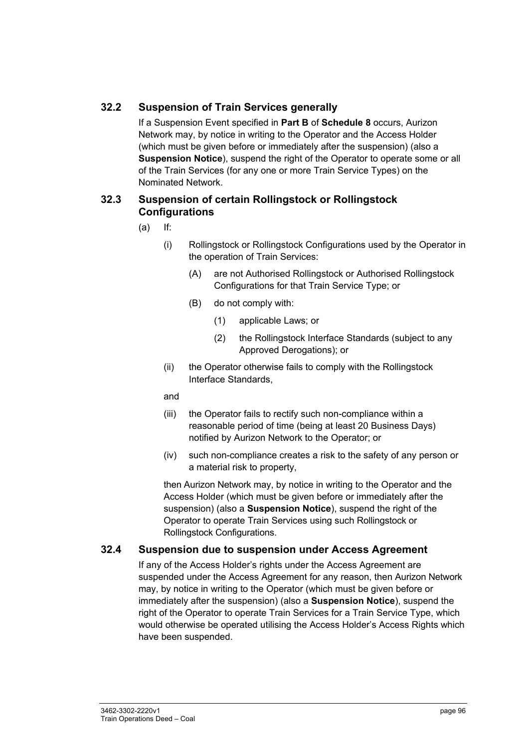# **32.2 Suspension of Train Services generally**

If a Suspension Event specified in **Part B** of **Schedule 8** occurs, Aurizon Network may, by notice in writing to the Operator and the Access Holder (which must be given before or immediately after the suspension) (also a **Suspension Notice**), suspend the right of the Operator to operate some or all of the Train Services (for any one or more Train Service Types) on the Nominated Network.

#### **32.3 Suspension of certain Rollingstock or Rollingstock Configurations**

- $(a)$  If:
	- (i) Rollingstock or Rollingstock Configurations used by the Operator in the operation of Train Services:
		- (A) are not Authorised Rollingstock or Authorised Rollingstock Configurations for that Train Service Type; or
		- (B) do not comply with:
			- (1) applicable Laws; or
			- (2) the Rollingstock Interface Standards (subject to any Approved Derogations); or
	- (ii) the Operator otherwise fails to comply with the Rollingstock Interface Standards,

#### and

- (iii) the Operator fails to rectify such non-compliance within a reasonable period of time (being at least 20 Business Days) notified by Aurizon Network to the Operator; or
- (iv) such non-compliance creates a risk to the safety of any person or a material risk to property,

then Aurizon Network may, by notice in writing to the Operator and the Access Holder (which must be given before or immediately after the suspension) (also a **Suspension Notice**), suspend the right of the Operator to operate Train Services using such Rollingstock or Rollingstock Configurations.

#### **32.4 Suspension due to suspension under Access Agreement**

If any of the Access Holder's rights under the Access Agreement are suspended under the Access Agreement for any reason, then Aurizon Network may, by notice in writing to the Operator (which must be given before or immediately after the suspension) (also a **Suspension Notice**), suspend the right of the Operator to operate Train Services for a Train Service Type, which would otherwise be operated utilising the Access Holder's Access Rights which have been suspended.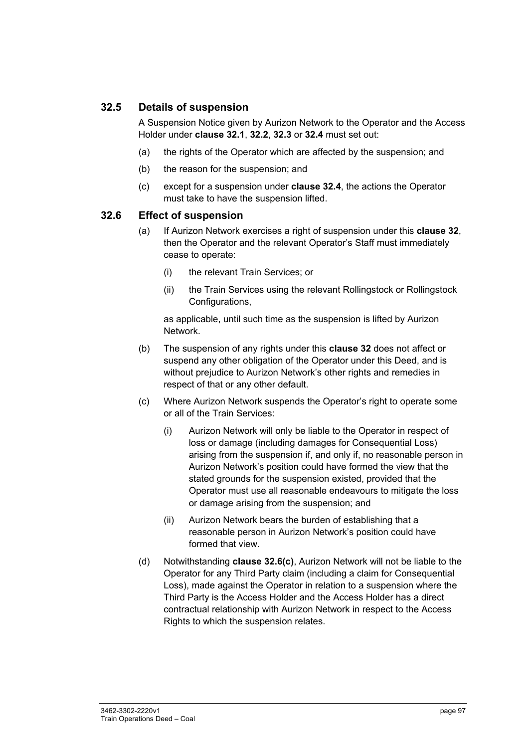### **32.5 Details of suspension**

A Suspension Notice given by Aurizon Network to the Operator and the Access Holder under **clause 32.1**, **32.2**, **32.3** or **32.4** must set out:

- (a) the rights of the Operator which are affected by the suspension; and
- (b) the reason for the suspension; and
- (c) except for a suspension under **clause 32.4**, the actions the Operator must take to have the suspension lifted.

#### **32.6 Effect of suspension**

- (a) If Aurizon Network exercises a right of suspension under this **clause 32**, then the Operator and the relevant Operator's Staff must immediately cease to operate:
	- (i) the relevant Train Services; or
	- (ii) the Train Services using the relevant Rollingstock or Rollingstock Configurations,

as applicable, until such time as the suspension is lifted by Aurizon Network.

- (b) The suspension of any rights under this **clause 32** does not affect or suspend any other obligation of the Operator under this Deed, and is without prejudice to Aurizon Network's other rights and remedies in respect of that or any other default.
- (c) Where Aurizon Network suspends the Operator's right to operate some or all of the Train Services:
	- (i) Aurizon Network will only be liable to the Operator in respect of loss or damage (including damages for Consequential Loss) arising from the suspension if, and only if, no reasonable person in Aurizon Network's position could have formed the view that the stated grounds for the suspension existed, provided that the Operator must use all reasonable endeavours to mitigate the loss or damage arising from the suspension; and
	- (ii) Aurizon Network bears the burden of establishing that a reasonable person in Aurizon Network's position could have formed that view.
- (d) Notwithstanding **clause 32.6(c)**, Aurizon Network will not be liable to the Operator for any Third Party claim (including a claim for Consequential Loss), made against the Operator in relation to a suspension where the Third Party is the Access Holder and the Access Holder has a direct contractual relationship with Aurizon Network in respect to the Access Rights to which the suspension relates.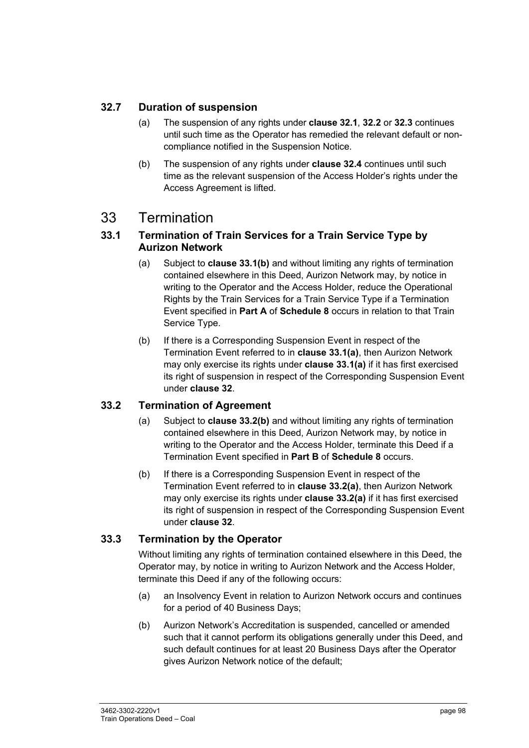# **32.7 Duration of suspension**

- (a) The suspension of any rights under **clause 32.1**, **32.2** or **32.3** continues until such time as the Operator has remedied the relevant default or noncompliance notified in the Suspension Notice.
- (b) The suspension of any rights under **clause 32.4** continues until such time as the relevant suspension of the Access Holder's rights under the Access Agreement is lifted.

# 33 Termination

### **33.1 Termination of Train Services for a Train Service Type by Aurizon Network**

- (a) Subject to **clause 33.1(b)** and without limiting any rights of termination contained elsewhere in this Deed, Aurizon Network may, by notice in writing to the Operator and the Access Holder, reduce the Operational Rights by the Train Services for a Train Service Type if a Termination Event specified in **Part A** of **Schedule 8** occurs in relation to that Train Service Type.
- (b) If there is a Corresponding Suspension Event in respect of the Termination Event referred to in **clause 33.1(a)**, then Aurizon Network may only exercise its rights under **clause 33.1(a)** if it has first exercised its right of suspension in respect of the Corresponding Suspension Event under **clause 32**.

# **33.2 Termination of Agreement**

- (a) Subject to **clause 33.2(b)** and without limiting any rights of termination contained elsewhere in this Deed, Aurizon Network may, by notice in writing to the Operator and the Access Holder, terminate this Deed if a Termination Event specified in **Part B** of **Schedule 8** occurs.
- (b) If there is a Corresponding Suspension Event in respect of the Termination Event referred to in **clause 33.2(a)**, then Aurizon Network may only exercise its rights under **clause 33.2(a)** if it has first exercised its right of suspension in respect of the Corresponding Suspension Event under **clause 32**.

# **33.3 Termination by the Operator**

Without limiting any rights of termination contained elsewhere in this Deed, the Operator may, by notice in writing to Aurizon Network and the Access Holder, terminate this Deed if any of the following occurs:

- (a) an Insolvency Event in relation to Aurizon Network occurs and continues for a period of 40 Business Days;
- (b) Aurizon Network's Accreditation is suspended, cancelled or amended such that it cannot perform its obligations generally under this Deed, and such default continues for at least 20 Business Days after the Operator gives Aurizon Network notice of the default;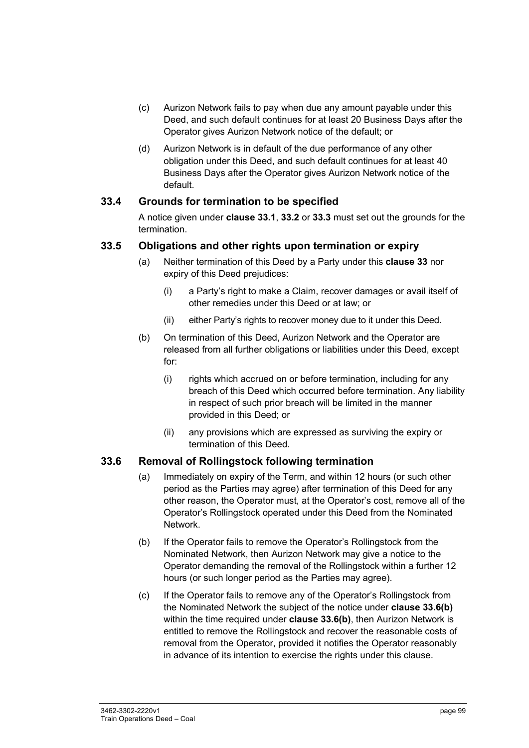- (c) Aurizon Network fails to pay when due any amount payable under this Deed, and such default continues for at least 20 Business Days after the Operator gives Aurizon Network notice of the default; or
- (d) Aurizon Network is in default of the due performance of any other obligation under this Deed, and such default continues for at least 40 Business Days after the Operator gives Aurizon Network notice of the default.

### **33.4 Grounds for termination to be specified**

A notice given under **clause 33.1**, **33.2** or **33.3** must set out the grounds for the termination.

### **33.5 Obligations and other rights upon termination or expiry**

- (a) Neither termination of this Deed by a Party under this **clause 33** nor expiry of this Deed prejudices:
	- (i) a Party's right to make a Claim, recover damages or avail itself of other remedies under this Deed or at law; or
	- (ii) either Party's rights to recover money due to it under this Deed.
- (b) On termination of this Deed, Aurizon Network and the Operator are released from all further obligations or liabilities under this Deed, except for:
	- (i) rights which accrued on or before termination, including for any breach of this Deed which occurred before termination. Any liability in respect of such prior breach will be limited in the manner provided in this Deed; or
	- (ii) any provisions which are expressed as surviving the expiry or termination of this Deed.

#### **33.6 Removal of Rollingstock following termination**

- (a) Immediately on expiry of the Term, and within 12 hours (or such other period as the Parties may agree) after termination of this Deed for any other reason, the Operator must, at the Operator's cost, remove all of the Operator's Rollingstock operated under this Deed from the Nominated Network.
- (b) If the Operator fails to remove the Operator's Rollingstock from the Nominated Network, then Aurizon Network may give a notice to the Operator demanding the removal of the Rollingstock within a further 12 hours (or such longer period as the Parties may agree).
- (c) If the Operator fails to remove any of the Operator's Rollingstock from the Nominated Network the subject of the notice under **clause 33.6(b)**  within the time required under **clause 33.6(b)**, then Aurizon Network is entitled to remove the Rollingstock and recover the reasonable costs of removal from the Operator, provided it notifies the Operator reasonably in advance of its intention to exercise the rights under this clause.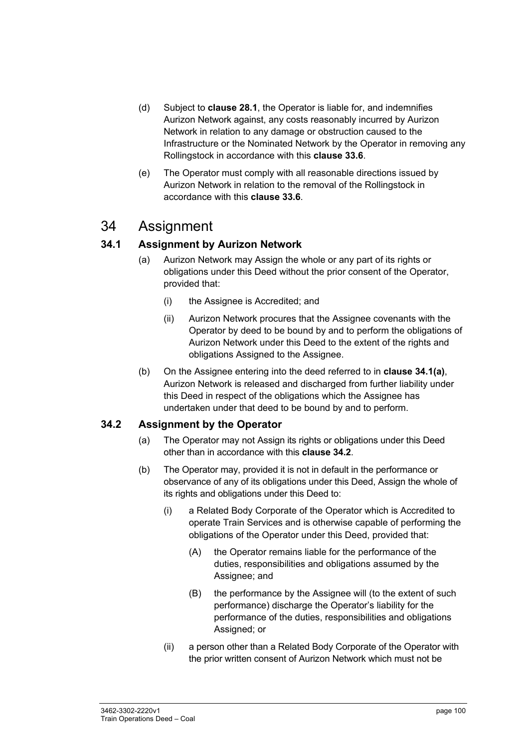- (d) Subject to **clause 28.1**, the Operator is liable for, and indemnifies Aurizon Network against, any costs reasonably incurred by Aurizon Network in relation to any damage or obstruction caused to the Infrastructure or the Nominated Network by the Operator in removing any Rollingstock in accordance with this **clause 33.6**.
- (e) The Operator must comply with all reasonable directions issued by Aurizon Network in relation to the removal of the Rollingstock in accordance with this **clause 33.6**.

# 34 Assignment

# **34.1 Assignment by Aurizon Network**

- (a) Aurizon Network may Assign the whole or any part of its rights or obligations under this Deed without the prior consent of the Operator, provided that:
	- (i) the Assignee is Accredited; and
	- (ii) Aurizon Network procures that the Assignee covenants with the Operator by deed to be bound by and to perform the obligations of Aurizon Network under this Deed to the extent of the rights and obligations Assigned to the Assignee.
- (b) On the Assignee entering into the deed referred to in **clause 34.1(a)**, Aurizon Network is released and discharged from further liability under this Deed in respect of the obligations which the Assignee has undertaken under that deed to be bound by and to perform.

# **34.2 Assignment by the Operator**

- (a) The Operator may not Assign its rights or obligations under this Deed other than in accordance with this **clause 34.2**.
- (b) The Operator may, provided it is not in default in the performance or observance of any of its obligations under this Deed, Assign the whole of its rights and obligations under this Deed to:
	- (i) a Related Body Corporate of the Operator which is Accredited to operate Train Services and is otherwise capable of performing the obligations of the Operator under this Deed, provided that:
		- (A) the Operator remains liable for the performance of the duties, responsibilities and obligations assumed by the Assignee; and
		- (B) the performance by the Assignee will (to the extent of such performance) discharge the Operator's liability for the performance of the duties, responsibilities and obligations Assigned; or
	- (ii) a person other than a Related Body Corporate of the Operator with the prior written consent of Aurizon Network which must not be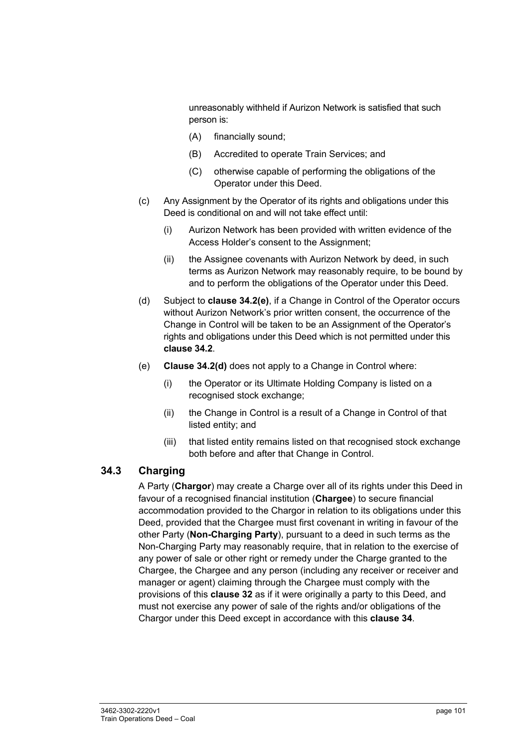unreasonably withheld if Aurizon Network is satisfied that such person is:

- (A) financially sound;
- (B) Accredited to operate Train Services; and
- (C) otherwise capable of performing the obligations of the Operator under this Deed.
- (c) Any Assignment by the Operator of its rights and obligations under this Deed is conditional on and will not take effect until:
	- (i) Aurizon Network has been provided with written evidence of the Access Holder's consent to the Assignment;
	- (ii) the Assignee covenants with Aurizon Network by deed, in such terms as Aurizon Network may reasonably require, to be bound by and to perform the obligations of the Operator under this Deed.
- (d) Subject to **clause 34.2(e)**, if a Change in Control of the Operator occurs without Aurizon Network's prior written consent, the occurrence of the Change in Control will be taken to be an Assignment of the Operator's rights and obligations under this Deed which is not permitted under this **clause 34.2**.
- (e) **Clause 34.2(d)** does not apply to a Change in Control where:
	- (i) the Operator or its Ultimate Holding Company is listed on a recognised stock exchange;
	- (ii) the Change in Control is a result of a Change in Control of that listed entity; and
	- (iii) that listed entity remains listed on that recognised stock exchange both before and after that Change in Control.

# **34.3 Charging**

A Party (**Chargor**) may create a Charge over all of its rights under this Deed in favour of a recognised financial institution (**Chargee**) to secure financial accommodation provided to the Chargor in relation to its obligations under this Deed, provided that the Chargee must first covenant in writing in favour of the other Party (**Non-Charging Party**), pursuant to a deed in such terms as the Non-Charging Party may reasonably require, that in relation to the exercise of any power of sale or other right or remedy under the Charge granted to the Chargee, the Chargee and any person (including any receiver or receiver and manager or agent) claiming through the Chargee must comply with the provisions of this **clause 32** as if it were originally a party to this Deed, and must not exercise any power of sale of the rights and/or obligations of the Chargor under this Deed except in accordance with this **clause 34**.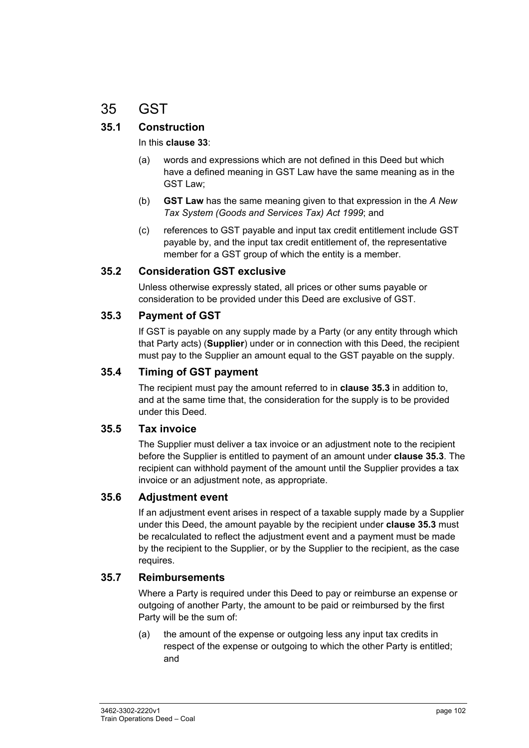# 35 GST

# **35.1 Construction**

#### In this **clause 33**:

- (a) words and expressions which are not defined in this Deed but which have a defined meaning in GST Law have the same meaning as in the GST Law;
- (b) **GST Law** has the same meaning given to that expression in the *A New Tax System (Goods and Services Tax) Act 1999*; and
- (c) references to GST payable and input tax credit entitlement include GST payable by, and the input tax credit entitlement of, the representative member for a GST group of which the entity is a member.

### **35.2 Consideration GST exclusive**

Unless otherwise expressly stated, all prices or other sums payable or consideration to be provided under this Deed are exclusive of GST.

### **35.3 Payment of GST**

If GST is payable on any supply made by a Party (or any entity through which that Party acts) (**Supplier**) under or in connection with this Deed, the recipient must pay to the Supplier an amount equal to the GST payable on the supply.

### **35.4 Timing of GST payment**

The recipient must pay the amount referred to in **clause 35.3** in addition to, and at the same time that, the consideration for the supply is to be provided under this Deed.

#### **35.5 Tax invoice**

The Supplier must deliver a tax invoice or an adjustment note to the recipient before the Supplier is entitled to payment of an amount under **clause 35.3**. The recipient can withhold payment of the amount until the Supplier provides a tax invoice or an adjustment note, as appropriate.

#### **35.6 Adjustment event**

If an adjustment event arises in respect of a taxable supply made by a Supplier under this Deed, the amount payable by the recipient under **clause 35.3** must be recalculated to reflect the adjustment event and a payment must be made by the recipient to the Supplier, or by the Supplier to the recipient, as the case requires.

#### **35.7 Reimbursements**

Where a Party is required under this Deed to pay or reimburse an expense or outgoing of another Party, the amount to be paid or reimbursed by the first Party will be the sum of:

(a) the amount of the expense or outgoing less any input tax credits in respect of the expense or outgoing to which the other Party is entitled; and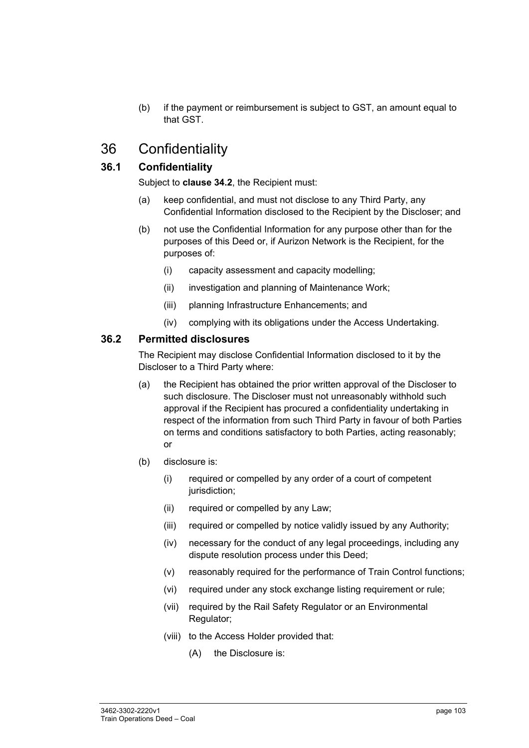(b) if the payment or reimbursement is subject to GST, an amount equal to that GST.

# 36 Confidentiality

# **36.1 Confidentiality**

Subject to **clause 34.2**, the Recipient must:

- (a) keep confidential, and must not disclose to any Third Party, any Confidential Information disclosed to the Recipient by the Discloser; and
- (b) not use the Confidential Information for any purpose other than for the purposes of this Deed or, if Aurizon Network is the Recipient, for the purposes of:
	- (i) capacity assessment and capacity modelling;
	- (ii) investigation and planning of Maintenance Work;
	- (iii) planning Infrastructure Enhancements; and
	- (iv) complying with its obligations under the Access Undertaking.

#### **36.2 Permitted disclosures**

The Recipient may disclose Confidential Information disclosed to it by the Discloser to a Third Party where:

- (a) the Recipient has obtained the prior written approval of the Discloser to such disclosure. The Discloser must not unreasonably withhold such approval if the Recipient has procured a confidentiality undertaking in respect of the information from such Third Party in favour of both Parties on terms and conditions satisfactory to both Parties, acting reasonably; or
- (b) disclosure is:
	- (i) required or compelled by any order of a court of competent jurisdiction;
	- (ii) required or compelled by any Law;
	- (iii) required or compelled by notice validly issued by any Authority;
	- (iv) necessary for the conduct of any legal proceedings, including any dispute resolution process under this Deed;
	- (v) reasonably required for the performance of Train Control functions;
	- (vi) required under any stock exchange listing requirement or rule;
	- (vii) required by the Rail Safety Regulator or an Environmental Regulator;
	- (viii) to the Access Holder provided that:
		- (A) the Disclosure is: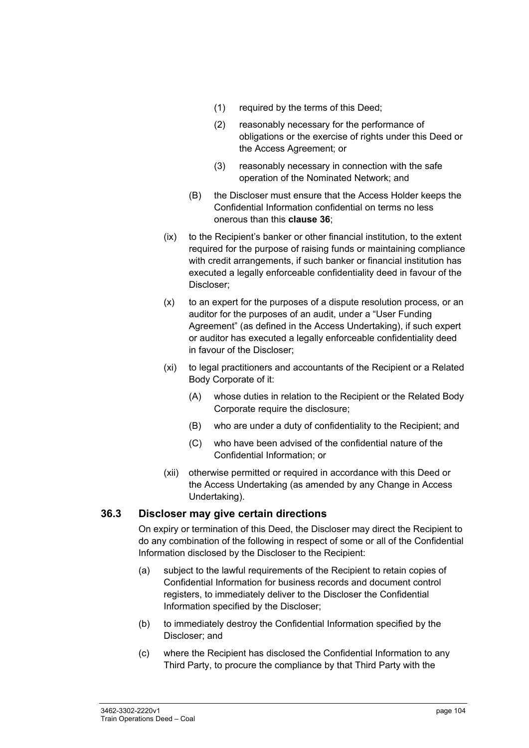- (1) required by the terms of this Deed;
- (2) reasonably necessary for the performance of obligations or the exercise of rights under this Deed or the Access Agreement; or
- (3) reasonably necessary in connection with the safe operation of the Nominated Network; and
- (B) the Discloser must ensure that the Access Holder keeps the Confidential Information confidential on terms no less onerous than this **clause 36**;
- (ix) to the Recipient's banker or other financial institution, to the extent required for the purpose of raising funds or maintaining compliance with credit arrangements, if such banker or financial institution has executed a legally enforceable confidentiality deed in favour of the Discloser;
- $(x)$  to an expert for the purposes of a dispute resolution process, or an auditor for the purposes of an audit, under a "User Funding Agreement" (as defined in the Access Undertaking), if such expert or auditor has executed a legally enforceable confidentiality deed in favour of the Discloser;
- (xi) to legal practitioners and accountants of the Recipient or a Related Body Corporate of it:
	- (A) whose duties in relation to the Recipient or the Related Body Corporate require the disclosure;
	- (B) who are under a duty of confidentiality to the Recipient; and
	- (C) who have been advised of the confidential nature of the Confidential Information; or
- (xii) otherwise permitted or required in accordance with this Deed or the Access Undertaking (as amended by any Change in Access Undertaking).

#### **36.3 Discloser may give certain directions**

On expiry or termination of this Deed, the Discloser may direct the Recipient to do any combination of the following in respect of some or all of the Confidential Information disclosed by the Discloser to the Recipient:

- (a) subject to the lawful requirements of the Recipient to retain copies of Confidential Information for business records and document control registers, to immediately deliver to the Discloser the Confidential Information specified by the Discloser;
- (b) to immediately destroy the Confidential Information specified by the Discloser; and
- (c) where the Recipient has disclosed the Confidential Information to any Third Party, to procure the compliance by that Third Party with the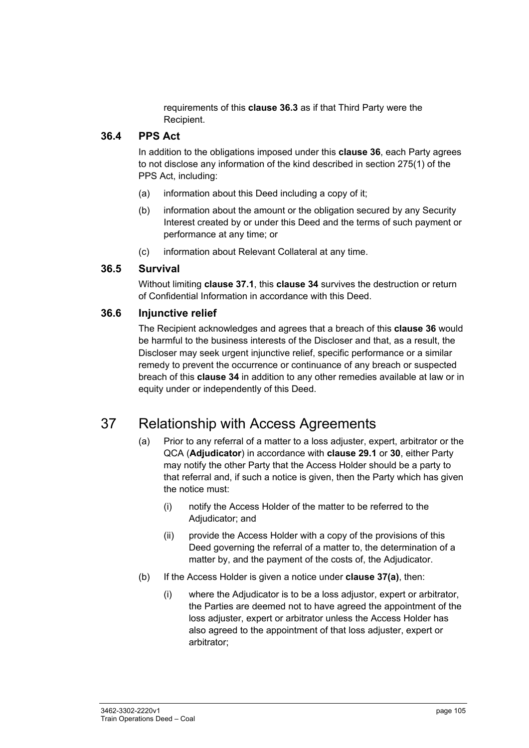requirements of this **clause 36.3** as if that Third Party were the Recipient.

### **36.4 PPS Act**

In addition to the obligations imposed under this **clause 36**, each Party agrees to not disclose any information of the kind described in section 275(1) of the PPS Act, including:

- (a) information about this Deed including a copy of it;
- (b) information about the amount or the obligation secured by any Security Interest created by or under this Deed and the terms of such payment or performance at any time; or
- (c) information about Relevant Collateral at any time.

### **36.5 Survival**

Without limiting **clause 37.1**, this **clause 34** survives the destruction or return of Confidential Information in accordance with this Deed.

### **36.6 Injunctive relief**

The Recipient acknowledges and agrees that a breach of this **clause 36** would be harmful to the business interests of the Discloser and that, as a result, the Discloser may seek urgent injunctive relief, specific performance or a similar remedy to prevent the occurrence or continuance of any breach or suspected breach of this **clause 34** in addition to any other remedies available at law or in equity under or independently of this Deed.

# 37 Relationship with Access Agreements

- (a) Prior to any referral of a matter to a loss adjuster, expert, arbitrator or the QCA (**Adjudicator**) in accordance with **clause 29.1** or **30**, either Party may notify the other Party that the Access Holder should be a party to that referral and, if such a notice is given, then the Party which has given the notice must:
	- (i) notify the Access Holder of the matter to be referred to the Adjudicator; and
	- (ii) provide the Access Holder with a copy of the provisions of this Deed governing the referral of a matter to, the determination of a matter by, and the payment of the costs of, the Adjudicator.
- (b) If the Access Holder is given a notice under **clause 37(a)**, then:
	- (i) where the Adjudicator is to be a loss adjustor, expert or arbitrator, the Parties are deemed not to have agreed the appointment of the loss adjuster, expert or arbitrator unless the Access Holder has also agreed to the appointment of that loss adjuster, expert or arbitrator;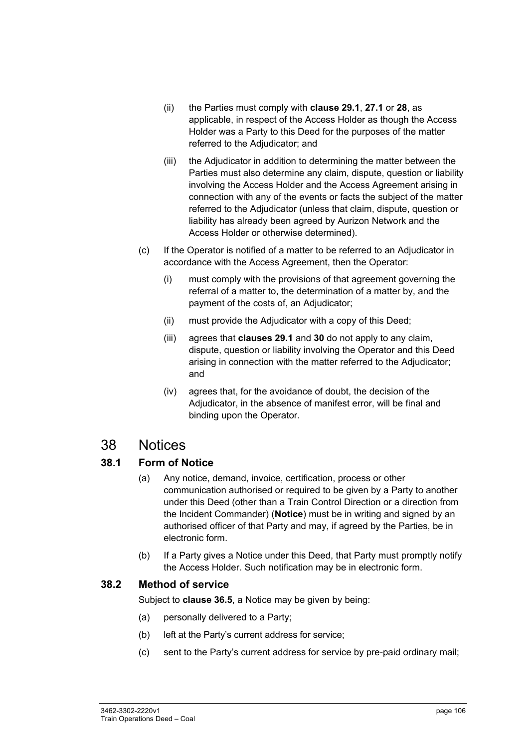- (ii) the Parties must comply with **clause 29.1**, **27.1** or **28**, as applicable, in respect of the Access Holder as though the Access Holder was a Party to this Deed for the purposes of the matter referred to the Adjudicator; and
- (iii) the Adjudicator in addition to determining the matter between the Parties must also determine any claim, dispute, question or liability involving the Access Holder and the Access Agreement arising in connection with any of the events or facts the subject of the matter referred to the Adjudicator (unless that claim, dispute, question or liability has already been agreed by Aurizon Network and the Access Holder or otherwise determined).
- (c) If the Operator is notified of a matter to be referred to an Adjudicator in accordance with the Access Agreement, then the Operator:
	- (i) must comply with the provisions of that agreement governing the referral of a matter to, the determination of a matter by, and the payment of the costs of, an Adjudicator;
	- (ii) must provide the Adjudicator with a copy of this Deed;
	- (iii) agrees that **clauses 29.1** and **30** do not apply to any claim, dispute, question or liability involving the Operator and this Deed arising in connection with the matter referred to the Adjudicator; and
	- (iv) agrees that, for the avoidance of doubt, the decision of the Adjudicator, in the absence of manifest error, will be final and binding upon the Operator.

# 38 Notices

# **38.1 Form of Notice**

- (a) Any notice, demand, invoice, certification, process or other communication authorised or required to be given by a Party to another under this Deed (other than a Train Control Direction or a direction from the Incident Commander) (**Notice**) must be in writing and signed by an authorised officer of that Party and may, if agreed by the Parties, be in electronic form.
- (b) If a Party gives a Notice under this Deed, that Party must promptly notify the Access Holder. Such notification may be in electronic form.

# **38.2 Method of service**

Subject to **clause 36.5**, a Notice may be given by being:

- (a) personally delivered to a Party;
- (b) left at the Party's current address for service;
- (c) sent to the Party's current address for service by pre-paid ordinary mail;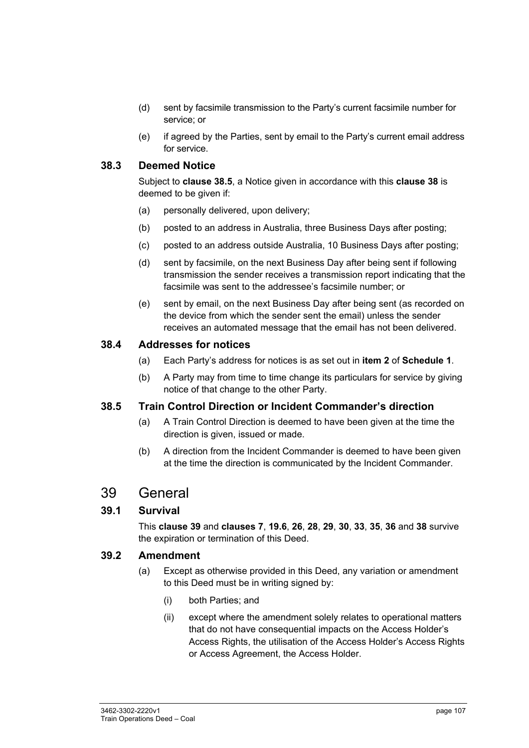- (d) sent by facsimile transmission to the Party's current facsimile number for service; or
- (e) if agreed by the Parties, sent by email to the Party's current email address for service.

### **38.3 Deemed Notice**

Subject to **clause 38.5**, a Notice given in accordance with this **clause 38** is deemed to be given if:

- (a) personally delivered, upon delivery;
- (b) posted to an address in Australia, three Business Days after posting;
- (c) posted to an address outside Australia, 10 Business Days after posting;
- (d) sent by facsimile, on the next Business Day after being sent if following transmission the sender receives a transmission report indicating that the facsimile was sent to the addressee's facsimile number; or
- (e) sent by email, on the next Business Day after being sent (as recorded on the device from which the sender sent the email) unless the sender receives an automated message that the email has not been delivered.

#### **38.4 Addresses for notices**

- (a) Each Party's address for notices is as set out in **item 2** of **Schedule 1**.
- (b) A Party may from time to time change its particulars for service by giving notice of that change to the other Party.

#### **38.5 Train Control Direction or Incident Commander's direction**

- (a) A Train Control Direction is deemed to have been given at the time the direction is given, issued or made.
- (b) A direction from the Incident Commander is deemed to have been given at the time the direction is communicated by the Incident Commander.

# 39 General

#### **39.1 Survival**

This **clause 39** and **clauses 7**, **19.6**, **26**, **28**, **29**, **30**, **33**, **35**, **36** and **38** survive the expiration or termination of this Deed.

#### **39.2 Amendment**

- (a) Except as otherwise provided in this Deed, any variation or amendment to this Deed must be in writing signed by:
	- (i) both Parties; and
	- (ii) except where the amendment solely relates to operational matters that do not have consequential impacts on the Access Holder's Access Rights, the utilisation of the Access Holder's Access Rights or Access Agreement, the Access Holder.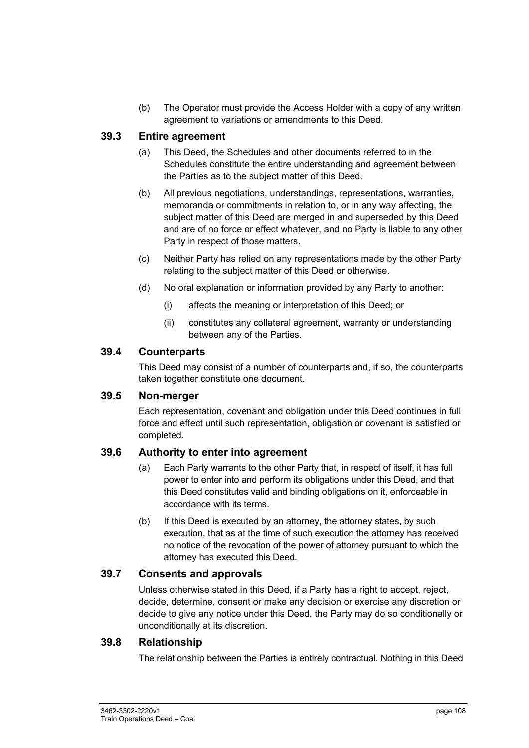(b) The Operator must provide the Access Holder with a copy of any written agreement to variations or amendments to this Deed.

#### **39.3 Entire agreement**

- (a) This Deed, the Schedules and other documents referred to in the Schedules constitute the entire understanding and agreement between the Parties as to the subject matter of this Deed.
- (b) All previous negotiations, understandings, representations, warranties, memoranda or commitments in relation to, or in any way affecting, the subject matter of this Deed are merged in and superseded by this Deed and are of no force or effect whatever, and no Party is liable to any other Party in respect of those matters.
- (c) Neither Party has relied on any representations made by the other Party relating to the subject matter of this Deed or otherwise.
- (d) No oral explanation or information provided by any Party to another:
	- (i) affects the meaning or interpretation of this Deed; or
	- (ii) constitutes any collateral agreement, warranty or understanding between any of the Parties.

#### **39.4 Counterparts**

This Deed may consist of a number of counterparts and, if so, the counterparts taken together constitute one document.

#### **39.5 Non-merger**

Each representation, covenant and obligation under this Deed continues in full force and effect until such representation, obligation or covenant is satisfied or completed.

#### **39.6 Authority to enter into agreement**

- (a) Each Party warrants to the other Party that, in respect of itself, it has full power to enter into and perform its obligations under this Deed, and that this Deed constitutes valid and binding obligations on it, enforceable in accordance with its terms.
- (b) If this Deed is executed by an attorney, the attorney states, by such execution, that as at the time of such execution the attorney has received no notice of the revocation of the power of attorney pursuant to which the attorney has executed this Deed.

#### **39.7 Consents and approvals**

Unless otherwise stated in this Deed, if a Party has a right to accept, reject, decide, determine, consent or make any decision or exercise any discretion or decide to give any notice under this Deed, the Party may do so conditionally or unconditionally at its discretion.

#### **39.8 Relationship**

The relationship between the Parties is entirely contractual. Nothing in this Deed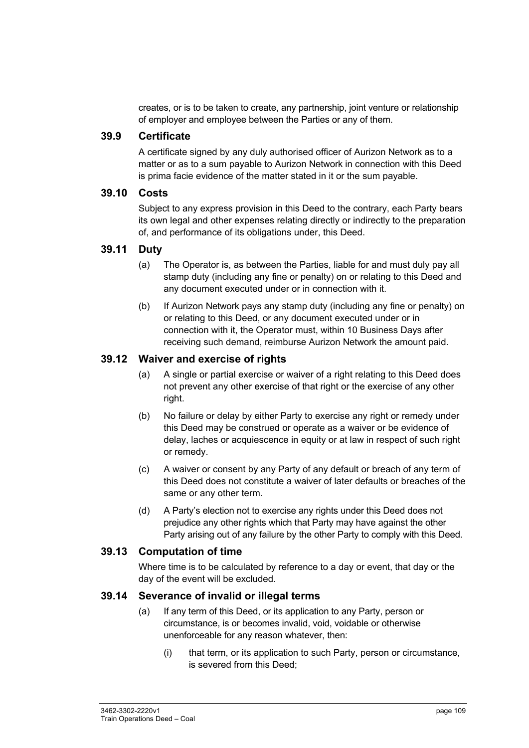creates, or is to be taken to create, any partnership, joint venture or relationship of employer and employee between the Parties or any of them.

#### **39.9 Certificate**

A certificate signed by any duly authorised officer of Aurizon Network as to a matter or as to a sum payable to Aurizon Network in connection with this Deed is prima facie evidence of the matter stated in it or the sum payable.

#### **39.10 Costs**

Subject to any express provision in this Deed to the contrary, each Party bears its own legal and other expenses relating directly or indirectly to the preparation of, and performance of its obligations under, this Deed.

#### **39.11 Duty**

- (a) The Operator is, as between the Parties, liable for and must duly pay all stamp duty (including any fine or penalty) on or relating to this Deed and any document executed under or in connection with it.
- (b) If Aurizon Network pays any stamp duty (including any fine or penalty) on or relating to this Deed, or any document executed under or in connection with it, the Operator must, within 10 Business Days after receiving such demand, reimburse Aurizon Network the amount paid.

#### **39.12 Waiver and exercise of rights**

- (a) A single or partial exercise or waiver of a right relating to this Deed does not prevent any other exercise of that right or the exercise of any other right.
- (b) No failure or delay by either Party to exercise any right or remedy under this Deed may be construed or operate as a waiver or be evidence of delay, laches or acquiescence in equity or at law in respect of such right or remedy.
- (c) A waiver or consent by any Party of any default or breach of any term of this Deed does not constitute a waiver of later defaults or breaches of the same or any other term.
- (d) A Party's election not to exercise any rights under this Deed does not prejudice any other rights which that Party may have against the other Party arising out of any failure by the other Party to comply with this Deed.

#### **39.13 Computation of time**

Where time is to be calculated by reference to a day or event, that day or the day of the event will be excluded.

#### **39.14 Severance of invalid or illegal terms**

- (a) If any term of this Deed, or its application to any Party, person or circumstance, is or becomes invalid, void, voidable or otherwise unenforceable for any reason whatever, then:
	- (i) that term, or its application to such Party, person or circumstance, is severed from this Deed;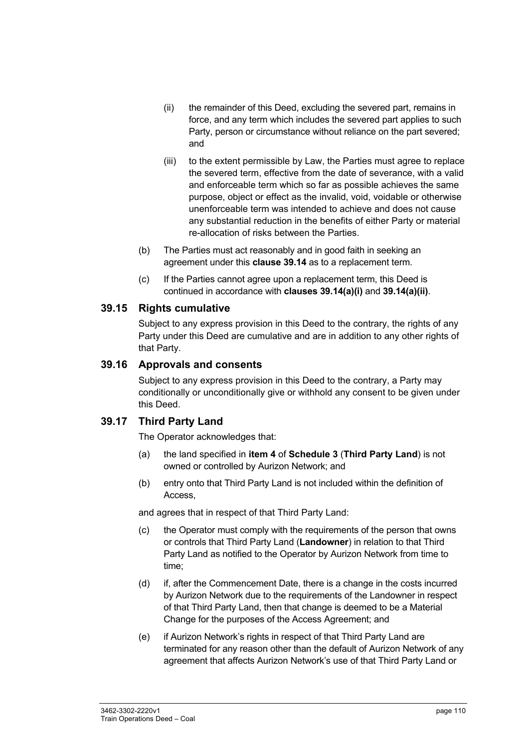- (ii) the remainder of this Deed, excluding the severed part, remains in force, and any term which includes the severed part applies to such Party, person or circumstance without reliance on the part severed; and
- (iii) to the extent permissible by Law, the Parties must agree to replace the severed term, effective from the date of severance, with a valid and enforceable term which so far as possible achieves the same purpose, object or effect as the invalid, void, voidable or otherwise unenforceable term was intended to achieve and does not cause any substantial reduction in the benefits of either Party or material re-allocation of risks between the Parties.
- (b) The Parties must act reasonably and in good faith in seeking an agreement under this **clause 39.14** as to a replacement term.
- (c) If the Parties cannot agree upon a replacement term, this Deed is continued in accordance with **clauses 39.14(a)(i)** and **39.14(a)(ii)**.

#### **39.15 Rights cumulative**

Subject to any express provision in this Deed to the contrary, the rights of any Party under this Deed are cumulative and are in addition to any other rights of that Party.

#### **39.16 Approvals and consents**

Subject to any express provision in this Deed to the contrary, a Party may conditionally or unconditionally give or withhold any consent to be given under this Deed.

#### **39.17 Third Party Land**

The Operator acknowledges that:

- (a) the land specified in **item 4** of **Schedule 3** (**Third Party Land**) is not owned or controlled by Aurizon Network; and
- (b) entry onto that Third Party Land is not included within the definition of Access,

and agrees that in respect of that Third Party Land:

- (c) the Operator must comply with the requirements of the person that owns or controls that Third Party Land (**Landowner**) in relation to that Third Party Land as notified to the Operator by Aurizon Network from time to time;
- (d) if, after the Commencement Date, there is a change in the costs incurred by Aurizon Network due to the requirements of the Landowner in respect of that Third Party Land, then that change is deemed to be a Material Change for the purposes of the Access Agreement; and
- (e) if Aurizon Network's rights in respect of that Third Party Land are terminated for any reason other than the default of Aurizon Network of any agreement that affects Aurizon Network's use of that Third Party Land or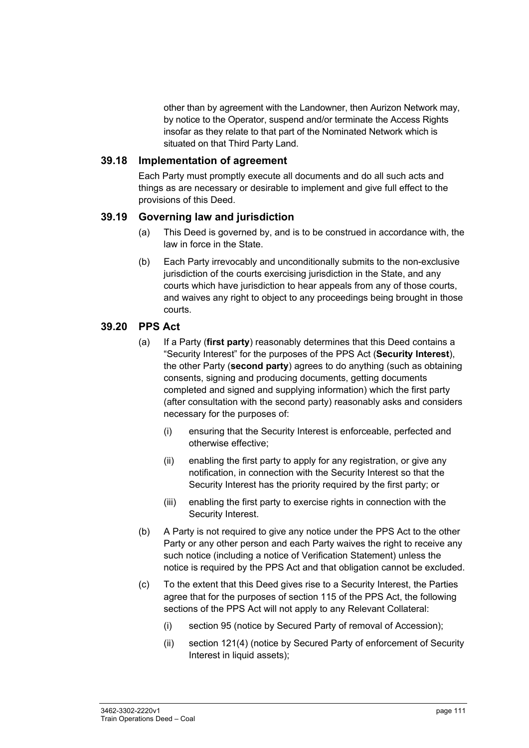other than by agreement with the Landowner, then Aurizon Network may, by notice to the Operator, suspend and/or terminate the Access Rights insofar as they relate to that part of the Nominated Network which is situated on that Third Party Land.

#### **39.18 Implementation of agreement**

Each Party must promptly execute all documents and do all such acts and things as are necessary or desirable to implement and give full effect to the provisions of this Deed.

#### **39.19 Governing law and jurisdiction**

- (a) This Deed is governed by, and is to be construed in accordance with, the law in force in the State.
- (b) Each Party irrevocably and unconditionally submits to the non-exclusive jurisdiction of the courts exercising jurisdiction in the State, and any courts which have jurisdiction to hear appeals from any of those courts, and waives any right to object to any proceedings being brought in those courts.

#### **39.20 PPS Act**

- (a) If a Party (**first party**) reasonably determines that this Deed contains a "Security Interest" for the purposes of the PPS Act (**Security Interest**), the other Party (**second party**) agrees to do anything (such as obtaining consents, signing and producing documents, getting documents completed and signed and supplying information) which the first party (after consultation with the second party) reasonably asks and considers necessary for the purposes of:
	- (i) ensuring that the Security Interest is enforceable, perfected and otherwise effective;
	- (ii) enabling the first party to apply for any registration, or give any notification, in connection with the Security Interest so that the Security Interest has the priority required by the first party; or
	- (iii) enabling the first party to exercise rights in connection with the Security Interest.
- (b) A Party is not required to give any notice under the PPS Act to the other Party or any other person and each Party waives the right to receive any such notice (including a notice of Verification Statement) unless the notice is required by the PPS Act and that obligation cannot be excluded.
- (c) To the extent that this Deed gives rise to a Security Interest, the Parties agree that for the purposes of section 115 of the PPS Act, the following sections of the PPS Act will not apply to any Relevant Collateral:
	- (i) section 95 (notice by Secured Party of removal of Accession);
	- (ii) section 121(4) (notice by Secured Party of enforcement of Security Interest in liquid assets);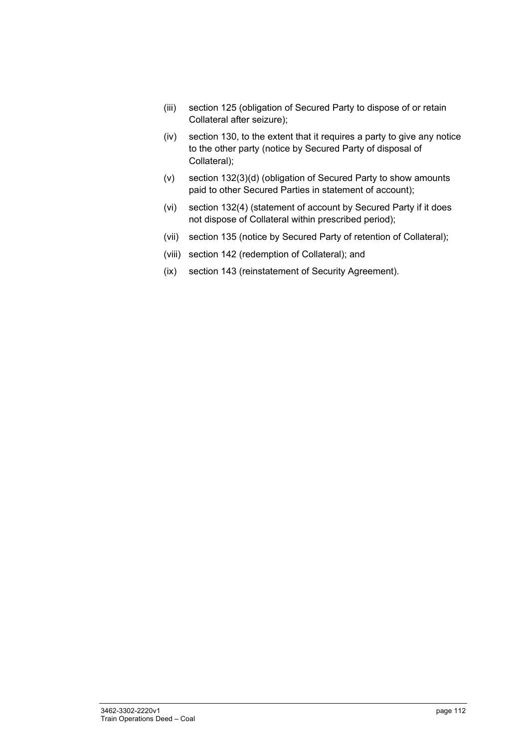- (iii) section 125 (obligation of Secured Party to dispose of or retain Collateral after seizure);
- (iv) section 130, to the extent that it requires a party to give any notice to the other party (notice by Secured Party of disposal of Collateral);
- (v) section 132(3)(d) (obligation of Secured Party to show amounts paid to other Secured Parties in statement of account);
- (vi) section 132(4) (statement of account by Secured Party if it does not dispose of Collateral within prescribed period);
- (vii) section 135 (notice by Secured Party of retention of Collateral);
- (viii) section 142 (redemption of Collateral); and
- (ix) section 143 (reinstatement of Security Agreement).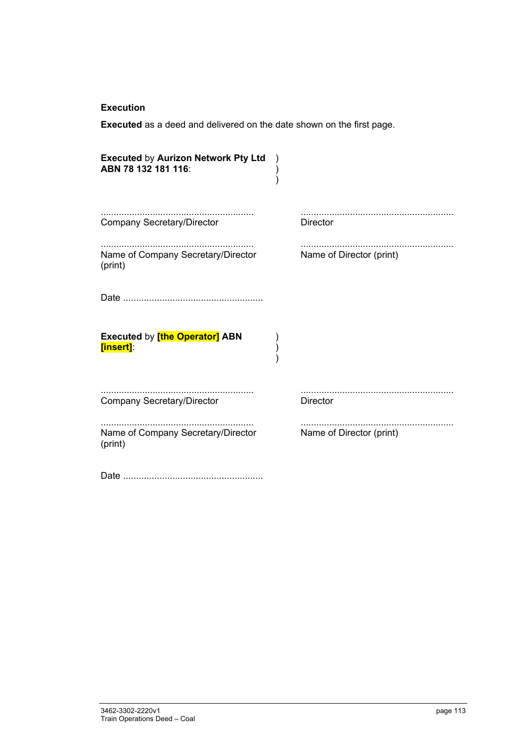#### **Execution**

**Executed** as a deed and delivered on the date shown on the first page.

| <b>Executed by Aurizon Network Pty Ltd</b><br>ABN 78 132 181 116: |                          |
|-------------------------------------------------------------------|--------------------------|
| <b>Company Secretary/Director</b>                                 | <b>Director</b>          |
| Name of Company Secretary/Director<br>(print)                     | Name of Director (print) |
|                                                                   |                          |
| <b>Executed by [the Operator] ABN</b><br>[insert]:                |                          |
| <b>Company Secretary/Director</b>                                 | <b>Director</b>          |
| Name of Company Secretary/Director<br>(print)                     | Name of Director (print) |
|                                                                   |                          |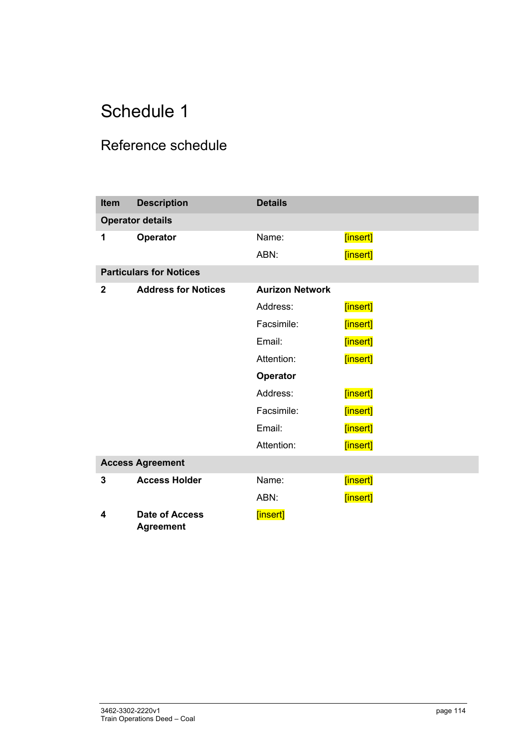## Reference schedule

| <b>Item</b>  | <b>Description</b>                        | <b>Details</b>         |          |
|--------------|-------------------------------------------|------------------------|----------|
|              | <b>Operator details</b>                   |                        |          |
| 1            | <b>Operator</b>                           | Name:                  | [insert] |
|              |                                           | ABN:                   | [insert] |
|              | <b>Particulars for Notices</b>            |                        |          |
| $\mathbf{2}$ | <b>Address for Notices</b>                | <b>Aurizon Network</b> |          |
|              |                                           | Address:               | [insert] |
|              |                                           | Facsimile:             | [insert] |
|              |                                           | Email:                 | [insert] |
|              |                                           | Attention:             | [insert] |
|              |                                           | Operator               |          |
|              |                                           | Address:               | [insert] |
|              |                                           | Facsimile:             | [insert] |
|              |                                           | Email:                 | [insert] |
|              |                                           | Attention:             | [insert] |
|              | <b>Access Agreement</b>                   |                        |          |
| 3            | <b>Access Holder</b>                      | Name:                  | [insert] |
|              |                                           | ABN:                   | [insert] |
| 4            | <b>Date of Access</b><br><b>Agreement</b> | [insert]               |          |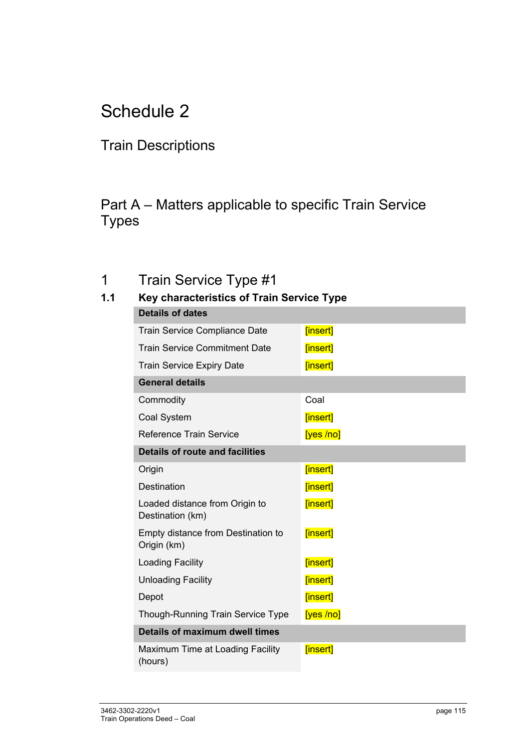### Train Descriptions

### Part A – Matters applicable to specific Train Service Types

### 1 Train Service Type #1

| 1.1 | Key characteristics of Train Service Type          |          |  |  |  |
|-----|----------------------------------------------------|----------|--|--|--|
|     | <b>Details of dates</b>                            |          |  |  |  |
|     | Train Service Compliance Date                      | [insert] |  |  |  |
|     | <b>Train Service Commitment Date</b>               | [insert] |  |  |  |
|     | <b>Train Service Expiry Date</b>                   | [insert] |  |  |  |
|     | <b>General details</b>                             |          |  |  |  |
|     | Commodity                                          | Coal     |  |  |  |
|     | Coal System                                        | [insert] |  |  |  |
|     | <b>Reference Train Service</b>                     | [yes/no] |  |  |  |
|     | <b>Details of route and facilities</b>             |          |  |  |  |
|     | Origin                                             | [insert] |  |  |  |
|     | <b>Destination</b>                                 | [insert] |  |  |  |
|     | Loaded distance from Origin to<br>Destination (km) | [insert] |  |  |  |
|     | Empty distance from Destination to<br>Origin (km)  | [insert] |  |  |  |
|     | <b>Loading Facility</b>                            | [insert] |  |  |  |
|     | <b>Unloading Facility</b>                          | [insert] |  |  |  |
|     | Depot                                              | [insert] |  |  |  |
|     | <b>Though-Running Train Service Type</b>           | [yes/no] |  |  |  |
|     | Details of maximum dwell times                     |          |  |  |  |
|     | Maximum Time at Loading Facility<br>(hours)        | [insert] |  |  |  |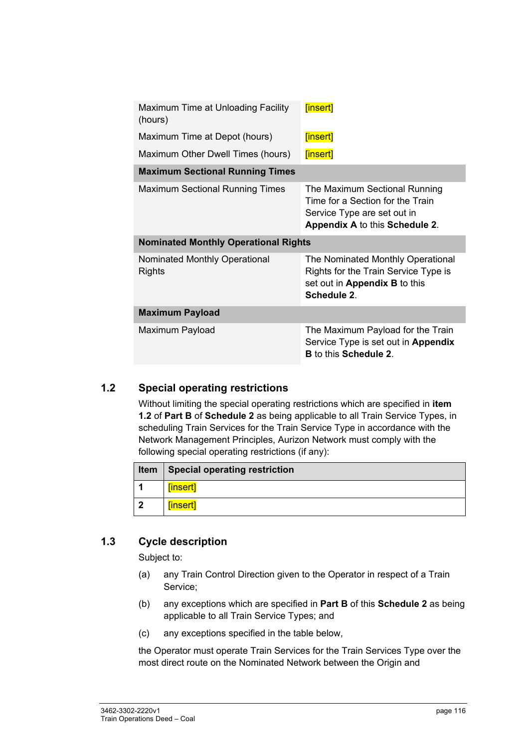| Maximum Time at Unloading Facility<br>(hours) | [insert]                                                                                                                           |
|-----------------------------------------------|------------------------------------------------------------------------------------------------------------------------------------|
| Maximum Time at Depot (hours)                 | [insert]                                                                                                                           |
| Maximum Other Dwell Times (hours)             | [insert]                                                                                                                           |
| <b>Maximum Sectional Running Times</b>        |                                                                                                                                    |
| <b>Maximum Sectional Running Times</b>        | The Maximum Sectional Running<br>Time for a Section for the Train<br>Service Type are set out in<br>Appendix A to this Schedule 2. |
| <b>Nominated Monthly Operational Rights</b>   |                                                                                                                                    |
| Nominated Monthly Operational<br>Rights       | The Nominated Monthly Operational<br>Rights for the Train Service Type is<br>set out in Appendix B to this<br>Schedule 2.          |
| <b>Maximum Payload</b>                        |                                                                                                                                    |
| Maximum Payload                               | The Maximum Payload for the Train<br>Service Type is set out in Appendix<br><b>B</b> to this <b>Schedule 2</b> .                   |

#### **1.2 Special operating restrictions**

Without limiting the special operating restrictions which are specified in **item 1.2** of **Part B** of **Schedule 2** as being applicable to all Train Service Types, in scheduling Train Services for the Train Service Type in accordance with the Network Management Principles, Aurizon Network must comply with the following special operating restrictions (if any):

|   | Item   Special operating restriction |
|---|--------------------------------------|
|   | [insert]                             |
| 2 | [insert]                             |

#### **1.3 Cycle description**

Subject to:

- (a) any Train Control Direction given to the Operator in respect of a Train Service;
- (b) any exceptions which are specified in **Part B** of this **Schedule 2** as being applicable to all Train Service Types; and
- (c) any exceptions specified in the table below,

the Operator must operate Train Services for the Train Services Type over the most direct route on the Nominated Network between the Origin and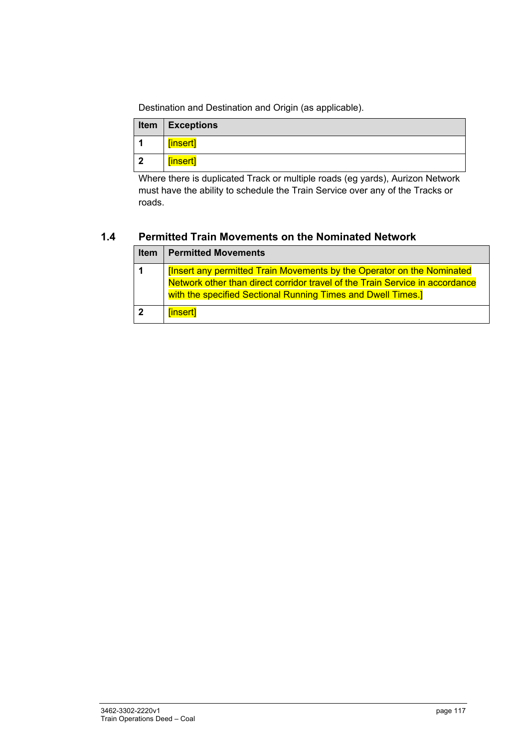Destination and Destination and Origin (as applicable).

|                         | <b>Item   Exceptions</b> |
|-------------------------|--------------------------|
|                         | [insert]                 |
| $\overline{\mathbf{2}}$ | [insert]                 |

Where there is duplicated Track or multiple roads (eg yards), Aurizon Network must have the ability to schedule the Train Service over any of the Tracks or roads.

#### **1.4 Permitted Train Movements on the Nominated Network**

|              | <b>Item   Permitted Movements</b>                                             |
|--------------|-------------------------------------------------------------------------------|
| $\mathbf 1$  | <b>[Insert any permitted Train Movements by the Operator on the Nominated</b> |
|              | Network other than direct corridor travel of the Train Service in accordance  |
|              | with the specified Sectional Running Times and Dwell Times.]                  |
| $\mathbf{2}$ | [insert]                                                                      |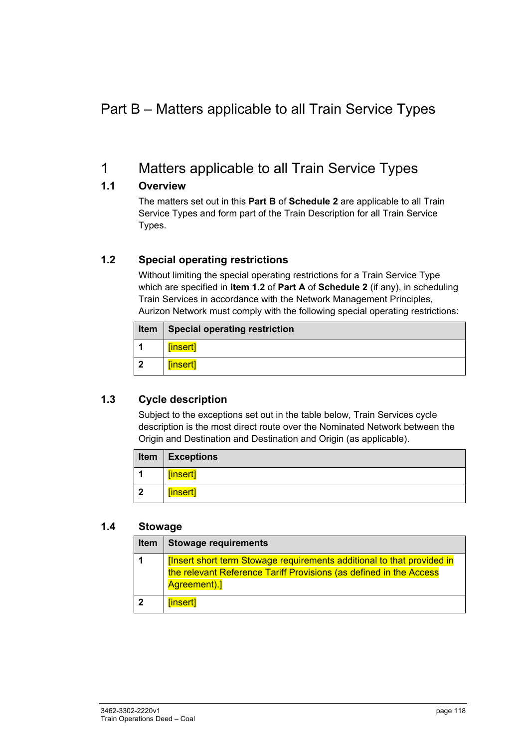### Part B – Matters applicable to all Train Service Types

### 1 Matters applicable to all Train Service Types

#### **1.1 Overview**

The matters set out in this **Part B** of **Schedule 2** are applicable to all Train Service Types and form part of the Train Description for all Train Service Types.

#### **1.2 Special operating restrictions**

Without limiting the special operating restrictions for a Train Service Type which are specified in **item 1.2** of **Part A** of **Schedule 2** (if any), in scheduling Train Services in accordance with the Network Management Principles, Aurizon Network must comply with the following special operating restrictions:

| Item           | Special operating restriction |
|----------------|-------------------------------|
| $\overline{1}$ | <b>finsert]</b>               |
| $\overline{2}$ | [insert]                      |

#### **1.3 Cycle description**

Subject to the exceptions set out in the table below, Train Services cycle description is the most direct route over the Nominated Network between the Origin and Destination and Destination and Origin (as applicable).

|                      | <b>Item   Exceptions</b> |
|----------------------|--------------------------|
| $\blacktriangleleft$ | [insert]                 |
| $\overline{2}$       | [insert]                 |

#### **1.4 Stowage**

| Item           | <b>Stowage requirements</b>                                                                                                                                 |
|----------------|-------------------------------------------------------------------------------------------------------------------------------------------------------------|
| $\mathbf{1}$   | [Insert short term Stowage requirements additional to that provided in<br>the relevant Reference Tariff Provisions (as defined in the Access<br>Agreement). |
| $\overline{2}$ | [insert]                                                                                                                                                    |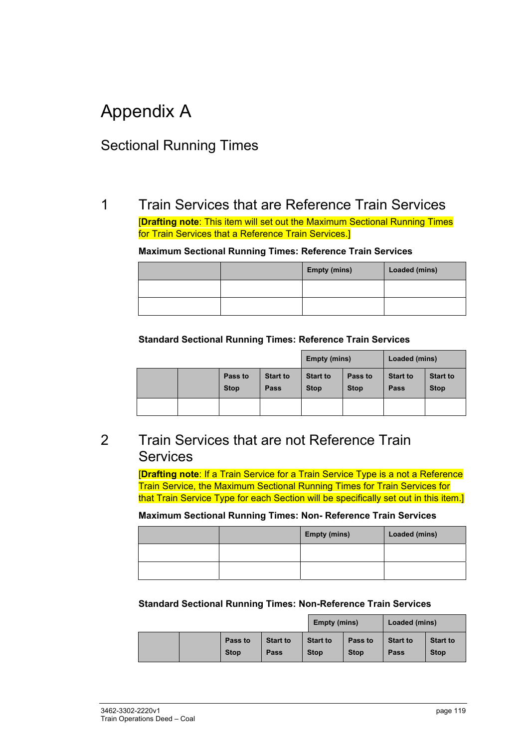# Appendix A

### Sectional Running Times

### 1 Train Services that are Reference Train Services

[**Drafting note**: This item will set out the Maximum Sectional Running Times for Train Services that a Reference Train Services.]

#### **Maximum Sectional Running Times: Reference Train Services**

|  | <b>Empty (mins)</b> | Loaded (mins) |
|--|---------------------|---------------|
|  |                     |               |
|  |                     |               |

#### **Standard Sectional Running Times: Reference Train Services**

|  |  |                        | Empty (mins)            |                                | Loaded (mins)          |                         |                                |
|--|--|------------------------|-------------------------|--------------------------------|------------------------|-------------------------|--------------------------------|
|  |  | Pass to<br><b>Stop</b> | <b>Start to</b><br>Pass | <b>Start to</b><br><b>Stop</b> | Pass to<br><b>Stop</b> | <b>Start to</b><br>Pass | <b>Start to</b><br><b>Stop</b> |
|  |  |                        |                         |                                |                        |                         |                                |

### 2 Train Services that are not Reference Train **Services**

[**Drafting note**: If a Train Service for a Train Service Type is a not a Reference Train Service, the Maximum Sectional Running Times for Train Services for that Train Service Type for each Section will be specifically set out in this item.]

#### **Maximum Sectional Running Times: Non- Reference Train Services**

|  | <b>Empty (mins)</b> | Loaded (mins) |
|--|---------------------|---------------|
|  |                     |               |
|  |                     |               |

#### **Standard Sectional Running Times: Non-Reference Train Services**

|  |                        |                         | Empty (mins)                   |                        | Loaded (mins)           |                                |
|--|------------------------|-------------------------|--------------------------------|------------------------|-------------------------|--------------------------------|
|  | Pass to<br><b>Stop</b> | <b>Start to</b><br>Pass | <b>Start to</b><br><b>Stop</b> | Pass to<br><b>Stop</b> | <b>Start to</b><br>Pass | <b>Start to</b><br><b>Stop</b> |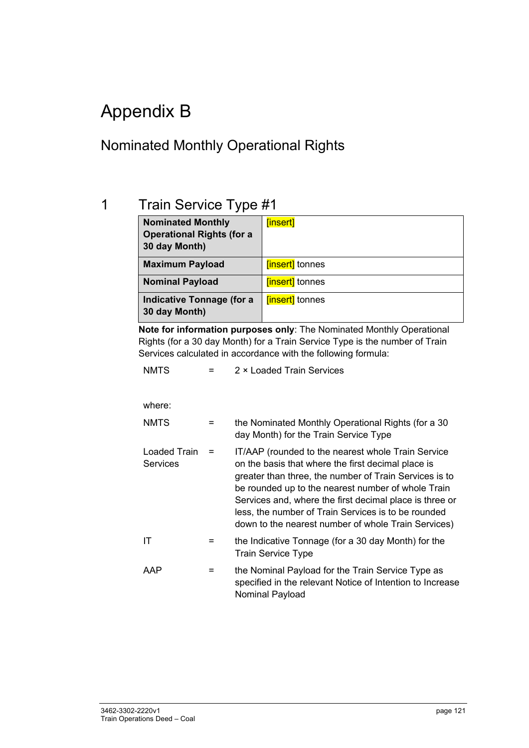# Appendix B

### Nominated Monthly Operational Rights

### 1 Train Service Type #1

| <b>Nominated Monthly</b><br><b>Operational Rights (for a</b><br>30 day Month) | [insert]              |
|-------------------------------------------------------------------------------|-----------------------|
| <b>Maximum Payload</b>                                                        | <b>finsert</b> tonnes |
| <b>Nominal Payload</b>                                                        | <b>finsert</b> tonnes |
| <b>Indicative Tonnage (for a</b><br>30 day Month)                             | <b>finsert</b> tonnes |

**Note for information purposes only**: The Nominated Monthly Operational Rights (for a 30 day Month) for a Train Service Type is the number of Train Services calculated in accordance with the following formula:

| <b>NMTS</b> | 2 × Loaded Train Services |
|-------------|---------------------------|
|             |                           |

#### where:

| <b>NMTS</b>                     |   | the Nominated Monthly Operational Rights (for a 30<br>day Month) for the Train Service Type                                                                                                                                                                                                                                                                                                       |
|---------------------------------|---|---------------------------------------------------------------------------------------------------------------------------------------------------------------------------------------------------------------------------------------------------------------------------------------------------------------------------------------------------------------------------------------------------|
| Loaded Train<br><b>Services</b> |   | IT/AAP (rounded to the nearest whole Train Service<br>on the basis that where the first decimal place is<br>greater than three, the number of Train Services is to<br>be rounded up to the nearest number of whole Train<br>Services and, where the first decimal place is three or<br>less, the number of Train Services is to be rounded<br>down to the nearest number of whole Train Services) |
| ΙT                              | = | the Indicative Tonnage (for a 30 day Month) for the<br><b>Train Service Type</b>                                                                                                                                                                                                                                                                                                                  |
| AAP                             | = | the Nominal Payload for the Train Service Type as<br>specified in the relevant Notice of Intention to Increase<br><b>Nominal Payload</b>                                                                                                                                                                                                                                                          |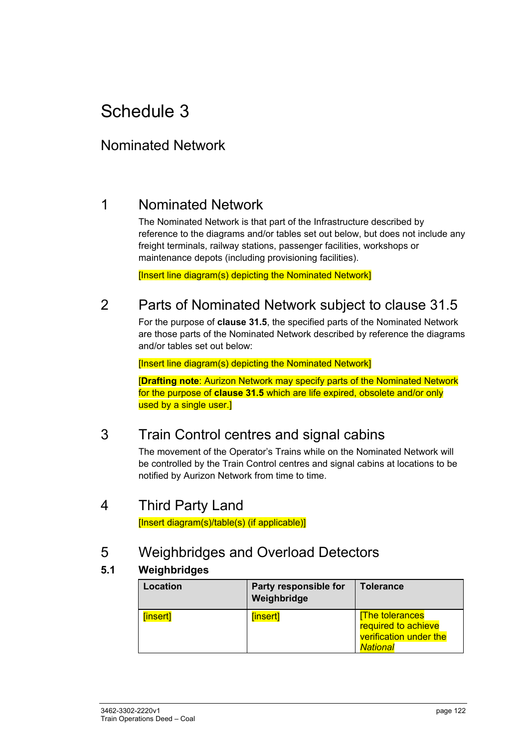### Nominated Network

### 1 Nominated Network

The Nominated Network is that part of the Infrastructure described by reference to the diagrams and/or tables set out below, but does not include any freight terminals, railway stations, passenger facilities, workshops or maintenance depots (including provisioning facilities).

[Insert line diagram(s) depicting the Nominated Network]

### 2 Parts of Nominated Network subject to clause 31.5

For the purpose of **clause 31.5**, the specified parts of the Nominated Network are those parts of the Nominated Network described by reference the diagrams and/or tables set out below:

[Insert line diagram(s) depicting the Nominated Network]

[**Drafting note**: Aurizon Network may specify parts of the Nominated Network for the purpose of **clause 31.5** which are life expired, obsolete and/or only used by a single user.]

### 3 Train Control centres and signal cabins

The movement of the Operator's Trains while on the Nominated Network will be controlled by the Train Control centres and signal cabins at locations to be notified by Aurizon Network from time to time.

### 4 Third Party Land

[Insert diagram(s)/table(s) (if applicable)]

### 5 Weighbridges and Overload Detectors

#### **5.1 Weighbridges**

| <b>Location</b> | Party responsible for<br>Weighbridge | <b>Tolerance</b>                                                                          |
|-----------------|--------------------------------------|-------------------------------------------------------------------------------------------|
| [insert]        | [insert]                             | <b>The tolerances</b><br>required to achieve<br>verification under the<br><b>National</b> |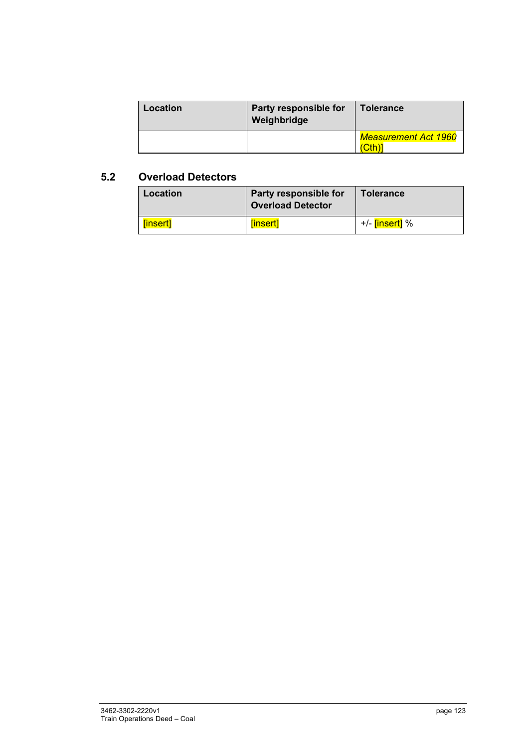| Location | Party responsible for<br>Weighbridge | <b>Tolerance</b>     |
|----------|--------------------------------------|----------------------|
|          |                                      | Measurement Act 1960 |

#### **5.2 Overload Detectors**

| Location | Party responsible for<br><b>Overload Detector</b> | <b>Tolerance</b>            |
|----------|---------------------------------------------------|-----------------------------|
| [insert] | <i><b>[insert]</b></i>                            | +/- <mark>[insert]</mark> % |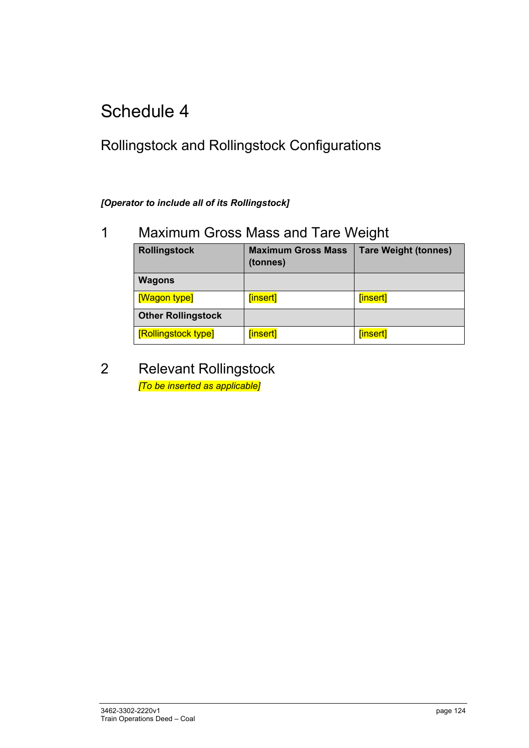## Rollingstock and Rollingstock Configurations

#### *[Operator to include all of its Rollingstock]*

### 1 Maximum Gross Mass and Tare Weight

| <b>Rollingstock</b>       | <b>Maximum Gross Mass</b><br>(tonnes) | <b>Tare Weight (tonnes)</b> |
|---------------------------|---------------------------------------|-----------------------------|
| <b>Wagons</b>             |                                       |                             |
| [Wagon type]              | [insert]                              | [insert]                    |
| <b>Other Rollingstock</b> |                                       |                             |
| [Rollingstock type]       | [insert]                              | [insert]                    |

### 2 Relevant Rollingstock *[To be inserted as applicable]*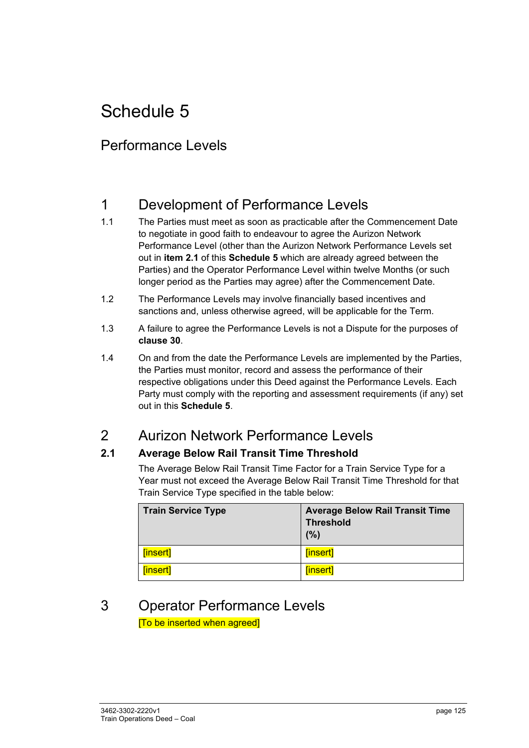### Performance Levels

### 1 Development of Performance Levels

- 1.1 The Parties must meet as soon as practicable after the Commencement Date to negotiate in good faith to endeavour to agree the Aurizon Network Performance Level (other than the Aurizon Network Performance Levels set out in **item 2.1** of this **Schedule 5** which are already agreed between the Parties) and the Operator Performance Level within twelve Months (or such longer period as the Parties may agree) after the Commencement Date.
- 1.2 The Performance Levels may involve financially based incentives and sanctions and, unless otherwise agreed, will be applicable for the Term.
- 1.3 A failure to agree the Performance Levels is not a Dispute for the purposes of **clause 30**.
- 1.4 On and from the date the Performance Levels are implemented by the Parties, the Parties must monitor, record and assess the performance of their respective obligations under this Deed against the Performance Levels. Each Party must comply with the reporting and assessment requirements (if any) set out in this **Schedule 5**.

### 2 Aurizon Network Performance Levels

#### **2.1 Average Below Rail Transit Time Threshold**

The Average Below Rail Transit Time Factor for a Train Service Type for a Year must not exceed the Average Below Rail Transit Time Threshold for that Train Service Type specified in the table below:

| Train Service Type      | <b>Average Below Rail Transit Time</b><br><b>Threshold</b><br>(%) |
|-------------------------|-------------------------------------------------------------------|
| │ <mark>[insert]</mark> | [insert]                                                          |
| <b>Finsert</b>          | [insert]                                                          |

#### 3 Operator Performance Levels [To be inserted when agreed]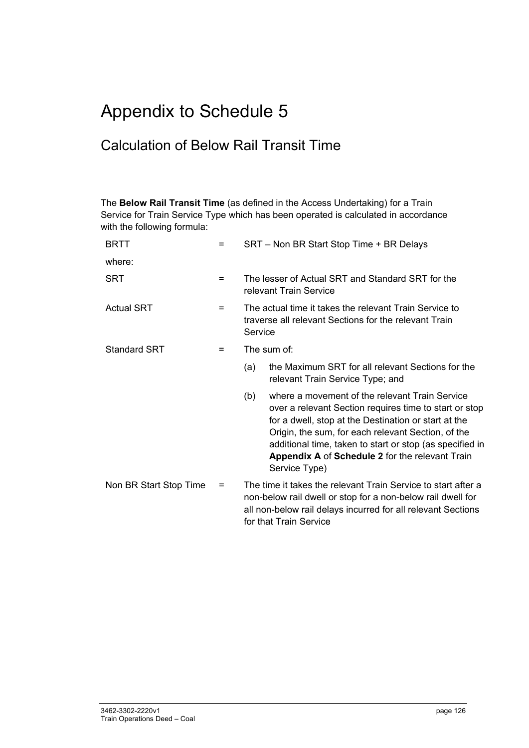# Appendix to Schedule 5

### Calculation of Below Rail Transit Time

The **Below Rail Transit Time** (as defined in the Access Undertaking) for a Train Service for Train Service Type which has been operated is calculated in accordance with the following formula:

| <b>BRTT</b>            | = | SRT - Non BR Start Stop Time + BR Delays                                                                                                                                                                               |                                                                                                                                                                                                                                                                                                                                                        |
|------------------------|---|------------------------------------------------------------------------------------------------------------------------------------------------------------------------------------------------------------------------|--------------------------------------------------------------------------------------------------------------------------------------------------------------------------------------------------------------------------------------------------------------------------------------------------------------------------------------------------------|
| where:                 |   |                                                                                                                                                                                                                        |                                                                                                                                                                                                                                                                                                                                                        |
| <b>SRT</b>             | = | The lesser of Actual SRT and Standard SRT for the<br>relevant Train Service                                                                                                                                            |                                                                                                                                                                                                                                                                                                                                                        |
| <b>Actual SRT</b>      | = | The actual time it takes the relevant Train Service to<br>traverse all relevant Sections for the relevant Train<br>Service                                                                                             |                                                                                                                                                                                                                                                                                                                                                        |
| <b>Standard SRT</b>    | = |                                                                                                                                                                                                                        | The sum of:                                                                                                                                                                                                                                                                                                                                            |
|                        |   | (a)                                                                                                                                                                                                                    | the Maximum SRT for all relevant Sections for the<br>relevant Train Service Type; and                                                                                                                                                                                                                                                                  |
|                        |   | (b)                                                                                                                                                                                                                    | where a movement of the relevant Train Service<br>over a relevant Section requires time to start or stop<br>for a dwell, stop at the Destination or start at the<br>Origin, the sum, for each relevant Section, of the<br>additional time, taken to start or stop (as specified in<br>Appendix A of Schedule 2 for the relevant Train<br>Service Type) |
| Non BR Start Stop Time | = | The time it takes the relevant Train Service to start after a<br>non-below rail dwell or stop for a non-below rail dwell for<br>all non-below rail delays incurred for all relevant Sections<br>for that Train Service |                                                                                                                                                                                                                                                                                                                                                        |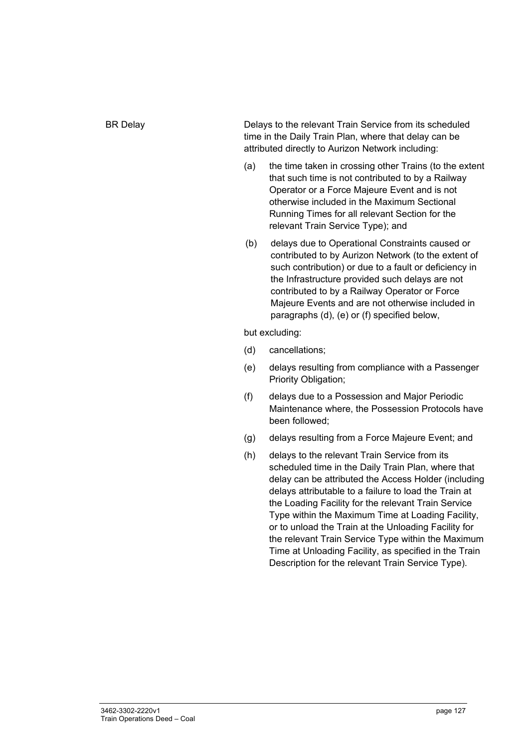BR Delay **Delays to the relevant Train Service from its scheduled** time in the Daily Train Plan, where that delay can be attributed directly to Aurizon Network including:

- (a) the time taken in crossing other Trains (to the extent that such time is not contributed to by a Railway Operator or a Force Majeure Event and is not otherwise included in the Maximum Sectional Running Times for all relevant Section for the relevant Train Service Type); and
- (b) delays due to Operational Constraints caused or contributed to by Aurizon Network (to the extent of such contribution) or due to a fault or deficiency in the Infrastructure provided such delays are not contributed to by a Railway Operator or Force Majeure Events and are not otherwise included in paragraphs (d), (e) or (f) specified below,

but excluding:

- (d) cancellations;
- (e) delays resulting from compliance with a Passenger Priority Obligation;
- (f) delays due to a Possession and Major Periodic Maintenance where, the Possession Protocols have been followed;
- (g) delays resulting from a Force Majeure Event; and
- (h) delays to the relevant Train Service from its scheduled time in the Daily Train Plan, where that delay can be attributed the Access Holder (including delays attributable to a failure to load the Train at the Loading Facility for the relevant Train Service Type within the Maximum Time at Loading Facility, or to unload the Train at the Unloading Facility for the relevant Train Service Type within the Maximum Time at Unloading Facility, as specified in the Train Description for the relevant Train Service Type).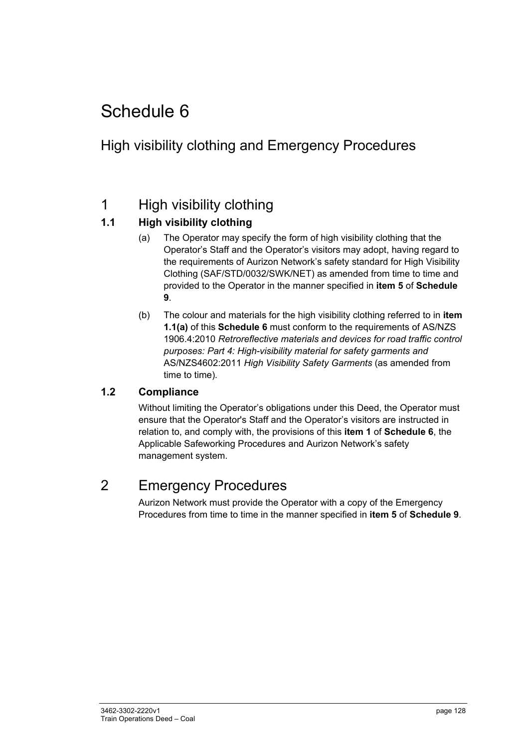### High visibility clothing and Emergency Procedures

### 1 High visibility clothing

### **1.1 High visibility clothing**

- (a) The Operator may specify the form of high visibility clothing that the Operator's Staff and the Operator's visitors may adopt, having regard to the requirements of Aurizon Network's safety standard for High Visibility Clothing (SAF/STD/0032/SWK/NET) as amended from time to time and provided to the Operator in the manner specified in **item 5** of **Schedule 9**.
- (b) The colour and materials for the high visibility clothing referred to in **item 1.1(a)** of this **Schedule 6** must conform to the requirements of AS/NZS 1906.4:2010 *Retroreflective materials and devices for road traffic control purposes: Part 4: High-visibility material for safety garments and*  AS/NZS4602:2011 *High Visibility Safety Garments* (as amended from time to time)*.*

#### **1.2 Compliance**

Without limiting the Operator's obligations under this Deed, the Operator must ensure that the Operator's Staff and the Operator's visitors are instructed in relation to, and comply with, the provisions of this **item 1** of **Schedule 6**, the Applicable Safeworking Procedures and Aurizon Network's safety management system.

### 2 Emergency Procedures

Aurizon Network must provide the Operator with a copy of the Emergency Procedures from time to time in the manner specified in **item 5** of **Schedule 9**.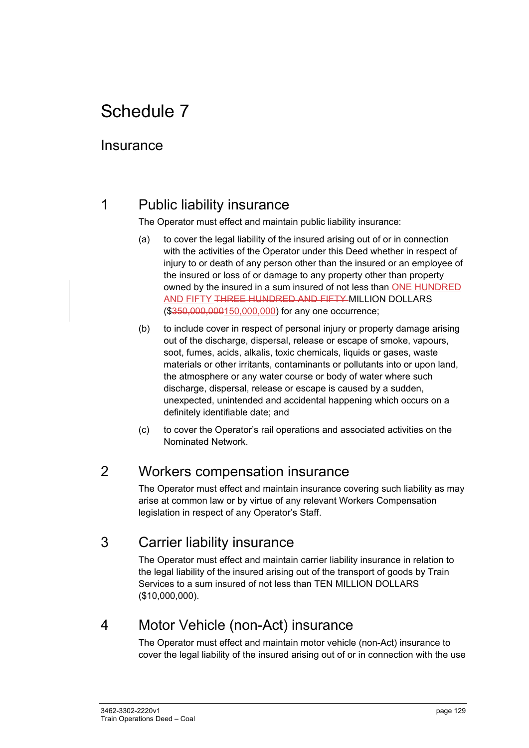### **Insurance**

### 1 Public liability insurance

The Operator must effect and maintain public liability insurance:

- (a) to cover the legal liability of the insured arising out of or in connection with the activities of the Operator under this Deed whether in respect of injury to or death of any person other than the insured or an employee of the insured or loss of or damage to any property other than property owned by the insured in a sum insured of not less than ONE HUNDRED AND FIFTY THREE HUNDRED AND FIFTY MILLION DOLLARS (\$350,000,000150,000,000) for any one occurrence;
- (b) to include cover in respect of personal injury or property damage arising out of the discharge, dispersal, release or escape of smoke, vapours, soot, fumes, acids, alkalis, toxic chemicals, liquids or gases, waste materials or other irritants, contaminants or pollutants into or upon land, the atmosphere or any water course or body of water where such discharge, dispersal, release or escape is caused by a sudden, unexpected, unintended and accidental happening which occurs on a definitely identifiable date; and
- (c) to cover the Operator's rail operations and associated activities on the Nominated Network.

### 2 Workers compensation insurance

The Operator must effect and maintain insurance covering such liability as may arise at common law or by virtue of any relevant Workers Compensation legislation in respect of any Operator's Staff.

### 3 Carrier liability insurance

The Operator must effect and maintain carrier liability insurance in relation to the legal liability of the insured arising out of the transport of goods by Train Services to a sum insured of not less than TEN MILLION DOLLARS (\$10,000,000).

### 4 Motor Vehicle (non-Act) insurance

The Operator must effect and maintain motor vehicle (non-Act) insurance to cover the legal liability of the insured arising out of or in connection with the use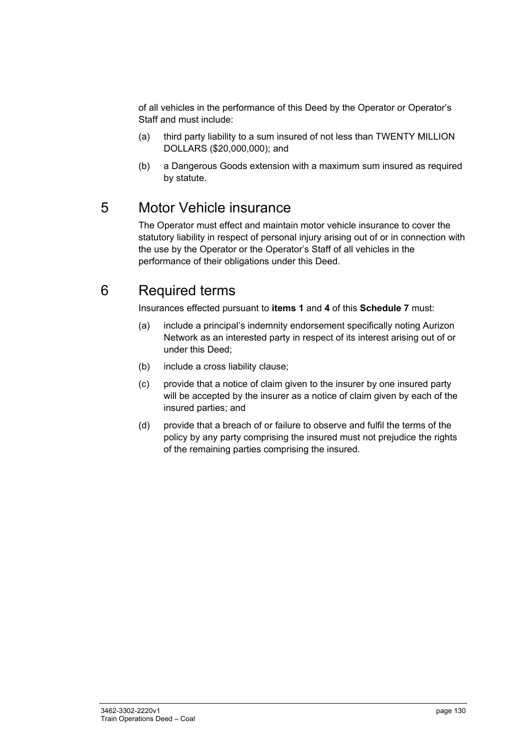of all vehicles in the performance of this Deed by the Operator or Operator's Staff and must include:

- (a) third party liability to a sum insured of not less than TWENTY MILLION DOLLARS (\$20,000,000); and
- (b) a Dangerous Goods extension with a maximum sum insured as required by statute.

### 5 Motor Vehicle insurance

The Operator must effect and maintain motor vehicle insurance to cover the statutory liability in respect of personal injury arising out of or in connection with the use by the Operator or the Operator's Staff of all vehicles in the performance of their obligations under this Deed.

### 6 Required terms

Insurances effected pursuant to **items 1** and **4** of this **Schedule 7** must:

- (a) include a principal's indemnity endorsement specifically noting Aurizon Network as an interested party in respect of its interest arising out of or under this Deed;
- (b) include a cross liability clause;
- (c) provide that a notice of claim given to the insurer by one insured party will be accepted by the insurer as a notice of claim given by each of the insured parties; and
- (d) provide that a breach of or failure to observe and fulfil the terms of the policy by any party comprising the insured must not prejudice the rights of the remaining parties comprising the insured.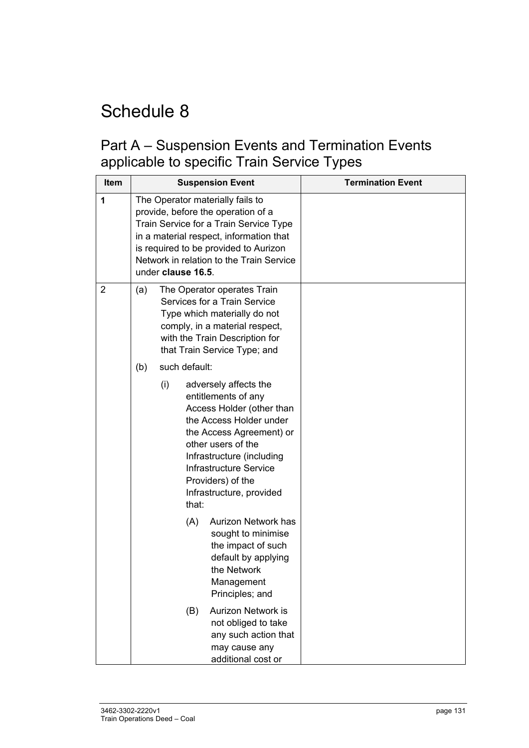### Part A – Suspension Events and Termination Events applicable to specific Train Service Types

| <b>Item</b>    | <b>Suspension Event</b>                                                                                                                                                                                                                                                                                | <b>Termination Event</b> |
|----------------|--------------------------------------------------------------------------------------------------------------------------------------------------------------------------------------------------------------------------------------------------------------------------------------------------------|--------------------------|
| 1              | The Operator materially fails to<br>provide, before the operation of a<br>Train Service for a Train Service Type<br>in a material respect, information that<br>is required to be provided to Aurizon<br>Network in relation to the Train Service<br>under clause 16.5.                                 |                          |
| $\overline{2}$ | The Operator operates Train<br>(a)<br>Services for a Train Service<br>Type which materially do not<br>comply, in a material respect,<br>with the Train Description for<br>that Train Service Type; and                                                                                                 |                          |
|                | such default:<br>(b)<br>(i)<br>adversely affects the<br>entitlements of any<br>Access Holder (other than<br>the Access Holder under<br>the Access Agreement) or<br>other users of the<br>Infrastructure (including<br>Infrastructure Service<br>Providers) of the<br>Infrastructure, provided<br>that: |                          |
|                | (A)<br>Aurizon Network has<br>sought to minimise<br>the impact of such<br>default by applying<br>the Network<br>Management<br>Principles; and                                                                                                                                                          |                          |
|                | <b>Aurizon Network is</b><br>(B)<br>not obliged to take<br>any such action that<br>may cause any<br>additional cost or                                                                                                                                                                                 |                          |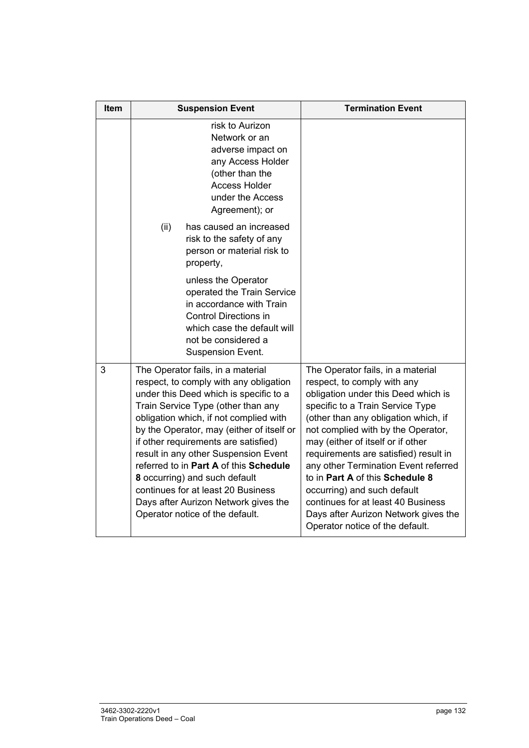| <b>Item</b> | <b>Suspension Event</b>                                                                                                                                                                                                                                                                                                                                                                                                                                                                                                        | <b>Termination Event</b>                                                                                                                                                                                                                                                                                                                                                                                                                                                                                                           |  |
|-------------|--------------------------------------------------------------------------------------------------------------------------------------------------------------------------------------------------------------------------------------------------------------------------------------------------------------------------------------------------------------------------------------------------------------------------------------------------------------------------------------------------------------------------------|------------------------------------------------------------------------------------------------------------------------------------------------------------------------------------------------------------------------------------------------------------------------------------------------------------------------------------------------------------------------------------------------------------------------------------------------------------------------------------------------------------------------------------|--|
|             | risk to Aurizon<br>Network or an<br>adverse impact on<br>any Access Holder<br>(other than the<br><b>Access Holder</b><br>under the Access<br>Agreement); or                                                                                                                                                                                                                                                                                                                                                                    |                                                                                                                                                                                                                                                                                                                                                                                                                                                                                                                                    |  |
|             | (ii)<br>has caused an increased<br>risk to the safety of any<br>person or material risk to<br>property,                                                                                                                                                                                                                                                                                                                                                                                                                        |                                                                                                                                                                                                                                                                                                                                                                                                                                                                                                                                    |  |
|             | unless the Operator<br>operated the Train Service<br>in accordance with Train<br><b>Control Directions in</b><br>which case the default will<br>not be considered a<br>Suspension Event.                                                                                                                                                                                                                                                                                                                                       |                                                                                                                                                                                                                                                                                                                                                                                                                                                                                                                                    |  |
| 3           | The Operator fails, in a material<br>respect, to comply with any obligation<br>under this Deed which is specific to a<br>Train Service Type (other than any<br>obligation which, if not complied with<br>by the Operator, may (either of itself or<br>if other requirements are satisfied)<br>result in any other Suspension Event<br>referred to in Part A of this Schedule<br>8 occurring) and such default<br>continues for at least 20 Business<br>Days after Aurizon Network gives the<br>Operator notice of the default. | The Operator fails, in a material<br>respect, to comply with any<br>obligation under this Deed which is<br>specific to a Train Service Type<br>(other than any obligation which, if<br>not complied with by the Operator,<br>may (either of itself or if other<br>requirements are satisfied) result in<br>any other Termination Event referred<br>to in Part A of this Schedule 8<br>occurring) and such default<br>continues for at least 40 Business<br>Days after Aurizon Network gives the<br>Operator notice of the default. |  |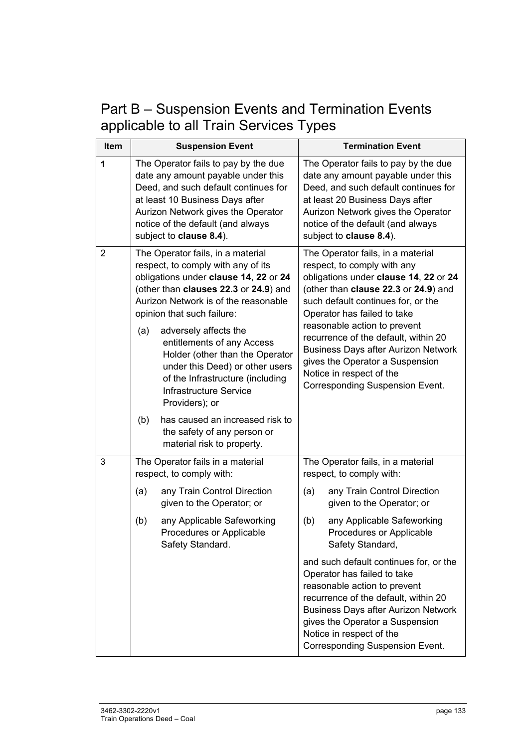Part B – Suspension Events and Termination Events applicable to all Train Services Types

| Item | <b>Suspension Event</b>                                                                                                                                                                                                                                                                                                                                                                                                                                                                                                      | <b>Termination Event</b>                                                                                                                                                                                                                                                                                                                                                                                                                              |  |  |
|------|------------------------------------------------------------------------------------------------------------------------------------------------------------------------------------------------------------------------------------------------------------------------------------------------------------------------------------------------------------------------------------------------------------------------------------------------------------------------------------------------------------------------------|-------------------------------------------------------------------------------------------------------------------------------------------------------------------------------------------------------------------------------------------------------------------------------------------------------------------------------------------------------------------------------------------------------------------------------------------------------|--|--|
| 1    | The Operator fails to pay by the due<br>date any amount payable under this<br>Deed, and such default continues for<br>at least 10 Business Days after<br>Aurizon Network gives the Operator<br>notice of the default (and always<br>subject to clause 8.4).                                                                                                                                                                                                                                                                  | The Operator fails to pay by the due<br>date any amount payable under this<br>Deed, and such default continues for<br>at least 20 Business Days after<br>Aurizon Network gives the Operator<br>notice of the default (and always<br>subject to clause 8.4).                                                                                                                                                                                           |  |  |
| 2    | The Operator fails, in a material<br>respect, to comply with any of its<br>obligations under clause 14, 22 or 24<br>(other than clauses 22.3 or 24.9) and<br>Aurizon Network is of the reasonable<br>opinion that such failure:<br>(a)<br>adversely affects the<br>entitlements of any Access<br>Holder (other than the Operator<br>under this Deed) or other users<br>of the Infrastructure (including<br>Infrastructure Service<br>Providers); or<br>has caused an increased risk to<br>(b)<br>the safety of any person or | The Operator fails, in a material<br>respect, to comply with any<br>obligations under clause 14, 22 or 24<br>(other than clause 22.3 or 24.9) and<br>such default continues for, or the<br>Operator has failed to take<br>reasonable action to prevent<br>recurrence of the default, within 20<br><b>Business Days after Aurizon Network</b><br>gives the Operator a Suspension<br>Notice in respect of the<br><b>Corresponding Suspension Event.</b> |  |  |
| 3    | material risk to property.<br>The Operator fails in a material                                                                                                                                                                                                                                                                                                                                                                                                                                                               | The Operator fails, in a material                                                                                                                                                                                                                                                                                                                                                                                                                     |  |  |
|      | respect, to comply with:<br>any Train Control Direction<br>(a)<br>given to the Operator; or                                                                                                                                                                                                                                                                                                                                                                                                                                  | respect, to comply with:<br>any Train Control Direction<br>(a)<br>given to the Operator; or                                                                                                                                                                                                                                                                                                                                                           |  |  |
|      | (b)<br>any Applicable Safeworking<br>Procedures or Applicable<br>Safety Standard.                                                                                                                                                                                                                                                                                                                                                                                                                                            | any Applicable Safeworking<br>(b)<br>Procedures or Applicable<br>Safety Standard,                                                                                                                                                                                                                                                                                                                                                                     |  |  |
|      |                                                                                                                                                                                                                                                                                                                                                                                                                                                                                                                              | and such default continues for, or the<br>Operator has failed to take<br>reasonable action to prevent<br>recurrence of the default, within 20<br><b>Business Days after Aurizon Network</b><br>gives the Operator a Suspension<br>Notice in respect of the<br><b>Corresponding Suspension Event.</b>                                                                                                                                                  |  |  |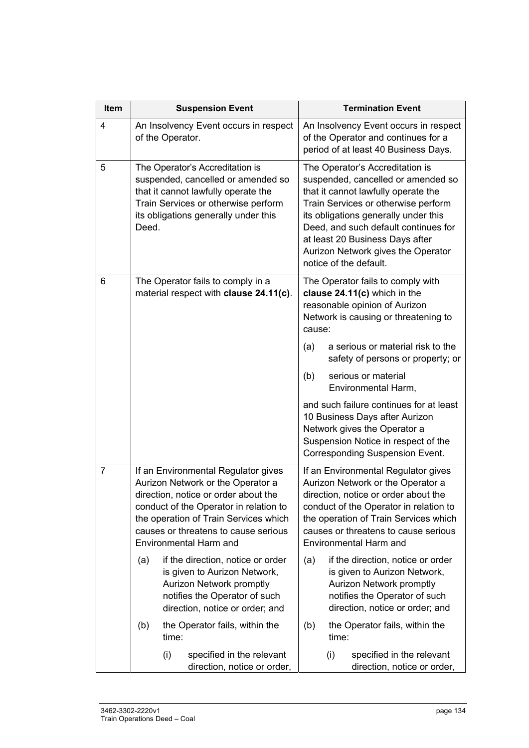| Item           | <b>Suspension Event</b>                                                                                                                                                                                                                                                      | <b>Termination Event</b>                                                                                                                                                                                                                                                                                                               |  |  |
|----------------|------------------------------------------------------------------------------------------------------------------------------------------------------------------------------------------------------------------------------------------------------------------------------|----------------------------------------------------------------------------------------------------------------------------------------------------------------------------------------------------------------------------------------------------------------------------------------------------------------------------------------|--|--|
| 4              | An Insolvency Event occurs in respect<br>of the Operator.                                                                                                                                                                                                                    | An Insolvency Event occurs in respect<br>of the Operator and continues for a<br>period of at least 40 Business Days.                                                                                                                                                                                                                   |  |  |
| 5              | The Operator's Accreditation is<br>suspended, cancelled or amended so<br>that it cannot lawfully operate the<br>Train Services or otherwise perform<br>its obligations generally under this<br>Deed.                                                                         | The Operator's Accreditation is<br>suspended, cancelled or amended so<br>that it cannot lawfully operate the<br>Train Services or otherwise perform<br>its obligations generally under this<br>Deed, and such default continues for<br>at least 20 Business Days after<br>Aurizon Network gives the Operator<br>notice of the default. |  |  |
| 6              | The Operator fails to comply in a<br>material respect with clause 24.11(c).                                                                                                                                                                                                  | The Operator fails to comply with<br>clause 24.11(c) which in the<br>reasonable opinion of Aurizon<br>Network is causing or threatening to<br>cause:                                                                                                                                                                                   |  |  |
|                |                                                                                                                                                                                                                                                                              | a serious or material risk to the<br>(a)<br>safety of persons or property; or                                                                                                                                                                                                                                                          |  |  |
|                |                                                                                                                                                                                                                                                                              | (b)<br>serious or material<br>Environmental Harm,                                                                                                                                                                                                                                                                                      |  |  |
|                |                                                                                                                                                                                                                                                                              | and such failure continues for at least<br>10 Business Days after Aurizon<br>Network gives the Operator a<br>Suspension Notice in respect of the<br><b>Corresponding Suspension Event.</b>                                                                                                                                             |  |  |
| $\overline{7}$ | If an Environmental Regulator gives<br>Aurizon Network or the Operator a<br>direction, notice or order about the<br>conduct of the Operator in relation to<br>the operation of Train Services which<br>causes or threatens to cause serious<br><b>Environmental Harm and</b> | If an Environmental Regulator gives<br>Aurizon Network or the Operator a<br>direction, notice or order about the<br>conduct of the Operator in relation to<br>the operation of Train Services which<br>causes or threatens to cause serious<br><b>Environmental Harm and</b>                                                           |  |  |
|                | if the direction, notice or order<br>(a)<br>is given to Aurizon Network,<br>Aurizon Network promptly<br>notifies the Operator of such<br>direction, notice or order; and                                                                                                     | if the direction, notice or order<br>(a)<br>is given to Aurizon Network,<br><b>Aurizon Network promptly</b><br>notifies the Operator of such<br>direction, notice or order; and                                                                                                                                                        |  |  |
|                | the Operator fails, within the<br>(b)<br>time:                                                                                                                                                                                                                               | the Operator fails, within the<br>(b)<br>time:                                                                                                                                                                                                                                                                                         |  |  |
|                | specified in the relevant<br>(i)<br>direction, notice or order,                                                                                                                                                                                                              | specified in the relevant<br>(i)<br>direction, notice or order,                                                                                                                                                                                                                                                                        |  |  |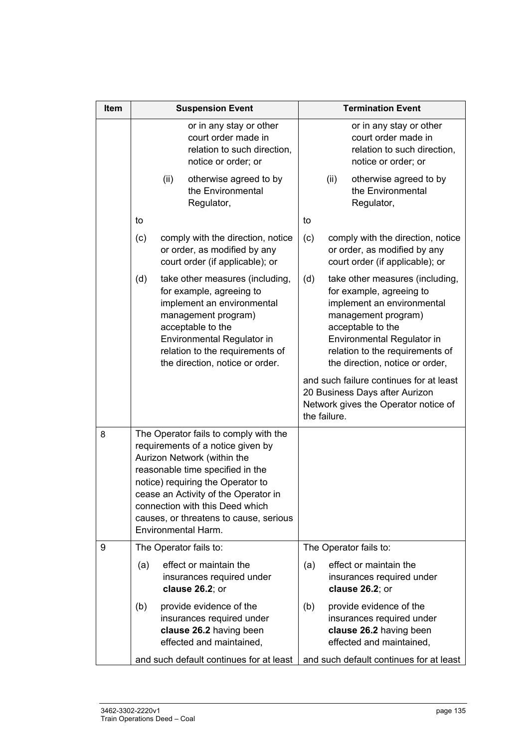| Item | <b>Suspension Event</b> |      |                                                                                                                                                                                                                                                                                                                                | <b>Termination Event</b> |              |                                                                                                                                                                                                                                                                                      |
|------|-------------------------|------|--------------------------------------------------------------------------------------------------------------------------------------------------------------------------------------------------------------------------------------------------------------------------------------------------------------------------------|--------------------------|--------------|--------------------------------------------------------------------------------------------------------------------------------------------------------------------------------------------------------------------------------------------------------------------------------------|
|      |                         |      | or in any stay or other<br>court order made in<br>relation to such direction,<br>notice or order; or                                                                                                                                                                                                                           |                          |              | or in any stay or other<br>court order made in<br>relation to such direction,<br>notice or order; or                                                                                                                                                                                 |
|      |                         | (ii) | otherwise agreed to by<br>the Environmental<br>Regulator,                                                                                                                                                                                                                                                                      |                          | (ii)         | otherwise agreed to by<br>the Environmental<br>Regulator,                                                                                                                                                                                                                            |
|      | to                      |      |                                                                                                                                                                                                                                                                                                                                | to                       |              |                                                                                                                                                                                                                                                                                      |
|      | (c)                     |      | comply with the direction, notice<br>or order, as modified by any<br>court order (if applicable); or                                                                                                                                                                                                                           | (c)                      |              | comply with the direction, notice<br>or order, as modified by any<br>court order (if applicable); or                                                                                                                                                                                 |
|      | (d)                     |      | take other measures (including,<br>for example, agreeing to<br>implement an environmental<br>management program)<br>acceptable to the<br>Environmental Regulator in<br>relation to the requirements of<br>the direction, notice or order.                                                                                      | (d)                      |              | take other measures (including,<br>for example, agreeing to<br>implement an environmental<br>management program)<br>acceptable to the<br>Environmental Regulator in<br>relation to the requirements of<br>the direction, notice or order,<br>and such failure continues for at least |
|      |                         |      |                                                                                                                                                                                                                                                                                                                                |                          | the failure. | 20 Business Days after Aurizon<br>Network gives the Operator notice of                                                                                                                                                                                                               |
| 8    |                         |      | The Operator fails to comply with the<br>requirements of a notice given by<br>Aurizon Network (within the<br>reasonable time specified in the<br>notice) requiring the Operator to<br>cease an Activity of the Operator in<br>connection with this Deed which<br>causes, or threatens to cause, serious<br>Environmental Harm. |                          |              |                                                                                                                                                                                                                                                                                      |
| 9    |                         |      | The Operator fails to:                                                                                                                                                                                                                                                                                                         |                          |              | The Operator fails to:                                                                                                                                                                                                                                                               |
|      | (a)                     |      | effect or maintain the<br>insurances required under<br>clause $26.2$ ; or                                                                                                                                                                                                                                                      | (a)                      |              | effect or maintain the<br>insurances required under<br>clause 26.2; or                                                                                                                                                                                                               |
|      | (b)                     |      | provide evidence of the<br>insurances required under<br>clause 26.2 having been<br>effected and maintained,                                                                                                                                                                                                                    | (b)                      |              | provide evidence of the<br>insurances required under<br>clause 26.2 having been<br>effected and maintained,                                                                                                                                                                          |
|      |                         |      | and such default continues for at least                                                                                                                                                                                                                                                                                        |                          |              | and such default continues for at least                                                                                                                                                                                                                                              |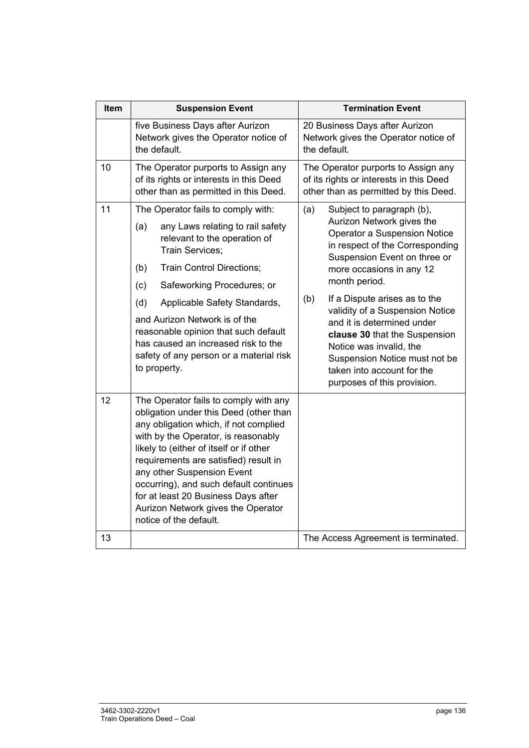| Item | <b>Suspension Event</b>                                                                                                                                                                                                                                                                                                                                                                                                            | <b>Termination Event</b>                                                                                                                                                                                                                                                                                                                                                                                                                                                         |  |
|------|------------------------------------------------------------------------------------------------------------------------------------------------------------------------------------------------------------------------------------------------------------------------------------------------------------------------------------------------------------------------------------------------------------------------------------|----------------------------------------------------------------------------------------------------------------------------------------------------------------------------------------------------------------------------------------------------------------------------------------------------------------------------------------------------------------------------------------------------------------------------------------------------------------------------------|--|
|      | five Business Days after Aurizon<br>Network gives the Operator notice of<br>the default.                                                                                                                                                                                                                                                                                                                                           | 20 Business Days after Aurizon<br>Network gives the Operator notice of<br>the default.                                                                                                                                                                                                                                                                                                                                                                                           |  |
| 10   | The Operator purports to Assign any<br>of its rights or interests in this Deed<br>other than as permitted in this Deed.                                                                                                                                                                                                                                                                                                            | The Operator purports to Assign any<br>of its rights or interests in this Deed<br>other than as permitted by this Deed.                                                                                                                                                                                                                                                                                                                                                          |  |
| 11   | The Operator fails to comply with:<br>any Laws relating to rail safety<br>(a)<br>relevant to the operation of<br>Train Services:<br>(b)<br><b>Train Control Directions;</b><br>Safeworking Procedures; or<br>(c)<br>(d)<br>Applicable Safety Standards,<br>and Aurizon Network is of the<br>reasonable opinion that such default<br>has caused an increased risk to the<br>safety of any person or a material risk<br>to property. | Subject to paragraph (b),<br>(a)<br>Aurizon Network gives the<br>Operator a Suspension Notice<br>in respect of the Corresponding<br>Suspension Event on three or<br>more occasions in any 12<br>month period.<br>(b)<br>If a Dispute arises as to the<br>validity of a Suspension Notice<br>and it is determined under<br>clause 30 that the Suspension<br>Notice was invalid, the<br>Suspension Notice must not be<br>taken into account for the<br>purposes of this provision. |  |
| 12   | The Operator fails to comply with any<br>obligation under this Deed (other than<br>any obligation which, if not complied<br>with by the Operator, is reasonably<br>likely to (either of itself or if other<br>requirements are satisfied) result in<br>any other Suspension Event<br>occurring), and such default continues<br>for at least 20 Business Days after<br>Aurizon Network gives the Operator<br>notice of the default. |                                                                                                                                                                                                                                                                                                                                                                                                                                                                                  |  |
| 13   |                                                                                                                                                                                                                                                                                                                                                                                                                                    | The Access Agreement is terminated.                                                                                                                                                                                                                                                                                                                                                                                                                                              |  |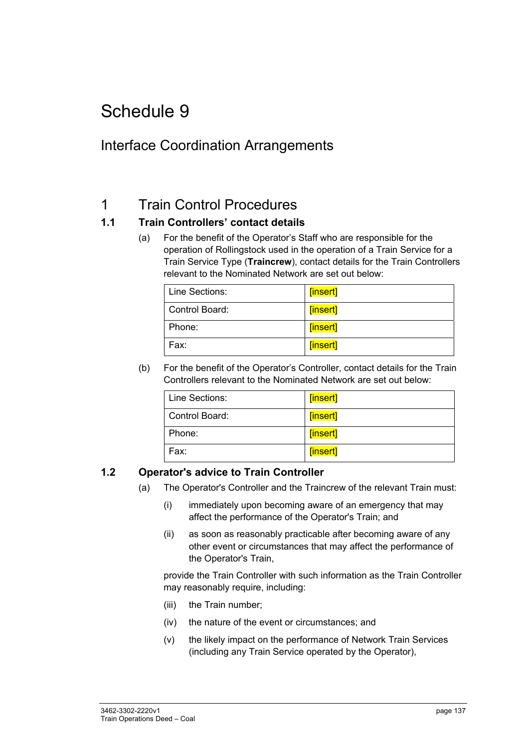### Interface Coordination Arrangements

### 1 Train Control Procedures

#### **1.1 Train Controllers' contact details**

(a) For the benefit of the Operator's Staff who are responsible for the operation of Rollingstock used in the operation of a Train Service for a Train Service Type (**Traincrew**), contact details for the Train Controllers relevant to the Nominated Network are set out below:

| Line Sections:   | [insert] |
|------------------|----------|
| l Control Board: | [insert] |
| Phone:           | [insert] |
| Fax:             | [insert] |

(b) For the benefit of the Operator's Controller, contact details for the Train Controllers relevant to the Nominated Network are set out below:

| Line Sections: | [insert] |
|----------------|----------|
| Control Board: | [insert] |
| Phone:         | [insert] |
| Fax:           | [insert] |

#### **1.2 Operator's advice to Train Controller**

- (a) The Operator's Controller and the Traincrew of the relevant Train must:
	- (i) immediately upon becoming aware of an emergency that may affect the performance of the Operator's Train; and
	- (ii) as soon as reasonably practicable after becoming aware of any other event or circumstances that may affect the performance of the Operator's Train,

provide the Train Controller with such information as the Train Controller may reasonably require, including:

- (iii) the Train number;
- (iv) the nature of the event or circumstances; and
- (v) the likely impact on the performance of Network Train Services (including any Train Service operated by the Operator),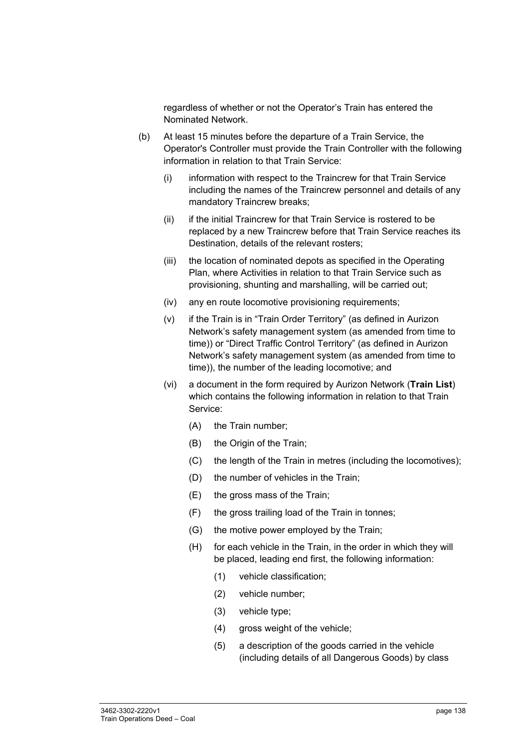regardless of whether or not the Operator's Train has entered the Nominated Network.

- (b) At least 15 minutes before the departure of a Train Service, the Operator's Controller must provide the Train Controller with the following information in relation to that Train Service:
	- (i) information with respect to the Traincrew for that Train Service including the names of the Traincrew personnel and details of any mandatory Traincrew breaks;
	- (ii) if the initial Traincrew for that Train Service is rostered to be replaced by a new Traincrew before that Train Service reaches its Destination, details of the relevant rosters;
	- (iii) the location of nominated depots as specified in the Operating Plan, where Activities in relation to that Train Service such as provisioning, shunting and marshalling, will be carried out;
	- (iv) any en route locomotive provisioning requirements;
	- (v) if the Train is in "Train Order Territory" (as defined in Aurizon Network's safety management system (as amended from time to time)) or "Direct Traffic Control Territory" (as defined in Aurizon Network's safety management system (as amended from time to time)), the number of the leading locomotive; and
	- (vi) a document in the form required by Aurizon Network (**Train List**) which contains the following information in relation to that Train Service:
		- (A) the Train number;
		- (B) the Origin of the Train:
		- (C) the length of the Train in metres (including the locomotives);
		- (D) the number of vehicles in the Train;
		- (E) the gross mass of the Train;
		- (F) the gross trailing load of the Train in tonnes;
		- (G) the motive power employed by the Train;
		- (H) for each vehicle in the Train, in the order in which they will be placed, leading end first, the following information:
			- (1) vehicle classification;
			- (2) vehicle number;
			- (3) vehicle type;
			- (4) gross weight of the vehicle;
			- (5) a description of the goods carried in the vehicle (including details of all Dangerous Goods) by class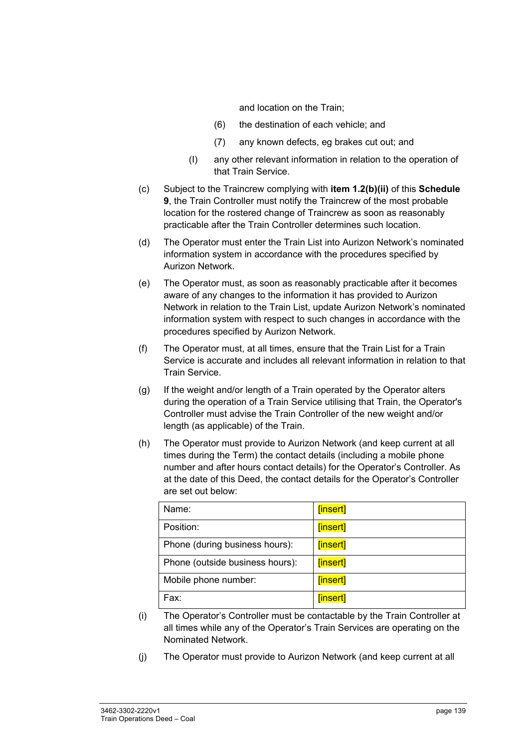and location on the Train;

- (6) the destination of each vehicle; and
- (7) any known defects, eg brakes cut out; and
- (I) any other relevant information in relation to the operation of that Train Service.
- (c) Subject to the Traincrew complying with **item 1.2(b)(ii)** of this **Schedule 9**, the Train Controller must notify the Traincrew of the most probable location for the rostered change of Traincrew as soon as reasonably practicable after the Train Controller determines such location.
- (d) The Operator must enter the Train List into Aurizon Network's nominated information system in accordance with the procedures specified by Aurizon Network.
- (e) The Operator must, as soon as reasonably practicable after it becomes aware of any changes to the information it has provided to Aurizon Network in relation to the Train List, update Aurizon Network's nominated information system with respect to such changes in accordance with the procedures specified by Aurizon Network.
- (f) The Operator must, at all times, ensure that the Train List for a Train Service is accurate and includes all relevant information in relation to that Train Service.
- (g) If the weight and/or length of a Train operated by the Operator alters during the operation of a Train Service utilising that Train, the Operator's Controller must advise the Train Controller of the new weight and/or length (as applicable) of the Train.
- (h) The Operator must provide to Aurizon Network (and keep current at all times during the Term) the contact details (including a mobile phone number and after hours contact details) for the Operator's Controller. As at the date of this Deed, the contact details for the Operator's Controller are set out below:

| Name:                           | [insert] |
|---------------------------------|----------|
| Position:                       | [insert] |
| Phone (during business hours):  | [insert] |
| Phone (outside business hours): | [insert] |
| Mobile phone number:            | [insert] |
| Fax:                            | [insert] |

- (i) The Operator's Controller must be contactable by the Train Controller at all times while any of the Operator's Train Services are operating on the Nominated Network.
- (j) The Operator must provide to Aurizon Network (and keep current at all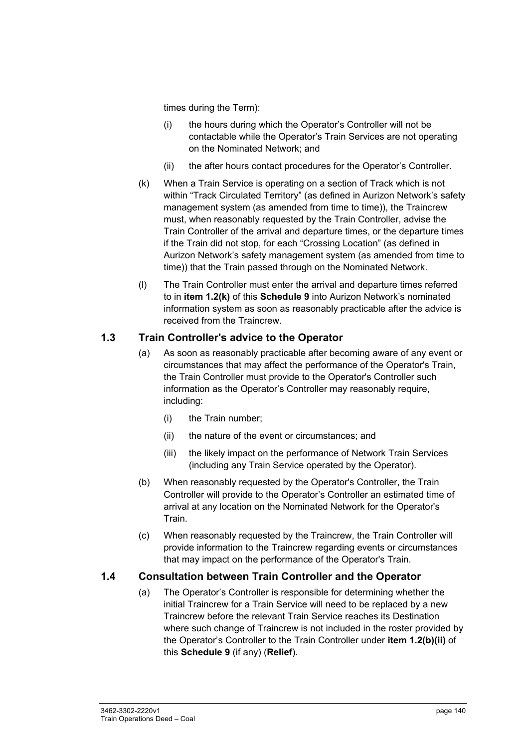times during the Term):

- (i) the hours during which the Operator's Controller will not be contactable while the Operator's Train Services are not operating on the Nominated Network; and
- (ii) the after hours contact procedures for the Operator's Controller.
- (k) When a Train Service is operating on a section of Track which is not within "Track Circulated Territory" (as defined in Aurizon Network's safety management system (as amended from time to time)), the Traincrew must, when reasonably requested by the Train Controller, advise the Train Controller of the arrival and departure times, or the departure times if the Train did not stop, for each "Crossing Location" (as defined in Aurizon Network's safety management system (as amended from time to time)) that the Train passed through on the Nominated Network.
- (l) The Train Controller must enter the arrival and departure times referred to in **item 1.2(k)** of this **Schedule 9** into Aurizon Network's nominated information system as soon as reasonably practicable after the advice is received from the Traincrew.

#### **1.3 Train Controller's advice to the Operator**

- (a) As soon as reasonably practicable after becoming aware of any event or circumstances that may affect the performance of the Operator's Train, the Train Controller must provide to the Operator's Controller such information as the Operator's Controller may reasonably require, including:
	- (i) the Train number;
	- (ii) the nature of the event or circumstances; and
	- (iii) the likely impact on the performance of Network Train Services (including any Train Service operated by the Operator).
- (b) When reasonably requested by the Operator's Controller, the Train Controller will provide to the Operator's Controller an estimated time of arrival at any location on the Nominated Network for the Operator's Train.
- (c) When reasonably requested by the Traincrew, the Train Controller will provide information to the Traincrew regarding events or circumstances that may impact on the performance of the Operator's Train.

#### **1.4 Consultation between Train Controller and the Operator**

(a) The Operator's Controller is responsible for determining whether the initial Traincrew for a Train Service will need to be replaced by a new Traincrew before the relevant Train Service reaches its Destination where such change of Traincrew is not included in the roster provided by the Operator's Controller to the Train Controller under **item 1.2(b)(ii)** of this **Schedule 9** (if any) (**Relief**).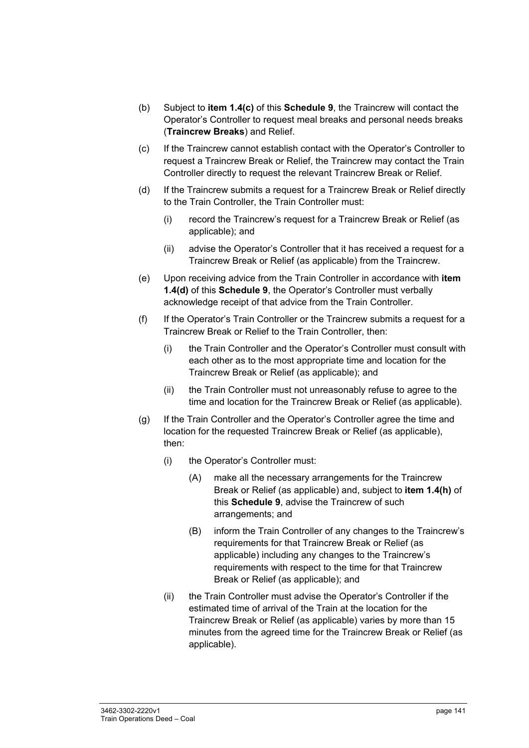- (b) Subject to **item 1.4(c)** of this **Schedule 9**, the Traincrew will contact the Operator's Controller to request meal breaks and personal needs breaks (**Traincrew Breaks**) and Relief.
- (c) If the Traincrew cannot establish contact with the Operator's Controller to request a Traincrew Break or Relief, the Traincrew may contact the Train Controller directly to request the relevant Traincrew Break or Relief.
- (d) If the Traincrew submits a request for a Traincrew Break or Relief directly to the Train Controller, the Train Controller must:
	- (i) record the Traincrew's request for a Traincrew Break or Relief (as applicable); and
	- (ii) advise the Operator's Controller that it has received a request for a Traincrew Break or Relief (as applicable) from the Traincrew.
- (e) Upon receiving advice from the Train Controller in accordance with **item 1.4(d)** of this **Schedule 9**, the Operator's Controller must verbally acknowledge receipt of that advice from the Train Controller.
- (f) If the Operator's Train Controller or the Traincrew submits a request for a Traincrew Break or Relief to the Train Controller, then:
	- (i) the Train Controller and the Operator's Controller must consult with each other as to the most appropriate time and location for the Traincrew Break or Relief (as applicable); and
	- (ii) the Train Controller must not unreasonably refuse to agree to the time and location for the Traincrew Break or Relief (as applicable).
- (g) If the Train Controller and the Operator's Controller agree the time and location for the requested Traincrew Break or Relief (as applicable), then:
	- (i) the Operator's Controller must:
		- (A) make all the necessary arrangements for the Traincrew Break or Relief (as applicable) and, subject to **item 1.4(h)** of this **Schedule 9**, advise the Traincrew of such arrangements; and
		- (B) inform the Train Controller of any changes to the Traincrew's requirements for that Traincrew Break or Relief (as applicable) including any changes to the Traincrew's requirements with respect to the time for that Traincrew Break or Relief (as applicable); and
	- (ii) the Train Controller must advise the Operator's Controller if the estimated time of arrival of the Train at the location for the Traincrew Break or Relief (as applicable) varies by more than 15 minutes from the agreed time for the Traincrew Break or Relief (as applicable).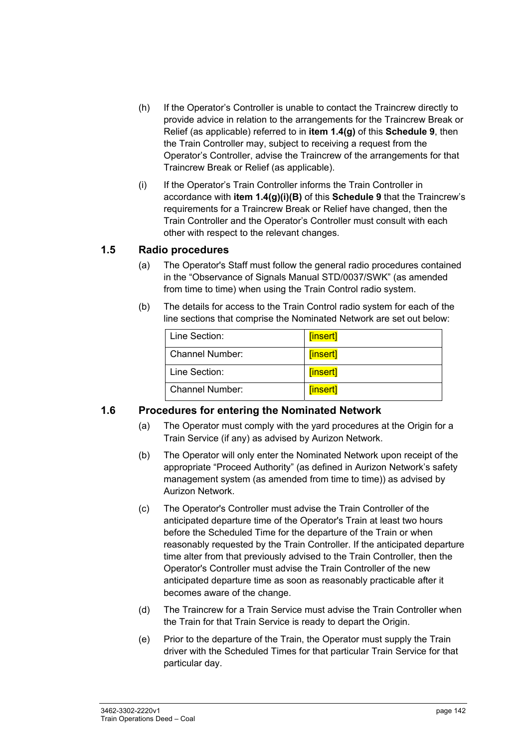- (h) If the Operator's Controller is unable to contact the Traincrew directly to provide advice in relation to the arrangements for the Traincrew Break or Relief (as applicable) referred to in **item 1.4(g)** of this **Schedule 9**, then the Train Controller may, subject to receiving a request from the Operator's Controller, advise the Traincrew of the arrangements for that Traincrew Break or Relief (as applicable).
- (i) If the Operator's Train Controller informs the Train Controller in accordance with **item 1.4(g)(i)(B)** of this **Schedule 9** that the Traincrew's requirements for a Traincrew Break or Relief have changed, then the Train Controller and the Operator's Controller must consult with each other with respect to the relevant changes.

#### **1.5 Radio procedures**

- (a) The Operator's Staff must follow the general radio procedures contained in the "Observance of Signals Manual STD/0037/SWK" (as amended from time to time) when using the Train Control radio system.
- (b) The details for access to the Train Control radio system for each of the line sections that comprise the Nominated Network are set out below:

| Line Section:   | [insert] |
|-----------------|----------|
| Channel Number: | [insert] |
| Line Section:   | [insert] |
| Channel Number: | [insert] |

#### **1.6 Procedures for entering the Nominated Network**

- (a) The Operator must comply with the yard procedures at the Origin for a Train Service (if any) as advised by Aurizon Network.
- (b) The Operator will only enter the Nominated Network upon receipt of the appropriate "Proceed Authority" (as defined in Aurizon Network's safety management system (as amended from time to time)) as advised by Aurizon Network.
- (c) The Operator's Controller must advise the Train Controller of the anticipated departure time of the Operator's Train at least two hours before the Scheduled Time for the departure of the Train or when reasonably requested by the Train Controller. If the anticipated departure time alter from that previously advised to the Train Controller, then the Operator's Controller must advise the Train Controller of the new anticipated departure time as soon as reasonably practicable after it becomes aware of the change.
- (d) The Traincrew for a Train Service must advise the Train Controller when the Train for that Train Service is ready to depart the Origin.
- (e) Prior to the departure of the Train, the Operator must supply the Train driver with the Scheduled Times for that particular Train Service for that particular day.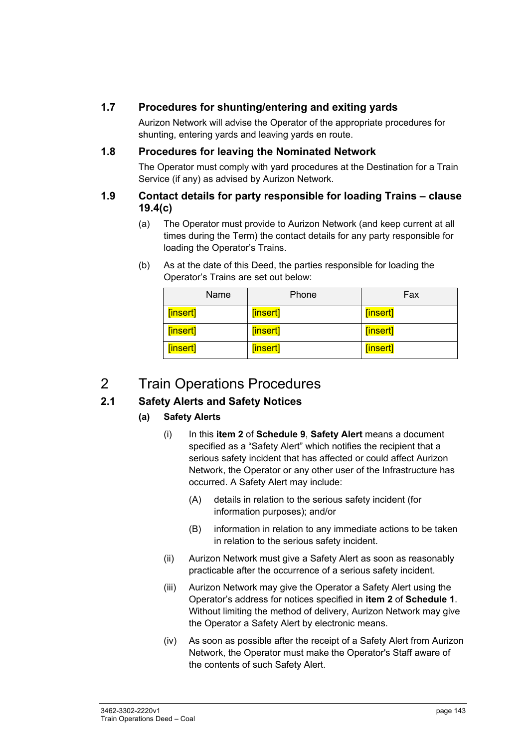#### **1.7 Procedures for shunting/entering and exiting yards**

Aurizon Network will advise the Operator of the appropriate procedures for shunting, entering yards and leaving yards en route.

#### **1.8 Procedures for leaving the Nominated Network**

The Operator must comply with yard procedures at the Destination for a Train Service (if any) as advised by Aurizon Network.

#### **1.9 Contact details for party responsible for loading Trains – clause 19.4(c)**

- (a) The Operator must provide to Aurizon Network (and keep current at all times during the Term) the contact details for any party responsible for loading the Operator's Trains.
- (b) As at the date of this Deed, the parties responsible for loading the Operator's Trains are set out below:

| Name     | Phone    | Fax      |
|----------|----------|----------|
| [insert] | [insert] | [insert] |
| [insert] | [insert] | [insert] |
| [insert] | [insert] | [insert] |

### 2 Train Operations Procedures

#### **2.1 Safety Alerts and Safety Notices**

#### **(a) Safety Alerts**

- (i) In this **item 2** of **Schedule 9**, **Safety Alert** means a document specified as a "Safety Alert" which notifies the recipient that a serious safety incident that has affected or could affect Aurizon Network, the Operator or any other user of the Infrastructure has occurred. A Safety Alert may include:
	- (A) details in relation to the serious safety incident (for information purposes); and/or
	- (B) information in relation to any immediate actions to be taken in relation to the serious safety incident.
- (ii) Aurizon Network must give a Safety Alert as soon as reasonably practicable after the occurrence of a serious safety incident.
- (iii) Aurizon Network may give the Operator a Safety Alert using the Operator's address for notices specified in **item 2** of **Schedule 1**. Without limiting the method of delivery, Aurizon Network may give the Operator a Safety Alert by electronic means.
- (iv) As soon as possible after the receipt of a Safety Alert from Aurizon Network, the Operator must make the Operator's Staff aware of the contents of such Safety Alert.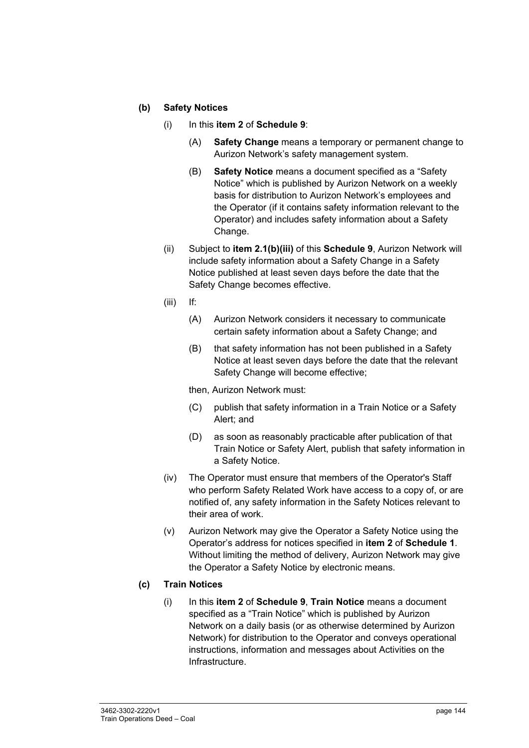#### **(b) Safety Notices**

- (i) In this **item 2** of **Schedule 9**:
	- (A) **Safety Change** means a temporary or permanent change to Aurizon Network's safety management system.
	- (B) **Safety Notice** means a document specified as a "Safety Notice" which is published by Aurizon Network on a weekly basis for distribution to Aurizon Network's employees and the Operator (if it contains safety information relevant to the Operator) and includes safety information about a Safety Change.
- (ii) Subject to **item 2.1(b)(iii)** of this **Schedule 9**, Aurizon Network will include safety information about a Safety Change in a Safety Notice published at least seven days before the date that the Safety Change becomes effective.
- (iii) If:
	- (A) Aurizon Network considers it necessary to communicate certain safety information about a Safety Change; and
	- (B) that safety information has not been published in a Safety Notice at least seven days before the date that the relevant Safety Change will become effective;

then, Aurizon Network must:

- (C) publish that safety information in a Train Notice or a Safety Alert; and
- (D) as soon as reasonably practicable after publication of that Train Notice or Safety Alert, publish that safety information in a Safety Notice.
- (iv) The Operator must ensure that members of the Operator's Staff who perform Safety Related Work have access to a copy of, or are notified of, any safety information in the Safety Notices relevant to their area of work.
- (v) Aurizon Network may give the Operator a Safety Notice using the Operator's address for notices specified in **item 2** of **Schedule 1**. Without limiting the method of delivery, Aurizon Network may give the Operator a Safety Notice by electronic means.

#### **(c) Train Notices**

(i) In this **item 2** of **Schedule 9**, **Train Notice** means a document specified as a "Train Notice" which is published by Aurizon Network on a daily basis (or as otherwise determined by Aurizon Network) for distribution to the Operator and conveys operational instructions, information and messages about Activities on the Infrastructure.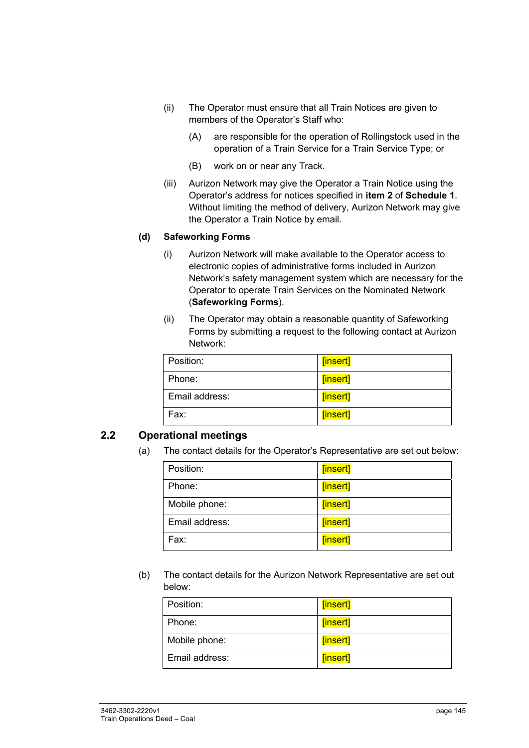- (ii) The Operator must ensure that all Train Notices are given to members of the Operator's Staff who:
	- (A) are responsible for the operation of Rollingstock used in the operation of a Train Service for a Train Service Type; or
	- (B) work on or near any Track.
- (iii) Aurizon Network may give the Operator a Train Notice using the Operator's address for notices specified in **item 2** of **Schedule 1**. Without limiting the method of delivery, Aurizon Network may give the Operator a Train Notice by email.

#### **(d) Safeworking Forms**

- (i) Aurizon Network will make available to the Operator access to electronic copies of administrative forms included in Aurizon Network's safety management system which are necessary for the Operator to operate Train Services on the Nominated Network (**Safeworking Forms**).
- (ii) The Operator may obtain a reasonable quantity of Safeworking Forms by submitting a request to the following contact at Aurizon Network:

| Position:      | [insert] |
|----------------|----------|
| Phone:         | [insert] |
| Email address: | [insert] |
| Fax:           | [insert] |

#### **2.2 Operational meetings**

(a) The contact details for the Operator's Representative are set out below:

| Position:      | [insert] |
|----------------|----------|
| Phone:         | [insert] |
| Mobile phone:  | [insert] |
| Email address: | [insert] |
| Fax:           | [insert] |

(b) The contact details for the Aurizon Network Representative are set out below:

| Position:      | [insert] |
|----------------|----------|
| Phone:         | [insert] |
| Mobile phone:  | [insert] |
| Email address: | [insert] |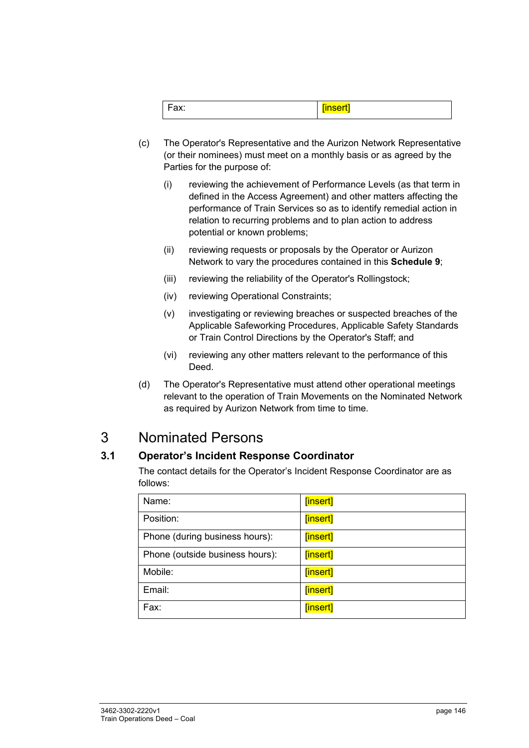|--|--|

- (c) The Operator's Representative and the Aurizon Network Representative (or their nominees) must meet on a monthly basis or as agreed by the Parties for the purpose of:
	- (i) reviewing the achievement of Performance Levels (as that term in defined in the Access Agreement) and other matters affecting the performance of Train Services so as to identify remedial action in relation to recurring problems and to plan action to address potential or known problems;
	- (ii) reviewing requests or proposals by the Operator or Aurizon Network to vary the procedures contained in this **Schedule 9**;
	- (iii) reviewing the reliability of the Operator's Rollingstock;
	- (iv) reviewing Operational Constraints;
	- (v) investigating or reviewing breaches or suspected breaches of the Applicable Safeworking Procedures, Applicable Safety Standards or Train Control Directions by the Operator's Staff; and
	- (vi) reviewing any other matters relevant to the performance of this Deed.
- (d) The Operator's Representative must attend other operational meetings relevant to the operation of Train Movements on the Nominated Network as required by Aurizon Network from time to time.

## 3 Nominated Persons

### **3.1 Operator's Incident Response Coordinator**

The contact details for the Operator's Incident Response Coordinator are as follows:

| Name:                           | [insert] |
|---------------------------------|----------|
| Position:                       | [insert] |
| Phone (during business hours):  | [insert] |
| Phone (outside business hours): | [insert] |
| Mobile:                         | [insert] |
| Email:                          | [insert] |
| Fax:                            | [insert] |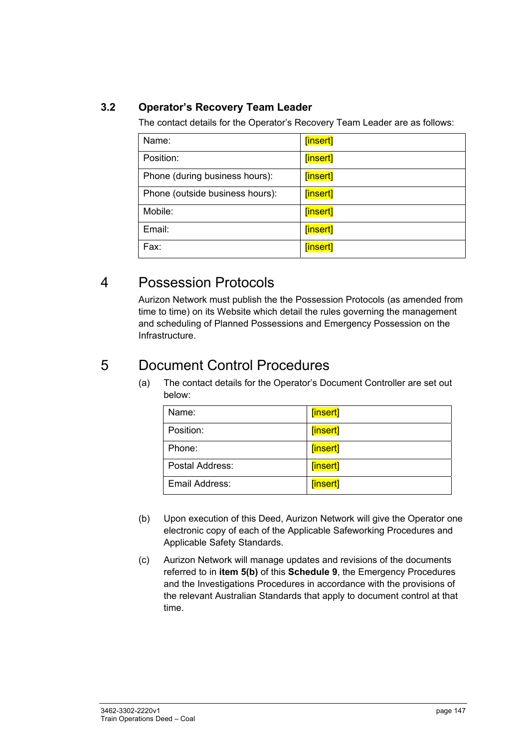### **3.2 Operator's Recovery Team Leader**

The contact details for the Operator's Recovery Team Leader are as follows:

| Name:                           | [insert] |
|---------------------------------|----------|
| Position:                       | [insert] |
| Phone (during business hours):  | [insert] |
| Phone (outside business hours): | [insert] |
| Mobile:                         | [insert] |
| Email:                          | [insert] |
| Fax:                            | [insert] |

### 4 Possession Protocols

Aurizon Network must publish the the Possession Protocols (as amended from time to time) on its Website which detail the rules governing the management and scheduling of Planned Possessions and Emergency Possession on the Infrastructure.

## 5 Document Control Procedures

(a) The contact details for the Operator's Document Controller are set out below:

| Name:           | [insert] |
|-----------------|----------|
| Position:       | [insert] |
| Phone:          | [insert] |
| Postal Address: | [insert] |
| Email Address:  | [insert] |

- (b) Upon execution of this Deed, Aurizon Network will give the Operator one electronic copy of each of the Applicable Safeworking Procedures and Applicable Safety Standards.
- (c) Aurizon Network will manage updates and revisions of the documents referred to in **item 5(b)** of this **Schedule 9**, the Emergency Procedures and the Investigations Procedures in accordance with the provisions of the relevant Australian Standards that apply to document control at that time.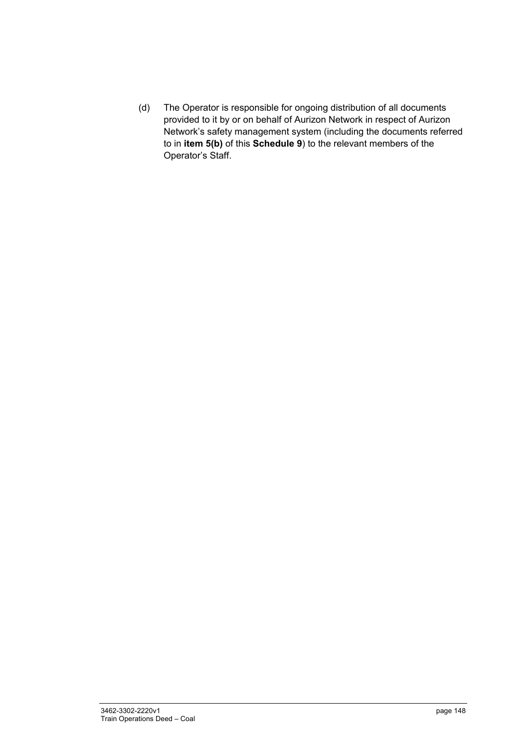(d) The Operator is responsible for ongoing distribution of all documents provided to it by or on behalf of Aurizon Network in respect of Aurizon Network's safety management system (including the documents referred to in **item 5(b)** of this **Schedule 9**) to the relevant members of the Operator's Staff.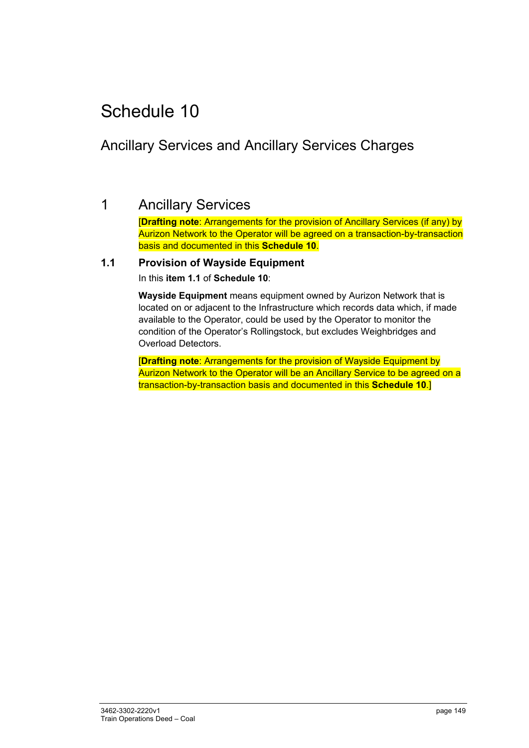# Schedule 10

# Ancillary Services and Ancillary Services Charges

## 1 Ancillary Services

[**Drafting note**: Arrangements for the provision of Ancillary Services (if any) by Aurizon Network to the Operator will be agreed on a transaction-by-transaction basis and documented in this **Schedule 10**.

#### **1.1 Provision of Wayside Equipment**

In this **item 1.1** of **Schedule 10**:

**Wayside Equipment** means equipment owned by Aurizon Network that is located on or adjacent to the Infrastructure which records data which, if made available to the Operator, could be used by the Operator to monitor the condition of the Operator's Rollingstock, but excludes Weighbridges and Overload Detectors.

[**Drafting note**: Arrangements for the provision of Wayside Equipment by Aurizon Network to the Operator will be an Ancillary Service to be agreed on a transaction-by-transaction basis and documented in this **Schedule 10**.]